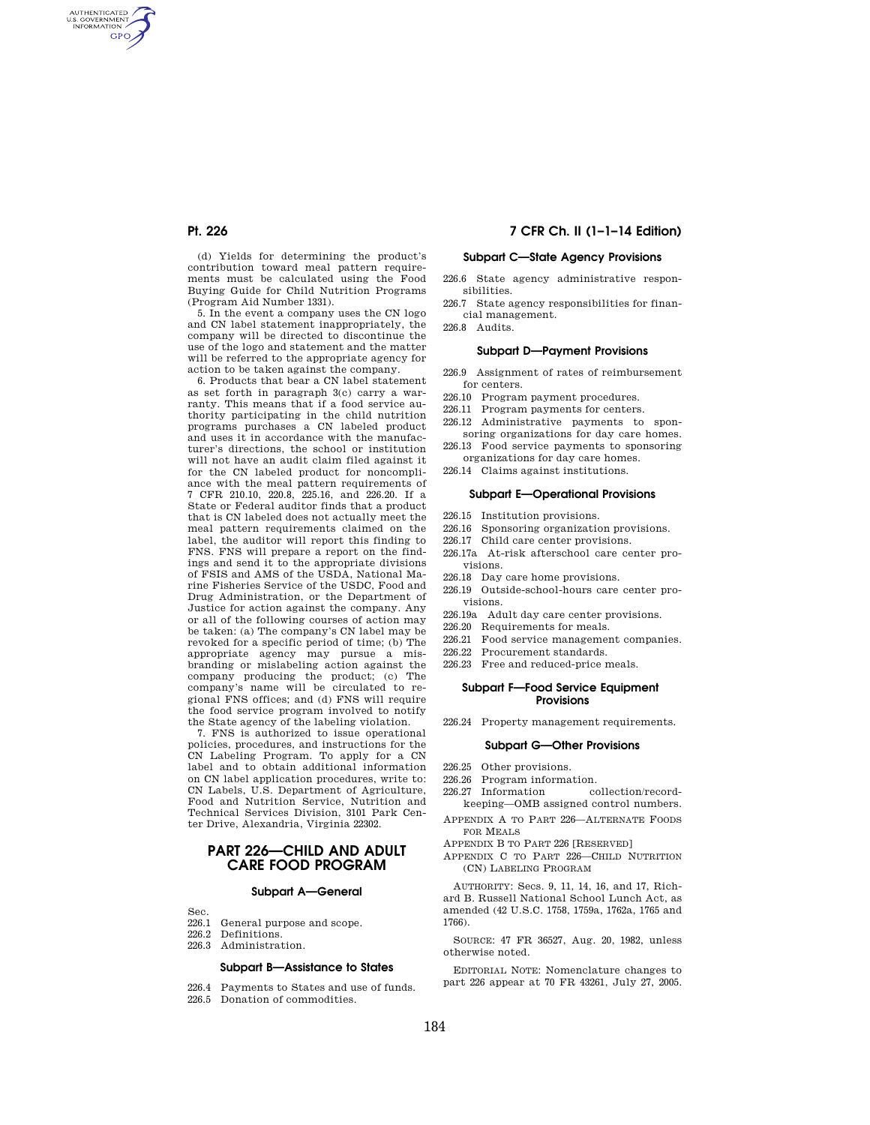AUTHENTICATED<br>U.S. GOVERNMENT<br>INFORMATION **GPO** 

> (d) Yields for determining the product's contribution toward meal pattern requirements must be calculated using the Food Buying Guide for Child Nutrition Programs (Program Aid Number 1331).

> 5. In the event a company uses the CN logo and CN label statement inappropriately, the company will be directed to discontinue the use of the logo and statement and the matter will be referred to the appropriate agency for action to be taken against the company.

6. Products that bear a CN label statement as set forth in paragraph 3(c) carry a warranty. This means that if a food service authority participating in the child nutrition programs purchases a CN labeled product and uses it in accordance with the manufacturer's directions, the school or institution will not have an audit claim filed against it for the CN labeled product for noncompliance with the meal pattern requirements of 7 CFR 210.10, 220.8, 225.16, and 226.20. If a State or Federal auditor finds that a product that is CN labeled does not actually meet the meal pattern requirements claimed on the label, the auditor will report this finding to FNS. FNS will prepare a report on the findings and send it to the appropriate divisions of FSIS and AMS of the USDA, National Marine Fisheries Service of the USDC, Food and Drug Administration, or the Department of Justice for action against the company. Any or all of the following courses of action may be taken: (a) The company's CN label may be revoked for a specific period of time; (b) The appropriate agency may pursue a misbranding or mislabeling action against the company producing the product; (c) The company's name will be circulated to regional FNS offices; and (d) FNS will require the food service program involved to notify the State agency of the labeling violation.

7. FNS is authorized to issue operational policies, procedures, and instructions for the CN Labeling Program. To apply for a CN label and to obtain additional information on CN label application procedures, write to: CN Labels, U.S. Department of Agriculture, Food and Nutrition Service, Nutrition and Technical Services Division, 3101 Park Center Drive, Alexandria, Virginia 22302.

# **PART 226—CHILD AND ADULT CARE FOOD PROGRAM**

#### **Subpart A—General**

- $Sec.$ <br>226.1
- 226.1 General purpose and scope.<br>226.2 Definitions. Definitions.
- 226.3 Administration.

#### **Subpart B—Assistance to States**

- 226.4 Payments to States and use of funds.
- 226.5 Donation of commodities.

## **Pt. 226 7 CFR Ch. II (1–1–14 Edition)**

# **Subpart C—State Agency Provisions**

- 226.6 State agency administrative responsibilities.
- 226.7 State agency responsibilities for financial management.

226.8 Audits.

## **Subpart D—Payment Provisions**

- 226.9 Assignment of rates of reimbursement for centers.
- 226.10 Program payment procedures.
- 226.11 Program payments for centers.
- 226.12 Administrative payments to sponsoring organizations for day care homes.
- 226.13 Food service payments to sponsoring organizations for day care homes.
- 226.14 Claims against institutions.

#### **Subpart E—Operational Provisions**

- 226.15 Institution provisions.
- 226.16 Sponsoring organization provisions.
- 226.17 Child care center provisions.
- 226.17a At-risk afterschool care center provisions.
- 226.18 Day care home provisions.
- 226.19 Outside-school-hours care center provisions.
- 226.19a Adult day care center provisions.
- 226.20 Requirements for meals.
- 226.21 Food service management companies.
- 226.22 Procurement standards.
- 226.23 Free and reduced-price meals.

#### **Subpart F—Food Service Equipment Provisions**

226.24 Property management requirements.

## **Subpart G—Other Provisions**

- 226.25 Other provisions.
- 226.26 Program information.
- 226.27 Information collection/recordkeeping—OMB assigned control numbers.
- APPENDIX A TO PART 226—ALTERNATE FOODS FOR MEALS
- APPENDIX B TO PART 226 [RESERVED]
- APPENDIX C TO PART 226—CHILD NUTRITION (CN) LABELING PROGRAM

AUTHORITY: Secs. 9, 11, 14, 16, and 17, Richard B. Russell National School Lunch Act, as amended (42 U.S.C. 1758, 1759a, 1762a, 1765 and 1766).

SOURCE: 47 FR 36527, Aug. 20, 1982, unless otherwise noted.

EDITORIAL NOTE: Nomenclature changes to part 226 appear at 70 FR 43261, July 27, 2005.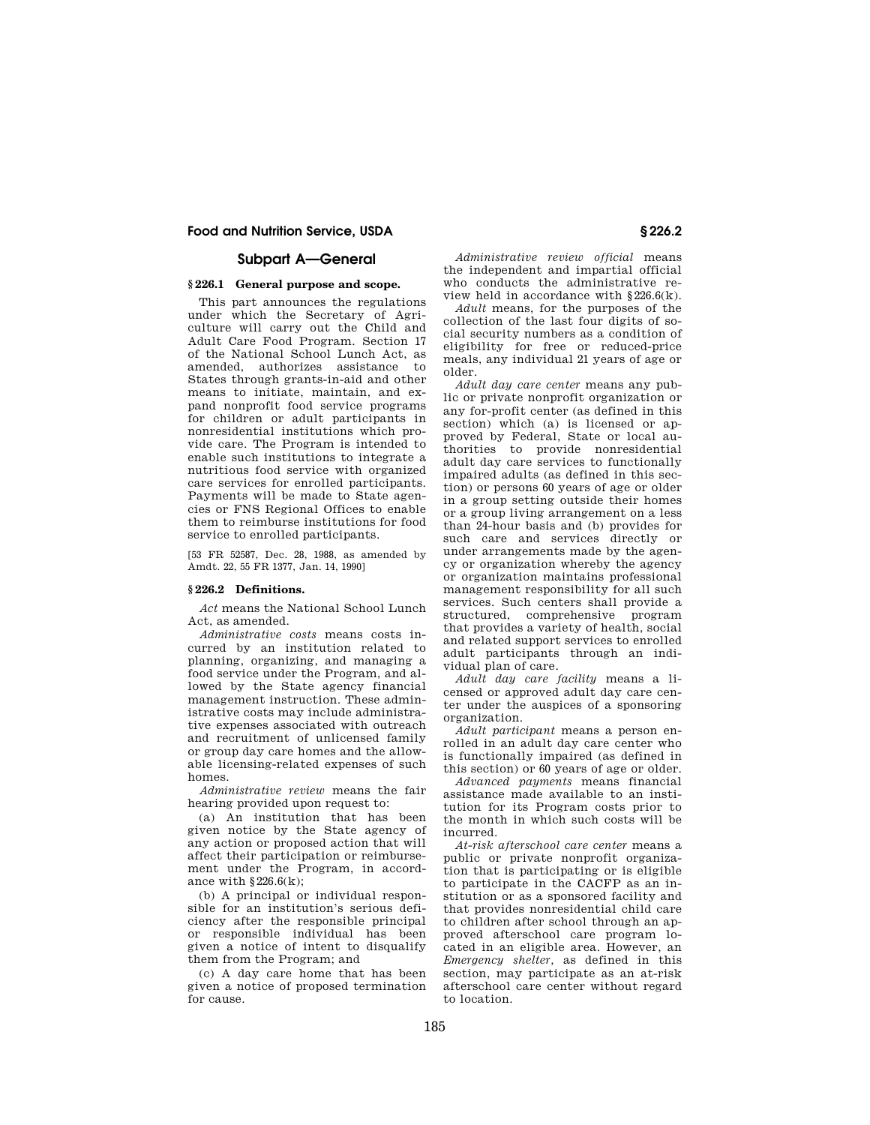## **Subpart A—General**

### **§ 226.1 General purpose and scope.**

This part announces the regulations under which the Secretary of Agriculture will carry out the Child and Adult Care Food Program. Section 17 of the National School Lunch Act, as amended, authorizes assistance to States through grants-in-aid and other means to initiate, maintain, and expand nonprofit food service programs for children or adult participants in nonresidential institutions which provide care. The Program is intended to enable such institutions to integrate a nutritious food service with organized care services for enrolled participants. Payments will be made to State agencies or FNS Regional Offices to enable them to reimburse institutions for food service to enrolled participants.

[53 FR 52587, Dec. 28, 1988, as amended by Amdt. 22, 55 FR 1377, Jan. 14, 1990]

## **§ 226.2 Definitions.**

*Act* means the National School Lunch Act, as amended.

*Administrative costs* means costs incurred by an institution related to planning, organizing, and managing a food service under the Program, and allowed by the State agency financial management instruction. These administrative costs may include administrative expenses associated with outreach and recruitment of unlicensed family or group day care homes and the allowable licensing-related expenses of such homes.

*Administrative review* means the fair hearing provided upon request to:

(a) An institution that has been given notice by the State agency of any action or proposed action that will affect their participation or reimbursement under the Program, in accordance with  $§226.6(k);$ 

(b) A principal or individual responsible for an institution's serious deficiency after the responsible principal or responsible individual has been given a notice of intent to disqualify them from the Program; and

(c) A day care home that has been given a notice of proposed termination for cause.

*Administrative review official* means the independent and impartial official who conducts the administrative review held in accordance with §226.6(k).

*Adult* means, for the purposes of the collection of the last four digits of social security numbers as a condition of eligibility for free or reduced-price meals, any individual 21 years of age or older.

*Adult day care center* means any public or private nonprofit organization or any for-profit center (as defined in this section) which (a) is licensed or approved by Federal, State or local authorities to provide nonresidential adult day care services to functionally impaired adults (as defined in this section) or persons 60 years of age or older in a group setting outside their homes or a group living arrangement on a less than 24-hour basis and (b) provides for such care and services directly or under arrangements made by the agency or organization whereby the agency or organization maintains professional management responsibility for all such services. Such centers shall provide a<br>structured, comprehensive program structured, comprehensive that provides a variety of health, social and related support services to enrolled adult participants through an individual plan of care.

*Adult day care facility* means a licensed or approved adult day care center under the auspices of a sponsoring organization.

*Adult participant* means a person enrolled in an adult day care center who is functionally impaired (as defined in this section) or 60 years of age or older.

*Advanced payments* means financial assistance made available to an institution for its Program costs prior to the month in which such costs will be incurred.

*At-risk afterschool care center* means a public or private nonprofit organization that is participating or is eligible to participate in the CACFP as an institution or as a sponsored facility and that provides nonresidential child care to children after school through an approved afterschool care program located in an eligible area. However, an *Emergency shelter,* as defined in this section, may participate as an at-risk afterschool care center without regard to location.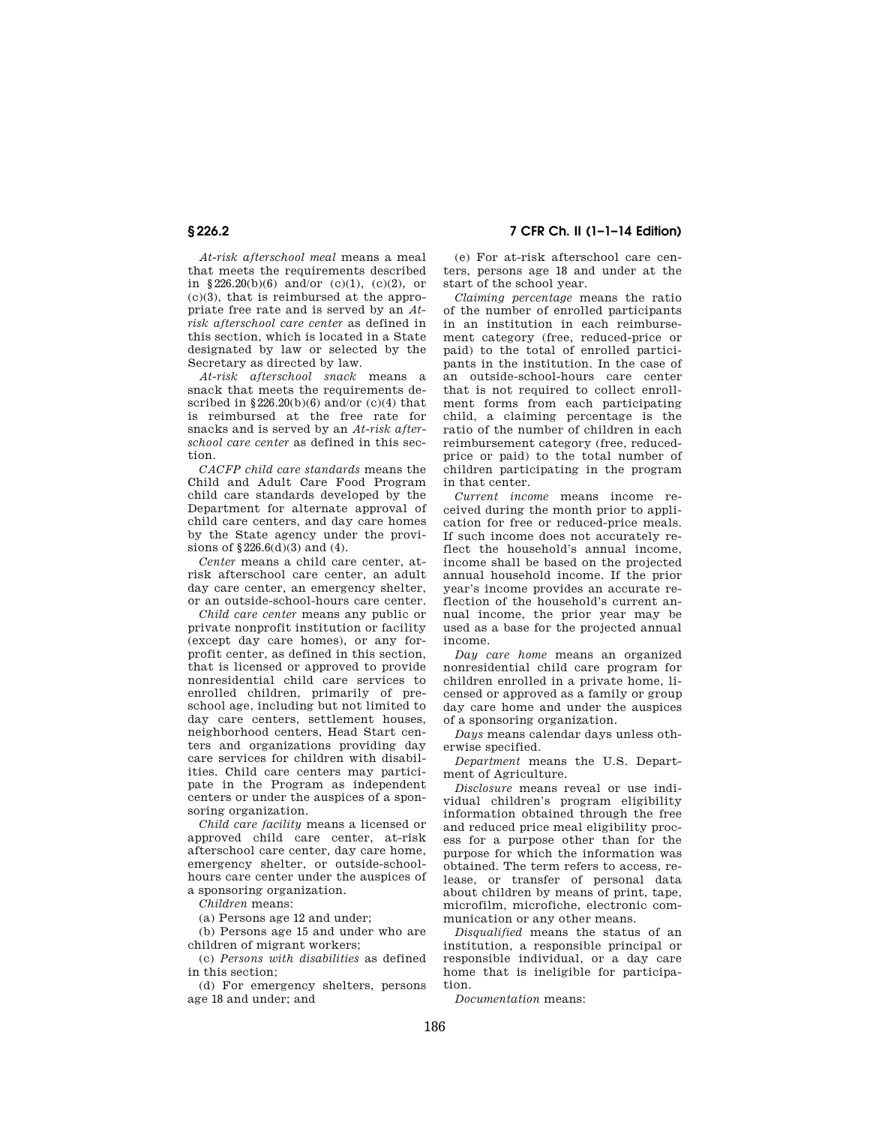*At-risk afterschool meal* means a meal that meets the requirements described in §226.20(b)(6) and/or (c)(1), (c)(2), or  $(c)(3)$ , that is reimbursed at the appropriate free rate and is served by an *Atrisk afterschool care center* as defined in this section, which is located in a State designated by law or selected by the Secretary as directed by law.

*At-risk afterschool snack* means a snack that meets the requirements described in  $\S 226.20(b)(6)$  and/or (c)(4) that is reimbursed at the free rate for snacks and is served by an *At-risk afterschool care center* as defined in this section.

*CACFP child care standards* means the Child and Adult Care Food Program child care standards developed by the Department for alternate approval of child care centers, and day care homes by the State agency under the provisions of §226.6(d)(3) and (4).

*Center* means a child care center, atrisk afterschool care center, an adult day care center, an emergency shelter, or an outside-school-hours care center.

*Child care center* means any public or private nonprofit institution or facility (except day care homes), or any forprofit center, as defined in this section, that is licensed or approved to provide nonresidential child care services to enrolled children, primarily of preschool age, including but not limited to day care centers, settlement houses, neighborhood centers, Head Start centers and organizations providing day care services for children with disabilities. Child care centers may participate in the Program as independent centers or under the auspices of a sponsoring organization.

*Child care facility* means a licensed or approved child care center, at-risk afterschool care center, day care home, emergency shelter, or outside-schoolhours care center under the auspices of a sponsoring organization.

*Children* means:

(a) Persons age 12 and under;

(b) Persons age 15 and under who are children of migrant workers;

(c) *Persons with disabilities* as defined in this section;

(d) For emergency shelters, persons age 18 and under; and

**§ 226.2 7 CFR Ch. II (1–1–14 Edition)** 

(e) For at-risk afterschool care centers, persons age 18 and under at the start of the school year.

*Claiming percentage* means the ratio of the number of enrolled participants in an institution in each reimbursement category (free, reduced-price or paid) to the total of enrolled participants in the institution. In the case of an outside-school-hours care center that is not required to collect enrollment forms from each participating child, a claiming percentage is the ratio of the number of children in each reimbursement category (free, reducedprice or paid) to the total number of children participating in the program in that center.

*Current income* means income received during the month prior to application for free or reduced-price meals. If such income does not accurately reflect the household's annual income, income shall be based on the projected annual household income. If the prior year's income provides an accurate reflection of the household's current annual income, the prior year may be used as a base for the projected annual income.

*Day care home* means an organized nonresidential child care program for children enrolled in a private home, licensed or approved as a family or group day care home and under the auspices of a sponsoring organization.

*Days* means calendar days unless otherwise specified.

*Department* means the U.S. Department of Agriculture.

*Disclosure* means reveal or use individual children's program eligibility information obtained through the free and reduced price meal eligibility process for a purpose other than for the purpose for which the information was obtained. The term refers to access, release, or transfer of personal data about children by means of print, tape, microfilm, microfiche, electronic communication or any other means.

*Disqualified* means the status of an institution, a responsible principal or responsible individual, or a day care home that is ineligible for participation.

*Documentation* means: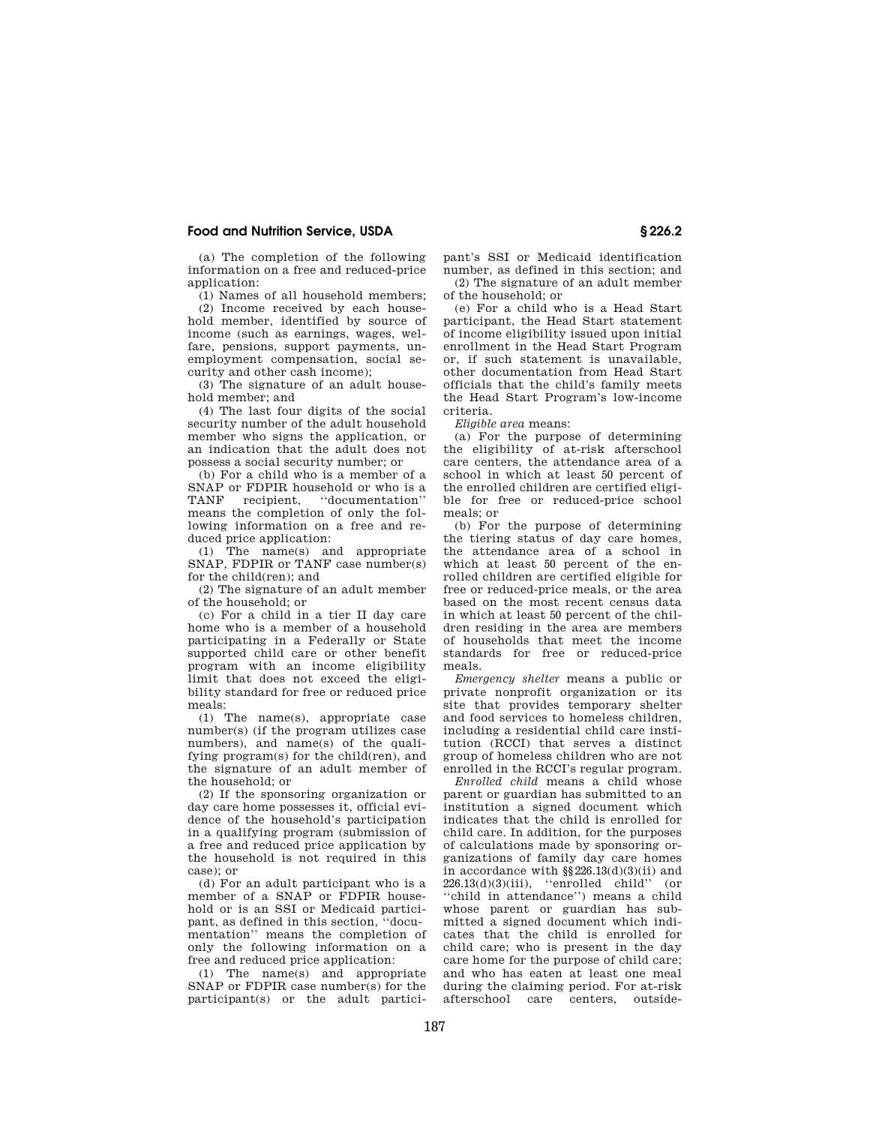(a) The completion of the following information on a free and reduced-price application:

(1) Names of all household members; (2) Income received by each household member, identified by source of income (such as earnings, wages, welfare, pensions, support payments, unemployment compensation, social security and other cash income);

(3) The signature of an adult household member; and

(4) The last four digits of the social security number of the adult household member who signs the application, or an indication that the adult does not possess a social security number; or

(b) For a child who is a member of a SNAP or FDPIR household or who is a<br>TANF recipient. "documentation" recipient, "documentation" means the completion of only the following information on a free and reduced price application:

(1) The name(s) and appropriate SNAP, FDPIR or TANF case number(s) for the child(ren); and

(2) The signature of an adult member of the household; or

(c) For a child in a tier II day care home who is a member of a household participating in a Federally or State supported child care or other benefit program with an income eligibility limit that does not exceed the eligibility standard for free or reduced price meals:

(1) The name(s), appropriate case number(s) (if the program utilizes case numbers), and name(s) of the qualifying program(s) for the child(ren), and the signature of an adult member of the household; or

(2) If the sponsoring organization or day care home possesses it, official evidence of the household's participation in a qualifying program (submission of a free and reduced price application by the household is not required in this case); or

(d) For an adult participant who is a member of a SNAP or FDPIR household or is an SSI or Medicaid participant, as defined in this section, ''documentation'' means the completion of only the following information on a free and reduced price application:

(1) The name(s) and appropriate SNAP or FDPIR case number(s) for the participant(s) or the adult participant's SSI or Medicaid identification number, as defined in this section; and (2) The signature of an adult member of the household; or

(e) For a child who is a Head Start participant, the Head Start statement of income eligibility issued upon initial enrollment in the Head Start Program or, if such statement is unavailable, other documentation from Head Start officials that the child's family meets the Head Start Program's low-income criteria.

*Eligible area* means:

(a) For the purpose of determining the eligibility of at-risk afterschool care centers, the attendance area of a school in which at least 50 percent of the enrolled children are certified eligible for free or reduced-price school meals; or

(b) For the purpose of determining the tiering status of day care homes, the attendance area of a school in which at least 50 percent of the enrolled children are certified eligible for free or reduced-price meals, or the area based on the most recent census data in which at least 50 percent of the children residing in the area are members of households that meet the income standards for free or reduced-price meals.

*Emergency shelter* means a public or private nonprofit organization or its site that provides temporary shelter and food services to homeless children, including a residential child care institution (RCCI) that serves a distinct group of homeless children who are not enrolled in the RCCI's regular program.

*Enrolled child* means a child whose parent or guardian has submitted to an institution a signed document which indicates that the child is enrolled for child care. In addition, for the purposes of calculations made by sponsoring organizations of family day care homes in accordance with §§226.13(d)(3)(ii) and 226.13(d)(3)(iii), ''enrolled child'' (or ''child in attendance'') means a child whose parent or guardian has submitted a signed document which indicates that the child is enrolled for child care; who is present in the day care home for the purpose of child care; and who has eaten at least one meal during the claiming period. For at-risk afterschool care centers, outside-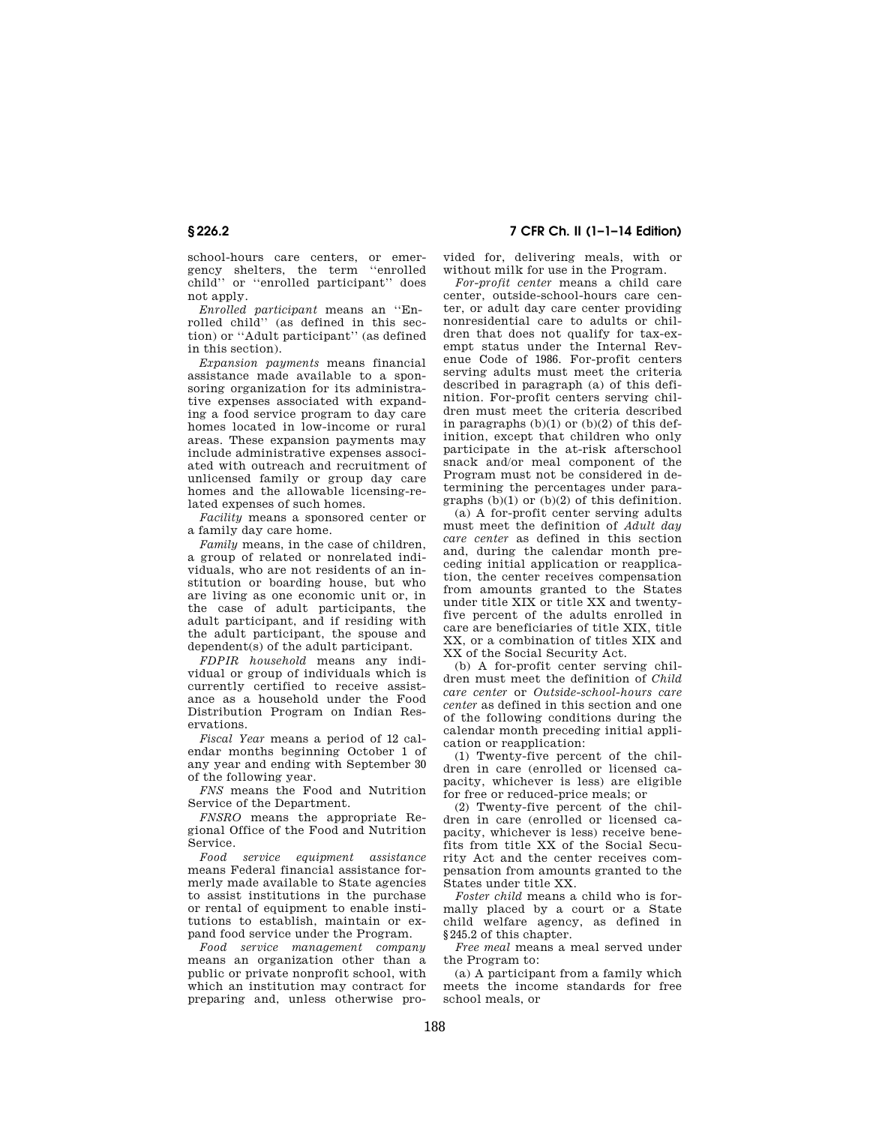school-hours care centers, or emergency shelters, the term ''enrolled child'' or ''enrolled participant'' does not apply.

*Enrolled participant* means an ''Enrolled child'' (as defined in this section) or ''Adult participant'' (as defined in this section).

*Expansion payments* means financial assistance made available to a sponsoring organization for its administrative expenses associated with expanding a food service program to day care homes located in low-income or rural areas. These expansion payments may include administrative expenses associated with outreach and recruitment of unlicensed family or group day care homes and the allowable licensing-related expenses of such homes.

*Facility* means a sponsored center or a family day care home.

*Family* means, in the case of children, a group of related or nonrelated individuals, who are not residents of an institution or boarding house, but who are living as one economic unit or, in the case of adult participants, the adult participant, and if residing with the adult participant, the spouse and dependent(s) of the adult participant.

*FDPIR household* means any individual or group of individuals which is currently certified to receive assistance as a household under the Food Distribution Program on Indian Reservations.

*Fiscal Year* means a period of 12 calendar months beginning October 1 of any year and ending with September 30 of the following year.

*FNS* means the Food and Nutrition Service of the Department.

*FNSRO* means the appropriate Regional Office of the Food and Nutrition Service.

*Food service equipment assistance*  means Federal financial assistance formerly made available to State agencies to assist institutions in the purchase or rental of equipment to enable institutions to establish, maintain or expand food service under the Program.

*Food service management company*  means an organization other than a public or private nonprofit school, with which an institution may contract for preparing and, unless otherwise pro-

**§ 226.2 7 CFR Ch. II (1–1–14 Edition)** 

vided for, delivering meals, with or without milk for use in the Program.

*For-profit center* means a child care center, outside-school-hours care center, or adult day care center providing nonresidential care to adults or children that does not qualify for tax-exempt status under the Internal Revenue Code of 1986. For-profit centers serving adults must meet the criteria described in paragraph (a) of this definition. For-profit centers serving children must meet the criteria described in paragraphs  $(b)(1)$  or  $(b)(2)$  of this definition, except that children who only participate in the at-risk afterschool snack and/or meal component of the Program must not be considered in determining the percentages under paragraphs  $(b)(1)$  or  $(b)(2)$  of this definition.

(a) A for-profit center serving adults must meet the definition of *Adult day care center* as defined in this section and, during the calendar month preceding initial application or reapplication, the center receives compensation from amounts granted to the States under title XIX or title XX and twentyfive percent of the adults enrolled in care are beneficiaries of title XIX, title XX, or a combination of titles XIX and XX of the Social Security Act.

(b) A for-profit center serving children must meet the definition of *Child care center* or *Outside-school-hours care center* as defined in this section and one of the following conditions during the calendar month preceding initial application or reapplication:

(1) Twenty-five percent of the children in care (enrolled or licensed capacity, whichever is less) are eligible for free or reduced-price meals; or

(2) Twenty-five percent of the children in care (enrolled or licensed capacity, whichever is less) receive benefits from title XX of the Social Security Act and the center receives compensation from amounts granted to the States under title XX.

*Foster child* means a child who is formally placed by a court or a State child welfare agency, as defined in §245.2 of this chapter.

*Free meal* means a meal served under the Program to:

(a) A participant from a family which meets the income standards for free school meals, or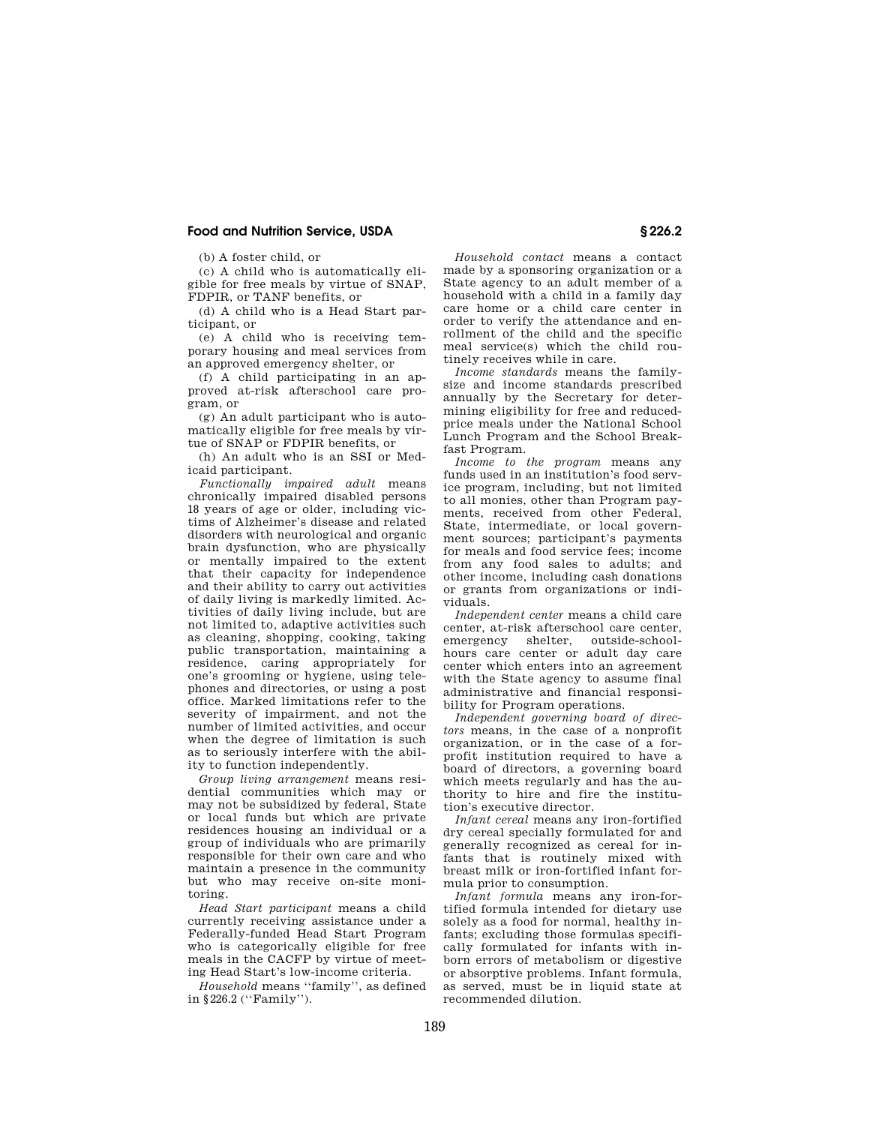(b) A foster child, or

(c) A child who is automatically eligible for free meals by virtue of SNAP, FDPIR, or TANF benefits, or

(d) A child who is a Head Start participant, or

(e) A child who is receiving temporary housing and meal services from an approved emergency shelter, or

(f) A child participating in an approved at-risk afterschool care program, or

(g) An adult participant who is automatically eligible for free meals by virtue of SNAP or FDPIR benefits, or

(h) An adult who is an SSI or Medicaid participant.

*Functionally impaired adult* means chronically impaired disabled persons 18 years of age or older, including victims of Alzheimer's disease and related disorders with neurological and organic brain dysfunction, who are physically or mentally impaired to the extent that their capacity for independence and their ability to carry out activities of daily living is markedly limited. Activities of daily living include, but are not limited to, adaptive activities such as cleaning, shopping, cooking, taking public transportation, maintaining a residence, caring appropriately for one's grooming or hygiene, using telephones and directories, or using a post office. Marked limitations refer to the severity of impairment, and not the number of limited activities, and occur when the degree of limitation is such as to seriously interfere with the ability to function independently.

*Group living arrangement* means residential communities which may or may not be subsidized by federal, State or local funds but which are private residences housing an individual or a group of individuals who are primarily responsible for their own care and who maintain a presence in the community but who may receive on-site monitoring.

*Head Start participant* means a child currently receiving assistance under a Federally-funded Head Start Program who is categorically eligible for free meals in the CACFP by virtue of meeting Head Start's low-income criteria.

*Household* means ''family'', as defined in §226.2 (''Family'').

*Household contact* means a contact made by a sponsoring organization or a State agency to an adult member of a household with a child in a family day care home or a child care center in order to verify the attendance and enrollment of the child and the specific meal service(s) which the child routinely receives while in care.

*Income standards* means the familysize and income standards prescribed annually by the Secretary for determining eligibility for free and reducedprice meals under the National School Lunch Program and the School Breakfast Program.

*Income to the program* means any funds used in an institution's food service program, including, but not limited to all monies, other than Program payments, received from other Federal, State, intermediate, or local government sources; participant's payments for meals and food service fees; income from any food sales to adults; and other income, including cash donations or grants from organizations or individuals.

*Independent center* means a child care center, at-risk afterschool care center, emergency shelter, outside-schoolhours care center or adult day care center which enters into an agreement with the State agency to assume final administrative and financial responsibility for Program operations.

*Independent governing board of directors* means, in the case of a nonprofit organization, or in the case of a forprofit institution required to have a board of directors, a governing board which meets regularly and has the authority to hire and fire the institution's executive director.

*Infant cereal* means any iron-fortified dry cereal specially formulated for and generally recognized as cereal for infants that is routinely mixed with breast milk or iron-fortified infant formula prior to consumption.

*Infant formula* means any iron-fortified formula intended for dietary use solely as a food for normal, healthy infants; excluding those formulas specifically formulated for infants with inborn errors of metabolism or digestive or absorptive problems. Infant formula, as served, must be in liquid state at recommended dilution.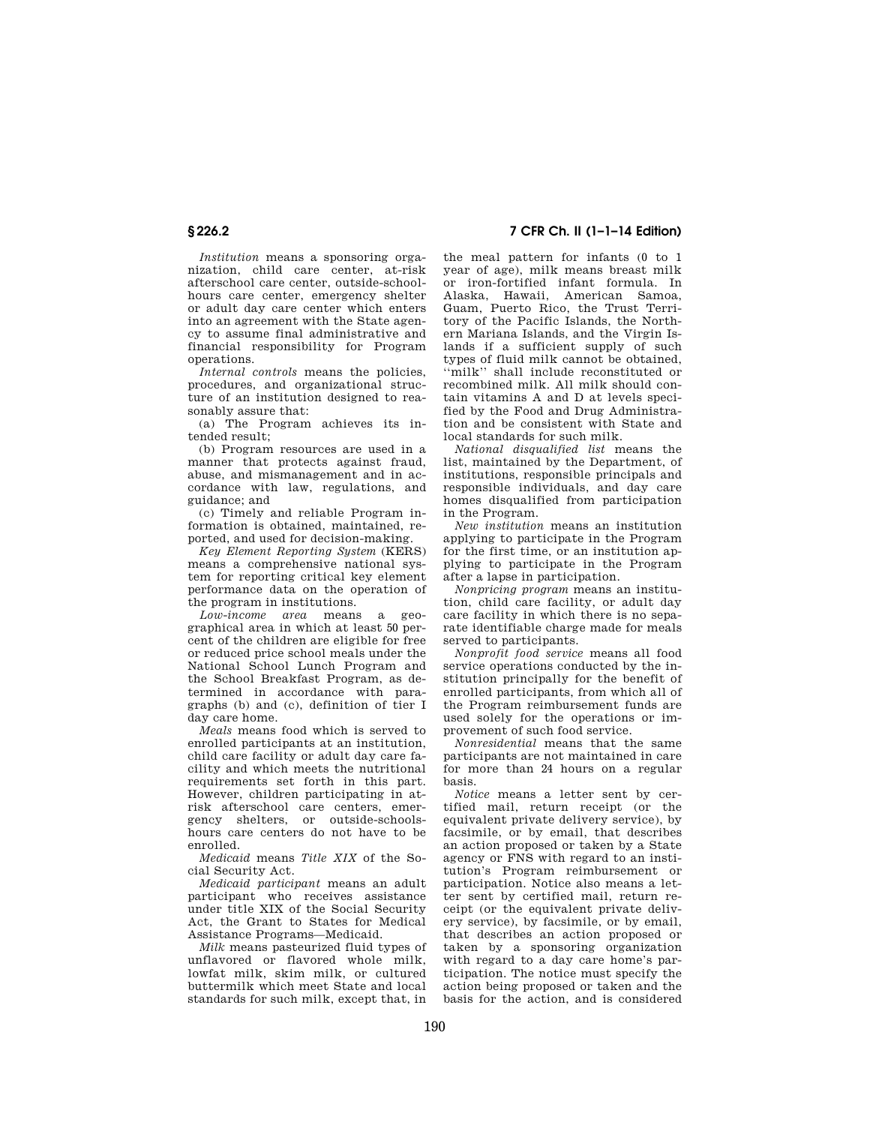*Institution* means a sponsoring organization, child care center, at-risk afterschool care center, outside-schoolhours care center, emergency shelter or adult day care center which enters into an agreement with the State agency to assume final administrative and financial responsibility for Program operations.

*Internal controls* means the policies. procedures, and organizational structure of an institution designed to reasonably assure that:

(a) The Program achieves its intended result;

(b) Program resources are used in a manner that protects against fraud, abuse, and mismanagement and in accordance with law, regulations, and guidance; and

(c) Timely and reliable Program information is obtained, maintained, reported, and used for decision-making.

*Key Element Reporting System* (KERS) means a comprehensive national system for reporting critical key element performance data on the operation of the program in institutions.

*Low-income area* means a geographical area in which at least 50 percent of the children are eligible for free or reduced price school meals under the National School Lunch Program and the School Breakfast Program, as determined in accordance with paragraphs (b) and (c), definition of tier I day care home.

*Meals* means food which is served to enrolled participants at an institution, child care facility or adult day care facility and which meets the nutritional requirements set forth in this part. However, children participating in atrisk afterschool care centers, emergency shelters, or outside-schoolshours care centers do not have to be enrolled.

*Medicaid* means *Title XIX* of the Social Security Act.

*Medicaid participant* means an adult participant who receives assistance under title XIX of the Social Security Act, the Grant to States for Medical Assistance Programs—Medicaid.

*Milk* means pasteurized fluid types of unflavored or flavored whole milk, lowfat milk, skim milk, or cultured buttermilk which meet State and local standards for such milk, except that, in

# **§ 226.2 7 CFR Ch. II (1–1–14 Edition)**

the meal pattern for infants (0 to 1 year of age), milk means breast milk or iron-fortified infant formula. In Alaska, Hawaii, American Samoa, Guam, Puerto Rico, the Trust Territory of the Pacific Islands, the Northern Mariana Islands, and the Virgin Islands if a sufficient supply of such types of fluid milk cannot be obtained, ''milk'' shall include reconstituted or recombined milk. All milk should contain vitamins A and D at levels specified by the Food and Drug Administration and be consistent with State and local standards for such milk.

*National disqualified list* means the list, maintained by the Department, of institutions, responsible principals and responsible individuals, and day care homes disqualified from participation in the Program.

*New institution* means an institution applying to participate in the Program for the first time, or an institution applying to participate in the Program after a lapse in participation.

*Nonpricing program* means an institution, child care facility, or adult day care facility in which there is no separate identifiable charge made for meals served to participants.

*Nonprofit food service* means all food service operations conducted by the institution principally for the benefit of enrolled participants, from which all of the Program reimbursement funds are used solely for the operations or improvement of such food service.

*Nonresidential* means that the same participants are not maintained in care for more than 24 hours on a regular basis.

*Notice* means a letter sent by certified mail, return receipt (or the equivalent private delivery service), by facsimile, or by email, that describes an action proposed or taken by a State agency or FNS with regard to an institution's Program reimbursement or participation. Notice also means a letter sent by certified mail, return receipt (or the equivalent private delivery service), by facsimile, or by email, that describes an action proposed or taken by a sponsoring organization with regard to a day care home's participation. The notice must specify the action being proposed or taken and the basis for the action, and is considered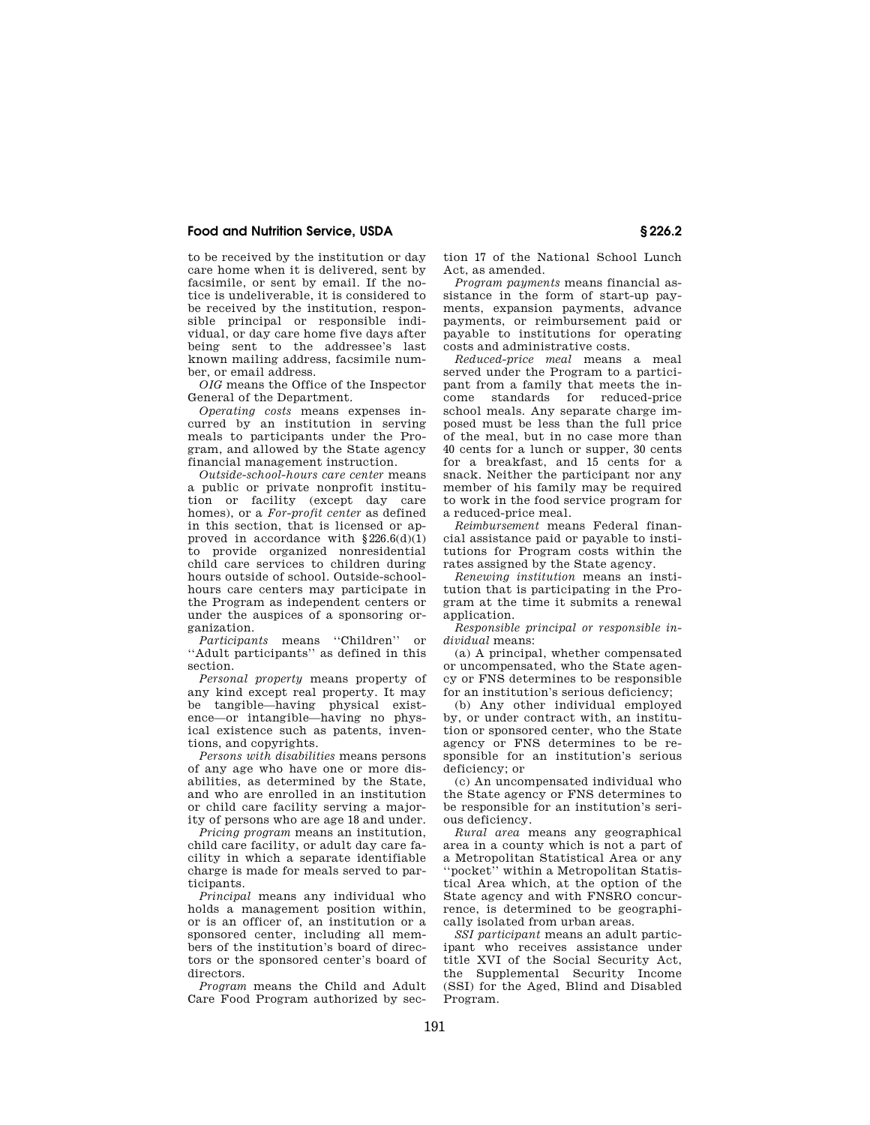to be received by the institution or day care home when it is delivered, sent by facsimile, or sent by email. If the notice is undeliverable, it is considered to be received by the institution, responsible principal or responsible individual, or day care home five days after being sent to the addressee's last known mailing address, facsimile number, or email address.

*OIG* means the Office of the Inspector General of the Department.

*Operating costs* means expenses incurred by an institution in serving meals to participants under the Program, and allowed by the State agency financial management instruction.

*Outside-school-hours care center* means a public or private nonprofit institution or facility (except day care homes), or a *For-profit center* as defined in this section, that is licensed or approved in accordance with §226.6(d)(1) to provide organized nonresidential child care services to children during hours outside of school. Outside-schoolhours care centers may participate in the Program as independent centers or under the auspices of a sponsoring organization.

*Participants* means ''Children'' or ''Adult participants'' as defined in this section.

*Personal property* means property of any kind except real property. It may be tangible—having physical existence—or intangible—having no physical existence such as patents, inventions, and copyrights.

*Persons with disabilities* means persons of any age who have one or more disabilities, as determined by the State, and who are enrolled in an institution or child care facility serving a majority of persons who are age 18 and under.

*Pricing program* means an institution, child care facility, or adult day care facility in which a separate identifiable charge is made for meals served to participants.

*Principal* means any individual who holds a management position within, or is an officer of, an institution or a sponsored center, including all members of the institution's board of directors or the sponsored center's board of directors.

*Program* means the Child and Adult Care Food Program authorized by section 17 of the National School Lunch Act, as amended.

*Program payments* means financial assistance in the form of start-up payments, expansion payments, advance payments, or reimbursement paid or payable to institutions for operating costs and administrative costs.

*Reduced-price meal* means a meal served under the Program to a participant from a family that meets the income standards for reduced-price school meals. Any separate charge imposed must be less than the full price of the meal, but in no case more than 40 cents for a lunch or supper, 30 cents for a breakfast, and 15 cents for a snack. Neither the participant nor any member of his family may be required to work in the food service program for a reduced-price meal.

*Reimbursement* means Federal financial assistance paid or payable to institutions for Program costs within the rates assigned by the State agency.

*Renewing institution* means an institution that is participating in the Program at the time it submits a renewal application.

*Responsible principal or responsible individual* means:

(a) A principal, whether compensated or uncompensated, who the State agency or FNS determines to be responsible for an institution's serious deficiency;

(b) Any other individual employed by, or under contract with, an institution or sponsored center, who the State agency or FNS determines to be responsible for an institution's serious deficiency; or

(c) An uncompensated individual who the State agency or FNS determines to be responsible for an institution's serious deficiency.

*Rural area* means any geographical area in a county which is not a part of a Metropolitan Statistical Area or any ''pocket'' within a Metropolitan Statistical Area which, at the option of the State agency and with FNSRO concurrence, is determined to be geographically isolated from urban areas.

*SSI participant* means an adult participant who receives assistance under title XVI of the Social Security Act, the Supplemental Security Income (SSI) for the Aged, Blind and Disabled Program.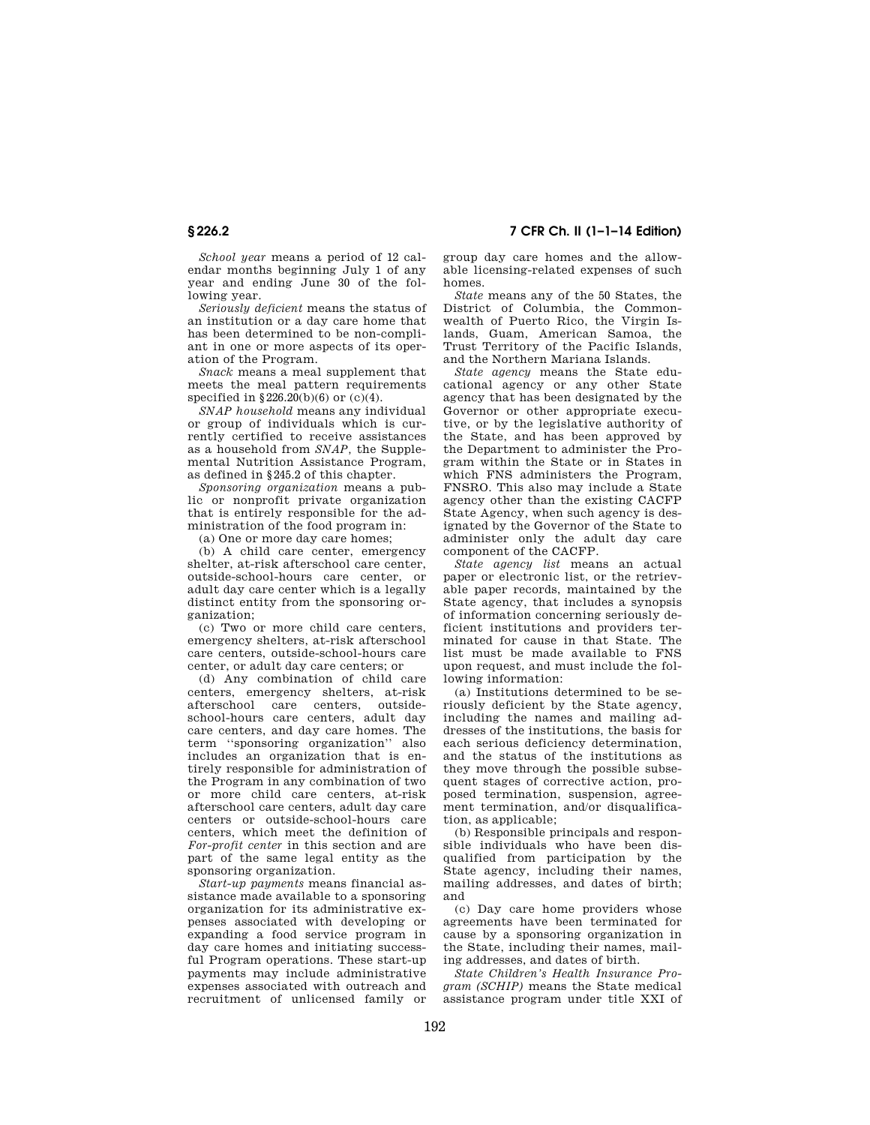**§ 226.2 7 CFR Ch. II (1–1–14 Edition)** 

*School year* means a period of 12 calendar months beginning July 1 of any year and ending June 30 of the following year.

*Seriously deficient* means the status of an institution or a day care home that has been determined to be non-compliant in one or more aspects of its operation of the Program.

*Snack* means a meal supplement that meets the meal pattern requirements specified in §226.20(b)(6) or (c)(4).

*SNAP household* means any individual or group of individuals which is currently certified to receive assistances as a household from *SNAP,* the Supplemental Nutrition Assistance Program, as defined in §245.2 of this chapter.

*Sponsoring organization* means a public or nonprofit private organization that is entirely responsible for the administration of the food program in:

(a) One or more day care homes;

(b) A child care center, emergency shelter, at-risk afterschool care center, outside-school-hours care center, or adult day care center which is a legally distinct entity from the sponsoring organization;

(c) Two or more child care centers, emergency shelters, at-risk afterschool care centers, outside-school-hours care center, or adult day care centers; or

(d) Any combination of child care centers, emergency shelters, at-risk afterschool care centers, school-hours care centers, adult day care centers, and day care homes. The term ''sponsoring organization'' also includes an organization that is entirely responsible for administration of the Program in any combination of two or more child care centers, at-risk afterschool care centers, adult day care centers or outside-school-hours care centers, which meet the definition of *For-profit center* in this section and are part of the same legal entity as the sponsoring organization.

*Start-up payments* means financial assistance made available to a sponsoring organization for its administrative expenses associated with developing or expanding a food service program in day care homes and initiating successful Program operations. These start-up payments may include administrative expenses associated with outreach and recruitment of unlicensed family or group day care homes and the allowable licensing-related expenses of such homes.

*State* means any of the 50 States, the District of Columbia, the Commonwealth of Puerto Rico, the Virgin Islands, Guam, American Samoa, the Trust Territory of the Pacific Islands, and the Northern Mariana Islands.

*State agency* means the State educational agency or any other State agency that has been designated by the Governor or other appropriate executive, or by the legislative authority of the State, and has been approved by the Department to administer the Program within the State or in States in which FNS administers the Program, FNSRO. This also may include a State agency other than the existing CACFP State Agency, when such agency is designated by the Governor of the State to administer only the adult day care component of the CACFP.

*State agency list* means an actual paper or electronic list, or the retrievable paper records, maintained by the State agency, that includes a synopsis of information concerning seriously deficient institutions and providers terminated for cause in that State. The list must be made available to FNS upon request, and must include the following information:

(a) Institutions determined to be seriously deficient by the State agency, including the names and mailing addresses of the institutions, the basis for each serious deficiency determination, and the status of the institutions as they move through the possible subsequent stages of corrective action, proposed termination, suspension, agreement termination, and/or disqualification, as applicable;

(b) Responsible principals and responsible individuals who have been disqualified from participation by the State agency, including their names, mailing addresses, and dates of birth; and

(c) Day care home providers whose agreements have been terminated for cause by a sponsoring organization in the State, including their names, mailing addresses, and dates of birth.

*State Children's Health Insurance Program (SCHIP)* means the State medical assistance program under title XXI of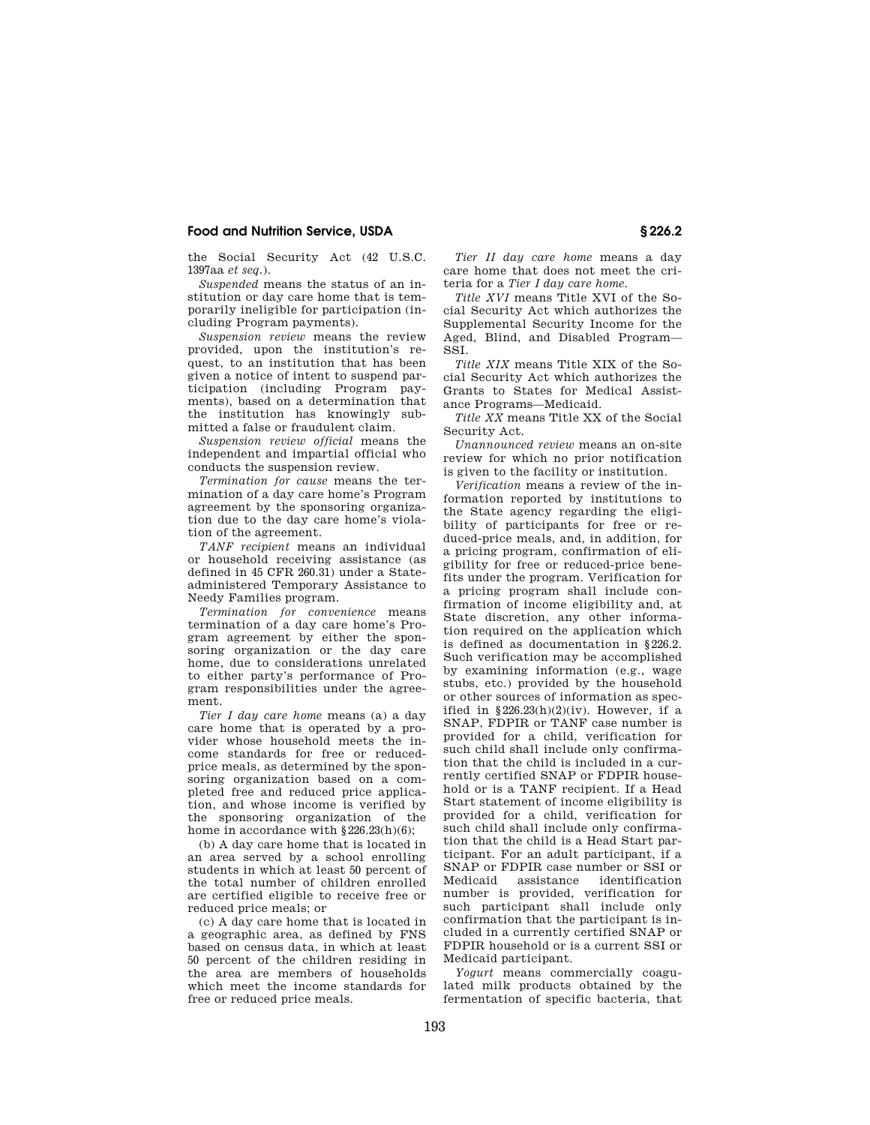the Social Security Act (42 U.S.C. 1397aa *et seq.*).

*Suspended* means the status of an institution or day care home that is temporarily ineligible for participation (including Program payments).

*Suspension review* means the review provided, upon the institution's request, to an institution that has been given a notice of intent to suspend participation (including Program payments), based on a determination that the institution has knowingly submitted a false or fraudulent claim.

*Suspension review official* means the independent and impartial official who conducts the suspension review.

*Termination for cause* means the termination of a day care home's Program agreement by the sponsoring organization due to the day care home's violation of the agreement.

*TANF recipient* means an individual or household receiving assistance (as defined in 45 CFR 260.31) under a Stateadministered Temporary Assistance to Needy Families program.

*Termination for convenience* means termination of a day care home's Program agreement by either the sponsoring organization or the day care home, due to considerations unrelated to either party's performance of Program responsibilities under the agreement.

*Tier I day care home* means (a) a day care home that is operated by a provider whose household meets the income standards for free or reducedprice meals, as determined by the sponsoring organization based on a completed free and reduced price application, and whose income is verified by the sponsoring organization of the home in accordance with  $\S\,226.23(\mathrm{h})(6);$ 

(b) A day care home that is located in an area served by a school enrolling students in which at least 50 percent of the total number of children enrolled are certified eligible to receive free or reduced price meals; or

(c) A day care home that is located in a geographic area, as defined by FNS based on census data, in which at least 50 percent of the children residing in the area are members of households which meet the income standards for free or reduced price meals.

*Tier II day care home* means a day care home that does not meet the criteria for a *Tier I day care home.* 

*Title XVI* means Title XVI of the Social Security Act which authorizes the Supplemental Security Income for the Aged, Blind, and Disabled Program— SSI.

*Title XIX* means Title XIX of the Social Security Act which authorizes the Grants to States for Medical Assistance Programs—Medicaid.

*Title XX* means Title XX of the Social Security Act.

*Unannounced review* means an on-site review for which no prior notification is given to the facility or institution.

*Verification* means a review of the information reported by institutions to the State agency regarding the eligibility of participants for free or reduced-price meals, and, in addition, for a pricing program, confirmation of eligibility for free or reduced-price benefits under the program. Verification for a pricing program shall include confirmation of income eligibility and, at State discretion, any other information required on the application which is defined as documentation in §226.2. Such verification may be accomplished by examining information (e.g., wage stubs, etc.) provided by the household or other sources of information as specified in  $$226.23(h)(2)(iv)$ . However, if a SNAP, FDPIR or TANF case number is provided for a child, verification for such child shall include only confirmation that the child is included in a currently certified SNAP or FDPIR household or is a TANF recipient. If a Head Start statement of income eligibility is provided for a child, verification for such child shall include only confirmation that the child is a Head Start participant. For an adult participant, if a SNAP or FDPIR case number or SSI or Medicaid assistance identification number is provided, verification for such participant shall include only confirmation that the participant is included in a currently certified SNAP or FDPIR household or is a current SSI or Medicaid participant.

*Yogurt* means commercially coagulated milk products obtained by the fermentation of specific bacteria, that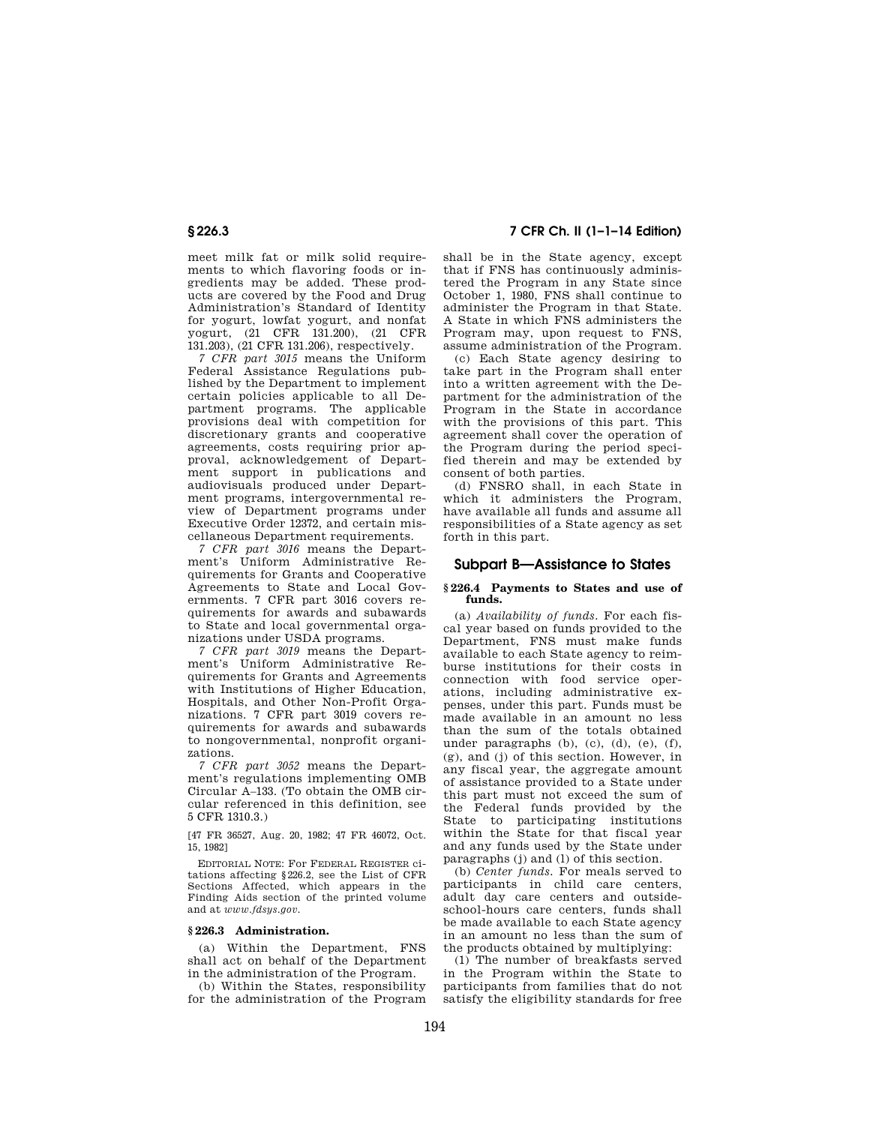meet milk fat or milk solid requirements to which flavoring foods or ingredients may be added. These products are covered by the Food and Drug Administration's Standard of Identity for yogurt, lowfat yogurt, and nonfat yogurt, (21 CFR 131.200), (21 CFR 131.203), (21 CFR 131.206), respectively.

*7 CFR part 3015* means the Uniform Federal Assistance Regulations published by the Department to implement certain policies applicable to all Department programs. The applicable provisions deal with competition for discretionary grants and cooperative agreements, costs requiring prior approval, acknowledgement of Department support in publications and audiovisuals produced under Department programs, intergovernmental review of Department programs under Executive Order 12372, and certain miscellaneous Department requirements.

*7 CFR part 3016* means the Department's Uniform Administrative Requirements for Grants and Cooperative Agreements to State and Local Governments. 7 CFR part 3016 covers requirements for awards and subawards to State and local governmental organizations under USDA programs.

*7 CFR part 3019* means the Department's Uniform Administrative Requirements for Grants and Agreements with Institutions of Higher Education, Hospitals, and Other Non-Profit Organizations. 7 CFR part 3019 covers requirements for awards and subawards to nongovernmental, nonprofit organizations.

*7 CFR part 3052* means the Department's regulations implementing OMB Circular A–133. (To obtain the OMB circular referenced in this definition, see 5 CFR 1310.3.)

[47 FR 36527, Aug. 20, 1982; 47 FR 46072, Oct. 15, 1982]

EDITORIAL NOTE: For FEDERAL REGISTER citations affecting §226.2, see the List of CFR Sections Affected, which appears in the Finding Aids section of the printed volume and at *www.fdsys.gov.* 

## **§ 226.3 Administration.**

(a) Within the Department, FNS shall act on behalf of the Department in the administration of the Program.

(b) Within the States, responsibility for the administration of the Program

## **§ 226.3 7 CFR Ch. II (1–1–14 Edition)**

shall be in the State agency, except that if FNS has continuously administered the Program in any State since October 1, 1980, FNS shall continue to administer the Program in that State. A State in which FNS administers the Program may, upon request to FNS, assume administration of the Program.

(c) Each State agency desiring to take part in the Program shall enter into a written agreement with the Department for the administration of the Program in the State in accordance with the provisions of this part. This agreement shall cover the operation of the Program during the period specified therein and may be extended by consent of both parties.

(d) FNSRO shall, in each State in which it administers the Program, have available all funds and assume all responsibilities of a State agency as set forth in this part.

## **Subpart B—Assistance to States**

### **§ 226.4 Payments to States and use of funds.**

(a) *Availability of funds.* For each fiscal year based on funds provided to the Department, FNS must make funds available to each State agency to reimburse institutions for their costs in connection with food service operations, including administrative expenses, under this part. Funds must be made available in an amount no less than the sum of the totals obtained under paragraphs (b), (c), (d), (e), (f), (g), and (j) of this section. However, in any fiscal year, the aggregate amount of assistance provided to a State under this part must not exceed the sum of the Federal funds provided by the State to participating institutions within the State for that fiscal year and any funds used by the State under paragraphs (j) and (l) of this section.

(b) *Center funds.* For meals served to participants in child care centers, adult day care centers and outsideschool-hours care centers, funds shall be made available to each State agency in an amount no less than the sum of the products obtained by multiplying:

(1) The number of breakfasts served in the Program within the State to participants from families that do not satisfy the eligibility standards for free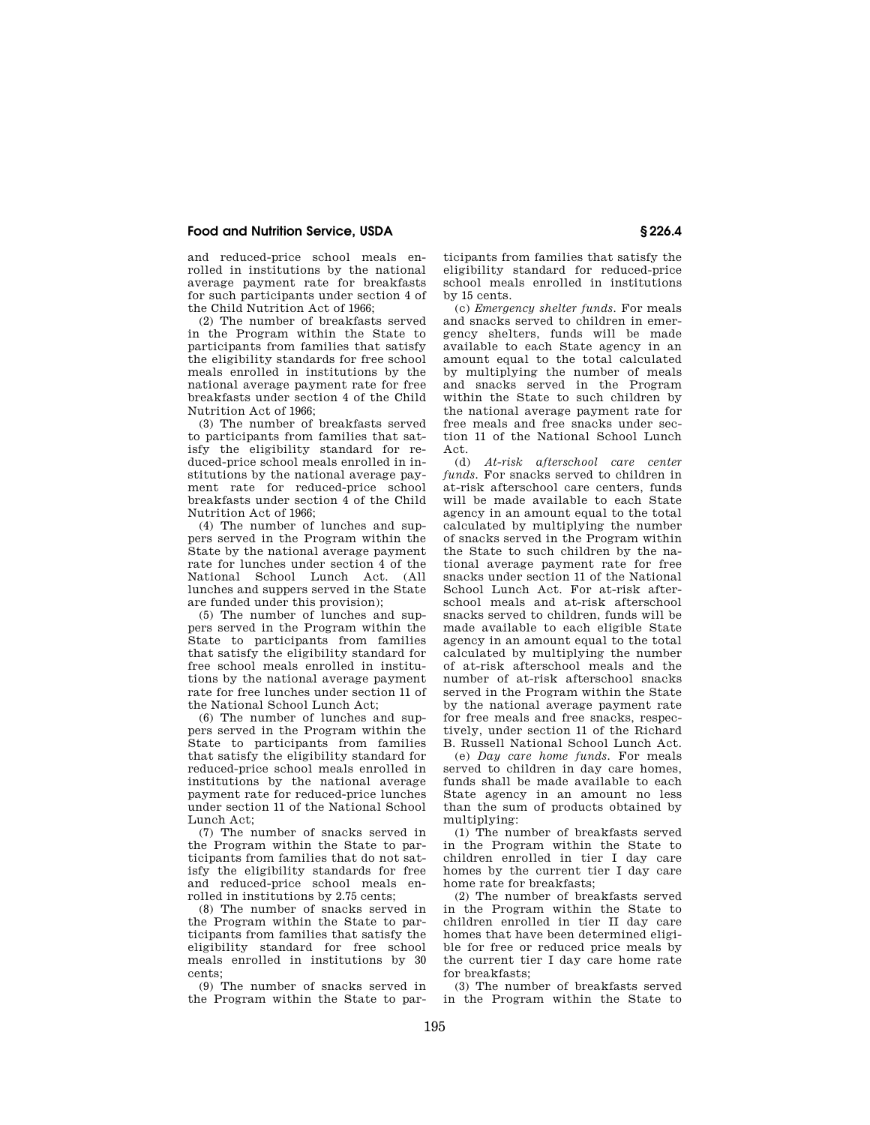and reduced-price school meals enrolled in institutions by the national average payment rate for breakfasts for such participants under section 4 of the Child Nutrition Act of 1966;

(2) The number of breakfasts served in the Program within the State to participants from families that satisfy the eligibility standards for free school meals enrolled in institutions by the national average payment rate for free breakfasts under section 4 of the Child Nutrition Act of 1966;

(3) The number of breakfasts served to participants from families that satisfy the eligibility standard for reduced-price school meals enrolled in institutions by the national average payment rate for reduced-price school breakfasts under section 4 of the Child Nutrition Act of 1966;

(4) The number of lunches and suppers served in the Program within the State by the national average payment rate for lunches under section 4 of the National School Lunch Act. (All lunches and suppers served in the State are funded under this provision);

(5) The number of lunches and suppers served in the Program within the State to participants from families that satisfy the eligibility standard for free school meals enrolled in institutions by the national average payment rate for free lunches under section 11 of the National School Lunch Act;

(6) The number of lunches and suppers served in the Program within the State to participants from families that satisfy the eligibility standard for reduced-price school meals enrolled in institutions by the national average payment rate for reduced-price lunches under section 11 of the National School Lunch Act;

(7) The number of snacks served in the Program within the State to participants from families that do not satisfy the eligibility standards for free and reduced-price school meals enrolled in institutions by 2.75 cents;

(8) The number of snacks served in the Program within the State to participants from families that satisfy the eligibility standard for free school meals enrolled in institutions by 30 cents;

(9) The number of snacks served in the Program within the State to par-

ticipants from families that satisfy the eligibility standard for reduced-price school meals enrolled in institutions by 15 cents.

(c) *Emergency shelter funds.* For meals and snacks served to children in emergency shelters, funds will be made available to each State agency in an amount equal to the total calculated by multiplying the number of meals and snacks served in the Program within the State to such children by the national average payment rate for free meals and free snacks under section 11 of the National School Lunch  $Act.$ <br> $(d)$ 

(d) *At-risk afterschool care center funds.* For snacks served to children in at-risk afterschool care centers, funds will be made available to each State agency in an amount equal to the total calculated by multiplying the number of snacks served in the Program within the State to such children by the national average payment rate for free snacks under section 11 of the National School Lunch Act. For at-risk afterschool meals and at-risk afterschool snacks served to children, funds will be made available to each eligible State agency in an amount equal to the total calculated by multiplying the number of at-risk afterschool meals and the number of at-risk afterschool snacks served in the Program within the State by the national average payment rate for free meals and free snacks, respectively, under section 11 of the Richard B. Russell National School Lunch Act.

(e) *Day care home funds.* For meals served to children in day care homes, funds shall be made available to each State agency in an amount no less than the sum of products obtained by multiplying:

(1) The number of breakfasts served in the Program within the State to children enrolled in tier I day care homes by the current tier I day care home rate for breakfasts;

(2) The number of breakfasts served in the Program within the State to children enrolled in tier II day care homes that have been determined eligible for free or reduced price meals by the current tier I day care home rate for breakfasts;

(3) The number of breakfasts served in the Program within the State to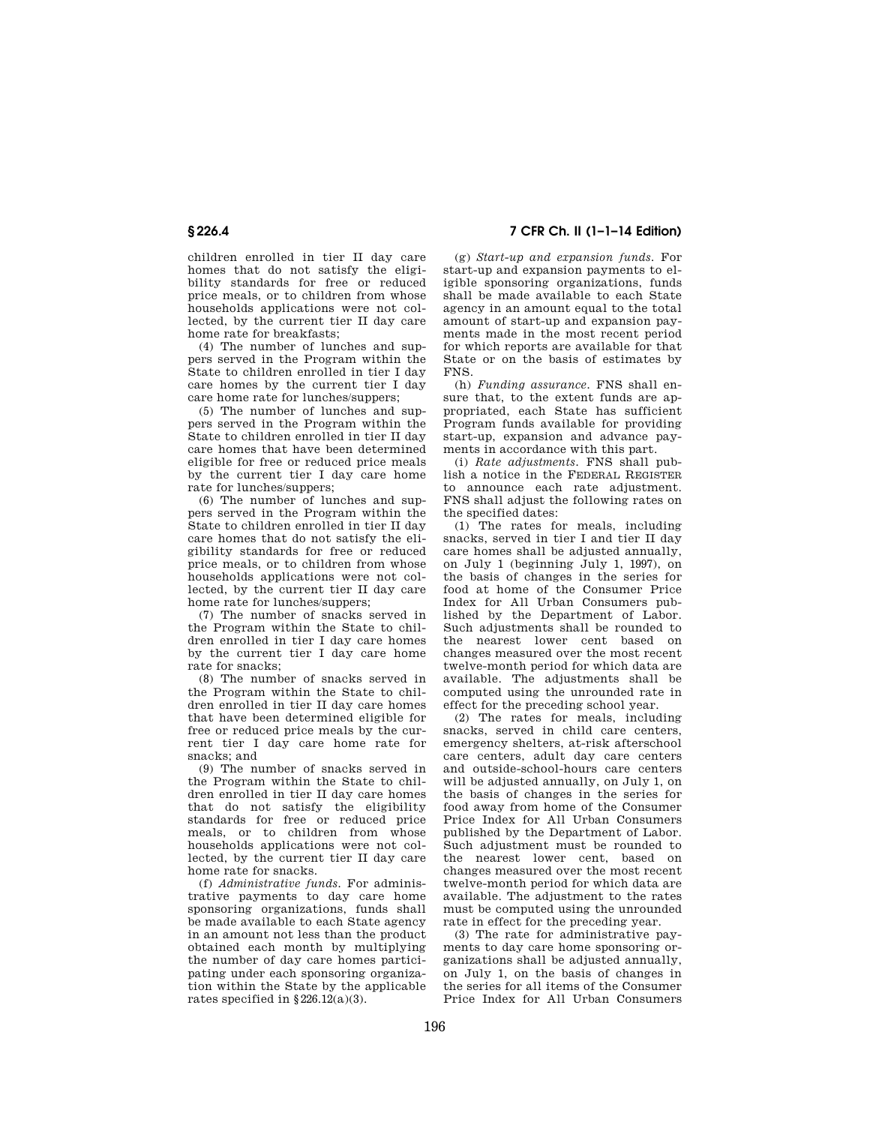children enrolled in tier II day care homes that do not satisfy the eligibility standards for free or reduced price meals, or to children from whose households applications were not collected, by the current tier II day care home rate for breakfasts;

(4) The number of lunches and suppers served in the Program within the State to children enrolled in tier I day care homes by the current tier I day care home rate for lunches/suppers;

(5) The number of lunches and suppers served in the Program within the State to children enrolled in tier II day care homes that have been determined eligible for free or reduced price meals by the current tier I day care home rate for lunches/suppers;

(6) The number of lunches and suppers served in the Program within the State to children enrolled in tier II day care homes that do not satisfy the eligibility standards for free or reduced price meals, or to children from whose households applications were not collected, by the current tier II day care home rate for lunches/suppers;

(7) The number of snacks served in the Program within the State to children enrolled in tier I day care homes by the current tier I day care home rate for snacks;

(8) The number of snacks served in the Program within the State to children enrolled in tier II day care homes that have been determined eligible for free or reduced price meals by the current tier I day care home rate for snacks; and

(9) The number of snacks served in the Program within the State to children enrolled in tier II day care homes that do not satisfy the eligibility standards for free or reduced price meals, or to children from whose households applications were not collected, by the current tier II day care home rate for snacks.

(f) *Administrative funds.* For administrative payments to day care home sponsoring organizations, funds shall be made available to each State agency in an amount not less than the product obtained each month by multiplying the number of day care homes participating under each sponsoring organization within the State by the applicable rates specified in  $\S 226.12(a)(3)$ .

**§ 226.4 7 CFR Ch. II (1–1–14 Edition)** 

(g) *Start-up and expansion funds.* For start-up and expansion payments to eligible sponsoring organizations, funds shall be made available to each State agency in an amount equal to the total amount of start-up and expansion payments made in the most recent period for which reports are available for that State or on the basis of estimates by FNS.

(h) *Funding assurance.* FNS shall ensure that, to the extent funds are appropriated, each State has sufficient Program funds available for providing start-up, expansion and advance payments in accordance with this part.

(i) *Rate adjustments.* FNS shall publish a notice in the FEDERAL REGISTER to announce each rate adjustment. FNS shall adjust the following rates on the specified dates:

(1) The rates for meals, including snacks, served in tier I and tier II day care homes shall be adjusted annually, on July 1 (beginning July 1, 1997), on the basis of changes in the series for food at home of the Consumer Price Index for All Urban Consumers published by the Department of Labor. Such adjustments shall be rounded to the nearest lower cent based on changes measured over the most recent twelve-month period for which data are available. The adjustments shall be computed using the unrounded rate in effect for the preceding school year.

(2) The rates for meals, including snacks, served in child care centers, emergency shelters, at-risk afterschool care centers, adult day care centers and outside-school-hours care centers will be adjusted annually, on July 1, on the basis of changes in the series for food away from home of the Consumer Price Index for All Urban Consumers published by the Department of Labor. Such adjustment must be rounded to the nearest lower cent, based on changes measured over the most recent twelve-month period for which data are available. The adjustment to the rates must be computed using the unrounded rate in effect for the preceding year.

(3) The rate for administrative payments to day care home sponsoring organizations shall be adjusted annually, on July 1, on the basis of changes in the series for all items of the Consumer Price Index for All Urban Consumers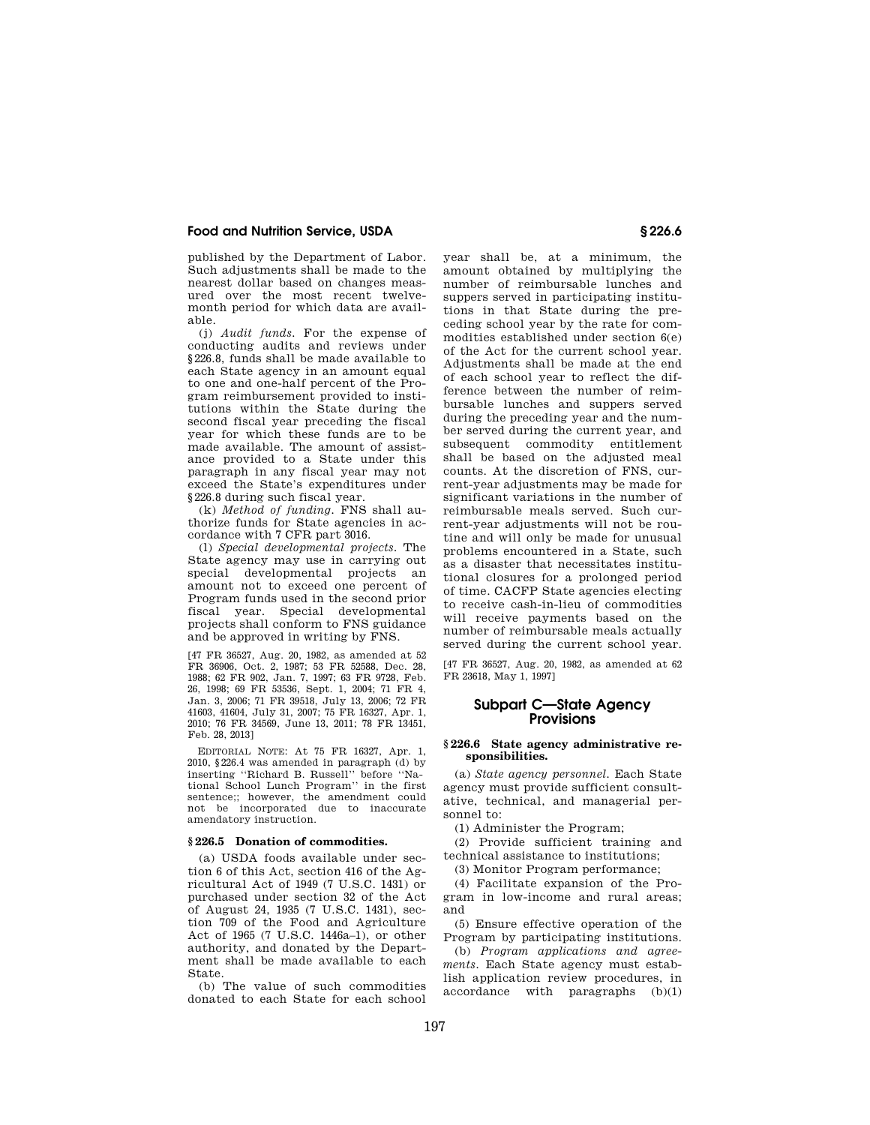published by the Department of Labor. Such adjustments shall be made to the nearest dollar based on changes measured over the most recent twelvemonth period for which data are available.

(j) *Audit funds.* For the expense of conducting audits and reviews under §226.8, funds shall be made available to each State agency in an amount equal to one and one-half percent of the Program reimbursement provided to institutions within the State during the second fiscal year preceding the fiscal year for which these funds are to be made available. The amount of assistance provided to a State under this paragraph in any fiscal year may not exceed the State's expenditures under §226.8 during such fiscal year.

(k) *Method of funding.* FNS shall authorize funds for State agencies in accordance with 7 CFR part 3016.

(l) *Special developmental projects.* The State agency may use in carrying out special developmental projects an amount not to exceed one percent of Program funds used in the second prior fiscal year. Special developmental projects shall conform to FNS guidance and be approved in writing by FNS.

[47 FR 36527, Aug. 20, 1982, as amended at 52 FR 36906, Oct. 2, 1987; 53 FR 52588, Dec. 28, 1988; 62 FR 902, Jan. 7, 1997; 63 FR 9728, Feb. 26, 1998; 69 FR 53536, Sept. 1, 2004; 71 FR 4, Jan. 3, 2006; 71 FR 39518, July 13, 2006; 72 FR 41603, 41604, July 31, 2007; 75 FR 16327, Apr. 1, 2010; 76 FR 34569, June 13, 2011; 78 FR 13451, Feb. 28, 2013]

EDITORIAL NOTE: At 75 FR 16327, Apr. 1, 2010, §226.4 was amended in paragraph  $(d)$  by inserting ''Richard B. Russell'' before ''National School Lunch Program'' in the first sentence;; however, the amendment could not be incorporated due to inaccurate amendatory instruction.

## **§ 226.5 Donation of commodities.**

(a) USDA foods available under section 6 of this Act, section 416 of the Agricultural Act of 1949 (7 U.S.C. 1431) or purchased under section 32 of the Act of August 24, 1935 (7 U.S.C. 1431), section 709 of the Food and Agriculture Act of 1965 (7 U.S.C. 1446a–1), or other authority, and donated by the Department shall be made available to each State.

(b) The value of such commodities donated to each State for each school

year shall be, at a minimum, the amount obtained by multiplying the number of reimbursable lunches and suppers served in participating institutions in that State during the preceding school year by the rate for commodities established under section 6(e) of the Act for the current school year. Adjustments shall be made at the end of each school year to reflect the difference between the number of reimbursable lunches and suppers served during the preceding year and the number served during the current year, and subsequent commodity entitlement shall be based on the adjusted meal counts. At the discretion of FNS, current-year adjustments may be made for significant variations in the number of reimbursable meals served. Such current-year adjustments will not be routine and will only be made for unusual problems encountered in a State, such as a disaster that necessitates institutional closures for a prolonged period of time. CACFP State agencies electing to receive cash-in-lieu of commodities will receive payments based on the number of reimbursable meals actually served during the current school year.

[47 FR 36527, Aug. 20, 1982, as amended at 62 FR 23618, May 1, 1997]

# **Subpart C—State Agency Provisions**

### **§ 226.6 State agency administrative responsibilities.**

(a) *State agency personnel.* Each State agency must provide sufficient consultative, technical, and managerial personnel to:

(1) Administer the Program;

(2) Provide sufficient training and technical assistance to institutions;

(3) Monitor Program performance;

(4) Facilitate expansion of the Program in low-income and rural areas; and

(5) Ensure effective operation of the Program by participating institutions.

(b) *Program applications and agreements.* Each State agency must establish application review procedures, in  $\bar{a}$  accordance with paragraphs  $(b)(1)$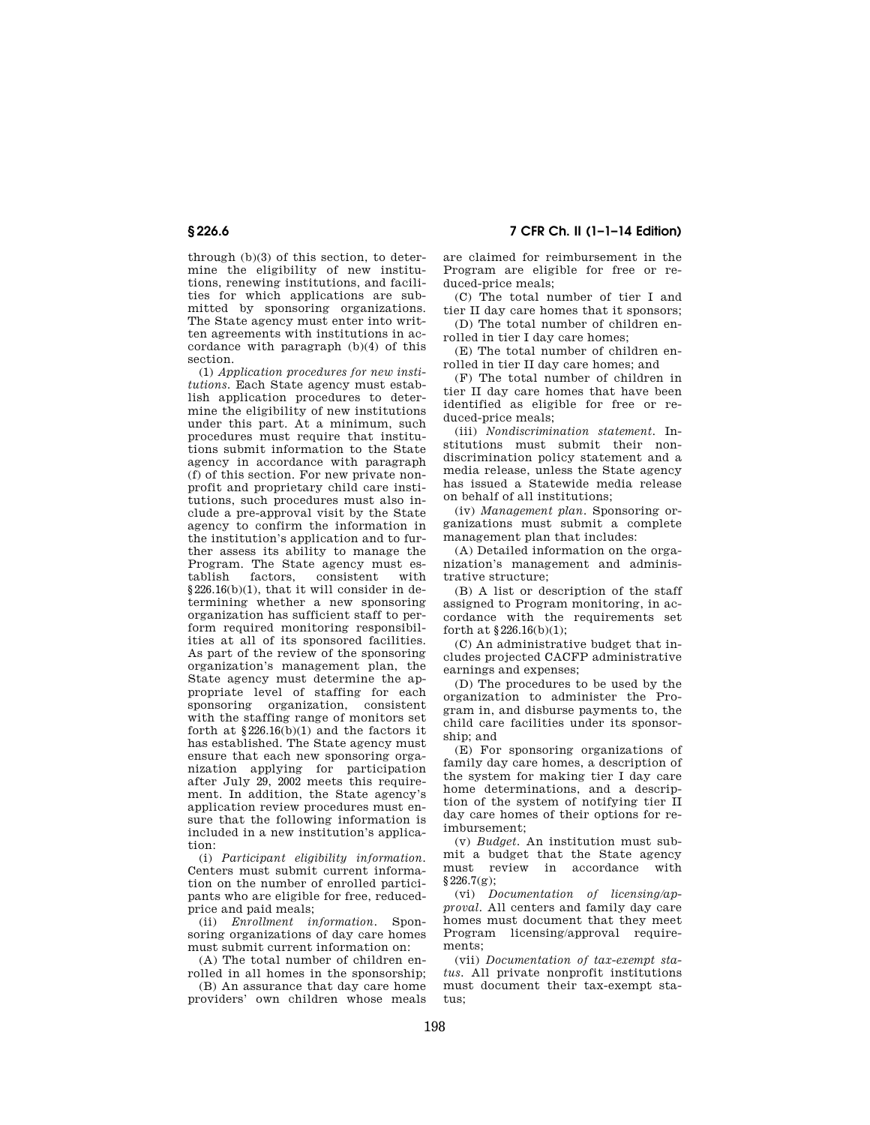# **§ 226.6 7 CFR Ch. II (1–1–14 Edition)**

through (b)(3) of this section, to determine the eligibility of new institutions, renewing institutions, and facilities for which applications are submitted by sponsoring organizations. The State agency must enter into written agreements with institutions in accordance with paragraph (b)(4) of this section.

(1) *Application procedures for new institutions.* Each State agency must establish application procedures to determine the eligibility of new institutions under this part. At a minimum, such procedures must require that institutions submit information to the State agency in accordance with paragraph (f) of this section. For new private nonprofit and proprietary child care institutions, such procedures must also include a pre-approval visit by the State agency to confirm the information in the institution's application and to further assess its ability to manage the Program. The State agency must es-<br>tablish factors, consistent with consistent §226.16(b)(1), that it will consider in determining whether a new sponsoring organization has sufficient staff to perform required monitoring responsibilities at all of its sponsored facilities. As part of the review of the sponsoring organization's management plan, the State agency must determine the appropriate level of staffing for each sponsoring organization, consistent with the staffing range of monitors set forth at  $$226.16(b)(1)$  and the factors it has established. The State agency must ensure that each new sponsoring organization applying for participation after July 29, 2002 meets this requirement. In addition, the State agency's application review procedures must ensure that the following information is included in a new institution's application:

(i) *Participant eligibility information.*  Centers must submit current information on the number of enrolled participants who are eligible for free, reducedprice and paid meals;

(ii) *Enrollment information.* Sponsoring organizations of day care homes must submit current information on:

(A) The total number of children enrolled in all homes in the sponsorship;

(B) An assurance that day care home providers' own children whose meals are claimed for reimbursement in the Program are eligible for free or reduced-price meals;

(C) The total number of tier I and tier II day care homes that it sponsors;

(D) The total number of children enrolled in tier I day care homes;

(E) The total number of children enrolled in tier II day care homes; and

(F) The total number of children in tier II day care homes that have been identified as eligible for free or reduced-price meals;

(iii) *Nondiscrimination statement.* Institutions must submit their nondiscrimination policy statement and a media release, unless the State agency has issued a Statewide media release on behalf of all institutions;

(iv) *Management plan.* Sponsoring organizations must submit a complete management plan that includes:

(A) Detailed information on the organization's management and administrative structure;

(B) A list or description of the staff assigned to Program monitoring, in accordance with the requirements set forth at §226.16(b)(1);

(C) An administrative budget that includes projected CACFP administrative earnings and expenses;

(D) The procedures to be used by the organization to administer the Program in, and disburse payments to, the child care facilities under its sponsorship; and

(E) For sponsoring organizations of family day care homes, a description of the system for making tier I day care home determinations, and a description of the system of notifying tier II day care homes of their options for reimbursement;

(v) *Budget.* An institution must submit a budget that the State agency must review in accordance with  $§226.7(g);$ 

(vi) *Documentation of licensing/approval.* All centers and family day care homes must document that they meet Program licensing/approval requirements;

(vii) *Documentation of tax-exempt status.* All private nonprofit institutions must document their tax-exempt status;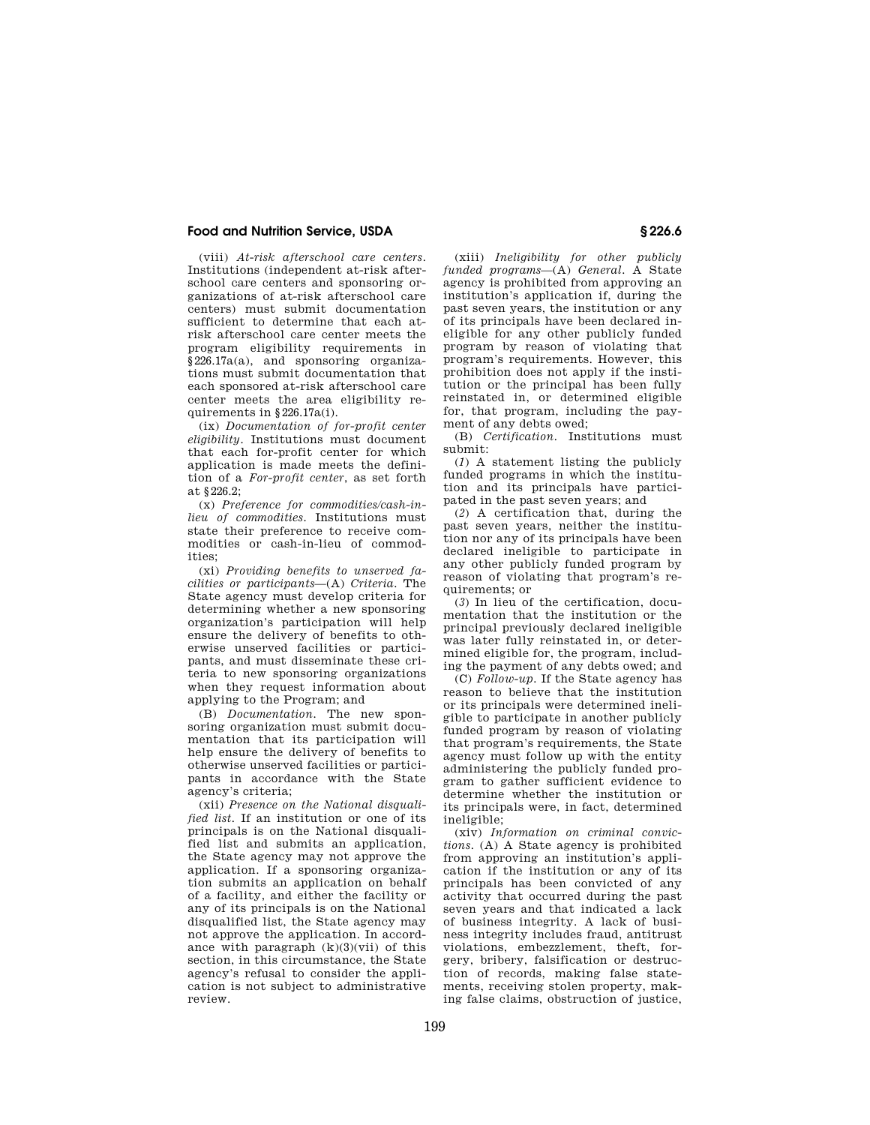(viii) *At-risk afterschool care centers.*  Institutions (independent at-risk afterschool care centers and sponsoring organizations of at-risk afterschool care centers) must submit documentation sufficient to determine that each atrisk afterschool care center meets the program eligibility requirements in §226.17a(a), and sponsoring organizations must submit documentation that each sponsored at-risk afterschool care center meets the area eligibility requirements in §226.17a(i).

(ix) *Documentation of for-profit center eligibility.* Institutions must document that each for-profit center for which application is made meets the definition of a *For-profit center*, as set forth at §226.2;

(x) *Preference for commodities/cash-inlieu of commodities.* Institutions must state their preference to receive commodities or cash-in-lieu of commodities;

(xi) *Providing benefits to unserved facilities or participants*—(A) *Criteria.* The State agency must develop criteria for determining whether a new sponsoring organization's participation will help ensure the delivery of benefits to otherwise unserved facilities or participants, and must disseminate these criteria to new sponsoring organizations when they request information about applying to the Program; and

(B) *Documentation.* The new sponsoring organization must submit documentation that its participation will help ensure the delivery of benefits to otherwise unserved facilities or participants in accordance with the State agency's criteria;

(xii) *Presence on the National disqualified list.* If an institution or one of its principals is on the National disqualified list and submits an application, the State agency may not approve the application. If a sponsoring organization submits an application on behalf of a facility, and either the facility or any of its principals is on the National disqualified list, the State agency may not approve the application. In accordance with paragraph  $(k)(3)(vii)$  of this section, in this circumstance, the State agency's refusal to consider the application is not subject to administrative review.

(xiii) *Ineligibility for other publicly funded programs*—(A) *General.* A State agency is prohibited from approving an institution's application if, during the past seven years, the institution or any of its principals have been declared ineligible for any other publicly funded program by reason of violating that program's requirements. However, this prohibition does not apply if the institution or the principal has been fully reinstated in, or determined eligible for, that program, including the payment of any debts owed;

(B) *Certification.* Institutions must submit:

(*1*) A statement listing the publicly funded programs in which the institution and its principals have participated in the past seven years; and

(*2*) A certification that, during the past seven years, neither the institution nor any of its principals have been declared ineligible to participate in any other publicly funded program by reason of violating that program's requirements; or

(*3*) In lieu of the certification, documentation that the institution or the principal previously declared ineligible was later fully reinstated in, or determined eligible for, the program, including the payment of any debts owed; and

(C) *Follow-up.* If the State agency has reason to believe that the institution or its principals were determined ineligible to participate in another publicly funded program by reason of violating that program's requirements, the State agency must follow up with the entity administering the publicly funded program to gather sufficient evidence to determine whether the institution or its principals were, in fact, determined ineligible;

(xiv) *Information on criminal convictions.* (A) A State agency is prohibited from approving an institution's application if the institution or any of its principals has been convicted of any activity that occurred during the past seven years and that indicated a lack of business integrity. A lack of business integrity includes fraud, antitrust violations, embezzlement, theft, forgery, bribery, falsification or destruction of records, making false statements, receiving stolen property, making false claims, obstruction of justice,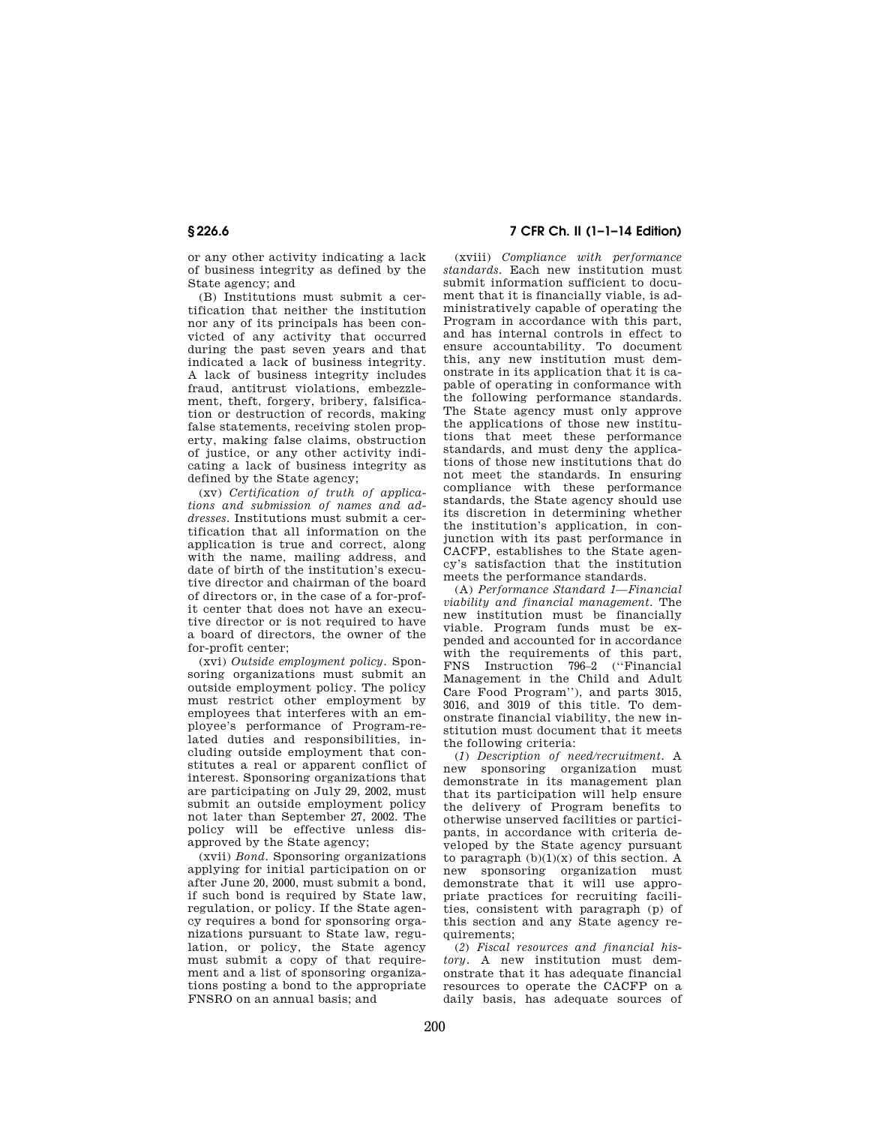or any other activity indicating a lack of business integrity as defined by the State agency; and

(B) Institutions must submit a certification that neither the institution nor any of its principals has been convicted of any activity that occurred during the past seven years and that indicated a lack of business integrity. A lack of business integrity includes fraud, antitrust violations, embezzlement, theft, forgery, bribery, falsification or destruction of records, making false statements, receiving stolen property, making false claims, obstruction of justice, or any other activity indicating a lack of business integrity as defined by the State agency;

(xv) *Certification of truth of applications and submission of names and addresses.* Institutions must submit a certification that all information on the application is true and correct, along with the name, mailing address, and date of birth of the institution's executive director and chairman of the board of directors or, in the case of a for-profit center that does not have an executive director or is not required to have a board of directors, the owner of the for-profit center;

(xvi) *Outside employment policy.* Sponsoring organizations must submit an outside employment policy. The policy must restrict other employment by employees that interferes with an employee's performance of Program-related duties and responsibilities, including outside employment that constitutes a real or apparent conflict of interest. Sponsoring organizations that are participating on July 29, 2002, must submit an outside employment policy not later than September 27, 2002. The policy will be effective unless disapproved by the State agency;

(xvii) *Bond.* Sponsoring organizations applying for initial participation on or after June 20, 2000, must submit a bond, if such bond is required by State law, regulation, or policy. If the State agency requires a bond for sponsoring organizations pursuant to State law, regulation, or policy, the State agency must submit a copy of that requirement and a list of sponsoring organizations posting a bond to the appropriate FNSRO on an annual basis; and

# **§ 226.6 7 CFR Ch. II (1–1–14 Edition)**

(xviii) *Compliance with performance standards.* Each new institution must submit information sufficient to document that it is financially viable, is administratively capable of operating the Program in accordance with this part, and has internal controls in effect to ensure accountability. To document this, any new institution must demonstrate in its application that it is capable of operating in conformance with the following performance standards. The State agency must only approve the applications of those new institutions that meet these performance standards, and must deny the applications of those new institutions that do not meet the standards. In ensuring compliance with these performance standards, the State agency should use its discretion in determining whether the institution's application, in conjunction with its past performance in CACFP, establishes to the State agency's satisfaction that the institution meets the performance standards.

(A) *Performance Standard 1—Financial viability and financial management.* The new institution must be financially viable. Program funds must be expended and accounted for in accordance with the requirements of this part, FNS Instruction 796–2 (''Financial Management in the Child and Adult Care Food Program''), and parts 3015, 3016, and 3019 of this title. To demonstrate financial viability, the new institution must document that it meets the following criteria:

(*1*) *Description of need/recruitment.* A new sponsoring organization must demonstrate in its management plan that its participation will help ensure the delivery of Program benefits to otherwise unserved facilities or participants, in accordance with criteria developed by the State agency pursuant to paragraph  $(b)(1)(x)$  of this section. A new sponsoring organization must demonstrate that it will use appropriate practices for recruiting facilities, consistent with paragraph (p) of this section and any State agency requirements;

(*2*) *Fiscal resources and financial history.* A new institution must demonstrate that it has adequate financial resources to operate the CACFP on a daily basis, has adequate sources of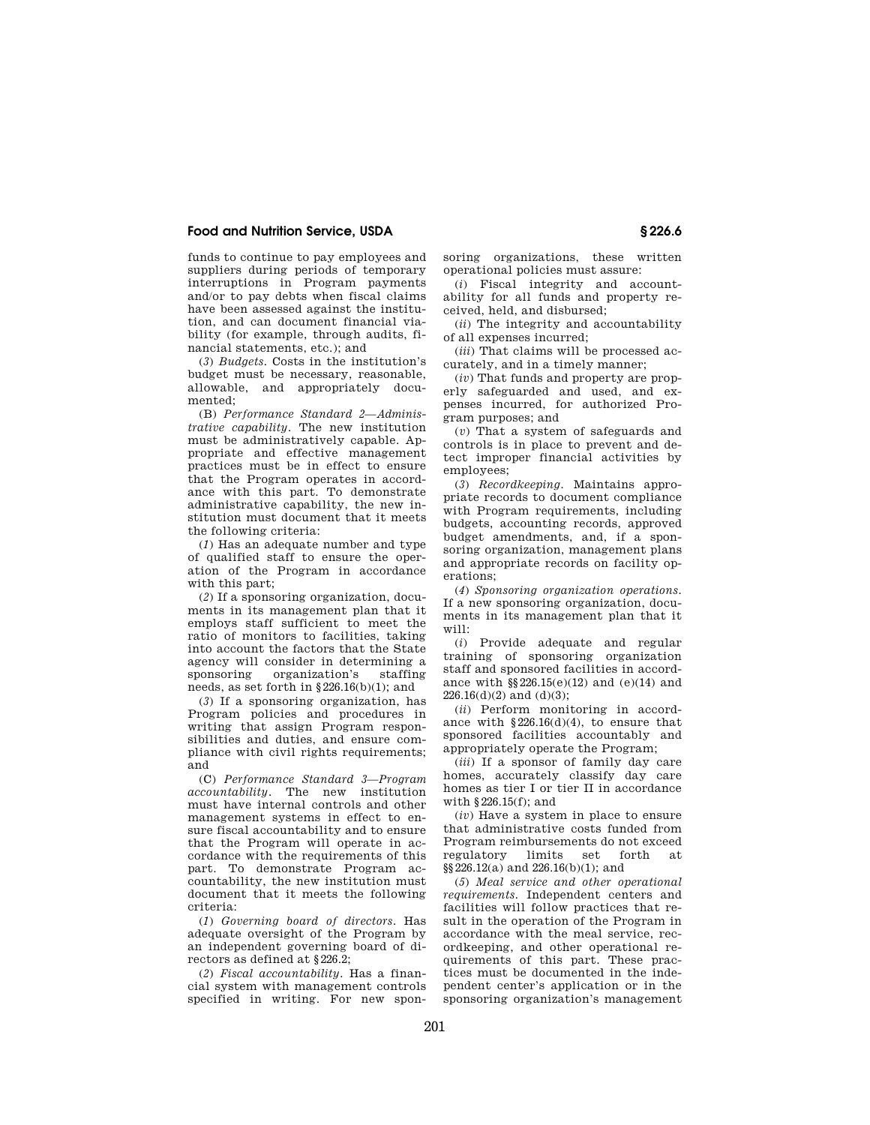funds to continue to pay employees and suppliers during periods of temporary interruptions in Program payments and/or to pay debts when fiscal claims have been assessed against the institution, and can document financial viability (for example, through audits, financial statements, etc.); and

(*3*) *Budgets.* Costs in the institution's budget must be necessary, reasonable, allowable, and appropriately documented;

(B) *Performance Standard 2—Administrative capability.* The new institution must be administratively capable. Appropriate and effective management practices must be in effect to ensure that the Program operates in accordance with this part. To demonstrate administrative capability, the new institution must document that it meets the following criteria:

(*1*) Has an adequate number and type of qualified staff to ensure the operation of the Program in accordance with this part;

(*2*) If a sponsoring organization, documents in its management plan that it employs staff sufficient to meet the ratio of monitors to facilities, taking into account the factors that the State agency will consider in determining a sponsoring organization's staffing needs, as set forth in §226.16(b)(1); and

(*3*) If a sponsoring organization, has Program policies and procedures in writing that assign Program responsibilities and duties, and ensure compliance with civil rights requirements; and

(C) *Performance Standard 3—Program accountability.* The new institution must have internal controls and other management systems in effect to ensure fiscal accountability and to ensure that the Program will operate in accordance with the requirements of this part. To demonstrate Program accountability, the new institution must document that it meets the following criteria:

(*1*) *Governing board of directors.* Has adequate oversight of the Program by an independent governing board of directors as defined at §226.2;

(*2*) *Fiscal accountability.* Has a financial system with management controls specified in writing. For new sponsoring organizations, these written operational policies must assure:

(*i*) Fiscal integrity and accountability for all funds and property received, held, and disbursed;

(*ii*) The integrity and accountability of all expenses incurred;

(*iii*) That claims will be processed accurately, and in a timely manner;

(*iv*) That funds and property are properly safeguarded and used, and expenses incurred, for authorized Program purposes; and

(*v*) That a system of safeguards and controls is in place to prevent and detect improper financial activities by employees;

(*3*) *Recordkeeping.* Maintains appropriate records to document compliance with Program requirements, including budgets, accounting records, approved budget amendments, and, if a sponsoring organization, management plans and appropriate records on facility operations;

(*4*) *Sponsoring organization operations.*  If a new sponsoring organization, documents in its management plan that it will:

(*i*) Provide adequate and regular training of sponsoring organization staff and sponsored facilities in accordance with §§226.15(e)(12) and (e)(14) and  $226.16(d)(2)$  and  $(d)(3)$ ;

(*ii*) Perform monitoring in accordance with  $$226.16(d)(4)$ , to ensure that sponsored facilities accountably and appropriately operate the Program;

(*iii*) If a sponsor of family day care homes, accurately classify day care homes as tier I or tier II in accordance with §226.15(f); and

(*iv*) Have a system in place to ensure that administrative costs funded from Program reimbursements do not exceed regulatory limits set forth §§226.12(a) and 226.16(b)(1); and

(*5*) *Meal service and other operational requirements.* Independent centers and facilities will follow practices that result in the operation of the Program in accordance with the meal service, recordkeeping, and other operational requirements of this part. These practices must be documented in the independent center's application or in the sponsoring organization's management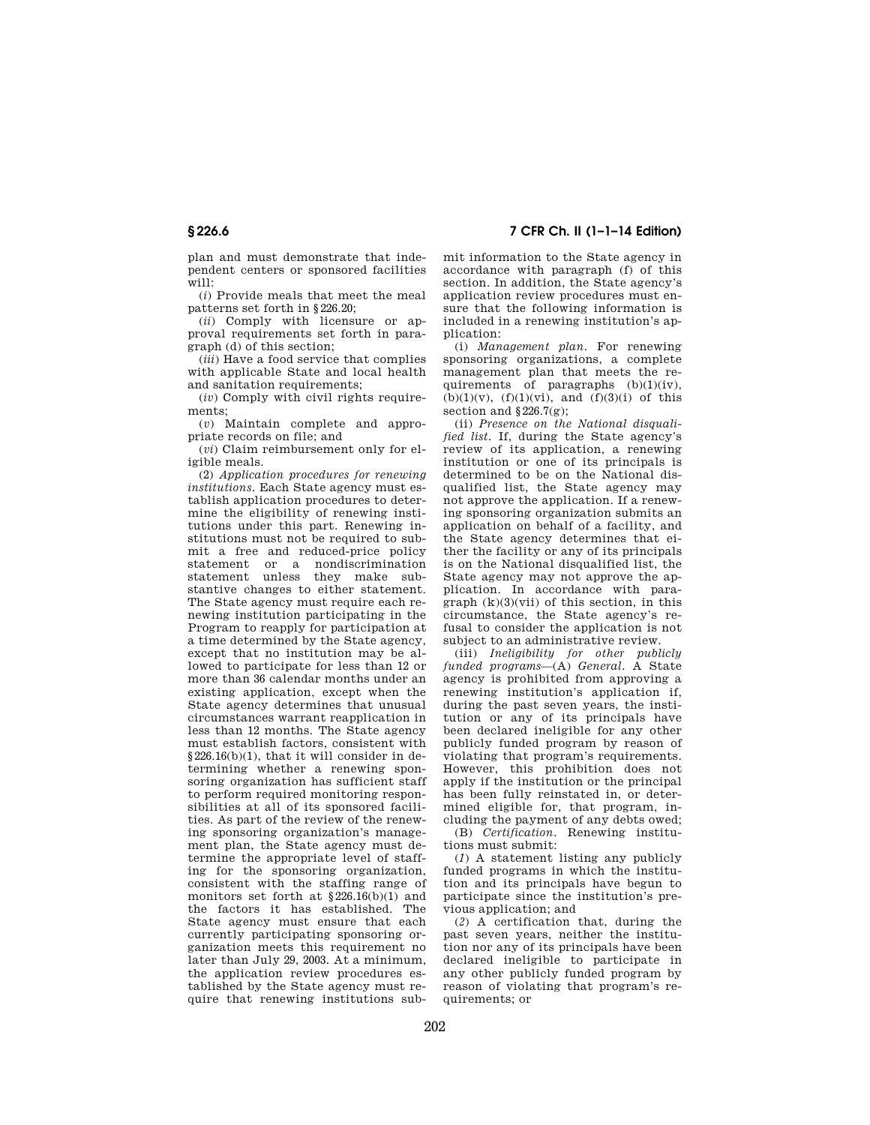plan and must demonstrate that independent centers or sponsored facilities  $\overline{w}$ ill $\cdot$ 

(*i*) Provide meals that meet the meal patterns set forth in §226.20;

(*ii*) Comply with licensure or approval requirements set forth in paragraph (d) of this section;

(*iii*) Have a food service that complies with applicable State and local health and sanitation requirements;

(*iv*) Comply with civil rights requirements;

(*v*) Maintain complete and appropriate records on file; and

(*vi*) Claim reimbursement only for eligible meals.

(2) *Application procedures for renewing institutions.* Each State agency must establish application procedures to determine the eligibility of renewing institutions under this part. Renewing institutions must not be required to submit a free and reduced-price policy statement or a nondiscrimination statement unless they make substantive changes to either statement. The State agency must require each renewing institution participating in the Program to reapply for participation at a time determined by the State agency, except that no institution may be allowed to participate for less than 12 or more than 36 calendar months under an existing application, except when the State agency determines that unusual circumstances warrant reapplication in less than 12 months. The State agency must establish factors, consistent with §226.16(b)(1), that it will consider in determining whether a renewing sponsoring organization has sufficient staff to perform required monitoring responsibilities at all of its sponsored facilities. As part of the review of the renewing sponsoring organization's management plan, the State agency must determine the appropriate level of staffing for the sponsoring organization, consistent with the staffing range of monitors set forth at  $\S 226.16(b)(1)$  and the factors it has established. The State agency must ensure that each currently participating sponsoring organization meets this requirement no later than July 29, 2003. At a minimum, the application review procedures established by the State agency must require that renewing institutions sub-

**§ 226.6 7 CFR Ch. II (1–1–14 Edition)** 

mit information to the State agency in accordance with paragraph (f) of this section. In addition, the State agency's application review procedures must ensure that the following information is included in a renewing institution's application:

(i) *Management plan.* For renewing sponsoring organizations, a complete management plan that meets the requirements of paragraphs  $(b)(1)(iv)$ ,  $(b)(1)(v)$ ,  $(f)(1)(vi)$ , and  $(f)(3)(i)$  of this section and  $§226.7(g)$ ;

(ii) *Presence on the National disqualified list.* If, during the State agency's review of its application, a renewing institution or one of its principals is determined to be on the National disqualified list, the State agency may not approve the application. If a renewing sponsoring organization submits an application on behalf of a facility, and the State agency determines that either the facility or any of its principals is on the National disqualified list, the State agency may not approve the application. In accordance with para $graph (k)(3)(vii)$  of this section, in this circumstance, the State agency's refusal to consider the application is not subject to an administrative review.

(iii) *Ineligibility for other publicly funded programs*—(A) *General.* A State agency is prohibited from approving a renewing institution's application if, during the past seven years, the institution or any of its principals have been declared ineligible for any other publicly funded program by reason of violating that program's requirements. However, this prohibition does not apply if the institution or the principal has been fully reinstated in, or determined eligible for, that program, including the payment of any debts owed;

(B) *Certification.* Renewing institutions must submit:

(*1*) A statement listing any publicly funded programs in which the institution and its principals have begun to participate since the institution's previous application; and

(*2*) A certification that, during the past seven years, neither the institution nor any of its principals have been declared ineligible to participate in any other publicly funded program by reason of violating that program's requirements; or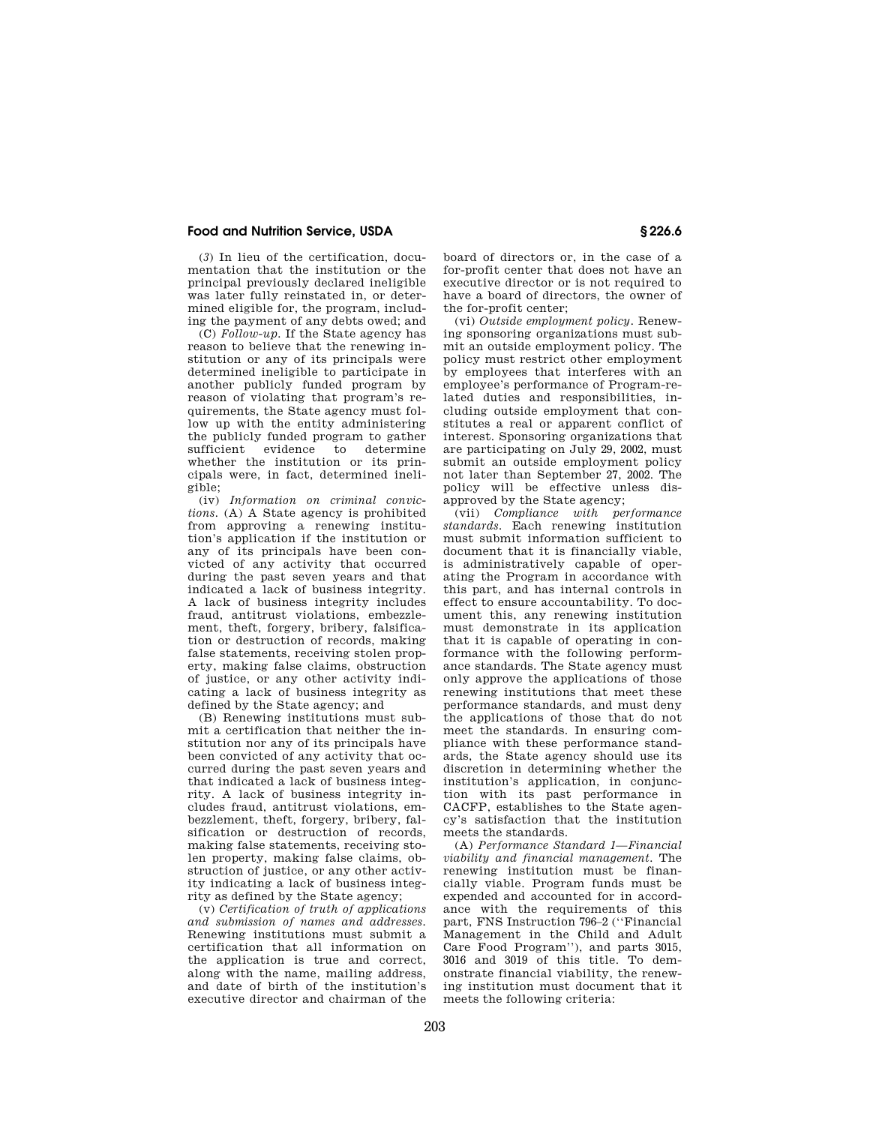(*3*) In lieu of the certification, documentation that the institution or the principal previously declared ineligible was later fully reinstated in, or determined eligible for, the program, including the payment of any debts owed; and

(C) *Follow-up.* If the State agency has reason to believe that the renewing institution or any of its principals were determined ineligible to participate in another publicly funded program by reason of violating that program's requirements, the State agency must follow up with the entity administering the publicly funded program to gather sufficient evidence to determine whether the institution or its principals were, in fact, determined ineligible;

(iv) *Information on criminal convictions.* (A) A State agency is prohibited from approving a renewing institution's application if the institution or any of its principals have been convicted of any activity that occurred during the past seven years and that indicated a lack of business integrity. A lack of business integrity includes fraud, antitrust violations, embezzlement, theft, forgery, bribery, falsification or destruction of records, making false statements, receiving stolen property, making false claims, obstruction of justice, or any other activity indicating a lack of business integrity as defined by the State agency; and

(B) Renewing institutions must submit a certification that neither the institution nor any of its principals have been convicted of any activity that occurred during the past seven years and that indicated a lack of business integrity. A lack of business integrity includes fraud, antitrust violations, embezzlement, theft, forgery, bribery, falsification or destruction of records, making false statements, receiving stolen property, making false claims, obstruction of justice, or any other activity indicating a lack of business integrity as defined by the State agency;

(v) *Certification of truth of applications and submission of names and addresses.*  Renewing institutions must submit a certification that all information on the application is true and correct, along with the name, mailing address, and date of birth of the institution's executive director and chairman of the

board of directors or, in the case of a for-profit center that does not have an executive director or is not required to have a board of directors, the owner of the for-profit center;

(vi) *Outside employment policy.* Renewing sponsoring organizations must submit an outside employment policy. The policy must restrict other employment by employees that interferes with an employee's performance of Program-related duties and responsibilities, including outside employment that constitutes a real or apparent conflict of interest. Sponsoring organizations that are participating on July 29, 2002, must submit an outside employment policy not later than September 27, 2002. The policy will be effective unless disapproved by the State agency:

(vii) *Compliance with performance standards.* Each renewing institution must submit information sufficient to document that it is financially viable, is administratively capable of operating the Program in accordance with this part, and has internal controls in effect to ensure accountability. To document this, any renewing institution must demonstrate in its application that it is capable of operating in conformance with the following performance standards. The State agency must only approve the applications of those renewing institutions that meet these performance standards, and must deny the applications of those that do not meet the standards. In ensuring compliance with these performance standards, the State agency should use its discretion in determining whether the institution's application, in conjunction with its past performance in CACFP, establishes to the State agency's satisfaction that the institution meets the standards.

(A) *Performance Standard 1—Financial viability and financial management.* The renewing institution must be financially viable. Program funds must be expended and accounted for in accordance with the requirements of this part, FNS Instruction 796–2 (''Financial Management in the Child and Adult Care Food Program''), and parts 3015, 3016 and 3019 of this title. To demonstrate financial viability, the renewing institution must document that it meets the following criteria: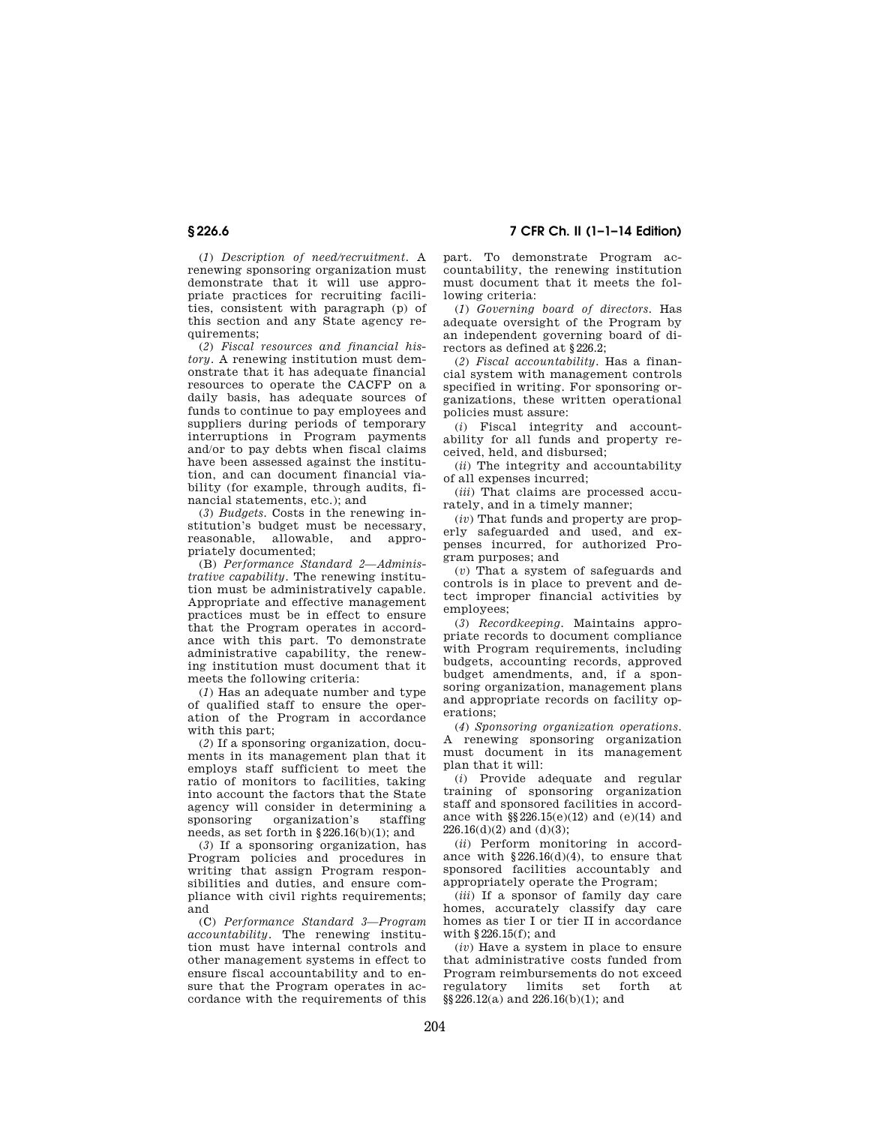**§ 226.6 7 CFR Ch. II (1–1–14 Edition)** 

(*1*) *Description of need/recruitment.* A renewing sponsoring organization must demonstrate that it will use appropriate practices for recruiting facilities, consistent with paragraph (p) of this section and any State agency requirements;

(*2*) *Fiscal resources and financial history.* A renewing institution must demonstrate that it has adequate financial resources to operate the CACFP on a daily basis, has adequate sources of funds to continue to pay employees and suppliers during periods of temporary interruptions in Program payments and/or to pay debts when fiscal claims have been assessed against the institution, and can document financial viability (for example, through audits, financial statements, etc.); and

(*3*) *Budgets.* Costs in the renewing institution's budget must be necessary, reasonable, allowable, and appropriately documented;

(B) *Performance Standard 2—Administrative capability.* The renewing institution must be administratively capable. Appropriate and effective management practices must be in effect to ensure that the Program operates in accordance with this part. To demonstrate administrative capability, the renewing institution must document that it meets the following criteria:

(*1*) Has an adequate number and type of qualified staff to ensure the operation of the Program in accordance with this part;

(*2*) If a sponsoring organization, documents in its management plan that it employs staff sufficient to meet the ratio of monitors to facilities, taking into account the factors that the State agency will consider in determining a sponsoring organization's staffing needs, as set forth in §226.16(b)(1); and

(*3*) If a sponsoring organization, has Program policies and procedures in writing that assign Program responsibilities and duties, and ensure compliance with civil rights requirements; and

(C) *Performance Standard 3—Program accountability.* The renewing institution must have internal controls and other management systems in effect to ensure fiscal accountability and to ensure that the Program operates in accordance with the requirements of this

part. To demonstrate Program accountability, the renewing institution must document that it meets the following criteria:

(*1*) *Governing board of directors.* Has adequate oversight of the Program by an independent governing board of directors as defined at §226.2;

(*2*) *Fiscal accountability.* Has a financial system with management controls specified in writing. For sponsoring organizations, these written operational policies must assure:

(*i*) Fiscal integrity and accountability for all funds and property received, held, and disbursed;

(*ii*) The integrity and accountability of all expenses incurred;

(*iii*) That claims are processed accurately, and in a timely manner;

(*iv*) That funds and property are properly safeguarded and used, and expenses incurred, for authorized Program purposes; and

(*v*) That a system of safeguards and controls is in place to prevent and detect improper financial activities by employees;

(*3*) *Recordkeeping.* Maintains appropriate records to document compliance with Program requirements, including budgets, accounting records, approved budget amendments, and, if a sponsoring organization, management plans and appropriate records on facility operations;

(*4*) *Sponsoring organization operations.*  A renewing sponsoring organization must document in its management plan that it will:

(*i*) Provide adequate and regular training of sponsoring organization staff and sponsored facilities in accordance with §§226.15(e)(12) and (e)(14) and  $226.16(d)(2)$  and  $(d)(3)$ ;

(*ii*) Perform monitoring in accordance with  $$226.16(d)(4)$ , to ensure that sponsored facilities accountably and appropriately operate the Program;

(*iii*) If a sponsor of family day care homes, accurately classify day care homes as tier I or tier II in accordance with §226.15(f); and

(*iv*) Have a system in place to ensure that administrative costs funded from Program reimbursements do not exceed regulatory limits set forth at  $\S$ §§226.12(a) and 226.16(b)(1); and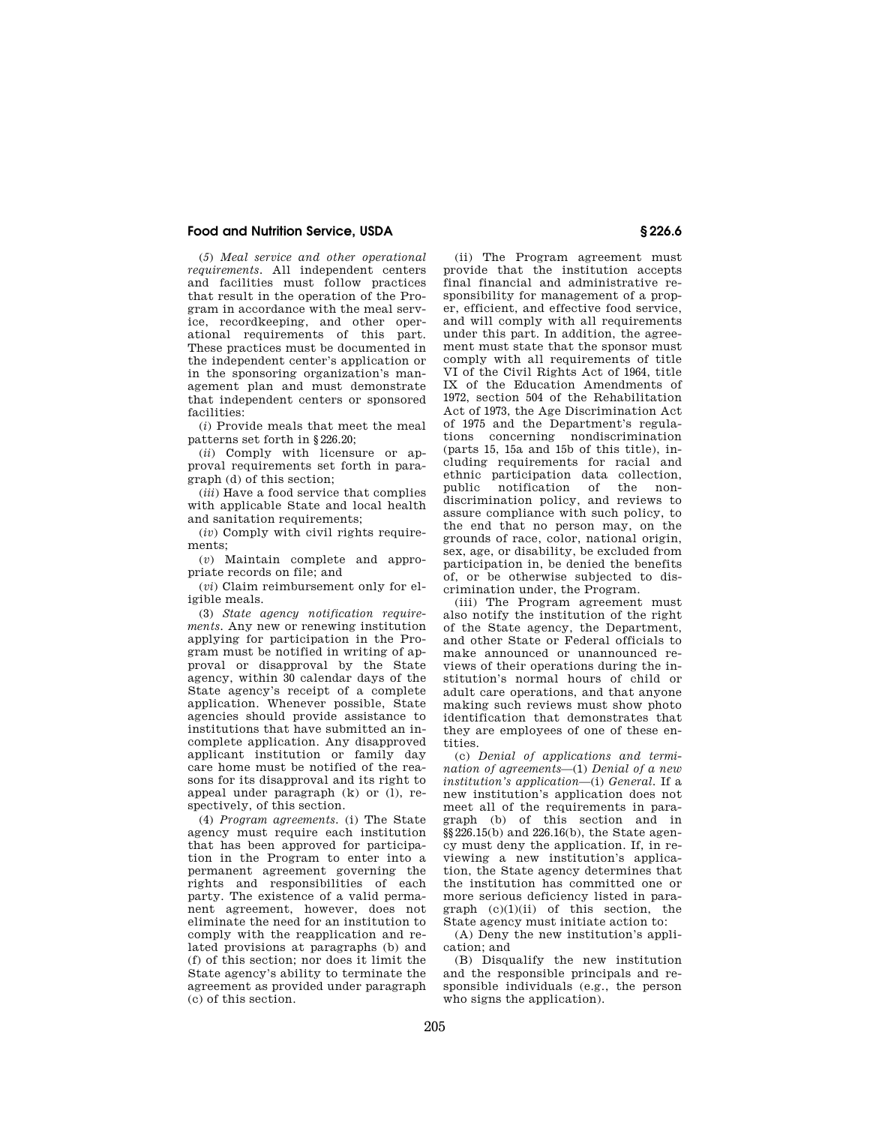(*5*) *Meal service and other operational requirements.* All independent centers and facilities must follow practices that result in the operation of the Program in accordance with the meal service, recordkeeping, and other operational requirements of this part. These practices must be documented in the independent center's application or in the sponsoring organization's management plan and must demonstrate that independent centers or sponsored facilities:

(*i*) Provide meals that meet the meal patterns set forth in §226.20;

(*ii*) Comply with licensure or approval requirements set forth in paragraph (d) of this section;

(*iii*) Have a food service that complies with applicable State and local health and sanitation requirements;

(*iv*) Comply with civil rights requirements;

(*v*) Maintain complete and appropriate records on file; and

(*vi*) Claim reimbursement only for eligible meals.

(3) *State agency notification requirements.* Any new or renewing institution applying for participation in the Program must be notified in writing of approval or disapproval by the State agency, within 30 calendar days of the State agency's receipt of a complete application. Whenever possible, State agencies should provide assistance to institutions that have submitted an incomplete application. Any disapproved applicant institution or family day care home must be notified of the reasons for its disapproval and its right to appeal under paragraph (k) or (l), respectively, of this section.

(4) *Program agreements.* (i) The State agency must require each institution that has been approved for participation in the Program to enter into a permanent agreement governing the rights and responsibilities of each party. The existence of a valid permanent agreement, however, does not eliminate the need for an institution to comply with the reapplication and related provisions at paragraphs (b) and (f) of this section; nor does it limit the State agency's ability to terminate the agreement as provided under paragraph (c) of this section.

(ii) The Program agreement must provide that the institution accepts final financial and administrative responsibility for management of a proper, efficient, and effective food service, and will comply with all requirements under this part. In addition, the agreement must state that the sponsor must comply with all requirements of title VI of the Civil Rights Act of 1964, title IX of the Education Amendments of 1972, section 504 of the Rehabilitation Act of 1973, the Age Discrimination Act of 1975 and the Department's regulations concerning nondiscrimination (parts 15, 15a and 15b of this title), including requirements for racial and ethnic participation data collection, public notification of the nondiscrimination policy, and reviews to assure compliance with such policy, to the end that no person may, on the grounds of race, color, national origin, sex, age, or disability, be excluded from participation in, be denied the benefits of, or be otherwise subjected to discrimination under, the Program.

(iii) The Program agreement must also notify the institution of the right of the State agency, the Department, and other State or Federal officials to make announced or unannounced reviews of their operations during the institution's normal hours of child or adult care operations, and that anyone making such reviews must show photo identification that demonstrates that they are employees of one of these entities.

(c) *Denial of applications and termination of agreements*—(1) *Denial of a new institution's application*—(i) *General.* If a new institution's application does not meet all of the requirements in paragraph (b) of this section and in §§226.15(b) and 226.16(b), the State agency must deny the application. If, in reviewing a new institution's application, the State agency determines that the institution has committed one or more serious deficiency listed in paragraph  $(c)(1)(ii)$  of this section, the State agency must initiate action to:

(A) Deny the new institution's application; and

(B) Disqualify the new institution and the responsible principals and responsible individuals (e.g., the person who signs the application).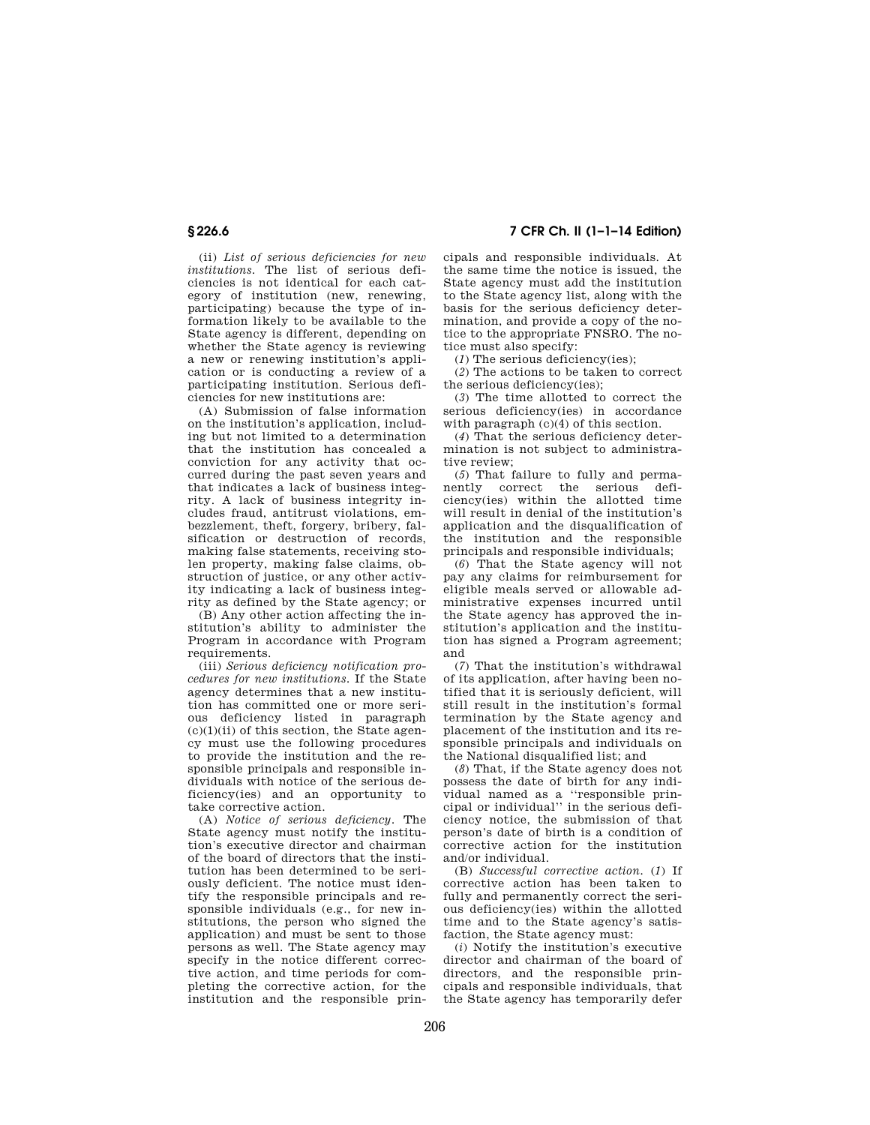(ii) *List of serious deficiencies for new institutions.* The list of serious deficiencies is not identical for each category of institution (new, renewing, participating) because the type of information likely to be available to the State agency is different, depending on whether the State agency is reviewing a new or renewing institution's application or is conducting a review of a participating institution. Serious deficiencies for new institutions are:

(A) Submission of false information on the institution's application, including but not limited to a determination that the institution has concealed a conviction for any activity that occurred during the past seven years and that indicates a lack of business integrity. A lack of business integrity includes fraud, antitrust violations, embezzlement, theft, forgery, bribery, falsification or destruction of records, making false statements, receiving stolen property, making false claims, obstruction of justice, or any other activity indicating a lack of business integrity as defined by the State agency; or

(B) Any other action affecting the institution's ability to administer the Program in accordance with Program requirements

(iii) *Serious deficiency notification procedures for new institutions.* If the State agency determines that a new institution has committed one or more serious deficiency listed in paragraph  $(c)(1)(ii)$  of this section, the State agency must use the following procedures to provide the institution and the responsible principals and responsible individuals with notice of the serious deficiency(ies) and an opportunity to take corrective action.

(A) *Notice of serious deficiency.* The State agency must notify the institution's executive director and chairman of the board of directors that the institution has been determined to be seriously deficient. The notice must identify the responsible principals and responsible individuals (e.g., for new institutions, the person who signed the application) and must be sent to those persons as well. The State agency may specify in the notice different corrective action, and time periods for completing the corrective action, for the institution and the responsible prin-

**§ 226.6 7 CFR Ch. II (1–1–14 Edition)** 

cipals and responsible individuals. At the same time the notice is issued, the State agency must add the institution to the State agency list, along with the basis for the serious deficiency determination, and provide a copy of the notice to the appropriate FNSRO. The notice must also specify:

(*1*) The serious deficiency(ies);

(*2*) The actions to be taken to correct the serious deficiency(ies);

(*3*) The time allotted to correct the serious deficiency(ies) in accordance with paragraph  $(c)(4)$  of this section.

(*4*) That the serious deficiency determination is not subject to administrative review;

(*5*) That failure to fully and permanently correct the serious deficiency(ies) within the allotted time will result in denial of the institution's application and the disqualification of the institution and the responsible principals and responsible individuals;

(*6*) That the State agency will not pay any claims for reimbursement for eligible meals served or allowable administrative expenses incurred until the State agency has approved the institution's application and the institution has signed a Program agreement; and

(*7*) That the institution's withdrawal of its application, after having been notified that it is seriously deficient, will still result in the institution's formal termination by the State agency and placement of the institution and its responsible principals and individuals on the National disqualified list; and

(*8*) That, if the State agency does not possess the date of birth for any individual named as a ''responsible principal or individual'' in the serious deficiency notice, the submission of that person's date of birth is a condition of corrective action for the institution and/or individual.

(B) *Successful corrective action.* (*1*) If corrective action has been taken to fully and permanently correct the serious deficiency(ies) within the allotted time and to the State agency's satisfaction, the State agency must:

(*i*) Notify the institution's executive director and chairman of the board of directors, and the responsible principals and responsible individuals, that the State agency has temporarily defer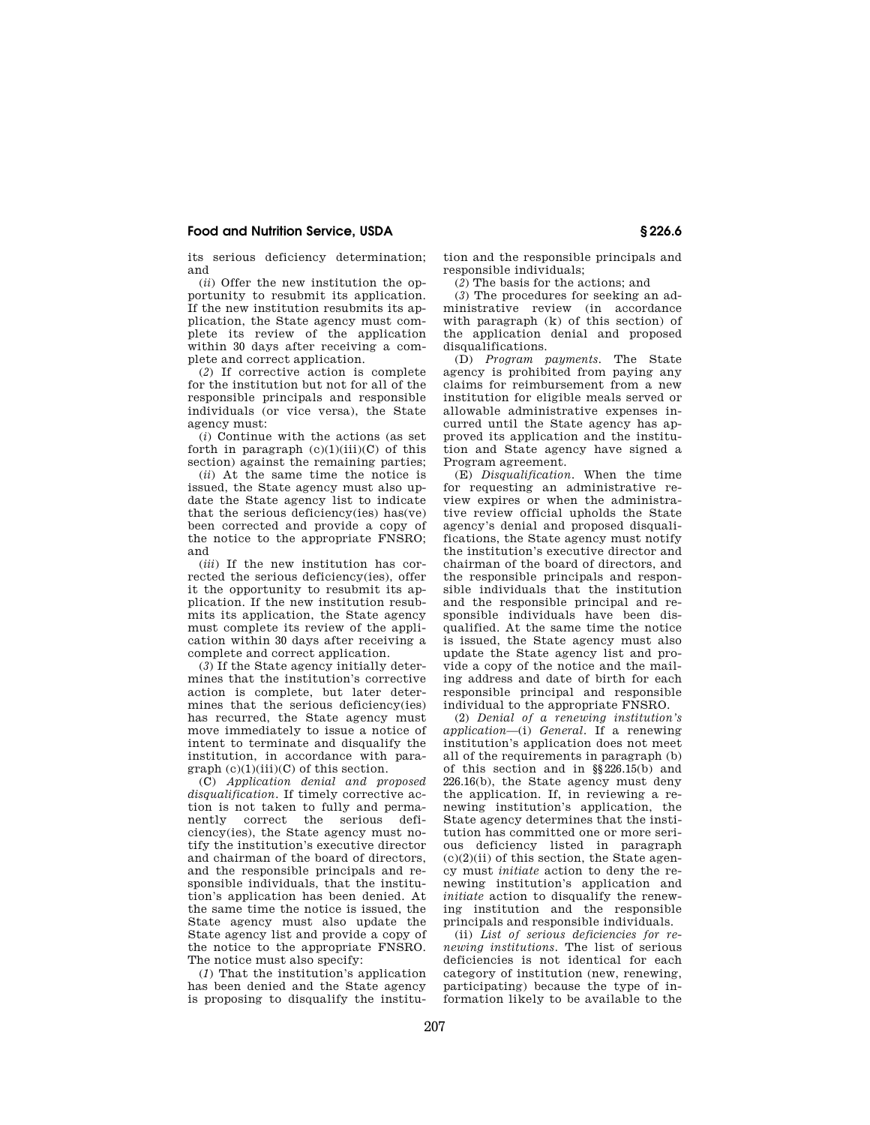its serious deficiency determination; and

(*ii*) Offer the new institution the opportunity to resubmit its application. If the new institution resubmits its application, the State agency must complete its review of the application .<br>within 30 days after receiving a complete and correct application.

(*2*) If corrective action is complete for the institution but not for all of the responsible principals and responsible individuals (or vice versa), the State agency must:

(*i*) Continue with the actions (as set forth in paragraph  $(c)(1)(iii)(C)$  of this section) against the remaining parties;

(*ii*) At the same time the notice is issued, the State agency must also update the State agency list to indicate that the serious deficiency(ies) has(ve) been corrected and provide a copy of the notice to the appropriate FNSRO; and

(*iii*) If the new institution has corrected the serious deficiency(ies), offer it the opportunity to resubmit its application. If the new institution resubmits its application, the State agency must complete its review of the application within 30 days after receiving a complete and correct application.

(*3*) If the State agency initially determines that the institution's corrective action is complete, but later determines that the serious deficiency(ies) has recurred, the State agency must move immediately to issue a notice of intent to terminate and disqualify the institution, in accordance with para $graph (c)(1)(iii)(C)$  of this section.

(C) *Application denial and proposed disqualification.* If timely corrective action is not taken to fully and permanently correct the serious deficiency(ies), the State agency must notify the institution's executive director and chairman of the board of directors, and the responsible principals and responsible individuals, that the institution's application has been denied. At the same time the notice is issued, the State agency must also update the State agency list and provide a copy of the notice to the appropriate FNSRO. The notice must also specify:

(*1*) That the institution's application has been denied and the State agency is proposing to disqualify the institution and the responsible principals and responsible individuals;

(*2*) The basis for the actions; and

(*3*) The procedures for seeking an administrative review (in accordance with paragraph (k) of this section) of the application denial and proposed disqualifications.

(D) *Program payments.* The State agency is prohibited from paying any claims for reimbursement from a new institution for eligible meals served or allowable administrative expenses incurred until the State agency has approved its application and the institution and State agency have signed a Program agreement.

(E) *Disqualification.* When the time for requesting an administrative review expires or when the administrative review official upholds the State agency's denial and proposed disqualifications, the State agency must notify the institution's executive director and chairman of the board of directors, and the responsible principals and responsible individuals that the institution and the responsible principal and responsible individuals have been disqualified. At the same time the notice is issued, the State agency must also update the State agency list and provide a copy of the notice and the mailing address and date of birth for each responsible principal and responsible individual to the appropriate FNSRO.

(2) *Denial of a renewing institution's application*—(i) *General.* If a renewing institution's application does not meet all of the requirements in paragraph (b) of this section and in §§226.15(b) and 226.16(b), the State agency must deny the application. If, in reviewing a renewing institution's application, the State agency determines that the institution has committed one or more serious deficiency listed in paragraph  $(c)(2)(ii)$  of this section, the State agency must *initiate* action to deny the renewing institution's application and *initiate* action to disqualify the renewing institution and the responsible principals and responsible individuals.

(ii) *List of serious deficiencies for renewing institutions.* The list of serious deficiencies is not identical for each category of institution (new, renewing, participating) because the type of information likely to be available to the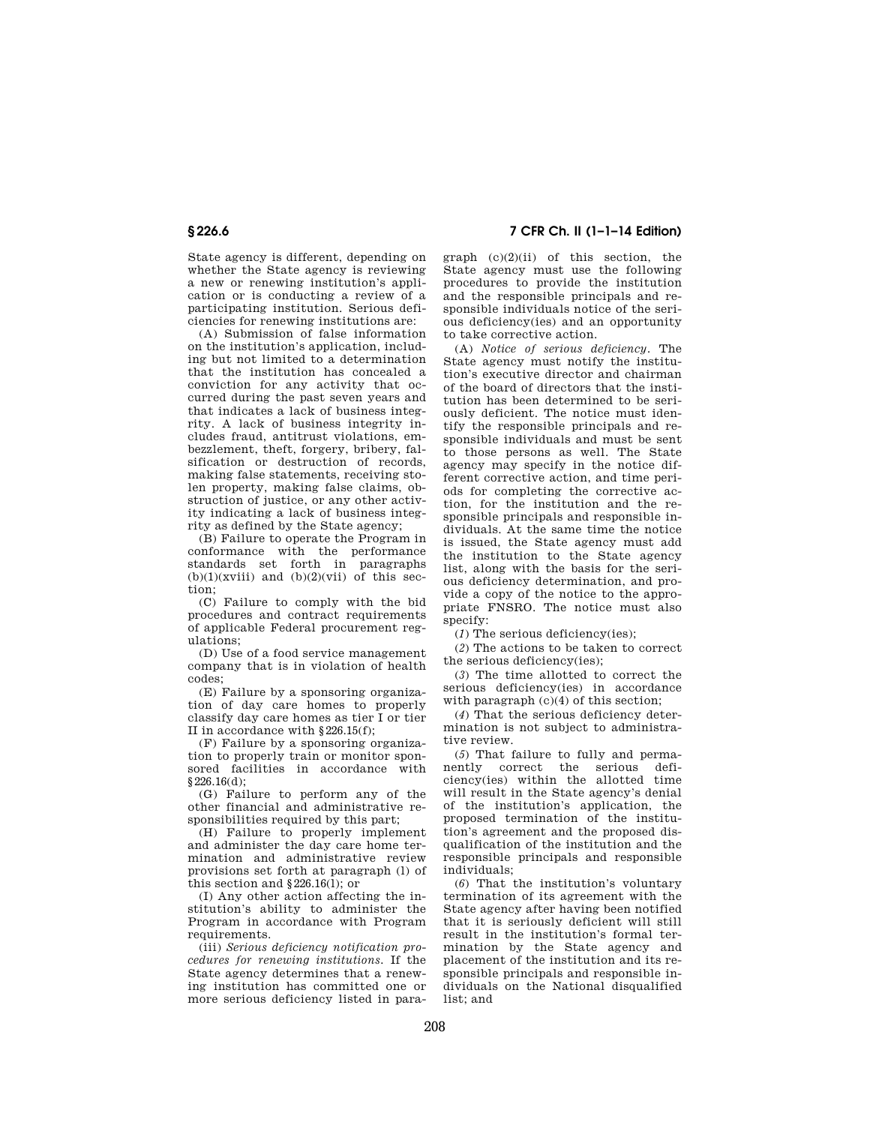State agency is different, depending on whether the State agency is reviewing a new or renewing institution's application or is conducting a review of a participating institution. Serious deficiencies for renewing institutions are:

(A) Submission of false information on the institution's application, including but not limited to a determination that the institution has concealed a conviction for any activity that occurred during the past seven years and that indicates a lack of business integrity. A lack of business integrity includes fraud, antitrust violations, embezzlement, theft, forgery, bribery, falsification or destruction of records, making false statements, receiving stolen property, making false claims, obstruction of justice, or any other activity indicating a lack of business integrity as defined by the State agency;

(B) Failure to operate the Program in conformance with the performance standards set forth in paragraphs  $(b)(1)(xviii)$  and  $(b)(2)(vii)$  of this section;

(C) Failure to comply with the bid procedures and contract requirements of applicable Federal procurement regulations;

(D) Use of a food service management company that is in violation of health codes;

(E) Failure by a sponsoring organization of day care homes to properly classify day care homes as tier I or tier II in accordance with §226.15(f);

(F) Failure by a sponsoring organization to properly train or monitor sponsored facilities in accordance with  $$226.16(d)$ 

(G) Failure to perform any of the other financial and administrative responsibilities required by this part;

(H) Failure to properly implement and administer the day care home termination and administrative review provisions set forth at paragraph (l) of this section and §226.16(l); or

(I) Any other action affecting the institution's ability to administer the Program in accordance with Program requirements.

(iii) *Serious deficiency notification procedures for renewing institutions.* If the State agency determines that a renewing institution has committed one or more serious deficiency listed in para-

# **§ 226.6 7 CFR Ch. II (1–1–14 Edition)**

graph  $(c)(2)(ii)$  of this section, the State agency must use the following procedures to provide the institution and the responsible principals and responsible individuals notice of the serious deficiency(ies) and an opportunity to take corrective action.

(A) *Notice of serious deficiency.* The State agency must notify the institution's executive director and chairman of the board of directors that the institution has been determined to be seriously deficient. The notice must identify the responsible principals and responsible individuals and must be sent to those persons as well. The State agency may specify in the notice different corrective action, and time periods for completing the corrective action, for the institution and the responsible principals and responsible individuals. At the same time the notice is issued, the State agency must add the institution to the State agency list, along with the basis for the serious deficiency determination, and provide a copy of the notice to the appropriate FNSRO. The notice must also specify:

(*1*) The serious deficiency(ies);

(*2*) The actions to be taken to correct the serious deficiency(ies);

(*3*) The time allotted to correct the serious deficiency(ies) in accordance with paragraph  $(c)(4)$  of this section;

(*4*) That the serious deficiency determination is not subject to administrative review.

(*5*) That failure to fully and permanently correct the serious deficiency(ies) within the allotted time will result in the State agency's denial of the institution's application, the proposed termination of the institution's agreement and the proposed disqualification of the institution and the responsible principals and responsible individuals;

(*6*) That the institution's voluntary termination of its agreement with the State agency after having been notified that it is seriously deficient will still result in the institution's formal termination by the State agency and placement of the institution and its responsible principals and responsible individuals on the National disqualified list; and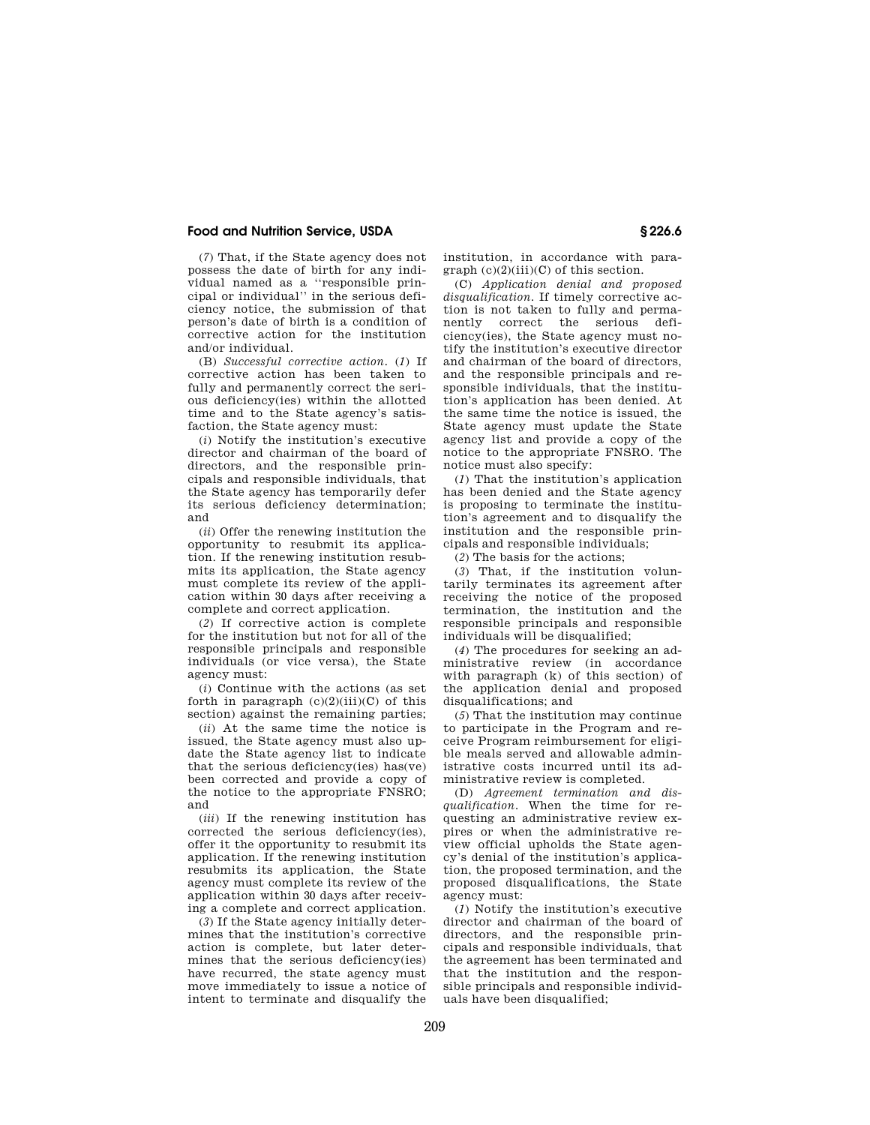(*7*) That, if the State agency does not possess the date of birth for any individual named as a ''responsible principal or individual'' in the serious deficiency notice, the submission of that person's date of birth is a condition of corrective action for the institution and/or individual.

(B) *Successful corrective action.* (*1*) If corrective action has been taken to fully and permanently correct the serious deficiency(ies) within the allotted time and to the State agency's satisfaction, the State agency must:

(*i*) Notify the institution's executive director and chairman of the board of directors, and the responsible principals and responsible individuals, that the State agency has temporarily defer its serious deficiency determination; and

(*ii*) Offer the renewing institution the opportunity to resubmit its application. If the renewing institution resubmits its application, the State agency must complete its review of the application within 30 days after receiving a complete and correct application.

(*2*) If corrective action is complete for the institution but not for all of the responsible principals and responsible individuals (or vice versa), the State agency must:

(*i*) Continue with the actions (as set forth in paragraph  $(c)(2)(iii)(C)$  of this section) against the remaining parties;

(*ii*) At the same time the notice is issued, the State agency must also update the State agency list to indicate that the serious deficiency(ies) has(ve) been corrected and provide a copy of the notice to the appropriate FNSRO; and

(*iii*) If the renewing institution has corrected the serious deficiency(ies), offer it the opportunity to resubmit its application. If the renewing institution resubmits its application, the State agency must complete its review of the application within 30 days after receiving a complete and correct application.

(*3*) If the State agency initially determines that the institution's corrective action is complete, but later determines that the serious deficiency(ies) have recurred, the state agency must move immediately to issue a notice of intent to terminate and disqualify the

institution, in accordance with para $graph (c)(2)(iii)(C)$  of this section.

(C) *Application denial and proposed disqualification.* If timely corrective action is not taken to fully and permanently correct the serious deficiency(ies), the State agency must notify the institution's executive director and chairman of the board of directors, and the responsible principals and responsible individuals, that the institution's application has been denied. At the same time the notice is issued, the State agency must update the State agency list and provide a copy of the notice to the appropriate FNSRO. The notice must also specify:

(*1*) That the institution's application has been denied and the State agency is proposing to terminate the institution's agreement and to disqualify the institution and the responsible principals and responsible individuals;

(*2*) The basis for the actions;

(*3*) That, if the institution voluntarily terminates its agreement after receiving the notice of the proposed termination, the institution and the responsible principals and responsible individuals will be disqualified;

(*4*) The procedures for seeking an administrative review (in accordance with paragraph (k) of this section) of the application denial and proposed disqualifications; and

(*5*) That the institution may continue to participate in the Program and receive Program reimbursement for eligible meals served and allowable administrative costs incurred until its administrative review is completed.

(D) *Agreement termination and disqualification.* When the time for requesting an administrative review expires or when the administrative review official upholds the State agency's denial of the institution's application, the proposed termination, and the proposed disqualifications, the State agency must:

(*1*) Notify the institution's executive director and chairman of the board of directors, and the responsible principals and responsible individuals, that the agreement has been terminated and that the institution and the responsible principals and responsible individuals have been disqualified;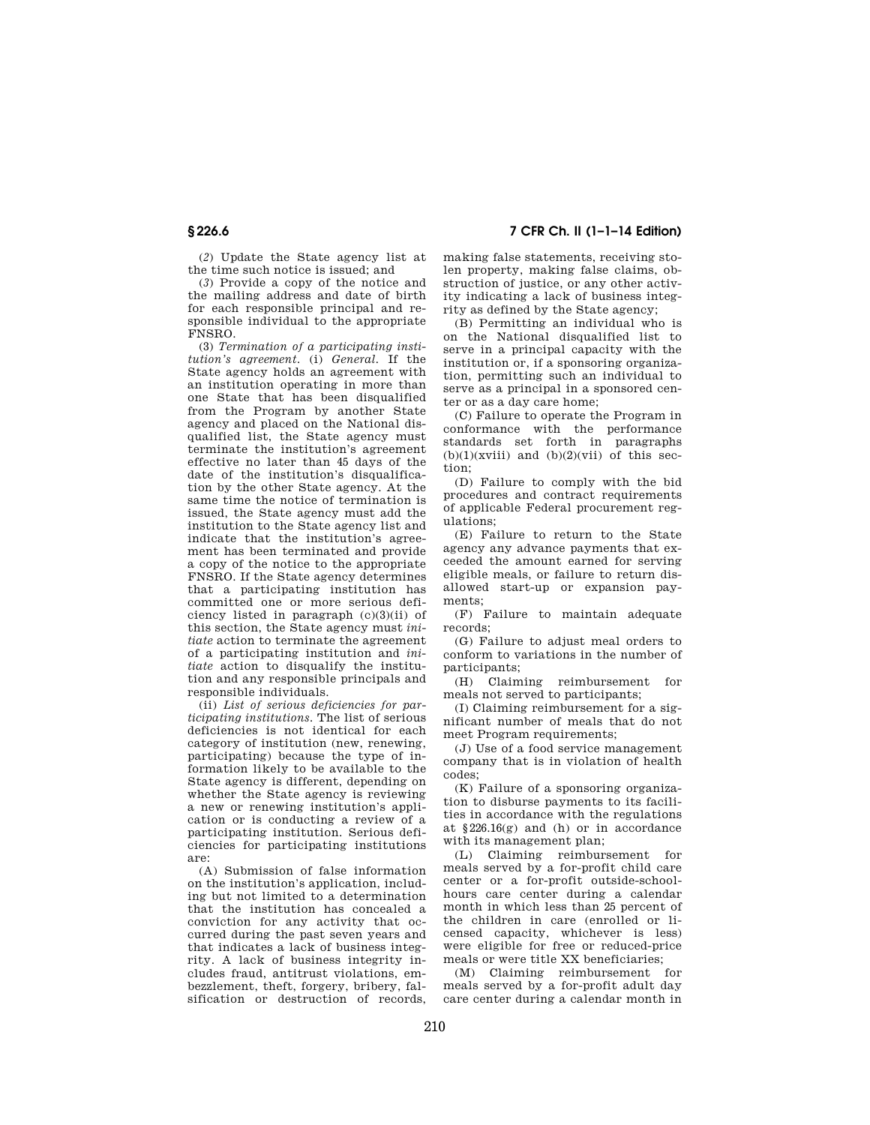# **§ 226.6 7 CFR Ch. II (1–1–14 Edition)**

(*2*) Update the State agency list at the time such notice is issued; and

(*3*) Provide a copy of the notice and the mailing address and date of birth for each responsible principal and responsible individual to the appropriate FNSRO.

(3) *Termination of a participating institution's agreement.* (i) *General.* If the State agency holds an agreement with an institution operating in more than one State that has been disqualified from the Program by another State agency and placed on the National disqualified list, the State agency must terminate the institution's agreement effective no later than 45 days of the date of the institution's disqualification by the other State agency. At the same time the notice of termination is issued, the State agency must add the institution to the State agency list and indicate that the institution's agreement has been terminated and provide a copy of the notice to the appropriate FNSRO. If the State agency determines that a participating institution has committed one or more serious deficiency listed in paragraph (c)(3)(ii) of this section, the State agency must *initiate* action to terminate the agreement of a participating institution and *initiate* action to disqualify the institution and any responsible principals and responsible individuals.

(ii) *List of serious deficiencies for participating institutions.* The list of serious deficiencies is not identical for each category of institution (new, renewing, participating) because the type of information likely to be available to the State agency is different, depending on whether the State agency is reviewing a new or renewing institution's application or is conducting a review of a participating institution. Serious deficiencies for participating institutions are:

(A) Submission of false information on the institution's application, including but not limited to a determination that the institution has concealed a conviction for any activity that occurred during the past seven years and that indicates a lack of business integrity. A lack of business integrity includes fraud, antitrust violations, embezzlement, theft, forgery, bribery, falsification or destruction of records, making false statements, receiving stolen property, making false claims, obstruction of justice, or any other activity indicating a lack of business integrity as defined by the State agency;

(B) Permitting an individual who is on the National disqualified list to serve in a principal capacity with the institution or, if a sponsoring organization, permitting such an individual to serve as a principal in a sponsored center or as a day care home;

(C) Failure to operate the Program in conformance with the performance standards set forth in paragraphs  $(b)(1)(xviii)$  and  $(b)(2)(vi)$  of this section;

(D) Failure to comply with the bid procedures and contract requirements of applicable Federal procurement regulations;

(E) Failure to return to the State agency any advance payments that exceeded the amount earned for serving eligible meals, or failure to return disallowed start-up or expansion payments;

(F) Failure to maintain adequate records;

(G) Failure to adjust meal orders to conform to variations in the number of participants;

(H) Claiming reimbursement for meals not served to participants;

(I) Claiming reimbursement for a significant number of meals that do not meet Program requirements;

(J) Use of a food service management company that is in violation of health codes;

(K) Failure of a sponsoring organization to disburse payments to its facilities in accordance with the regulations at  $§226.16(g)$  and (h) or in accordance with its management plan;

(L) Claiming reimbursement for meals served by a for-profit child care center or a for-profit outside-schoolhours care center during a calendar month in which less than 25 percent of the children in care (enrolled or licensed capacity, whichever is less) were eligible for free or reduced-price meals or were title XX beneficiaries;

(M) Claiming reimbursement for meals served by a for-profit adult day care center during a calendar month in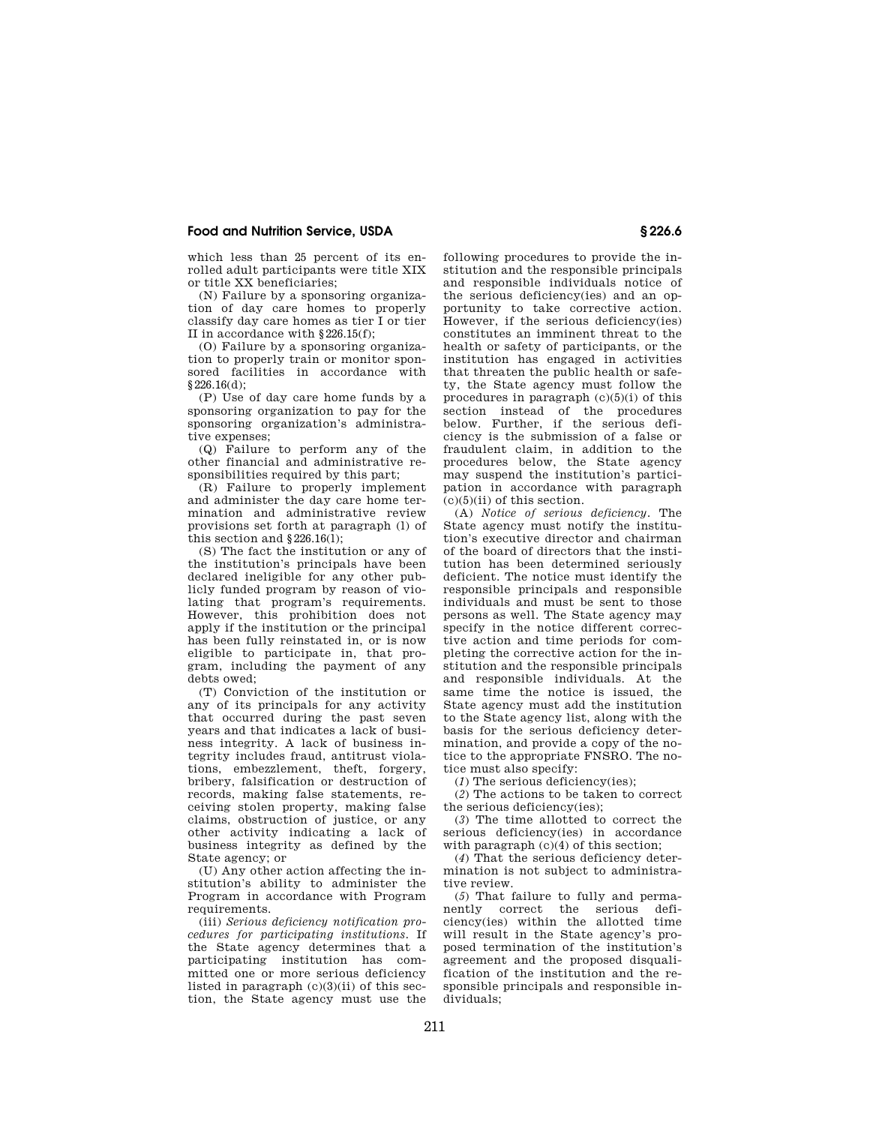which less than 25 percent of its enrolled adult participants were title XIX or title XX beneficiaries;

(N) Failure by a sponsoring organization of day care homes to properly classify day care homes as tier I or tier II in accordance with §226.15(f);

(O) Failure by a sponsoring organization to properly train or monitor sponsored facilities in accordance with §226.16(d);

(P) Use of day care home funds by a sponsoring organization to pay for the sponsoring organization's administrative expenses;

(Q) Failure to perform any of the other financial and administrative responsibilities required by this part;

(R) Failure to properly implement and administer the day care home termination and administrative review provisions set forth at paragraph (l) of this section and §226.16(l);

(S) The fact the institution or any of the institution's principals have been declared ineligible for any other publicly funded program by reason of violating that program's requirements. However, this prohibition does not apply if the institution or the principal has been fully reinstated in, or is now eligible to participate in, that program, including the payment of any debts owed;

(T) Conviction of the institution or any of its principals for any activity that occurred during the past seven years and that indicates a lack of business integrity. A lack of business integrity includes fraud, antitrust violations, embezzlement, theft, forgery, bribery, falsification or destruction of records, making false statements, receiving stolen property, making false claims, obstruction of justice, or any other activity indicating a lack of business integrity as defined by the State agency; or

(U) Any other action affecting the institution's ability to administer the Program in accordance with Program requirements.

(iii) *Serious deficiency notification procedures for participating institutions.* If the State agency determines that a participating institution has committed one or more serious deficiency listed in paragraph  $(c)(3)(ii)$  of this section, the State agency must use the

following procedures to provide the institution and the responsible principals and responsible individuals notice of the serious deficiency(ies) and an opportunity to take corrective action. However, if the serious deficiency(ies) constitutes an imminent threat to the health or safety of participants, or the institution has engaged in activities that threaten the public health or safety, the State agency must follow the procedures in paragraph  $(c)(5)(i)$  of this section instead of the procedures below. Further, if the serious deficiency is the submission of a false or fraudulent claim, in addition to the procedures below, the State agency may suspend the institution's participation in accordance with paragraph  $(c)(5)(ii)$  of this section.

(A) *Notice of serious deficiency.* The State agency must notify the institution's executive director and chairman of the board of directors that the institution has been determined seriously deficient. The notice must identify the responsible principals and responsible individuals and must be sent to those persons as well. The State agency may specify in the notice different corrective action and time periods for completing the corrective action for the institution and the responsible principals and responsible individuals. At the same time the notice is issued, the State agency must add the institution to the State agency list, along with the basis for the serious deficiency determination, and provide a copy of the notice to the appropriate FNSRO. The notice must also specify:

(*1*) The serious deficiency(ies);

(*2*) The actions to be taken to correct the serious deficiency(ies);

(*3*) The time allotted to correct the serious deficiency(ies) in accordance with paragraph  $(c)(4)$  of this section:

(*4*) That the serious deficiency determination is not subject to administrative review.

(*5*) That failure to fully and permanently correct the serious deficiency(ies) within the allotted time will result in the State agency's proposed termination of the institution's agreement and the proposed disqualification of the institution and the responsible principals and responsible individuals;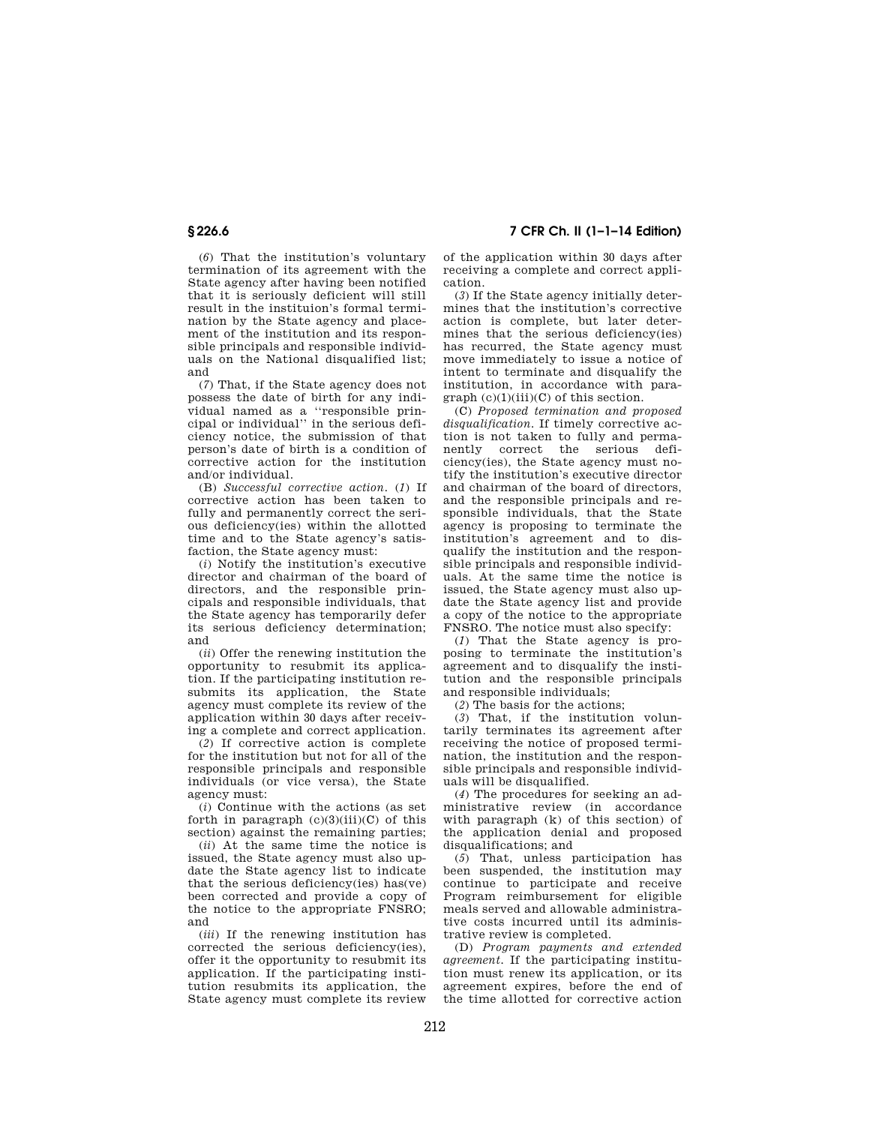(*6*) That the institution's voluntary termination of its agreement with the State agency after having been notified that it is seriously deficient will still result in the instituion's formal termination by the State agency and placement of the institution and its responsible principals and responsible individuals on the National disqualified list; and

(*7*) That, if the State agency does not possess the date of birth for any individual named as a ''responsible principal or individual'' in the serious deficiency notice, the submission of that person's date of birth is a condition of corrective action for the institution and/or individual.

(B) *Successful corrective action.* (*1*) If corrective action has been taken to fully and permanently correct the serious deficiency(ies) within the allotted time and to the State agency's satisfaction, the State agency must:

(*i*) Notify the institution's executive director and chairman of the board of directors, and the responsible principals and responsible individuals, that the State agency has temporarily defer its serious deficiency determination; and

(*ii*) Offer the renewing institution the opportunity to resubmit its application. If the participating institution resubmits its application, the State agency must complete its review of the application within 30 days after receiving a complete and correct application.

(*2*) If corrective action is complete for the institution but not for all of the responsible principals and responsible individuals (or vice versa), the State agency must:

(*i*) Continue with the actions (as set forth in paragraph  $(c)(3)(iii)(C)$  of this section) against the remaining parties;

(*ii*) At the same time the notice is issued, the State agency must also update the State agency list to indicate that the serious deficiency(ies) has(ve) been corrected and provide a copy of the notice to the appropriate FNSRO; and

(*iii*) If the renewing institution has corrected the serious deficiency(ies), offer it the opportunity to resubmit its application. If the participating institution resubmits its application, the State agency must complete its review

**§ 226.6 7 CFR Ch. II (1–1–14 Edition)** 

of the application within 30 days after receiving a complete and correct application.

(*3*) If the State agency initially determines that the institution's corrective action is complete, but later determines that the serious deficiency(ies) has recurred, the State agency must move immediately to issue a notice of intent to terminate and disqualify the institution, in accordance with paragraph  $(c)(1)(iii)(C)$  of this section.

(C) *Proposed termination and proposed disqualification.* If timely corrective action is not taken to fully and permanently correct the serious deficiency(ies), the State agency must notify the institution's executive director and chairman of the board of directors, and the responsible principals and responsible individuals, that the State agency is proposing to terminate the institution's agreement and to disqualify the institution and the responsible principals and responsible individuals. At the same time the notice is issued, the State agency must also update the State agency list and provide a copy of the notice to the appropriate FNSRO. The notice must also specify:

(*1*) That the State agency is proposing to terminate the institution's agreement and to disqualify the institution and the responsible principals and responsible individuals;

(*2*) The basis for the actions;

(*3*) That, if the institution voluntarily terminates its agreement after receiving the notice of proposed termination, the institution and the responsible principals and responsible individuals will be disqualified.

(*4*) The procedures for seeking an administrative review (in accordance with paragraph (k) of this section) of the application denial and proposed disqualifications; and

(*5*) That, unless participation has been suspended, the institution may continue to participate and receive Program reimbursement for eligible meals served and allowable administrative costs incurred until its administrative review is completed.

(D) *Program payments and extended agreement.* If the participating institution must renew its application, or its agreement expires, before the end of the time allotted for corrective action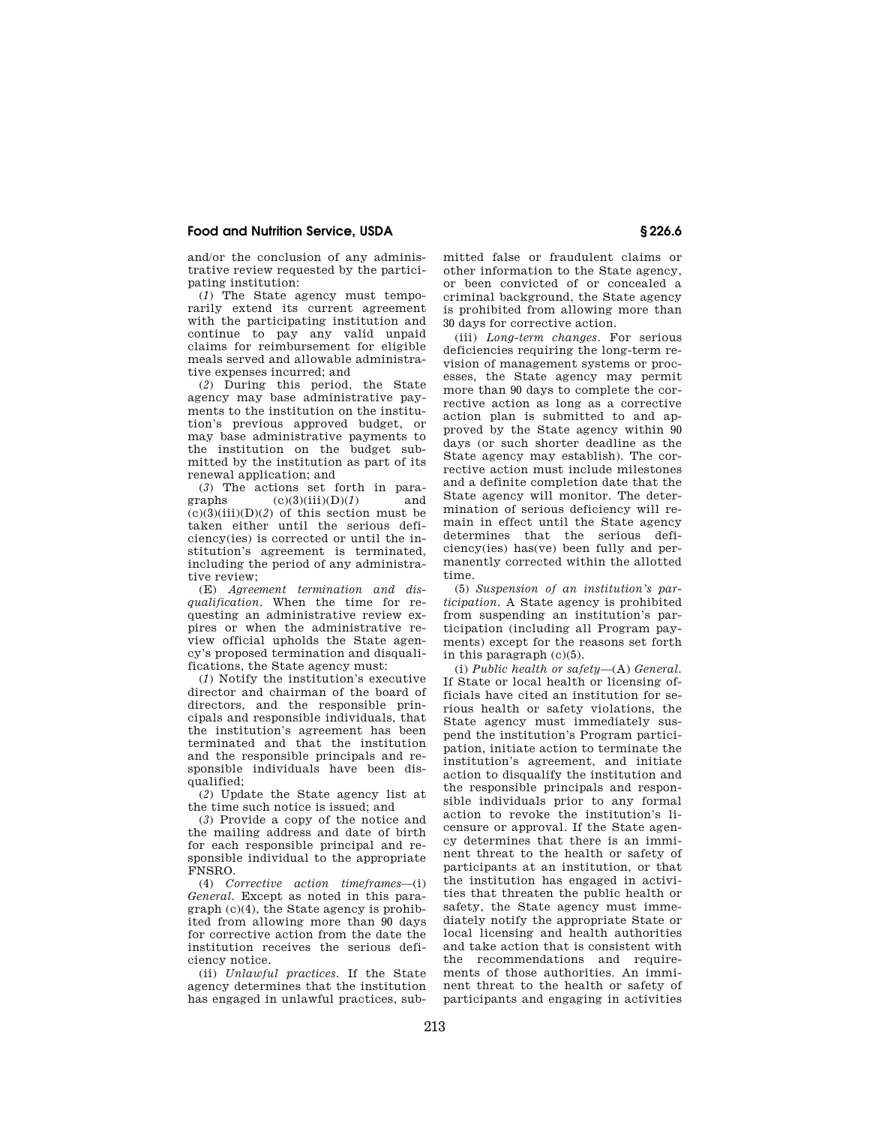and/or the conclusion of any administrative review requested by the participating institution:

(*1*) The State agency must temporarily extend its current agreement with the participating institution and continue to pay any valid unpaid claims for reimbursement for eligible meals served and allowable administrative expenses incurred; and

(*2*) During this period, the State agency may base administrative payments to the institution on the institution's previous approved budget, or may base administrative payments to the institution on the budget submitted by the institution as part of its renewal application; and

(3) The actions set forth in para-<br>graphs  $(c)(3)(iii)(D)(1)$  and  $(c)(3)(iii)(D)(1)$  $(c)(3)(iii)(D)(2)$  of this section must be taken either until the serious deficiency(ies) is corrected or until the institution's agreement is terminated, including the period of any administrative review;

(E) *Agreement termination and disqualification.* When the time for requesting an administrative review expires or when the administrative review official upholds the State agency's proposed termination and disqualifications, the State agency must:

(*1*) Notify the institution's executive director and chairman of the board of directors, and the responsible principals and responsible individuals, that the institution's agreement has been terminated and that the institution and the responsible principals and responsible individuals have been disqualified;

(*2*) Update the State agency list at the time such notice is issued; and

(*3*) Provide a copy of the notice and the mailing address and date of birth for each responsible principal and responsible individual to the appropriate FNSRO.

(4) *Corrective action timeframes*—(i) *General.* Except as noted in this paragraph (c)(4), the State agency is prohibited from allowing more than 90 days for corrective action from the date the institution receives the serious deficiency notice.

(ii) *Unlawful practices.* If the State agency determines that the institution has engaged in unlawful practices, submitted false or fraudulent claims or other information to the State agency, or been convicted of or concealed a criminal background, the State agency is prohibited from allowing more than 30 days for corrective action.

(iii) *Long-term changes.* For serious deficiencies requiring the long-term revision of management systems or processes, the State agency may permit more than 90 days to complete the corrective action as long as a corrective action plan is submitted to and approved by the State agency within 90 days (or such shorter deadline as the State agency may establish). The corrective action must include milestones and a definite completion date that the State agency will monitor. The determination of serious deficiency will remain in effect until the State agency determines that the serious deficiency(ies) has(ve) been fully and permanently corrected within the allotted time.

(5) *Suspension of an institution's participation.* A State agency is prohibited from suspending an institution's participation (including all Program payments) except for the reasons set forth in this paragraph (c)(5).

(i) *Public health or safety*—(A) *General.*  If State or local health or licensing officials have cited an institution for serious health or safety violations, the State agency must immediately suspend the institution's Program participation, initiate action to terminate the institution's agreement, and initiate action to disqualify the institution and the responsible principals and responsible individuals prior to any formal action to revoke the institution's licensure or approval. If the State agency determines that there is an imminent threat to the health or safety of participants at an institution, or that the institution has engaged in activities that threaten the public health or safety, the State agency must immediately notify the appropriate State or local licensing and health authorities and take action that is consistent with the recommendations and requirements of those authorities. An imminent threat to the health or safety of participants and engaging in activities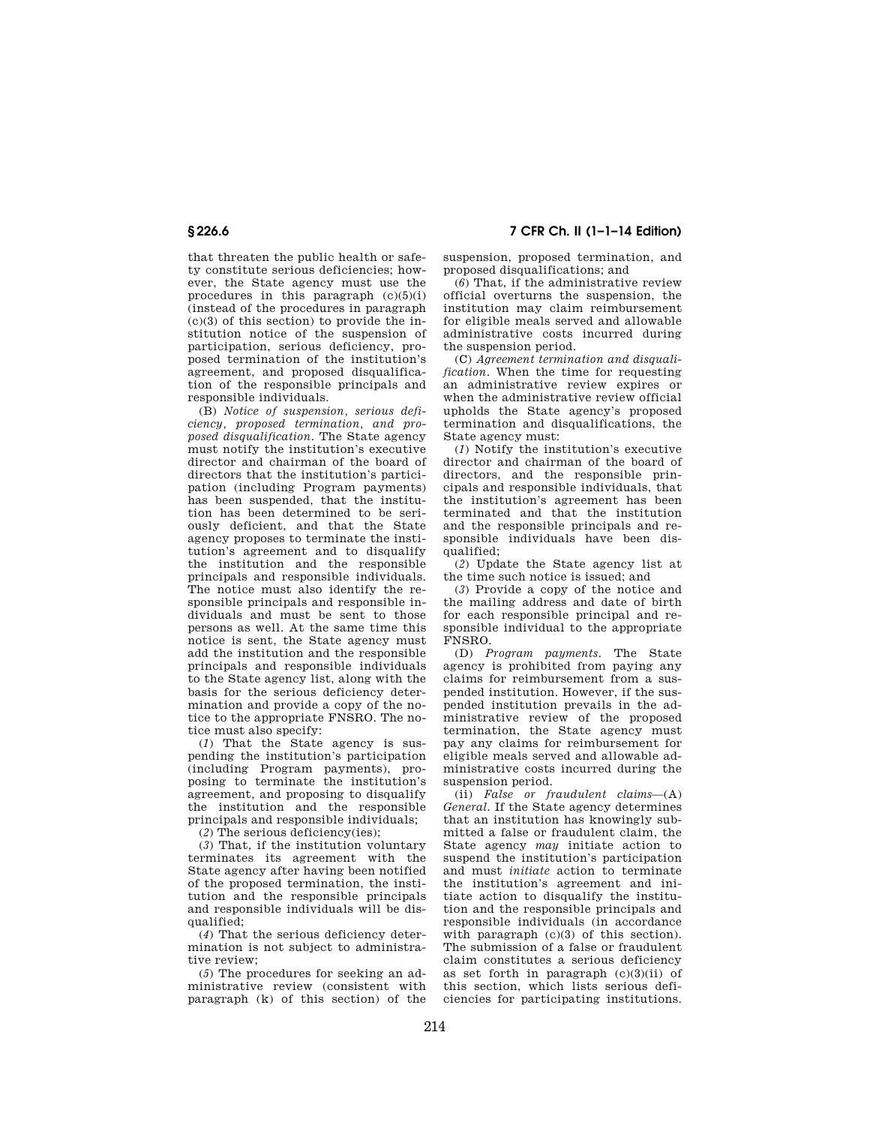**§ 226.6 7 CFR Ch. II (1–1–14 Edition)** 

that threaten the public health or safety constitute serious deficiencies; however, the State agency must use the procedures in this paragraph  $(c)(5)(i)$ (instead of the procedures in paragraph  $(c)(3)$  of this section) to provide the institution notice of the suspension of participation, serious deficiency, proposed termination of the institution's agreement, and proposed disqualification of the responsible principals and responsible individuals.

(B) *Notice of suspension, serious deficiency, proposed termination, and proposed disqualification.* The State agency must notify the institution's executive director and chairman of the board of directors that the institution's participation (including Program payments) has been suspended, that the institution has been determined to be seriously deficient, and that the State agency proposes to terminate the institution's agreement and to disqualify the institution and the responsible principals and responsible individuals. The notice must also identify the responsible principals and responsible individuals and must be sent to those persons as well. At the same time this notice is sent, the State agency must add the institution and the responsible principals and responsible individuals to the State agency list, along with the basis for the serious deficiency determination and provide a copy of the notice to the appropriate FNSRO. The notice must also specify:

(*1*) That the State agency is suspending the institution's participation (including Program payments), proposing to terminate the institution's agreement, and proposing to disqualify the institution and the responsible principals and responsible individuals;

(*2*) The serious deficiency(ies);

(*3*) That, if the institution voluntary terminates its agreement with the State agency after having been notified of the proposed termination, the institution and the responsible principals and responsible individuals will be disqualified;

(*4*) That the serious deficiency determination is not subject to administrative review;

(*5*) The procedures for seeking an administrative review (consistent with paragraph (k) of this section) of the suspension, proposed termination, and proposed disqualifications; and

(*6*) That, if the administrative review official overturns the suspension, the institution may claim reimbursement for eligible meals served and allowable administrative costs incurred during the suspension period.

(C) *Agreement termination and disqualification*. When the time for requesting an administrative review expires or when the administrative review official upholds the State agency's proposed termination and disqualifications, the State agency must:

(*1*) Notify the institution's executive director and chairman of the board of directors, and the responsible principals and responsible individuals, that the institution's agreement has been terminated and that the institution and the responsible principals and responsible individuals have been disqualified;

(*2*) Update the State agency list at the time such notice is issued; and

(*3*) Provide a copy of the notice and the mailing address and date of birth for each responsible principal and responsible individual to the appropriate FNSRO.

(D) *Program payments.* The State agency is prohibited from paying any claims for reimbursement from a suspended institution. However, if the suspended institution prevails in the administrative review of the proposed termination, the State agency must pay any claims for reimbursement for eligible meals served and allowable administrative costs incurred during the suspension period.

(ii) *False or fraudulent claims*—(A) *General.* If the State agency determines that an institution has knowingly submitted a false or fraudulent claim, the State agency *may* initiate action to suspend the institution's participation and must *initiate* action to terminate the institution's agreement and initiate action to disqualify the institution and the responsible principals and responsible individuals (in accordance with paragraph (c)(3) of this section). The submission of a false or fraudulent claim constitutes a serious deficiency as set forth in paragraph (c)(3)(ii) of this section, which lists serious deficiencies for participating institutions.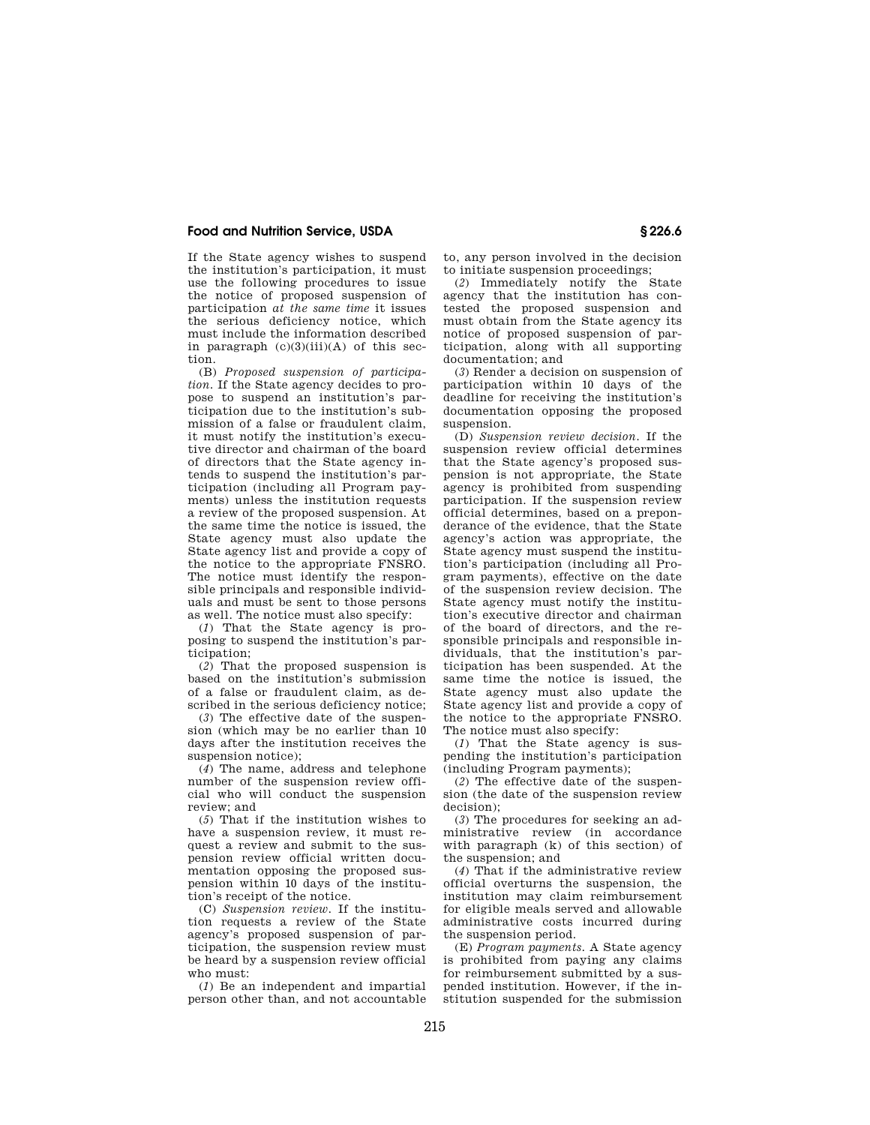If the State agency wishes to suspend the institution's participation, it must use the following procedures to issue the notice of proposed suspension of participation *at the same time* it issues the serious deficiency notice, which must include the information described in paragraph  $(c)(3)(iii)(A)$  of this section.

(B) *Proposed suspension of participation.* If the State agency decides to propose to suspend an institution's participation due to the institution's submission of a false or fraudulent claim, it must notify the institution's executive director and chairman of the board of directors that the State agency intends to suspend the institution's participation (including all Program payments) unless the institution requests a review of the proposed suspension. At the same time the notice is issued, the State agency must also update the State agency list and provide a copy of the notice to the appropriate FNSRO. The notice must identify the responsible principals and responsible individuals and must be sent to those persons as well. The notice must also specify:

(*1*) That the State agency is proposing to suspend the institution's participation;

(*2*) That the proposed suspension is based on the institution's submission of a false or fraudulent claim, as described in the serious deficiency notice;

(*3*) The effective date of the suspension (which may be no earlier than 10 days after the institution receives the suspension notice);

(*4*) The name, address and telephone number of the suspension review official who will conduct the suspension review; and

(*5*) That if the institution wishes to have a suspension review, it must request a review and submit to the suspension review official written documentation opposing the proposed suspension within 10 days of the institution's receipt of the notice.

(C) *Suspension review.* If the institution requests a review of the State agency's proposed suspension of participation, the suspension review must be heard by a suspension review official who must:

(*1*) Be an independent and impartial person other than, and not accountable to, any person involved in the decision to initiate suspension proceedings;

(*2*) Immediately notify the State agency that the institution has contested the proposed suspension and must obtain from the State agency its notice of proposed suspension of participation, along with all supporting documentation; and

(*3*) Render a decision on suspension of participation within 10 days of the deadline for receiving the institution's documentation opposing the proposed suspension.

(D) *Suspension review decision.* If the suspension review official determines that the State agency's proposed suspension is not appropriate, the State agency is prohibited from suspending participation. If the suspension review official determines, based on a preponderance of the evidence, that the State agency's action was appropriate, the State agency must suspend the institution's participation (including all Program payments), effective on the date of the suspension review decision. The State agency must notify the institution's executive director and chairman of the board of directors, and the responsible principals and responsible individuals, that the institution's participation has been suspended. At the same time the notice is issued, the State agency must also update the State agency list and provide a copy of the notice to the appropriate FNSRO. The notice must also specify:

(*1*) That the State agency is suspending the institution's participation (including Program payments);

(*2*) The effective date of the suspension (the date of the suspension review decision);

(*3*) The procedures for seeking an administrative review (in accordance with paragraph (k) of this section) of the suspension; and

(*4*) That if the administrative review official overturns the suspension, the institution may claim reimbursement for eligible meals served and allowable administrative costs incurred during the suspension period.

(E) *Program payments.* A State agency is prohibited from paying any claims for reimbursement submitted by a suspended institution. However, if the institution suspended for the submission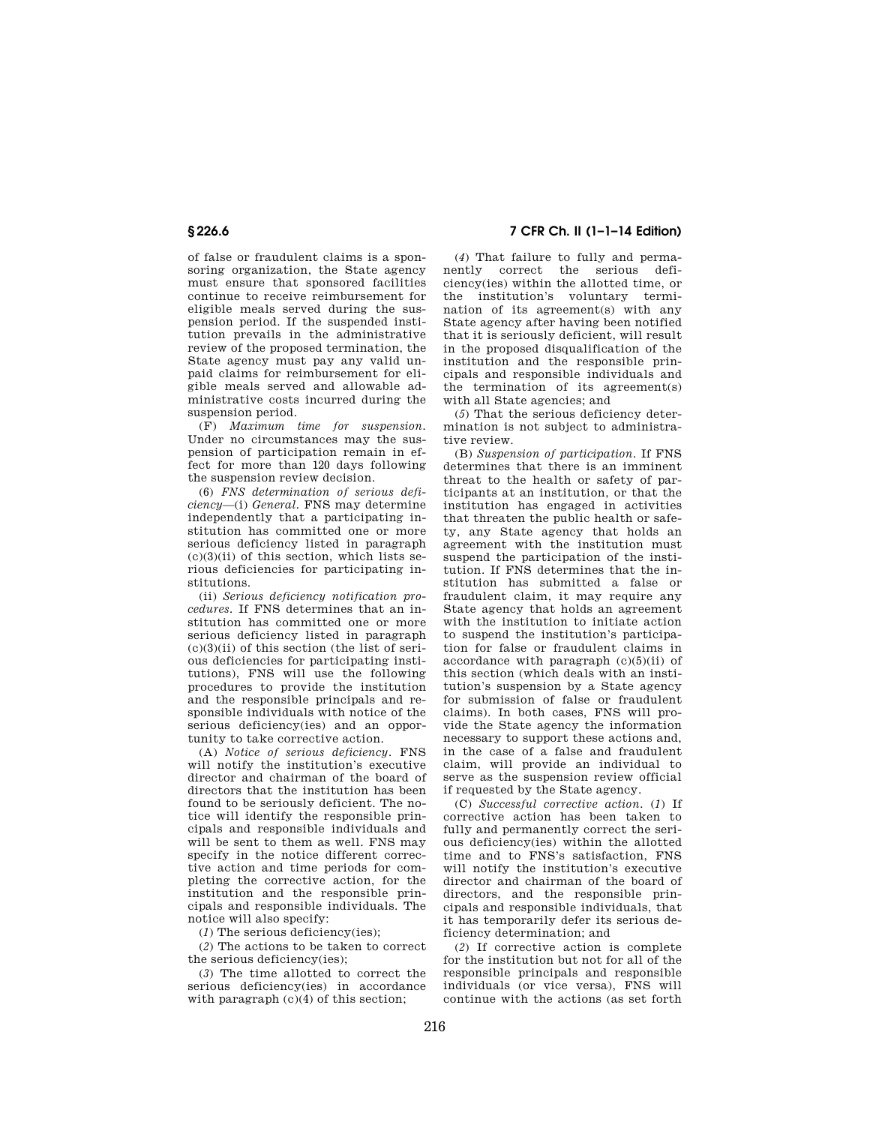of false or fraudulent claims is a sponsoring organization, the State agency must ensure that sponsored facilities continue to receive reimbursement for eligible meals served during the suspension period. If the suspended institution prevails in the administrative review of the proposed termination, the State agency must pay any valid unpaid claims for reimbursement for eligible meals served and allowable administrative costs incurred during the suspension period.

(F) *Maximum time for suspension.*  Under no circumstances may the suspension of participation remain in effect for more than 120 days following the suspension review decision.

(6) *FNS determination of serious deficiency*—(i) *General.* FNS may determine independently that a participating institution has committed one or more serious deficiency listed in paragraph  $(c)(3)(ii)$  of this section, which lists serious deficiencies for participating institutions.

(ii) *Serious deficiency notification procedures.* If FNS determines that an institution has committed one or more serious deficiency listed in paragraph  $(c)(3)(ii)$  of this section (the list of serious deficiencies for participating institutions), FNS will use the following procedures to provide the institution and the responsible principals and responsible individuals with notice of the serious deficiency(ies) and an opportunity to take corrective action.

(A) *Notice of serious deficiency.* FNS will notify the institution's executive director and chairman of the board of directors that the institution has been found to be seriously deficient. The notice will identify the responsible principals and responsible individuals and will be sent to them as well. FNS may specify in the notice different corrective action and time periods for completing the corrective action, for the institution and the responsible principals and responsible individuals. The notice will also specify:

(*1*) The serious deficiency(ies);

(*2*) The actions to be taken to correct the serious deficiency(ies);

(*3*) The time allotted to correct the serious deficiency(ies) in accordance with paragraph  $(c)(4)$  of this section;

**§ 226.6 7 CFR Ch. II (1–1–14 Edition)** 

(*4*) That failure to fully and permanently correct the serious deficiency(ies) within the allotted time, or the institution's voluntary termination of its agreement(s) with any State agency after having been notified that it is seriously deficient, will result in the proposed disqualification of the institution and the responsible principals and responsible individuals and the termination of its agreement(s) with all State agencies; and

(*5*) That the serious deficiency determination is not subject to administrative review.

(B) *Suspension of participation.* If FNS determines that there is an imminent threat to the health or safety of participants at an institution, or that the institution has engaged in activities that threaten the public health or safety, any State agency that holds an agreement with the institution must suspend the participation of the institution. If FNS determines that the institution has submitted a false or fraudulent claim, it may require any State agency that holds an agreement with the institution to initiate action to suspend the institution's participation for false or fraudulent claims in accordance with paragraph (c)(5)(ii) of this section (which deals with an institution's suspension by a State agency for submission of false or fraudulent claims). In both cases, FNS will provide the State agency the information necessary to support these actions and, in the case of a false and fraudulent claim, will provide an individual to serve as the suspension review official if requested by the State agency.

(C) *Successful corrective action.* (*1*) If corrective action has been taken to fully and permanently correct the serious deficiency(ies) within the allotted time and to FNS's satisfaction, FNS will notify the institution's executive director and chairman of the board of directors, and the responsible principals and responsible individuals, that it has temporarily defer its serious deficiency determination; and

(*2*) If corrective action is complete for the institution but not for all of the responsible principals and responsible individuals (or vice versa), FNS will continue with the actions (as set forth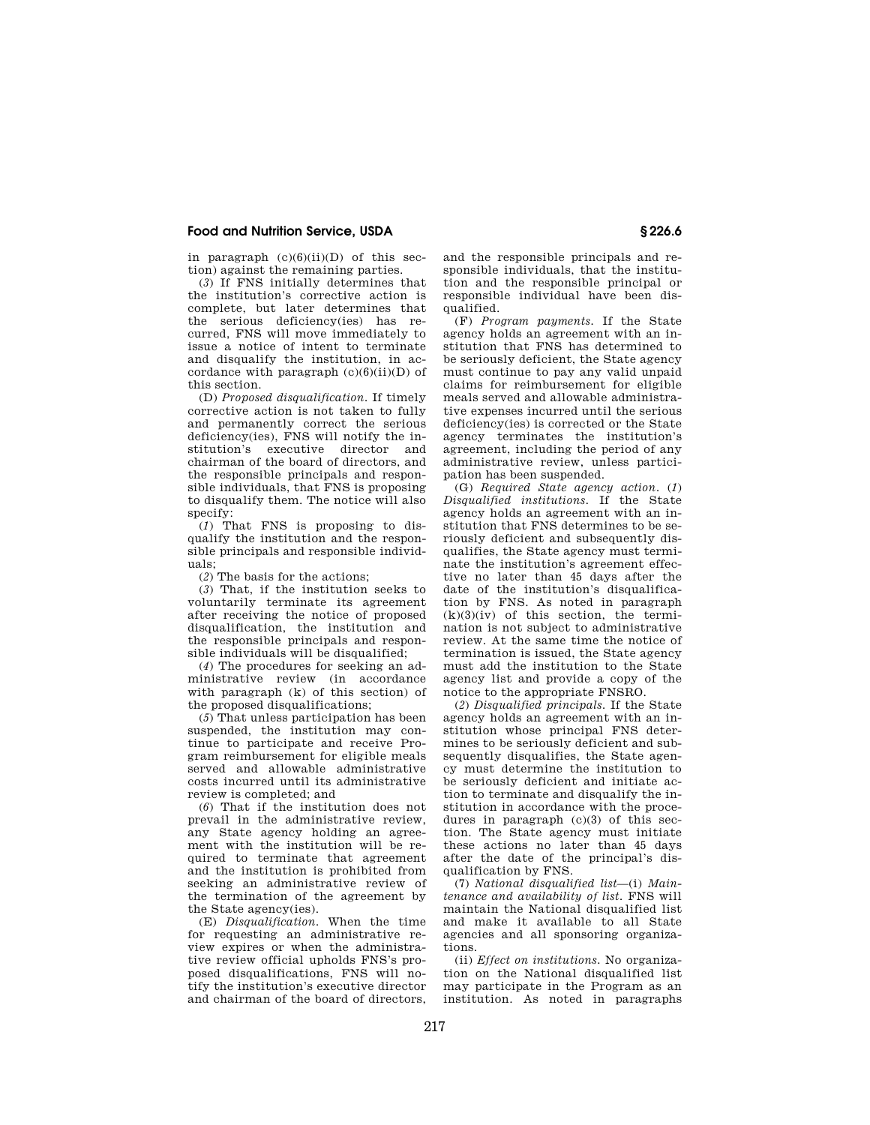in paragraph  $(c)(6)(ii)(D)$  of this section) against the remaining parties.

(*3*) If FNS initially determines that the institution's corrective action is complete, but later determines that the serious deficiency(ies) has recurred, FNS will move immediately to issue a notice of intent to terminate and disqualify the institution, in accordance with paragraph  $(c)(6)(ii)(D)$  of this section.

(D) *Proposed disqualification.* If timely corrective action is not taken to fully and permanently correct the serious deficiency(ies), FNS will notify the institution's executive director and chairman of the board of directors, and the responsible principals and responsible individuals, that FNS is proposing to disqualify them. The notice will also specify:

(*1*) That FNS is proposing to disqualify the institution and the responsible principals and responsible individuals;

(*2*) The basis for the actions;

(*3*) That, if the institution seeks to voluntarily terminate its agreement after receiving the notice of proposed disqualification, the institution and the responsible principals and responsible individuals will be disqualified;

(*4*) The procedures for seeking an administrative review (in accordance with paragraph (k) of this section) of the proposed disqualifications;

(*5*) That unless participation has been suspended, the institution may continue to participate and receive Program reimbursement for eligible meals served and allowable administrative costs incurred until its administrative review is completed; and

(*6*) That if the institution does not prevail in the administrative review, any State agency holding an agreement with the institution will be required to terminate that agreement and the institution is prohibited from seeking an administrative review of the termination of the agreement by the State agency(ies).

(E) *Disqualification.* When the time for requesting an administrative review expires or when the administrative review official upholds FNS's proposed disqualifications, FNS will notify the institution's executive director and chairman of the board of directors, and the responsible principals and responsible individuals, that the institution and the responsible principal or responsible individual have been disqualified.

(F) *Program payments.* If the State agency holds an agreement with an institution that FNS has determined to be seriously deficient, the State agency must continue to pay any valid unpaid claims for reimbursement for eligible meals served and allowable administrative expenses incurred until the serious deficiency(ies) is corrected or the State agency terminates the institution's agreement, including the period of any administrative review, unless participation has been suspended.

(G) *Required State agency action.* (*1*) *Disqualified institutions.* If the State agency holds an agreement with an institution that FNS determines to be seriously deficient and subsequently disqualifies, the State agency must terminate the institution's agreement effective no later than 45 days after the date of the institution's disqualification by FNS. As noted in paragraph  $(k)(3)(iv)$  of this section, the termination is not subject to administrative review. At the same time the notice of termination is issued, the State agency must add the institution to the State agency list and provide a copy of the notice to the appropriate FNSRO.

(*2*) *Disqualified principals.* If the State agency holds an agreement with an institution whose principal FNS determines to be seriously deficient and subsequently disqualifies, the State agency must determine the institution to be seriously deficient and initiate action to terminate and disqualify the institution in accordance with the procedures in paragraph (c)(3) of this section. The State agency must initiate these actions no later than 45 days after the date of the principal's disqualification by FNS.

(7) *National disqualified list*—(i) *Maintenance and availability of list.* FNS will maintain the National disqualified list and make it available to all State agencies and all sponsoring organizations.

(ii) *Effect on institutions.* No organization on the National disqualified list may participate in the Program as an institution. As noted in paragraphs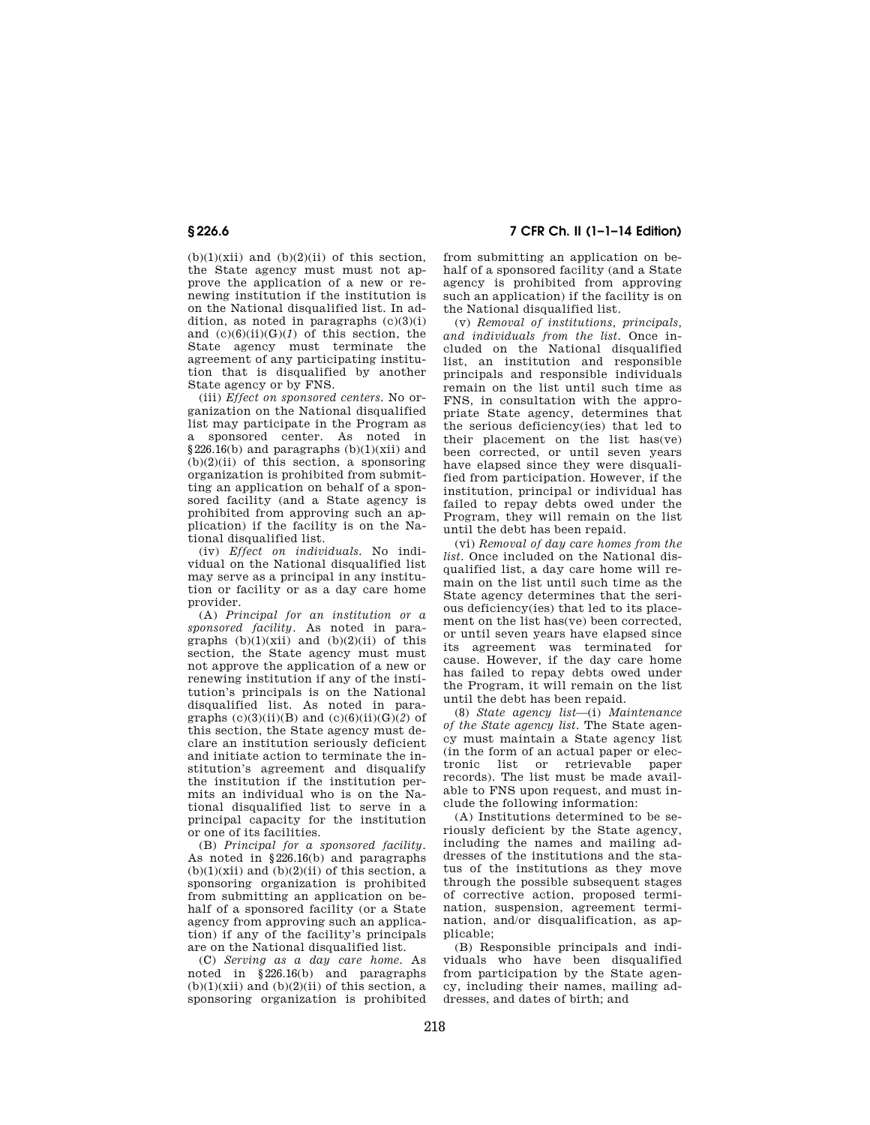$(b)(1)(xii)$  and  $(b)(2)(ii)$  of this section, the State agency must must not approve the application of a new or renewing institution if the institution is on the National disqualified list. In addition, as noted in paragraphs  $(c)(3)(i)$ and  $(c)(6)(ii)(G)(I)$  of this section, the State agency must terminate the agreement of any participating institution that is disqualified by another State agency or by FNS.

(iii) *Effect on sponsored centers.* No organization on the National disqualified list may participate in the Program as a sponsored center. As noted in  $§226.16(b)$  and paragraphs  $(b)(1)(xii)$  and  $(b)(2)(ii)$  of this section, a sponsoring organization is prohibited from submitting an application on behalf of a sponsored facility (and a State agency is prohibited from approving such an application) if the facility is on the National disqualified list.

(iv) *Effect on individuals.* No individual on the National disqualified list may serve as a principal in any institution or facility or as a day care home provider.

(A) *Principal for an institution or a sponsored facility.* As noted in paragraphs  $(b)(1)(xii)$  and  $(b)(2)(ii)$  of this section, the State agency must must not approve the application of a new or renewing institution if any of the institution's principals is on the National disqualified list. As noted in paragraphs  $(c)(3)(ii)(B)$  and  $(c)(6)(ii)(G)(2)$  of this section, the State agency must declare an institution seriously deficient and initiate action to terminate the institution's agreement and disqualify the institution if the institution permits an individual who is on the National disqualified list to serve in a principal capacity for the institution or one of its facilities.

(B) *Principal for a sponsored facility.*  As noted in §226.16(b) and paragraphs  $(b)(1)(xii)$  and  $(b)(2)(ii)$  of this section, a sponsoring organization is prohibited from submitting an application on behalf of a sponsored facility (or a State agency from approving such an application) if any of the facility's principals are on the National disqualified list.

(C) *Serving as a day care home.* As noted in §226.16(b) and paragraphs  $(b)(1)(xii)$  and  $(b)(2)(ii)$  of this section, a sponsoring organization is prohibited

**§ 226.6 7 CFR Ch. II (1–1–14 Edition)** 

from submitting an application on behalf of a sponsored facility (and a State agency is prohibited from approving such an application) if the facility is on the National disqualified list.

(v) *Removal of institutions, principals, and individuals from the list.* Once included on the National disqualified list, an institution and responsible principals and responsible individuals remain on the list until such time as FNS, in consultation with the appropriate State agency, determines that the serious deficiency(ies) that led to their placement on the list has(ve) been corrected, or until seven years have elapsed since they were disqualified from participation. However, if the institution, principal or individual has failed to repay debts owed under the Program, they will remain on the list until the debt has been repaid.

(vi) *Removal of day care homes from the list.* Once included on the National disqualified list, a day care home will remain on the list until such time as the State agency determines that the serious deficiency(ies) that led to its placement on the list has(ve) been corrected, or until seven years have elapsed since its agreement was terminated for cause. However, if the day care home has failed to repay debts owed under the Program, it will remain on the list until the debt has been repaid.

(8) *State agency list*—(i) *Maintenance of the State agency list.* The State agency must maintain a State agency list (in the form of an actual paper or electronic list or retrievable paper records). The list must be made available to FNS upon request, and must include the following information:

(A) Institutions determined to be seriously deficient by the State agency, including the names and mailing addresses of the institutions and the status of the institutions as they move through the possible subsequent stages of corrective action, proposed termination, suspension, agreement termination, and/or disqualification, as applicable;

(B) Responsible principals and individuals who have been disqualified from participation by the State agency, including their names, mailing addresses, and dates of birth; and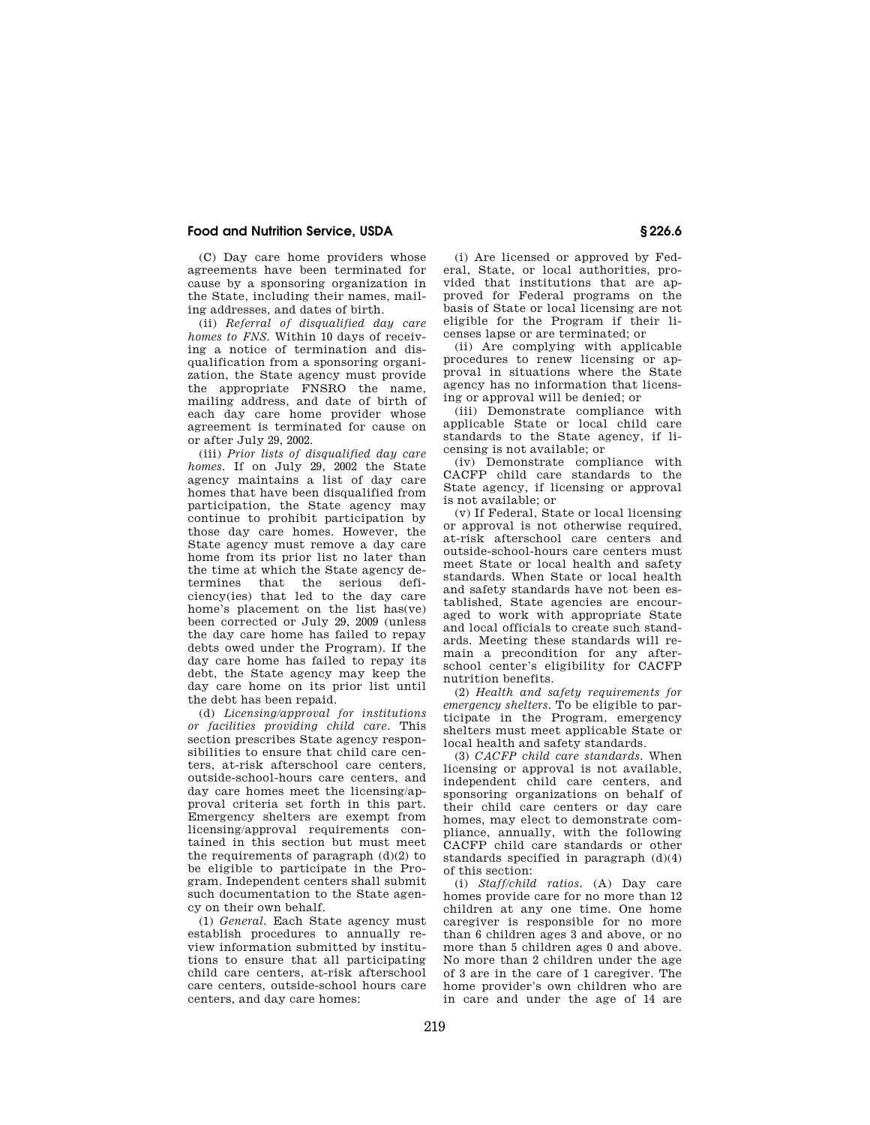(C) Day care home providers whose agreements have been terminated for cause by a sponsoring organization in the State, including their names, mailing addresses, and dates of birth.

(ii) *Referral of disqualified day care homes to FNS.* Within 10 days of receiving a notice of termination and disqualification from a sponsoring organization, the State agency must provide the appropriate FNSRO the name, mailing address, and date of birth of each day care home provider whose agreement is terminated for cause on or after July 29, 2002.

(iii) *Prior lists of disqualified day care homes.* If on July 29, 2002 the State agency maintains a list of day care homes that have been disqualified from participation, the State agency may continue to prohibit participation by those day care homes. However, the State agency must remove a day care home from its prior list no later than the time at which the State agency determines that the serious deficiency(ies) that led to the day care home's placement on the list has(ve) been corrected or July 29, 2009 (unless the day care home has failed to repay debts owed under the Program). If the day care home has failed to repay its debt, the State agency may keep the day care home on its prior list until the debt has been repaid.

(d) *Licensing/approval for institutions or facilities providing child care.* This section prescribes State agency responsibilities to ensure that child care centers, at-risk afterschool care centers, outside-school-hours care centers, and day care homes meet the licensing/approval criteria set forth in this part. Emergency shelters are exempt from licensing/approval requirements contained in this section but must meet the requirements of paragraph (d)(2) to be eligible to participate in the Program. Independent centers shall submit such documentation to the State agency on their own behalf.

(1) *General.* Each State agency must establish procedures to annually review information submitted by institutions to ensure that all participating child care centers, at-risk afterschool care centers, outside-school hours care centers, and day care homes:

(i) Are licensed or approved by Federal, State, or local authorities, provided that institutions that are approved for Federal programs on the basis of State or local licensing are not eligible for the Program if their licenses lapse or are terminated; or

(ii) Are complying with applicable procedures to renew licensing or approval in situations where the State agency has no information that licensing or approval will be denied; or

(iii) Demonstrate compliance with applicable State or local child care standards to the State agency, if licensing is not available; or

(iv) Demonstrate compliance with CACFP child care standards to the State agency, if licensing or approval is not available; or

(v) If Federal, State or local licensing or approval is not otherwise required, at-risk afterschool care centers and outside-school-hours care centers must meet State or local health and safety standards. When State or local health and safety standards have not been established, State agencies are encouraged to work with appropriate State and local officials to create such standards. Meeting these standards will remain a precondition for any afterschool center's eligibility for CACFP nutrition benefits.

(2) *Health and safety requirements for emergency shelters.* To be eligible to participate in the Program, emergency shelters must meet applicable State or local health and safety standards.

(3) *CACFP child care standards.* When licensing or approval is not available, independent child care centers, and sponsoring organizations on behalf of their child care centers or day care homes, may elect to demonstrate compliance, annually, with the following CACFP child care standards or other standards specified in paragraph  $(d)(4)$ of this section:

(i) *Staff/child ratios.* (A) Day care homes provide care for no more than 12 children at any one time. One home caregiver is responsible for no more than 6 children ages 3 and above, or no more than 5 children ages 0 and above. No more than 2 children under the age of 3 are in the care of 1 caregiver. The home provider's own children who are in care and under the age of 14 are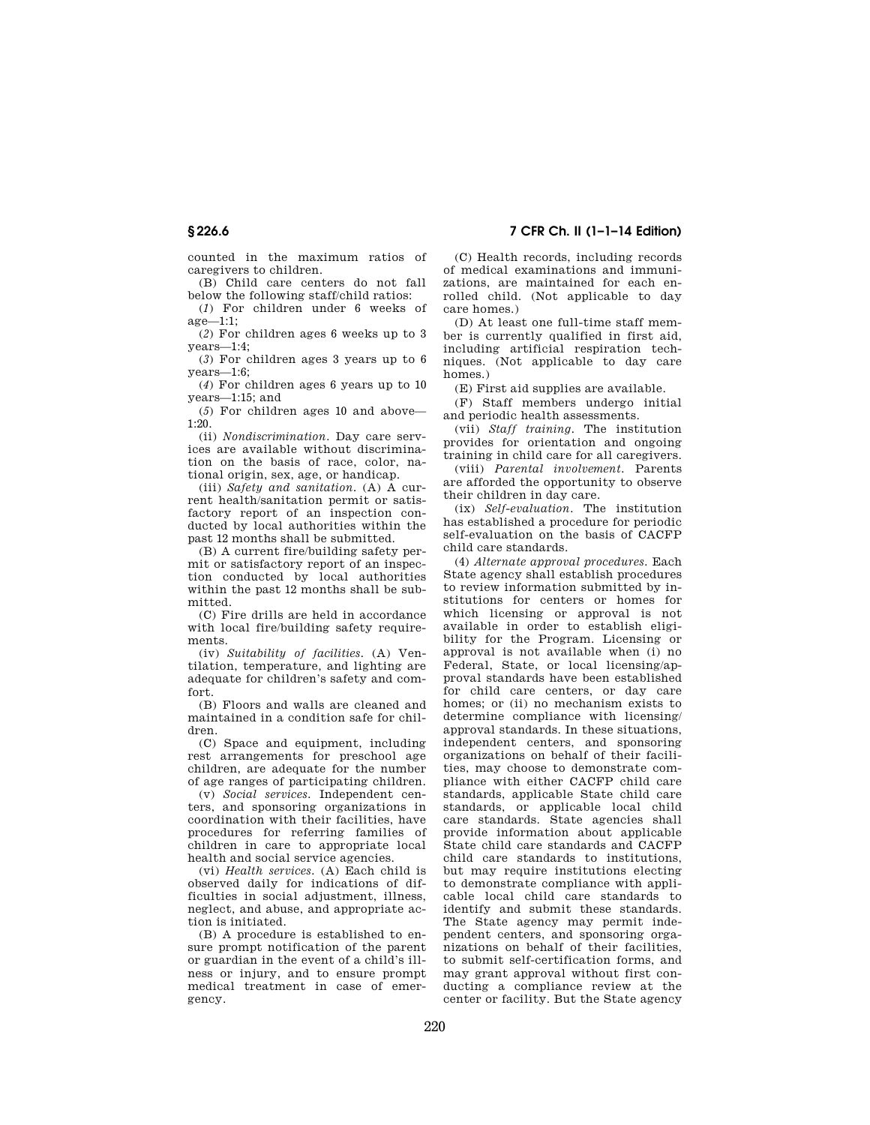counted in the maximum ratios of caregivers to children.

(B) Child care centers do not fall below the following staff/child ratios:

(*1*) For children under 6 weeks of age—1:1;

(*2*) For children ages 6 weeks up to 3 years—1:4;

(*3*) For children ages 3 years up to 6 years—1:6;

(*4*) For children ages 6 years up to 10 years—1:15; and

(*5*) For children ages 10 and above— 1:20.

(ii) *Nondiscrimination.* Day care services are available without discrimination on the basis of race, color, national origin, sex, age, or handicap.

(iii) *Safety and sanitation.* (A) A current health/sanitation permit or satisfactory report of an inspection conducted by local authorities within the past 12 months shall be submitted.

(B) A current fire/building safety permit or satisfactory report of an inspection conducted by local authorities within the past 12 months shall be submitted.

(C) Fire drills are held in accordance with local fire/building safety requirements.

(iv) *Suitability of facilities.* (A) Ventilation, temperature, and lighting are adequate for children's safety and comfort.

(B) Floors and walls are cleaned and maintained in a condition safe for children.

(C) Space and equipment, including rest arrangements for preschool age children, are adequate for the number of age ranges of participating children.

(v) *Social services.* Independent centers, and sponsoring organizations in coordination with their facilities, have procedures for referring families of children in care to appropriate local health and social service agencies.

(vi) *Health services.* (A) Each child is observed daily for indications of difficulties in social adjustment, illness, neglect, and abuse, and appropriate action is initiated.

(B) A procedure is established to ensure prompt notification of the parent or guardian in the event of a child's illness or injury, and to ensure prompt medical treatment in case of emergency.

(C) Health records, including records of medical examinations and immunizations, are maintained for each enrolled child. (Not applicable to day care homes.)

(D) At least one full-time staff member is currently qualified in first aid, including artificial respiration techniques. (Not applicable to day care homes.)

(E) First aid supplies are available.

(F) Staff members undergo initial and periodic health assessments.

(vii) *Staff training.* The institution provides for orientation and ongoing training in child care for all caregivers.

(viii) *Parental involvement.* Parents are afforded the opportunity to observe their children in day care.

(ix) *Self-evaluation.* The institution has established a procedure for periodic self-evaluation on the basis of CACFP child care standards.

(4) *Alternate approval procedures.* Each State agency shall establish procedures to review information submitted by institutions for centers or homes for which licensing or approval is not available in order to establish eligibility for the Program. Licensing or approval is not available when (i) no Federal, State, or local licensing/approval standards have been established for child care centers, or day care homes; or (ii) no mechanism exists to determine compliance with licensing/ approval standards. In these situations, independent centers, and sponsoring organizations on behalf of their facilities, may choose to demonstrate compliance with either CACFP child care standards, applicable State child care standards, or applicable local child care standards. State agencies shall provide information about applicable State child care standards and CACFP child care standards to institutions, but may require institutions electing to demonstrate compliance with applicable local child care standards to identify and submit these standards. The State agency may permit independent centers, and sponsoring organizations on behalf of their facilities, to submit self-certification forms, and may grant approval without first conducting a compliance review at the center or facility. But the State agency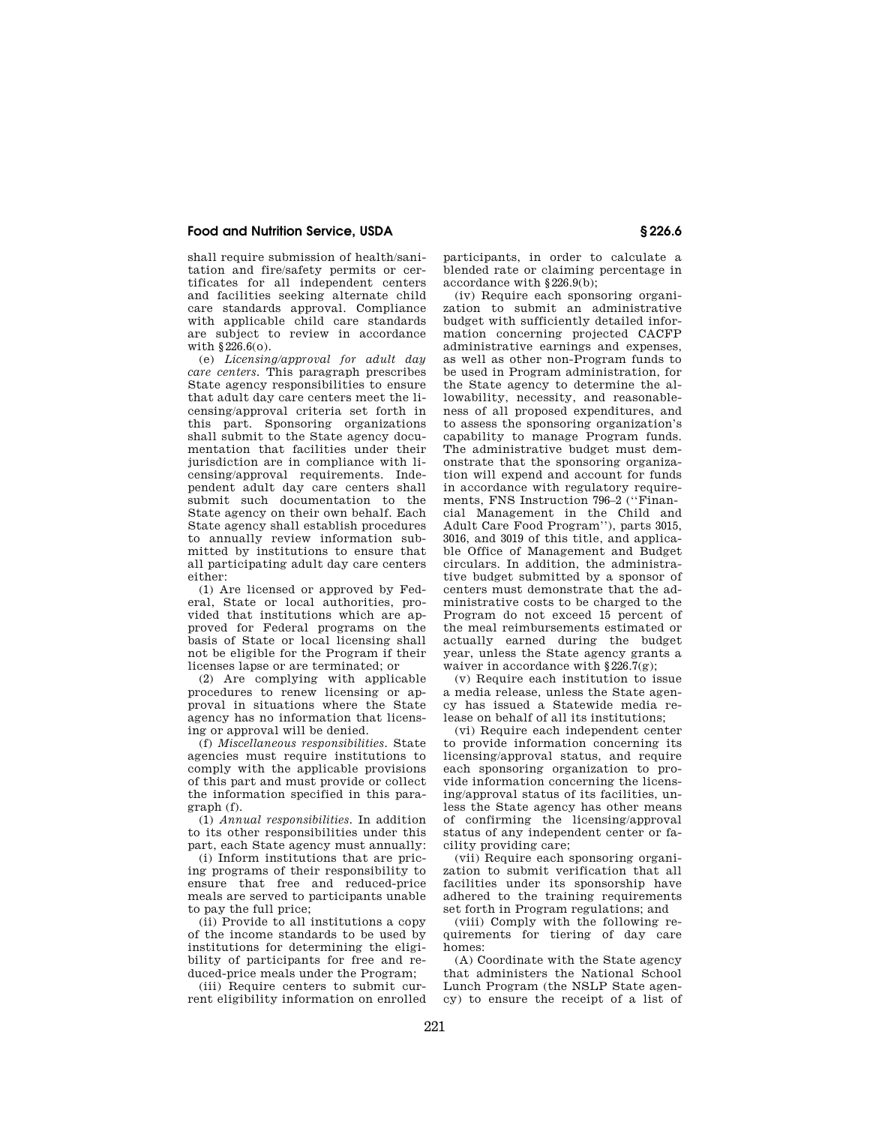shall require submission of health/sanitation and fire/safety permits or certificates for all independent centers and facilities seeking alternate child care standards approval. Compliance with applicable child care standards are subject to review in accordance with §226.6(o).

(e) *Licensing/approval for adult day care centers.* This paragraph prescribes State agency responsibilities to ensure that adult day care centers meet the licensing/approval criteria set forth in this part. Sponsoring organizations shall submit to the State agency documentation that facilities under their jurisdiction are in compliance with licensing/approval requirements. Independent adult day care centers shall submit such documentation to the State agency on their own behalf. Each State agency shall establish procedures to annually review information submitted by institutions to ensure that all participating adult day care centers either:

(1) Are licensed or approved by Federal, State or local authorities, provided that institutions which are approved for Federal programs on the basis of State or local licensing shall not be eligible for the Program if their licenses lapse or are terminated; or

(2) Are complying with applicable procedures to renew licensing or approval in situations where the State agency has no information that licensing or approval will be denied.

(f) *Miscellaneous responsibilities.* State agencies must require institutions to comply with the applicable provisions of this part and must provide or collect the information specified in this paragraph (f).

(1) *Annual responsibilities.* In addition to its other responsibilities under this part, each State agency must annually:

(i) Inform institutions that are pricing programs of their responsibility to ensure that free and reduced-price meals are served to participants unable to pay the full price;

(ii) Provide to all institutions a copy of the income standards to be used by institutions for determining the eligibility of participants for free and reduced-price meals under the Program;

(iii) Require centers to submit current eligibility information on enrolled

participants, in order to calculate a blended rate or claiming percentage in accordance with §226.9(b);

(iv) Require each sponsoring organization to submit an administrative budget with sufficiently detailed information concerning projected CACFP administrative earnings and expenses, as well as other non-Program funds to be used in Program administration, for the State agency to determine the allowability, necessity, and reasonableness of all proposed expenditures, and to assess the sponsoring organization's capability to manage Program funds. The administrative budget must demonstrate that the sponsoring organization will expend and account for funds in accordance with regulatory requirements, FNS Instruction 796–2 (''Financial Management in the Child and Adult Care Food Program''), parts 3015, 3016, and 3019 of this title, and applicable Office of Management and Budget circulars. In addition, the administrative budget submitted by a sponsor of centers must demonstrate that the administrative costs to be charged to the Program do not exceed 15 percent of the meal reimbursements estimated or actually earned during the budget year, unless the State agency grants a waiver in accordance with §226.7(g);

(v) Require each institution to issue a media release, unless the State agency has issued a Statewide media release on behalf of all its institutions;

(vi) Require each independent center to provide information concerning its licensing/approval status, and require each sponsoring organization to provide information concerning the licensing/approval status of its facilities, unless the State agency has other means of confirming the licensing/approval status of any independent center or facility providing care;

(vii) Require each sponsoring organization to submit verification that all facilities under its sponsorship have adhered to the training requirements set forth in Program regulations; and

(viii) Comply with the following requirements for tiering of day care homes:

(A) Coordinate with the State agency that administers the National School Lunch Program (the NSLP State agency) to ensure the receipt of a list of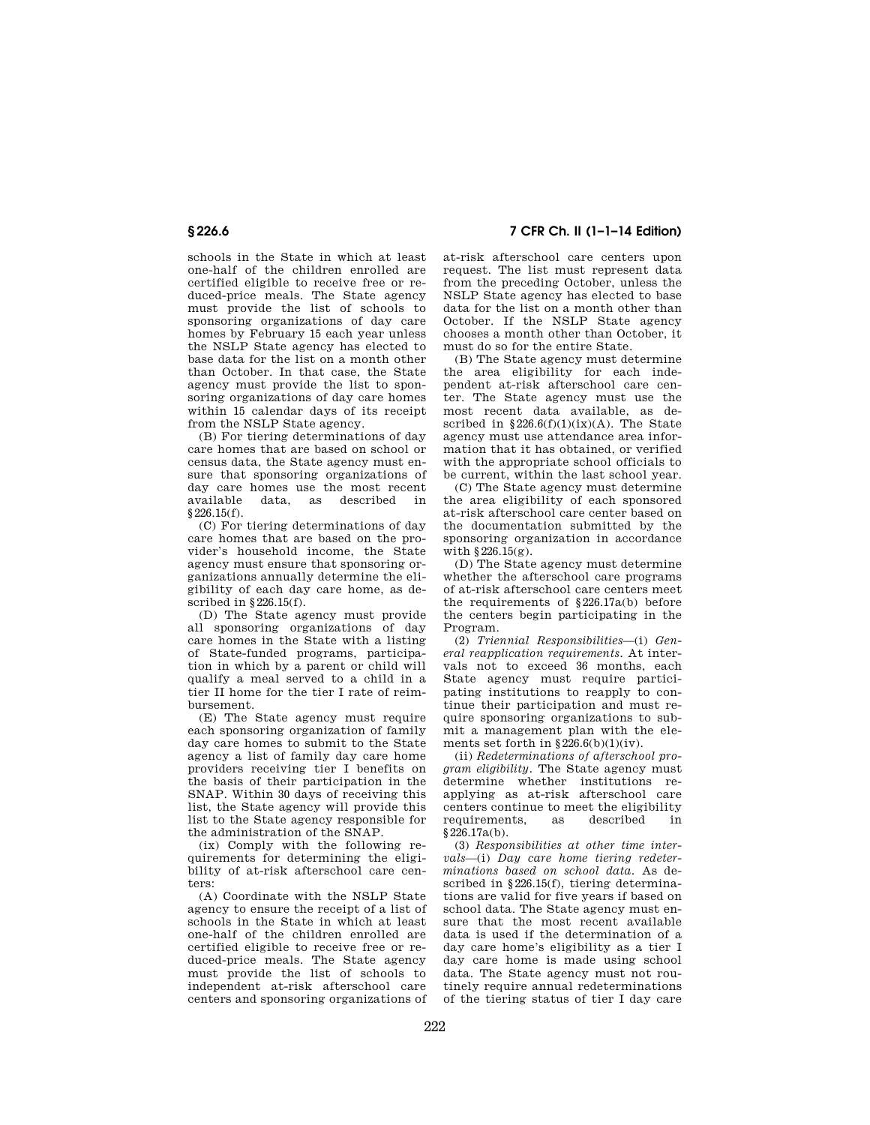# **§ 226.6 7 CFR Ch. II (1–1–14 Edition)**

schools in the State in which at least one-half of the children enrolled are certified eligible to receive free or reduced-price meals. The State agency must provide the list of schools to sponsoring organizations of day care homes by February 15 each year unless the NSLP State agency has elected to base data for the list on a month other than October. In that case, the State agency must provide the list to sponsoring organizations of day care homes within 15 calendar days of its receipt from the NSLP State agency.

(B) For tiering determinations of day care homes that are based on school or census data, the State agency must ensure that sponsoring organizations of day care homes use the most recent<br>available data, as described in data, as described §226.15(f).

(C) For tiering determinations of day care homes that are based on the provider's household income, the State agency must ensure that sponsoring organizations annually determine the eligibility of each day care home, as described in §226.15(f).

(D) The State agency must provide all sponsoring organizations of day care homes in the State with a listing of State-funded programs, participation in which by a parent or child will qualify a meal served to a child in a tier II home for the tier I rate of reimbursement.

(E) The State agency must require each sponsoring organization of family day care homes to submit to the State agency a list of family day care home providers receiving tier I benefits on the basis of their participation in the SNAP. Within 30 days of receiving this list, the State agency will provide this list to the State agency responsible for the administration of the SNAP.

(ix) Comply with the following requirements for determining the eligibility of at-risk afterschool care centers:

(A) Coordinate with the NSLP State agency to ensure the receipt of a list of schools in the State in which at least one-half of the children enrolled are certified eligible to receive free or reduced-price meals. The State agency must provide the list of schools to independent at-risk afterschool care centers and sponsoring organizations of at-risk afterschool care centers upon request. The list must represent data from the preceding October, unless the NSLP State agency has elected to base data for the list on a month other than October. If the NSLP State agency chooses a month other than October, it must do so for the entire State.

(B) The State agency must determine the area eligibility for each independent at-risk afterschool care center. The State agency must use the most recent data available, as described in  $§226.6(f)(1)(ix)(A)$ . The State agency must use attendance area information that it has obtained, or verified with the appropriate school officials to be current, within the last school year.

(C) The State agency must determine the area eligibility of each sponsored at-risk afterschool care center based on the documentation submitted by the sponsoring organization in accordance with §226.15(g).

(D) The State agency must determine whether the afterschool care programs of at-risk afterschool care centers meet the requirements of §226.17a(b) before the centers begin participating in the Program.

(2) *Triennial Responsibilities*—(i) *General reapplication requirements.* At intervals not to exceed 36 months, each State agency must require participating institutions to reapply to continue their participation and must require sponsoring organizations to submit a management plan with the elements set forth in  $\S 226.6(b)(1)(iv)$ .

(ii) *Redeterminations of afterschool program eligibility.* The State agency must determine whether institutions reapplying as at-risk afterschool care centers continue to meet the eligibility requirements, as described in §226.17a(b).

(3) *Responsibilities at other time intervals*—(i) *Day care home tiering redeterminations based on school data.* As described in §226.15(f), tiering determinations are valid for five years if based on school data. The State agency must ensure that the most recent available data is used if the determination of a day care home's eligibility as a tier I day care home is made using school data. The State agency must not routinely require annual redeterminations of the tiering status of tier I day care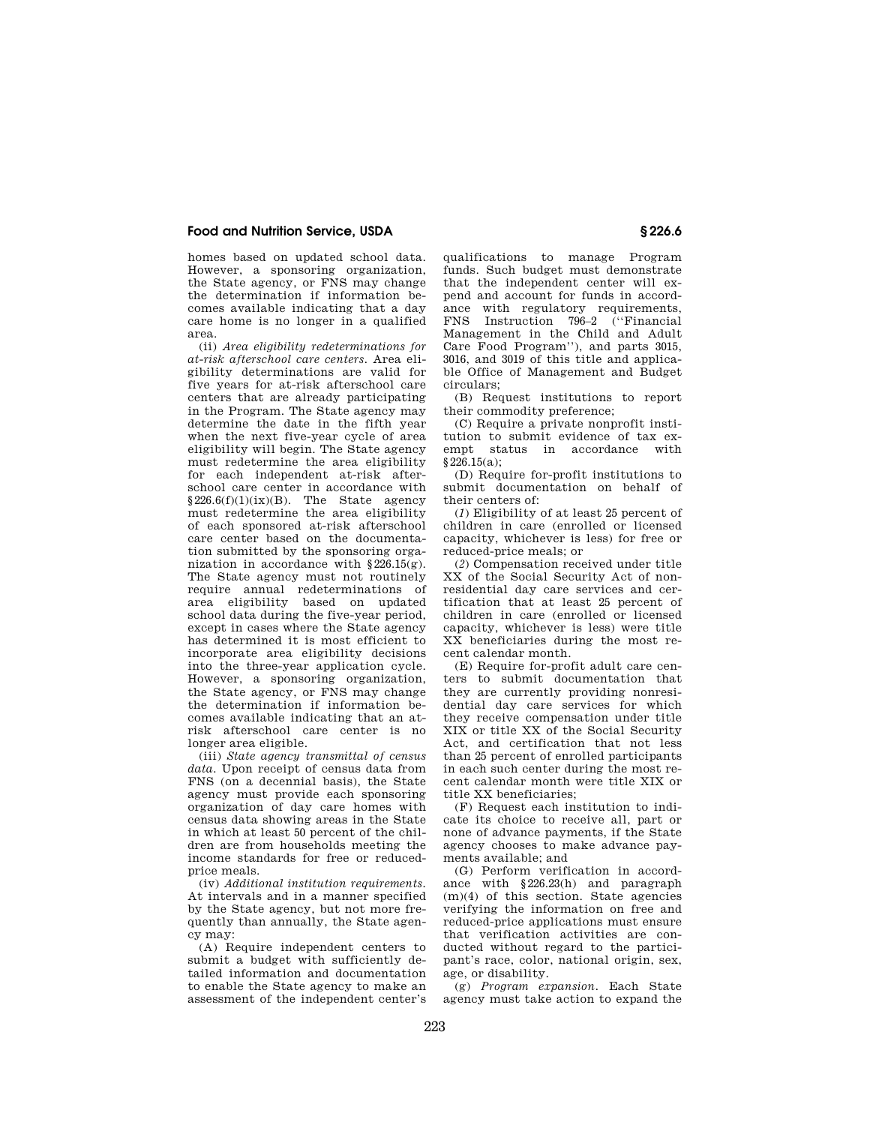homes based on updated school data. However, a sponsoring organization, the State agency, or FNS may change the determination if information becomes available indicating that a day care home is no longer in a qualified area.

(ii) *Area eligibility redeterminations for at-risk afterschool care centers.* Area eligibility determinations are valid for five years for at-risk afterschool care centers that are already participating in the Program. The State agency may determine the date in the fifth year when the next five-year cycle of area eligibility will begin. The State agency must redetermine the area eligibility for each independent at-risk afterschool care center in accordance with §226.6(f)(1)(ix)(B). The State agency must redetermine the area eligibility of each sponsored at-risk afterschool care center based on the documentation submitted by the sponsoring organization in accordance with §226.15(g). The State agency must not routinely require annual redeterminations of area eligibility based on updated school data during the five-year period, except in cases where the State agency has determined it is most efficient to incorporate area eligibility decisions into the three-year application cycle. However, a sponsoring organization, the State agency, or FNS may change the determination if information becomes available indicating that an atrisk afterschool care center is no longer area eligible.

(iii) *State agency transmittal of census data.* Upon receipt of census data from FNS (on a decennial basis), the State agency must provide each sponsoring organization of day care homes with census data showing areas in the State in which at least 50 percent of the children are from households meeting the income standards for free or reducedprice meals.

(iv) *Additional institution requirements.*  At intervals and in a manner specified by the State agency, but not more frequently than annually, the State agency may:

(A) Require independent centers to submit a budget with sufficiently detailed information and documentation to enable the State agency to make an assessment of the independent center's

qualifications to manage Program funds. Such budget must demonstrate that the independent center will expend and account for funds in accordance with regulatory requirements, FNS Instruction 796–2 (''Financial Management in the Child and Adult Care Food Program''), and parts 3015, 3016, and 3019 of this title and applicable Office of Management and Budget circulars;

(B) Request institutions to report their commodity preference;

(C) Require a private nonprofit institution to submit evidence of tax exempt status in accordance with  $§226.15(a);$ 

(D) Require for-profit institutions to submit documentation on behalf of their centers of:

(*1*) Eligibility of at least 25 percent of children in care (enrolled or licensed capacity, whichever is less) for free or reduced-price meals; or

(*2*) Compensation received under title XX of the Social Security Act of nonresidential day care services and certification that at least 25 percent of children in care (enrolled or licensed capacity, whichever is less) were title XX beneficiaries during the most recent calendar month.

(E) Require for-profit adult care centers to submit documentation that they are currently providing nonresidential day care services for which they receive compensation under title XIX or title XX of the Social Security Act, and certification that not less than 25 percent of enrolled participants in each such center during the most recent calendar month were title XIX or title XX beneficiaries;

(F) Request each institution to indicate its choice to receive all, part or none of advance payments, if the State agency chooses to make advance payments available; and

(G) Perform verification in accordance with §226.23(h) and paragraph (m)(4) of this section. State agencies verifying the information on free and reduced-price applications must ensure that verification activities are conducted without regard to the participant's race, color, national origin, sex, age, or disability.

(g) *Program expansion.* Each State agency must take action to expand the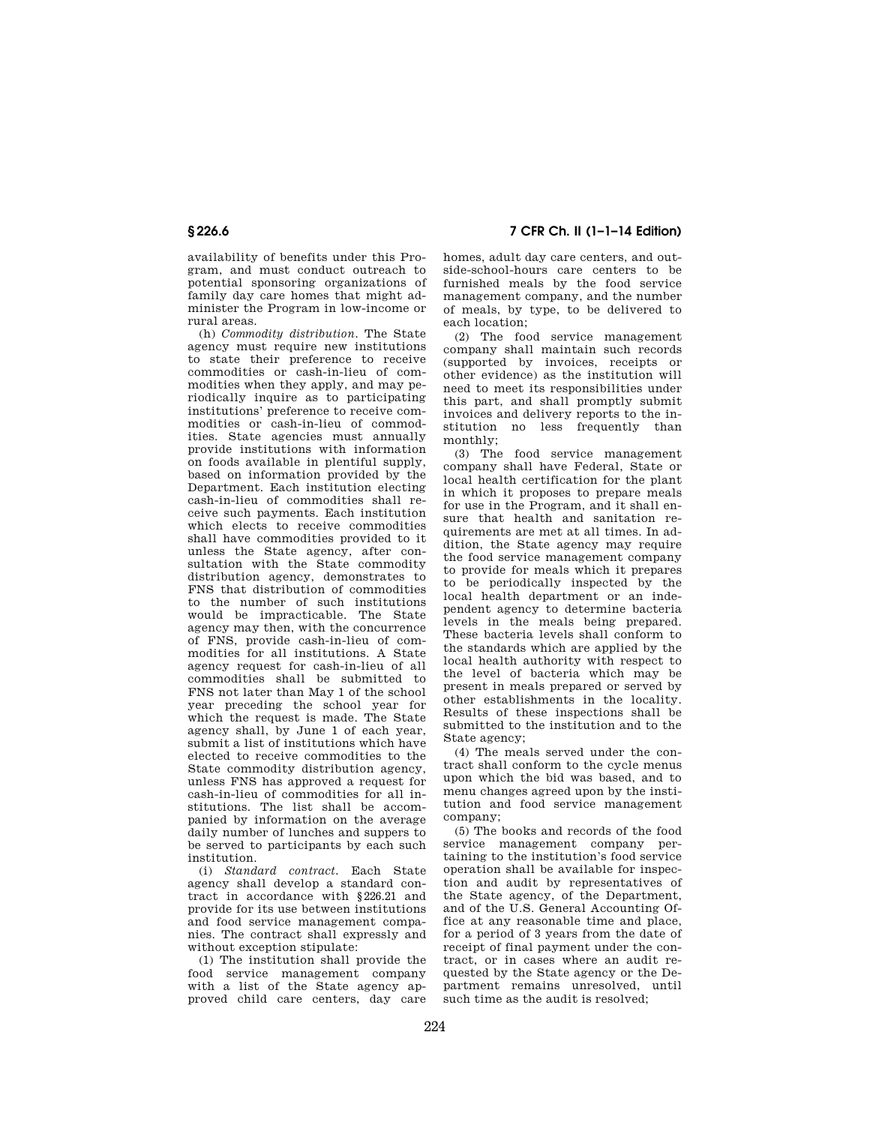availability of benefits under this Program, and must conduct outreach to potential sponsoring organizations of family day care homes that might administer the Program in low-income or rural areas.

(h) *Commodity distribution.* The State agency must require new institutions to state their preference to receive commodities or cash-in-lieu of commodities when they apply, and may periodically inquire as to participating institutions' preference to receive commodities or cash-in-lieu of commodities. State agencies must annually provide institutions with information on foods available in plentiful supply, based on information provided by the Department. Each institution electing cash-in-lieu of commodities shall receive such payments. Each institution which elects to receive commodities shall have commodities provided to it unless the State agency, after consultation with the State commodity distribution agency, demonstrates to FNS that distribution of commodities to the number of such institutions would be impracticable. The State agency may then, with the concurrence of FNS, provide cash-in-lieu of commodities for all institutions. A State agency request for cash-in-lieu of all commodities shall be submitted to FNS not later than May 1 of the school year preceding the school year for which the request is made. The State agency shall, by June 1 of each year, submit a list of institutions which have elected to receive commodities to the State commodity distribution agency, unless FNS has approved a request for cash-in-lieu of commodities for all institutions. The list shall be accompanied by information on the average daily number of lunches and suppers to be served to participants by each such institution.

(i) *Standard contract.* Each State agency shall develop a standard contract in accordance with §226.21 and provide for its use between institutions and food service management companies. The contract shall expressly and without exception stipulate:

(1) The institution shall provide the food service management company with a list of the State agency approved child care centers, day care

**§ 226.6 7 CFR Ch. II (1–1–14 Edition)** 

homes, adult day care centers, and outside-school-hours care centers to be furnished meals by the food service management company, and the number of meals, by type, to be delivered to each location;

(2) The food service management company shall maintain such records (supported by invoices, receipts or other evidence) as the institution will need to meet its responsibilities under this part, and shall promptly submit invoices and delivery reports to the institution no less frequently than monthly;

(3) The food service management company shall have Federal, State or local health certification for the plant in which it proposes to prepare meals for use in the Program, and it shall ensure that health and sanitation requirements are met at all times. In addition, the State agency may require the food service management company to provide for meals which it prepares to be periodically inspected by the local health department or an independent agency to determine bacteria levels in the meals being prepared. These bacteria levels shall conform to the standards which are applied by the local health authority with respect to the level of bacteria which may be present in meals prepared or served by other establishments in the locality. Results of these inspections shall be submitted to the institution and to the State agency;

(4) The meals served under the contract shall conform to the cycle menus upon which the bid was based, and to menu changes agreed upon by the institution and food service management company;

(5) The books and records of the food service management company pertaining to the institution's food service operation shall be available for inspection and audit by representatives of the State agency, of the Department, and of the U.S. General Accounting Office at any reasonable time and place, for a period of 3 years from the date of receipt of final payment under the contract, or in cases where an audit requested by the State agency or the Department remains unresolved, until such time as the audit is resolved: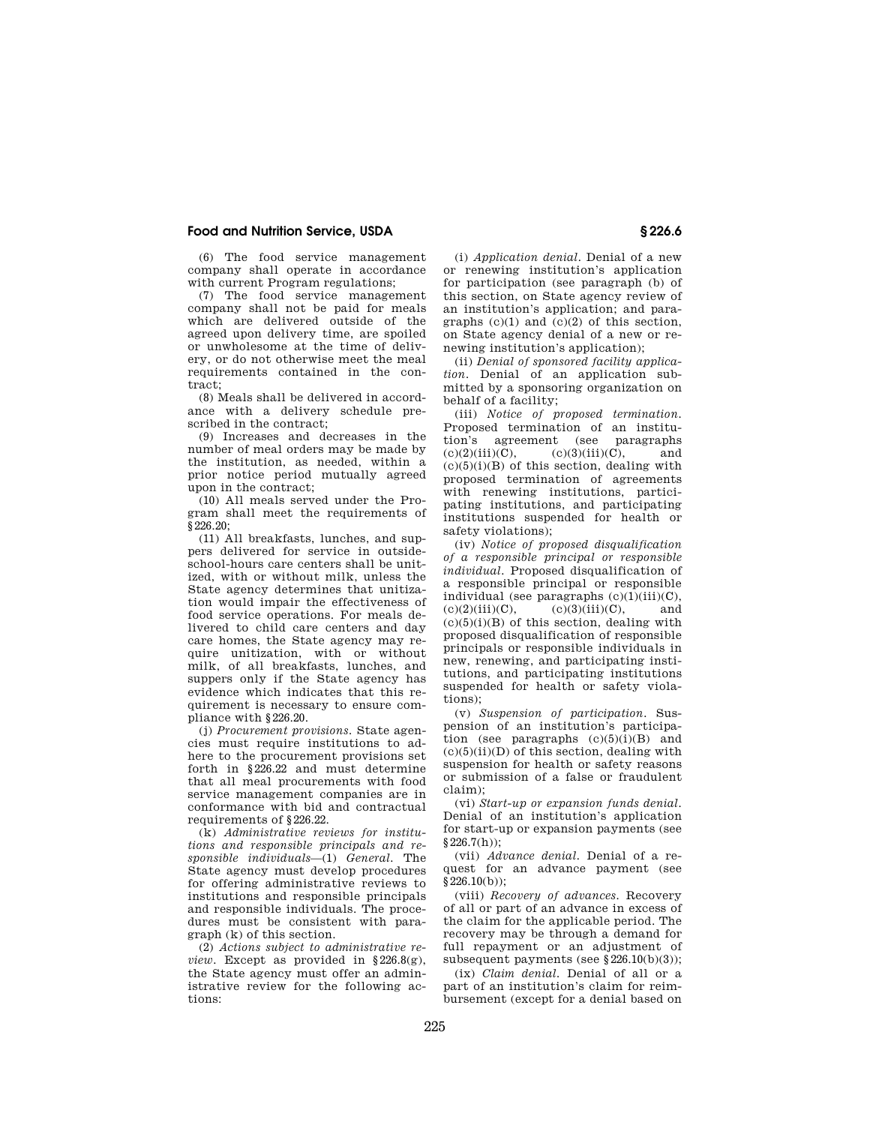(6) The food service management company shall operate in accordance with current Program regulations;

(7) The food service management company shall not be paid for meals which are delivered outside of the agreed upon delivery time, are spoiled or unwholesome at the time of delivery, or do not otherwise meet the meal requirements contained in the contract;

(8) Meals shall be delivered in accordance with a delivery schedule prescribed in the contract;

(9) Increases and decreases in the number of meal orders may be made by the institution, as needed, within a prior notice period mutually agreed upon in the contract;

(10) All meals served under the Program shall meet the requirements of  $$226.20$ 

(11) All breakfasts, lunches, and suppers delivered for service in outsideschool-hours care centers shall be unitized, with or without milk, unless the State agency determines that unitization would impair the effectiveness of food service operations. For meals delivered to child care centers and day care homes, the State agency may require unitization, with or without milk, of all breakfasts, lunches, and suppers only if the State agency has evidence which indicates that this requirement is necessary to ensure compliance with §226.20.

(j) *Procurement provisions.* State agencies must require institutions to adhere to the procurement provisions set forth in §226.22 and must determine that all meal procurements with food service management companies are in conformance with bid and contractual requirements of §226.22.

(k) *Administrative reviews for institutions and responsible principals and responsible individuals*—(1) *General.* The State agency must develop procedures for offering administrative reviews to institutions and responsible principals and responsible individuals. The procedures must be consistent with paragraph (k) of this section.

(2) *Actions subject to administrative review.* Except as provided in §226.8(g), the State agency must offer an administrative review for the following actions:

(i) *Application denial.* Denial of a new or renewing institution's application for participation (see paragraph (b) of this section, on State agency review of an institution's application; and paragraphs  $(c)(1)$  and  $(c)(2)$  of this section, on State agency denial of a new or renewing institution's application);

(ii) *Denial of sponsored facility application.* Denial of an application submitted by a sponsoring organization on behalf of a facility;

(iii) *Notice of proposed termination.*  Proposed termination of an institution's agreement (see paragraphs  $(c)(2)(iii)(C),$   $(c)(3)(iii)(C),$  and  $(c)(5)(i)(B)$  of this section, dealing with proposed termination of agreements with renewing institutions, participating institutions, and participating institutions suspended for health or safety violations);

(iv) *Notice of proposed disqualification of a responsible principal or responsible individual.* Proposed disqualification of a responsible principal or responsible individual (see paragraphs  $(c)(1)(iii)(C)$ ,<br> $(c)(2)(iii)(C)$ ,  $(c)(3)(iii)(C)$ , and  $(c)(3)(iii)(C)$ , and  $(c)(5)(i)(B)$  of this section, dealing with proposed disqualification of responsible principals or responsible individuals in new, renewing, and participating institutions, and participating institutions suspended for health or safety violations);

(v) *Suspension of participation.* Suspension of an institution's participation (see paragraphs  $(c)(5)(i)(B)$  and  $(c)(5)(ii)(D)$  of this section, dealing with suspension for health or safety reasons or submission of a false or fraudulent claim);

(vi) *Start-up or expansion funds denial.*  Denial of an institution's application for start-up or expansion payments (see  $$226.7(h)):$ 

(vii) *Advance denial.* Denial of a request for an advance payment (see  $§226.10(b))$ ;

(viii) *Recovery of advances.* Recovery of all or part of an advance in excess of the claim for the applicable period. The recovery may be through a demand for full repayment or an adjustment of subsequent payments (see §226.10(b)(3));

(ix) *Claim denial.* Denial of all or a part of an institution's claim for reimbursement (except for a denial based on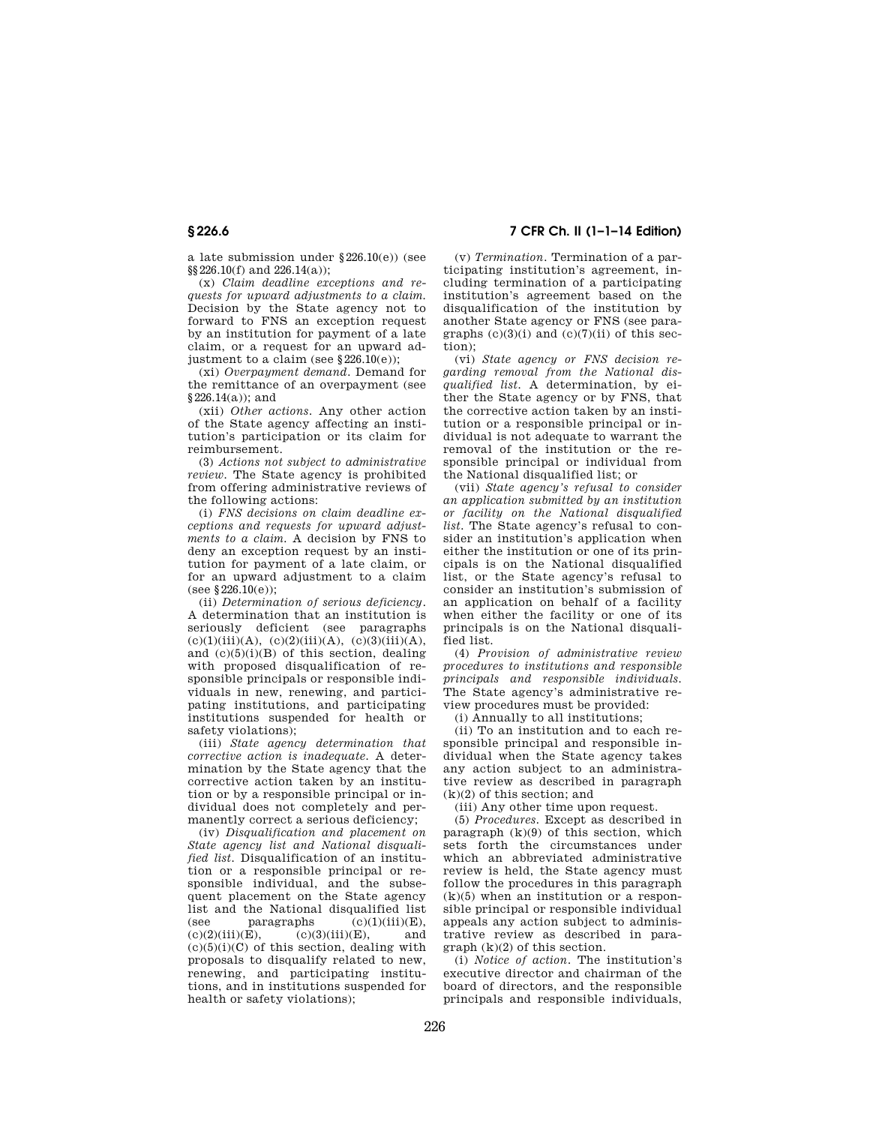a late submission under §226.10(e)) (see §§226.10(f) and 226.14(a));

(x) *Claim deadline exceptions and requests for upward adjustments to a claim.*  Decision by the State agency not to forward to FNS an exception request by an institution for payment of a late claim, or a request for an upward adjustment to a claim (see §226.10(e));

(xi) *Overpayment demand.* Demand for the remittance of an overpayment (see §226.14(a)); and

(xii) *Other actions.* Any other action of the State agency affecting an institution's participation or its claim for reimbursement.

(3) *Actions not subject to administrative review.* The State agency is prohibited from offering administrative reviews of the following actions:

(i) *FNS decisions on claim deadline exceptions and requests for upward adjustments to a claim.* A decision by FNS to deny an exception request by an institution for payment of a late claim, or for an upward adjustment to a claim (see  $$226.10(e)$ ):

(ii) *Determination of serious deficiency.*  A determination that an institution is seriously deficient (see paragraphs  $(c)(1)(iii)(A), (c)(2)(iii)(A), (c)(3)(iii)(A),$ and  $(c)(5)(i)(B)$  of this section, dealing with proposed disqualification of responsible principals or responsible individuals in new, renewing, and participating institutions, and participating institutions suspended for health or safety violations);

(iii) *State agency determination that corrective action is inadequate.* A determination by the State agency that the corrective action taken by an institution or by a responsible principal or individual does not completely and permanently correct a serious deficiency;

(iv) *Disqualification and placement on State agency list and National disqualified list.* Disqualification of an institution or a responsible principal or responsible individual, and the subsequent placement on the State agency list and the National disqualified list (see paragraphs  $(c)(1)(iii)(E)$ ,<br>(c)(2)(iii)(E),  $(c)(3)(iii)(E)$ , and  $(c)(3)(iii)(E)$ ,  $(c)(5)(i)(C)$  of this section, dealing with proposals to disqualify related to new, renewing, and participating institutions, and in institutions suspended for health or safety violations);

**§ 226.6 7 CFR Ch. II (1–1–14 Edition)** 

(v) *Termination.* Termination of a participating institution's agreement, including termination of a participating institution's agreement based on the disqualification of the institution by another State agency or FNS (see paragraphs  $(c)(3)(i)$  and  $(c)(7)(ii)$  of this section);

(vi) *State agency or FNS decision regarding removal from the National disqualified list.* A determination, by either the State agency or by FNS, that the corrective action taken by an institution or a responsible principal or individual is not adequate to warrant the removal of the institution or the responsible principal or individual from the National disqualified list; or

(vii) *State agency's refusal to consider an application submitted by an institution or facility on the National disqualified list.* The State agency's refusal to consider an institution's application when either the institution or one of its principals is on the National disqualified list, or the State agency's refusal to consider an institution's submission of an application on behalf of a facility when either the facility or one of its principals is on the National disqualified list.

(4) *Provision of administrative review procedures to institutions and responsible principals and responsible individuals.*  The State agency's administrative review procedures must be provided:

(i) Annually to all institutions;

(ii) To an institution and to each responsible principal and responsible individual when the State agency takes any action subject to an administrative review as described in paragraph (k)(2) of this section; and

(iii) Any other time upon request.

(5) *Procedures.* Except as described in paragraph  $(k)(9)$  of this section, which sets forth the circumstances under which an abbreviated administrative review is held, the State agency must follow the procedures in this paragraph  $(k)(5)$  when an institution or a responsible principal or responsible individual appeals any action subject to administrative review as described in paragraph (k)(2) of this section.

(i) *Notice of action.* The institution's executive director and chairman of the board of directors, and the responsible principals and responsible individuals,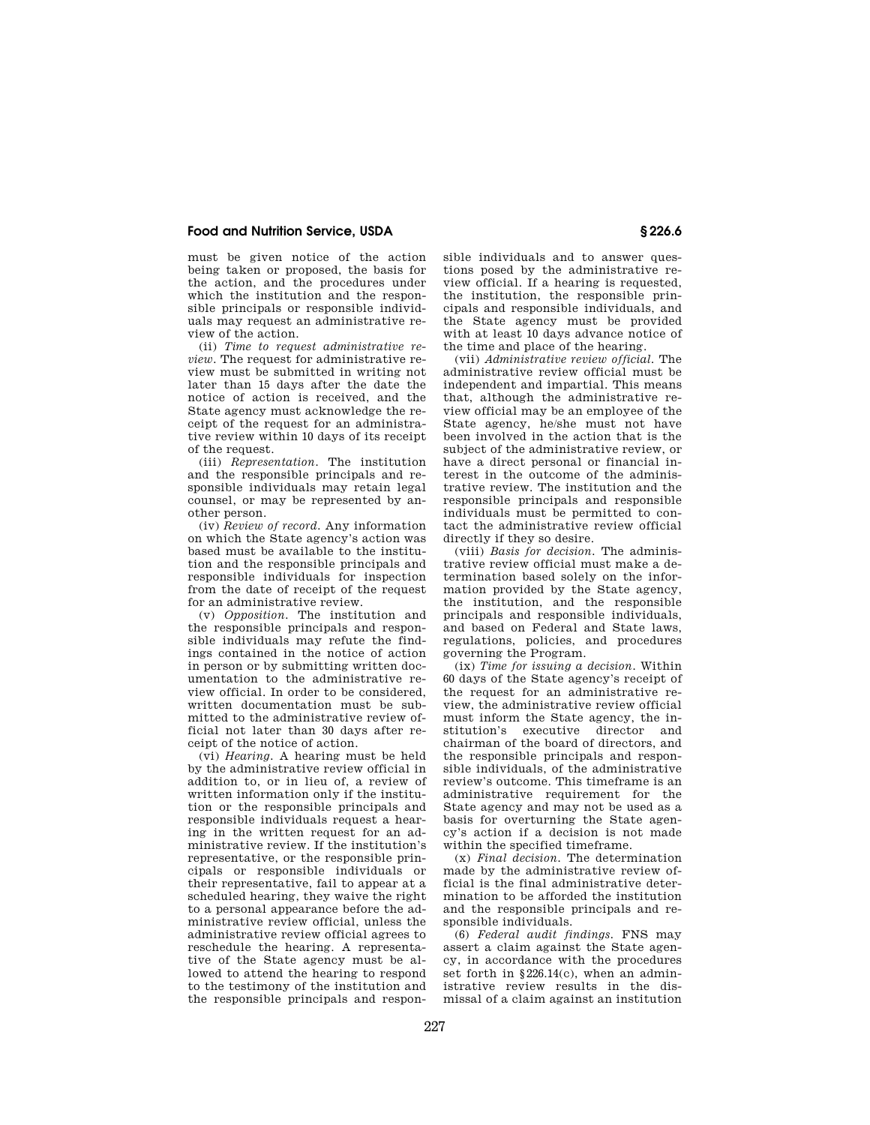must be given notice of the action being taken or proposed, the basis for the action, and the procedures under which the institution and the responsible principals or responsible individuals may request an administrative review of the action.

(ii) *Time to request administrative review.* The request for administrative review must be submitted in writing not later than 15 days after the date the notice of action is received, and the State agency must acknowledge the receipt of the request for an administrative review within 10 days of its receipt of the request.

(iii) *Representation.* The institution and the responsible principals and responsible individuals may retain legal counsel, or may be represented by another person.

(iv) *Review of record.* Any information on which the State agency's action was based must be available to the institution and the responsible principals and responsible individuals for inspection from the date of receipt of the request for an administrative review.

(v) *Opposition.* The institution and the responsible principals and responsible individuals may refute the findings contained in the notice of action in person or by submitting written documentation to the administrative review official. In order to be considered, written documentation must be submitted to the administrative review official not later than 30 days after receipt of the notice of action.

(vi) *Hearing.* A hearing must be held by the administrative review official in addition to, or in lieu of, a review of written information only if the institution or the responsible principals and responsible individuals request a hearing in the written request for an administrative review. If the institution's representative, or the responsible principals or responsible individuals or their representative, fail to appear at a scheduled hearing, they waive the right to a personal appearance before the administrative review official, unless the administrative review official agrees to reschedule the hearing. A representative of the State agency must be allowed to attend the hearing to respond to the testimony of the institution and the responsible principals and responsible individuals and to answer questions posed by the administrative review official. If a hearing is requested, the institution, the responsible principals and responsible individuals, and the State agency must be provided with at least 10 days advance notice of the time and place of the hearing.

(vii) *Administrative review official.* The administrative review official must be independent and impartial. This means that, although the administrative review official may be an employee of the State agency, he/she must not have been involved in the action that is the subject of the administrative review, or have a direct personal or financial interest in the outcome of the administrative review. The institution and the responsible principals and responsible individuals must be permitted to contact the administrative review official directly if they so desire.

(viii) *Basis for decision.* The administrative review official must make a determination based solely on the information provided by the State agency, the institution, and the responsible principals and responsible individuals, and based on Federal and State laws, regulations, policies, and procedures governing the Program.

(ix) *Time for issuing a decision.* Within 60 days of the State agency's receipt of the request for an administrative review, the administrative review official must inform the State agency, the institution's executive director and chairman of the board of directors, and the responsible principals and responsible individuals, of the administrative review's outcome. This timeframe is an administrative requirement for the State agency and may not be used as a basis for overturning the State agency's action if a decision is not made within the specified timeframe.

(x) *Final decision.* The determination made by the administrative review official is the final administrative determination to be afforded the institution and the responsible principals and responsible individuals.

(6) *Federal audit findings.* FNS may assert a claim against the State agency, in accordance with the procedures set forth in §226.14(c), when an administrative review results in the dismissal of a claim against an institution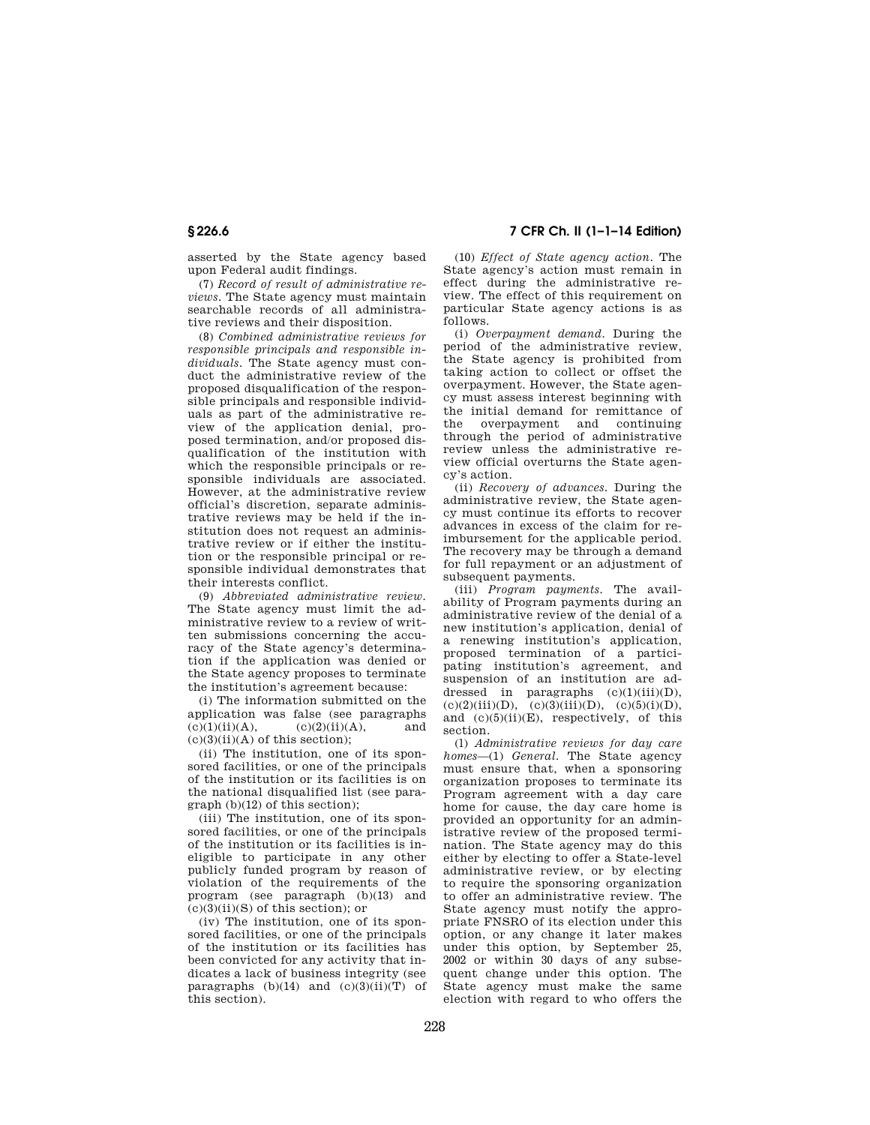asserted by the State agency based upon Federal audit findings.

(7) *Record of result of administrative reviews.* The State agency must maintain searchable records of all administrative reviews and their disposition.

(8) *Combined administrative reviews for responsible principals and responsible individuals.* The State agency must conduct the administrative review of the proposed disqualification of the responsible principals and responsible individuals as part of the administrative review of the application denial, proposed termination, and/or proposed disqualification of the institution with which the responsible principals or responsible individuals are associated. However, at the administrative review official's discretion, separate administrative reviews may be held if the institution does not request an administrative review or if either the institution or the responsible principal or responsible individual demonstrates that their interests conflict.

(9) *Abbreviated administrative review.*  The State agency must limit the administrative review to a review of written submissions concerning the accuracy of the State agency's determination if the application was denied or the State agency proposes to terminate the institution's agreement because:

(i) The information submitted on the application was false (see paragraphs  $(c)(1)(ii)(A),$   $(c)(2)(ii)(A),$  and  $(c)(3)(ii)(A)$  of this section):

(ii) The institution, one of its sponsored facilities, or one of the principals of the institution or its facilities is on the national disqualified list (see paragraph (b)(12) of this section);

(iii) The institution, one of its sponsored facilities, or one of the principals of the institution or its facilities is ineligible to participate in any other publicly funded program by reason of violation of the requirements of the program (see paragraph (b)(13) and  $(c)(3)(ii)(S)$  of this section); or

(iv) The institution, one of its sponsored facilities, or one of the principals of the institution or its facilities has been convicted for any activity that indicates a lack of business integrity (see paragraphs  $(b)(14)$  and  $(c)(3)(ii)(T)$  of this section).

**§ 226.6 7 CFR Ch. II (1–1–14 Edition)** 

(10) *Effect of State agency action.* The State agency's action must remain in effect during the administrative review. The effect of this requirement on particular State agency actions is as follows.

(i) *Overpayment demand.* During the period of the administrative review, the State agency is prohibited from taking action to collect or offset the overpayment. However, the State agency must assess interest beginning with the initial demand for remittance of the overpayment and continuing through the period of administrative review unless the administrative review official overturns the State agency's action.

(ii) *Recovery of advances.* During the administrative review, the State agency must continue its efforts to recover advances in excess of the claim for reimbursement for the applicable period. The recovery may be through a demand for full repayment or an adjustment of subsequent payments.

(iii) *Program payments.* The availability of Program payments during an administrative review of the denial of a new institution's application, denial of a renewing institution's application, proposed termination of a participating institution's agreement, and suspension of an institution are addressed in paragraphs  $(c)(1)(iii)(D)$ ,<br> $(c)(2)(iii)(D)$ ,  $(c)(3)(iii)(D)$ ,  $(c)(5)(i)(D)$ ,  $(c)(3)(iii)(D), (c)(5)(i)(D),$ and  $(c)(5)(ii)(E)$ , respectively, of this section.

(l) *Administrative reviews for day care homes*—(1) *General.* The State agency must ensure that, when a sponsoring organization proposes to terminate its Program agreement with a day care home for cause, the day care home is provided an opportunity for an administrative review of the proposed termination. The State agency may do this either by electing to offer a State-level administrative review, or by electing to require the sponsoring organization to offer an administrative review. The State agency must notify the appropriate FNSRO of its election under this option, or any change it later makes under this option, by September 25, 2002 or within 30 days of any subsequent change under this option. The State agency must make the same election with regard to who offers the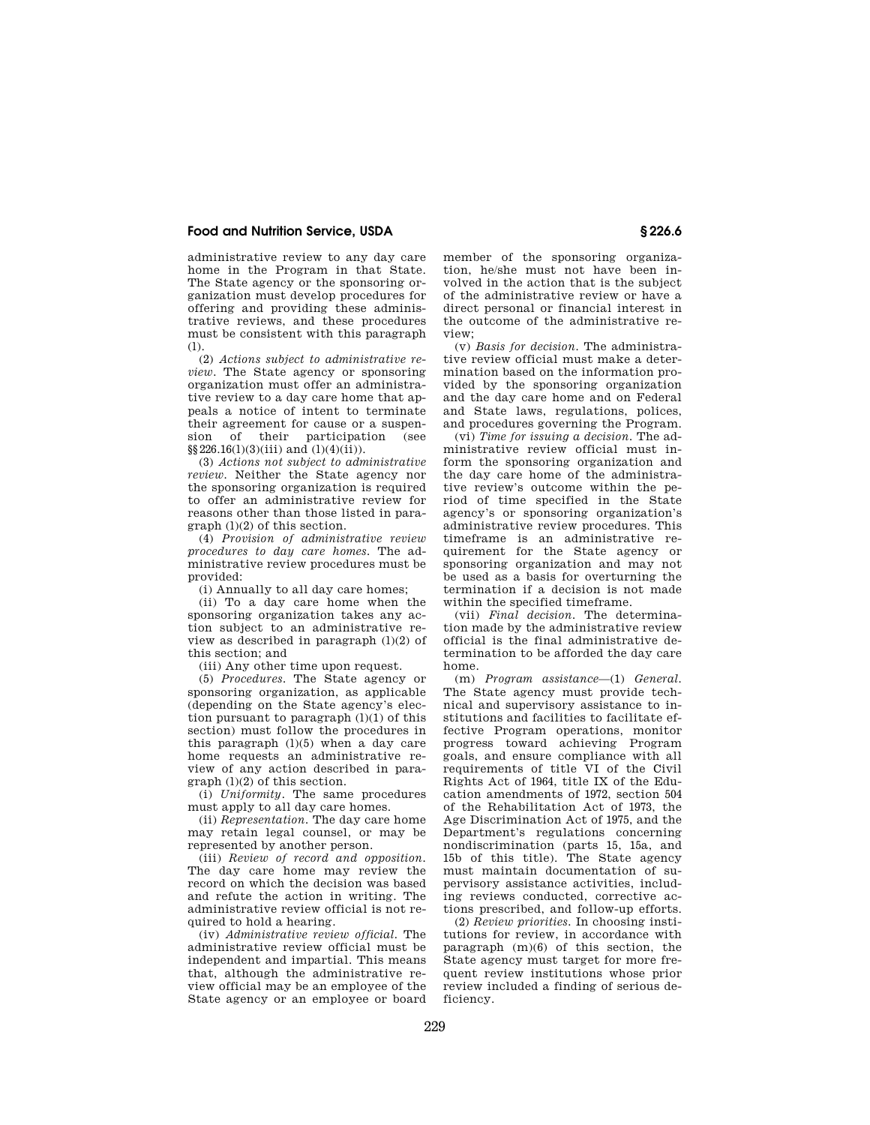administrative review to any day care home in the Program in that State. The State agency or the sponsoring organization must develop procedures for offering and providing these administrative reviews, and these procedures must be consistent with this paragraph (l).

(2) *Actions subject to administrative review.* The State agency or sponsoring organization must offer an administrative review to a day care home that appeals a notice of intent to terminate their agreement for cause or a suspension of their participation (see sion of their participation  $\S$ §226.16(1)(3)(iii) and (1)(4)(ii)).

(3) *Actions not subject to administrative review.* Neither the State agency nor the sponsoring organization is required to offer an administrative review for reasons other than those listed in paragraph (l)(2) of this section.

(4) *Provision of administrative review procedures to day care homes.* The administrative review procedures must be provided:

(i) Annually to all day care homes;

(ii) To a day care home when the sponsoring organization takes any action subject to an administrative review as described in paragraph  $(l)(2)$  of this section; and

(iii) Any other time upon request.

(5) *Procedures.* The State agency or sponsoring organization, as applicable (depending on the State agency's election pursuant to paragraph  $(l)(1)$  of this section) must follow the procedures in this paragraph  $(1)(5)$  when a day care home requests an administrative review of any action described in para $graph (l)(2)$  of this section.

(i) *Uniformity.* The same procedures must apply to all day care homes.

(ii) *Representation.* The day care home may retain legal counsel, or may be represented by another person.

(iii) *Review of record and opposition.*  The day care home may review the record on which the decision was based and refute the action in writing. The administrative review official is not required to hold a hearing.

(iv) *Administrative review official.* The administrative review official must be independent and impartial. This means that, although the administrative review official may be an employee of the State agency or an employee or board member of the sponsoring organization, he/she must not have been involved in the action that is the subject of the administrative review or have a direct personal or financial interest in the outcome of the administrative review;

(v) *Basis for decision.* The administrative review official must make a determination based on the information provided by the sponsoring organization and the day care home and on Federal and State laws, regulations, polices, and procedures governing the Program.

(vi) *Time for issuing a decision.* The administrative review official must inform the sponsoring organization and the day care home of the administrative review's outcome within the period of time specified in the State agency's or sponsoring organization's administrative review procedures. This timeframe is an administrative requirement for the State agency or sponsoring organization and may not be used as a basis for overturning the termination if a decision is not made within the specified timeframe.

(vii) *Final decision.* The determination made by the administrative review official is the final administrative determination to be afforded the day care home.

(m) *Program assistance*—(1) *General.*  The State agency must provide technical and supervisory assistance to institutions and facilities to facilitate effective Program operations, monitor progress toward achieving Program goals, and ensure compliance with all requirements of title VI of the Civil Rights Act of 1964, title IX of the Education amendments of 1972, section 504 of the Rehabilitation Act of 1973, the Age Discrimination Act of 1975, and the Department's regulations concerning nondiscrimination (parts 15, 15a, and 15b of this title). The State agency must maintain documentation of supervisory assistance activities, including reviews conducted, corrective actions prescribed, and follow-up efforts.

(2) *Review priorities.* In choosing institutions for review, in accordance with paragraph (m)(6) of this section, the State agency must target for more frequent review institutions whose prior review included a finding of serious deficiency.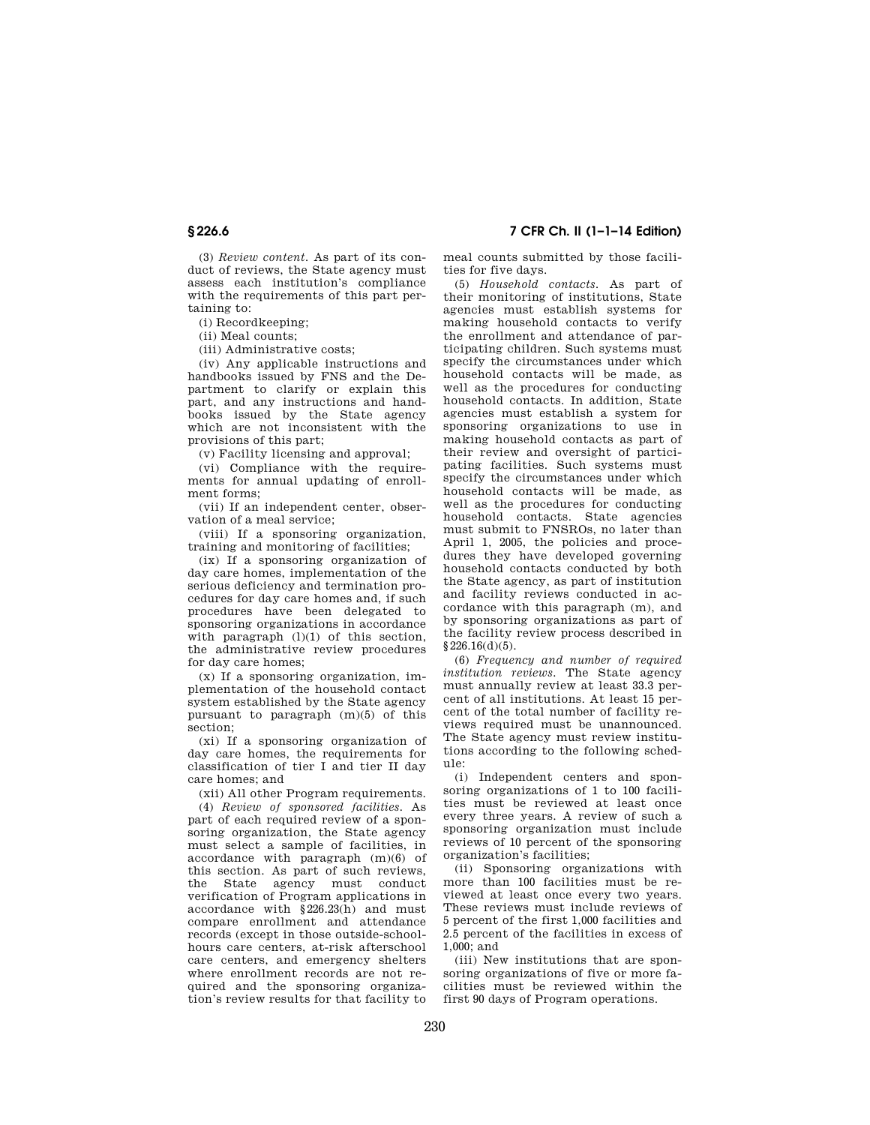(3) *Review content.* As part of its conduct of reviews, the State agency must assess each institution's compliance with the requirements of this part pertaining to:

(i) Recordkeeping;

(ii) Meal counts;

(iii) Administrative costs;

(iv) Any applicable instructions and handbooks issued by FNS and the Department to clarify or explain this part, and any instructions and handbooks issued by the State agency which are not inconsistent with the provisions of this part;

(v) Facility licensing and approval;

(vi) Compliance with the requirements for annual updating of enrollment forms;

(vii) If an independent center, observation of a meal service;

(viii) If a sponsoring organization, training and monitoring of facilities;

(ix) If a sponsoring organization of day care homes, implementation of the serious deficiency and termination procedures for day care homes and, if such procedures have been delegated to sponsoring organizations in accordance with paragraph  $(l)(1)$  of this section, the administrative review procedures for day care homes;

(x) If a sponsoring organization, implementation of the household contact system established by the State agency pursuant to paragraph (m)(5) of this section;

(xi) If a sponsoring organization of day care homes, the requirements for classification of tier I and tier II day care homes; and

(xii) All other Program requirements.

(4) *Review of sponsored facilities.* As part of each required review of a sponsoring organization, the State agency must select a sample of facilities, in accordance with paragraph (m)(6) of this section. As part of such reviews, the State agency must conduct verification of Program applications in accordance with §226.23(h) and must compare enrollment and attendance records (except in those outside-schoolhours care centers, at-risk afterschool care centers, and emergency shelters where enrollment records are not required and the sponsoring organization's review results for that facility to

**§ 226.6 7 CFR Ch. II (1–1–14 Edition)** 

meal counts submitted by those facilities for five days.

(5) *Household contacts.* As part of their monitoring of institutions, State agencies must establish systems for making household contacts to verify the enrollment and attendance of participating children. Such systems must specify the circumstances under which household contacts will be made, as well as the procedures for conducting household contacts. In addition, State agencies must establish a system for sponsoring organizations to use in making household contacts as part of their review and oversight of participating facilities. Such systems must specify the circumstances under which household contacts will be made, as well as the procedures for conducting household contacts. State agencies must submit to FNSROs, no later than April 1, 2005, the policies and procedures they have developed governing household contacts conducted by both the State agency, as part of institution and facility reviews conducted in accordance with this paragraph (m), and by sponsoring organizations as part of the facility review process described in §226.16(d)(5).

(6) *Frequency and number of required institution reviews.* The State agency must annually review at least 33.3 percent of all institutions. At least 15 percent of the total number of facility reviews required must be unannounced. The State agency must review institutions according to the following schedule:

(i) Independent centers and sponsoring organizations of 1 to 100 facilities must be reviewed at least once every three years. A review of such a sponsoring organization must include reviews of 10 percent of the sponsoring organization's facilities;

(ii) Sponsoring organizations with more than 100 facilities must be reviewed at least once every two years. These reviews must include reviews of 5 percent of the first 1,000 facilities and 2.5 percent of the facilities in excess of 1,000; and

(iii) New institutions that are sponsoring organizations of five or more facilities must be reviewed within the first 90 days of Program operations.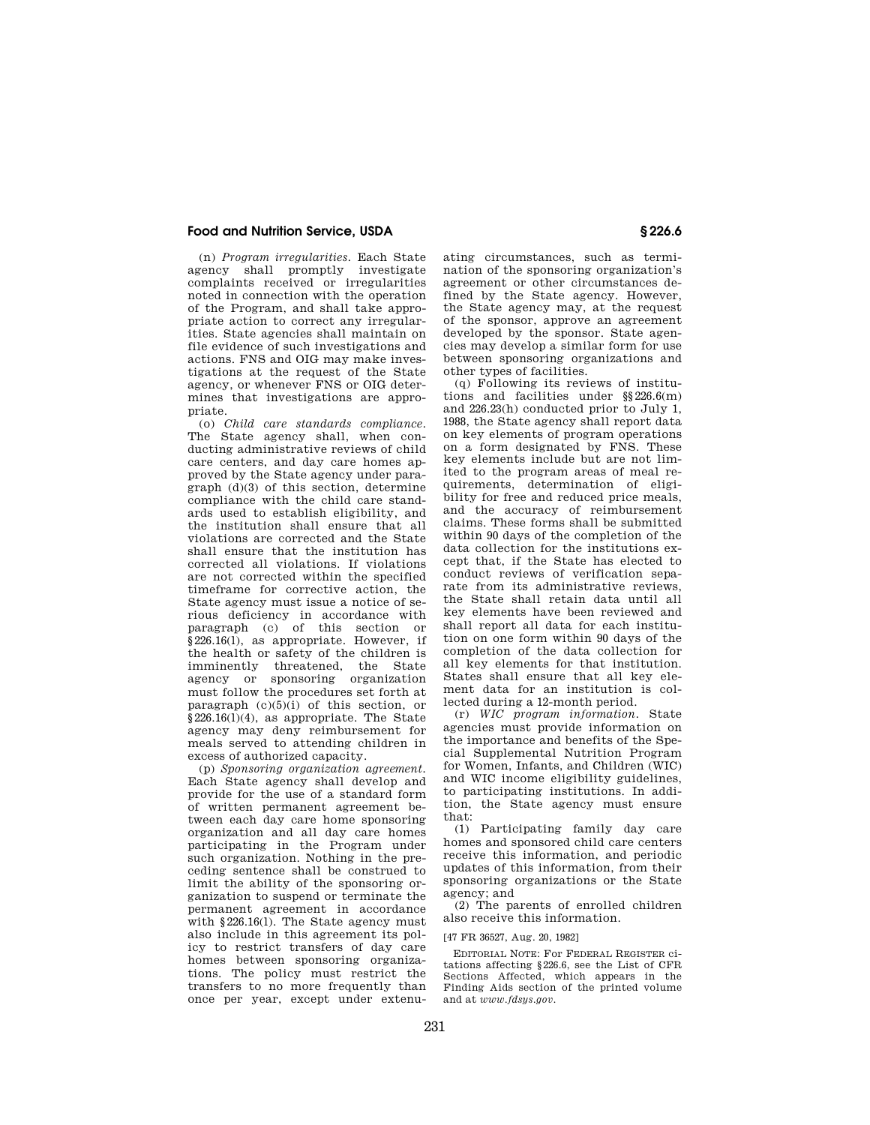(n) *Program irregularities.* Each State agency shall promptly investigate complaints received or irregularities noted in connection with the operation of the Program, and shall take appropriate action to correct any irregularities. State agencies shall maintain on file evidence of such investigations and actions. FNS and OIG may make investigations at the request of the State agency, or whenever FNS or OIG determines that investigations are appropriate.

(o) *Child care standards compliance.*  The State agency shall, when conducting administrative reviews of child care centers, and day care homes approved by the State agency under paragraph (d)(3) of this section, determine compliance with the child care standards used to establish eligibility, and the institution shall ensure that all violations are corrected and the State shall ensure that the institution has corrected all violations. If violations are not corrected within the specified timeframe for corrective action, the State agency must issue a notice of serious deficiency in accordance with paragraph (c) of this section or §226.16(1), as appropriate. However, if the health or safety of the children is imminently threatened, the State agency or sponsoring organization must follow the procedures set forth at paragraph  $(c)(5)(i)$  of this section, or  $§226.16(1)(4)$ , as appropriate. The State agency may deny reimbursement for meals served to attending children in excess of authorized capacity.

(p) *Sponsoring organization agreement.*  Each State agency shall develop and provide for the use of a standard form of written permanent agreement between each day care home sponsoring organization and all day care homes participating in the Program under such organization. Nothing in the preceding sentence shall be construed to limit the ability of the sponsoring organization to suspend or terminate the permanent agreement in accordance with §226.16(1). The State agency must also include in this agreement its policy to restrict transfers of day care homes between sponsoring organizations. The policy must restrict the transfers to no more frequently than once per year, except under extenuating circumstances, such as termination of the sponsoring organization's agreement or other circumstances defined by the State agency. However, the State agency may, at the request of the sponsor, approve an agreement developed by the sponsor. State agencies may develop a similar form for use between sponsoring organizations and other types of facilities.

(q) Following its reviews of institutions and facilities under §§226.6(m) and 226.23(h) conducted prior to July 1, 1988, the State agency shall report data on key elements of program operations on a form designated by FNS. These key elements include but are not limited to the program areas of meal requirements, determination of eligibility for free and reduced price meals, and the accuracy of reimbursement claims. These forms shall be submitted within 90 days of the completion of the data collection for the institutions except that, if the State has elected to conduct reviews of verification separate from its administrative reviews, the State shall retain data until all key elements have been reviewed and shall report all data for each institution on one form within 90 days of the completion of the data collection for all key elements for that institution. States shall ensure that all key element data for an institution is collected during a 12-month period.

(r) *WIC program information.* State agencies must provide information on the importance and benefits of the Special Supplemental Nutrition Program for Women, Infants, and Children (WIC) and WIC income eligibility guidelines, to participating institutions. In addition, the State agency must ensure that:

(1) Participating family day care homes and sponsored child care centers receive this information, and periodic updates of this information, from their sponsoring organizations or the State agency; and

(2) The parents of enrolled children also receive this information.

[47 FR 36527, Aug. 20, 1982]

EDITORIAL NOTE: For FEDERAL REGISTER citations affecting §226.6, see the List of CFR Sections Affected, which appears in the Finding Aids section of the printed volume and at *www.fdsys.gov.*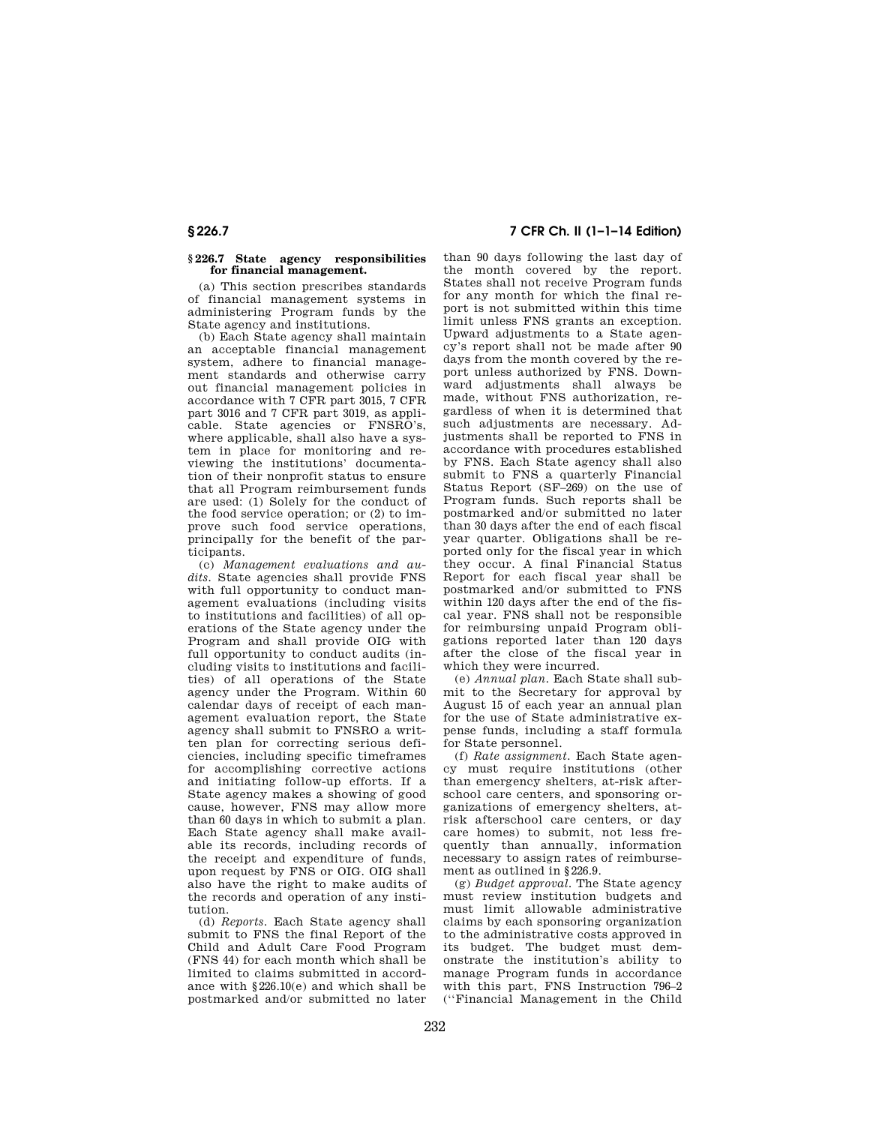#### **§ 226.7 State agency responsibilities for financial management.**

(a) This section prescribes standards of financial management systems in administering Program funds by the State agency and institutions.

(b) Each State agency shall maintain an acceptable financial management system, adhere to financial management standards and otherwise carry out financial management policies in accordance with 7 CFR part 3015, 7 CFR part 3016 and 7 CFR part 3019, as applicable. State agencies or FNSRO's, where applicable, shall also have a system in place for monitoring and reviewing the institutions' documentation of their nonprofit status to ensure that all Program reimbursement funds are used: (1) Solely for the conduct of the food service operation; or (2) to improve such food service operations, principally for the benefit of the participants.

(c) *Management evaluations and audits.* State agencies shall provide FNS with full opportunity to conduct management evaluations (including visits to institutions and facilities) of all operations of the State agency under the Program and shall provide OIG with full opportunity to conduct audits (including visits to institutions and facilities) of all operations of the State agency under the Program. Within 60 calendar days of receipt of each management evaluation report, the State agency shall submit to FNSRO a written plan for correcting serious deficiencies, including specific timeframes for accomplishing corrective actions and initiating follow-up efforts. If a State agency makes a showing of good cause, however, FNS may allow more than 60 days in which to submit a plan. Each State agency shall make available its records, including records of the receipt and expenditure of funds, upon request by FNS or OIG. OIG shall also have the right to make audits of the records and operation of any institution.

(d) *Reports.* Each State agency shall submit to FNS the final Report of the Child and Adult Care Food Program (FNS 44) for each month which shall be limited to claims submitted in accordance with §226.10(e) and which shall be postmarked and/or submitted no later

**§ 226.7 7 CFR Ch. II (1–1–14 Edition)** 

than 90 days following the last day of the month covered by the report. States shall not receive Program funds for any month for which the final report is not submitted within this time limit unless FNS grants an exception. Upward adjustments to a State agency's report shall not be made after 90 days from the month covered by the report unless authorized by FNS. Downward adjustments shall always be made, without FNS authorization, regardless of when it is determined that such adjustments are necessary. Adjustments shall be reported to FNS in accordance with procedures established by FNS. Each State agency shall also submit to FNS a quarterly Financial Status Report (SF–269) on the use of Program funds. Such reports shall be postmarked and/or submitted no later than 30 days after the end of each fiscal year quarter. Obligations shall be reported only for the fiscal year in which they occur. A final Financial Status Report for each fiscal year shall be postmarked and/or submitted to FNS within 120 days after the end of the fiscal year. FNS shall not be responsible for reimbursing unpaid Program obligations reported later than 120 days after the close of the fiscal year in which they were incurred.

(e) *Annual plan.* Each State shall submit to the Secretary for approval by August 15 of each year an annual plan for the use of State administrative expense funds, including a staff formula for State personnel.

(f) *Rate assignment.* Each State agency must require institutions (other than emergency shelters, at-risk afterschool care centers, and sponsoring organizations of emergency shelters, atrisk afterschool care centers, or day care homes) to submit, not less frequently than annually, information necessary to assign rates of reimbursement as outlined in §226.9.

(g) *Budget approval.* The State agency must review institution budgets and must limit allowable administrative claims by each sponsoring organization to the administrative costs approved in its budget. The budget must demonstrate the institution's ability to manage Program funds in accordance with this part, FNS Instruction 796–2 (''Financial Management in the Child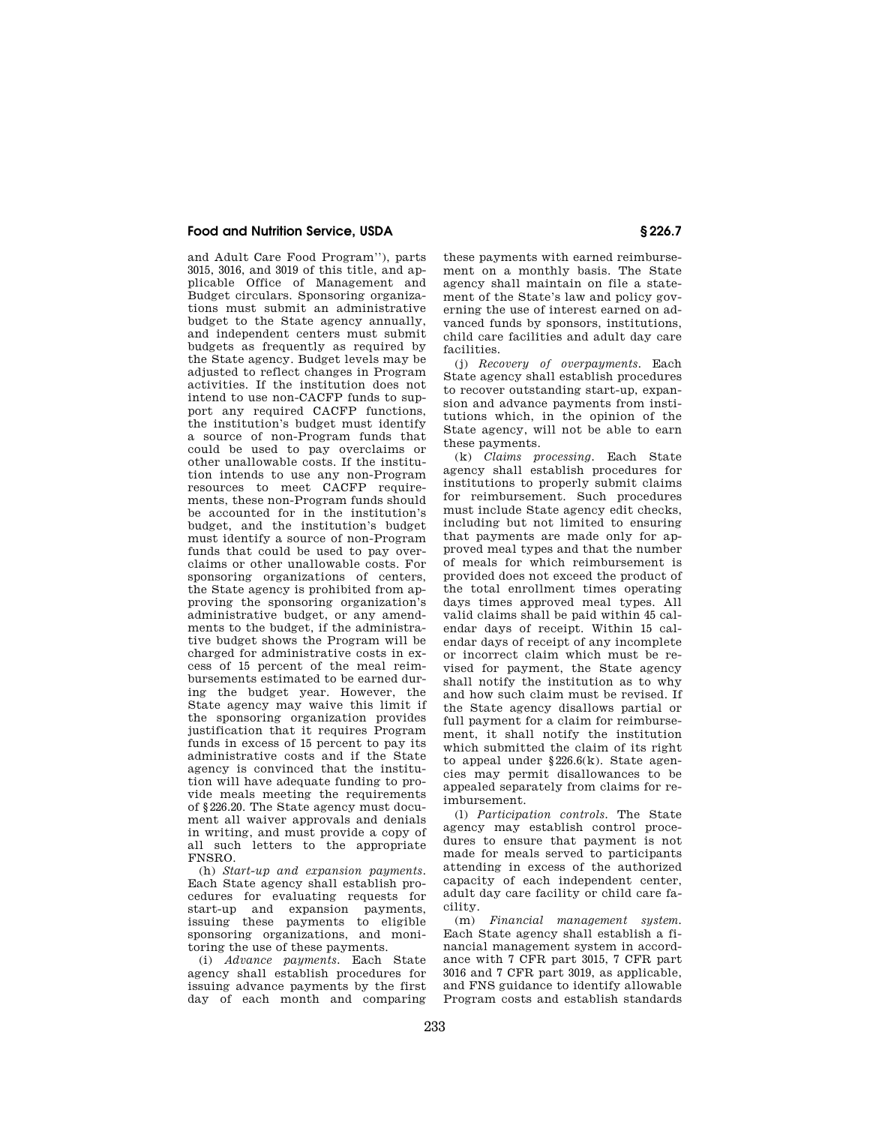and Adult Care Food Program''), parts 3015, 3016, and 3019 of this title, and applicable Office of Management and Budget circulars. Sponsoring organizations must submit an administrative budget to the State agency annually, and independent centers must submit budgets as frequently as required by the State agency. Budget levels may be adjusted to reflect changes in Program activities. If the institution does not intend to use non-CACFP funds to support any required CACFP functions, the institution's budget must identify a source of non-Program funds that could be used to pay overclaims or other unallowable costs. If the institution intends to use any non-Program resources to meet CACFP requirements, these non-Program funds should be accounted for in the institution's budget, and the institution's budget must identify a source of non-Program funds that could be used to pay overclaims or other unallowable costs. For sponsoring organizations of centers, the State agency is prohibited from approving the sponsoring organization's administrative budget, or any amendments to the budget, if the administrative budget shows the Program will be charged for administrative costs in excess of 15 percent of the meal reimbursements estimated to be earned during the budget year. However, the State agency may waive this limit if the sponsoring organization provides justification that it requires Program funds in excess of 15 percent to pay its administrative costs and if the State agency is convinced that the institution will have adequate funding to provide meals meeting the requirements of §226.20. The State agency must document all waiver approvals and denials in writing, and must provide a copy of all such letters to the appropriate FNSRO.

(h) *Start-up and expansion payments.*  Each State agency shall establish procedures for evaluating requests for start-up and expansion payments, issuing these payments to eligible sponsoring organizations, and monitoring the use of these payments.

(i) *Advance payments.* Each State agency shall establish procedures for issuing advance payments by the first day of each month and comparing these payments with earned reimbursement on a monthly basis. The State agency shall maintain on file a statement of the State's law and policy governing the use of interest earned on advanced funds by sponsors, institutions, child care facilities and adult day care facilities.

(j) *Recovery of overpayments.* Each State agency shall establish procedures to recover outstanding start-up, expansion and advance payments from institutions which, in the opinion of the State agency, will not be able to earn these payments.

(k) *Claims processing.* Each State agency shall establish procedures for institutions to properly submit claims for reimbursement. Such procedures must include State agency edit checks, including but not limited to ensuring that payments are made only for approved meal types and that the number of meals for which reimbursement is provided does not exceed the product of the total enrollment times operating days times approved meal types. All valid claims shall be paid within 45 calendar days of receipt. Within 15 calendar days of receipt of any incomplete or incorrect claim which must be revised for payment, the State agency shall notify the institution as to why and how such claim must be revised. If the State agency disallows partial or full payment for a claim for reimbursement, it shall notify the institution which submitted the claim of its right to appeal under §226.6(k). State agencies may permit disallowances to be appealed separately from claims for reimbursement.

(l) *Participation controls.* The State agency may establish control procedures to ensure that payment is not made for meals served to participants attending in excess of the authorized capacity of each independent center, adult day care facility or child care facility.

(m) *Financial management system.*  Each State agency shall establish a financial management system in accordance with 7 CFR part 3015, 7 CFR part 3016 and 7 CFR part 3019, as applicable, and FNS guidance to identify allowable Program costs and establish standards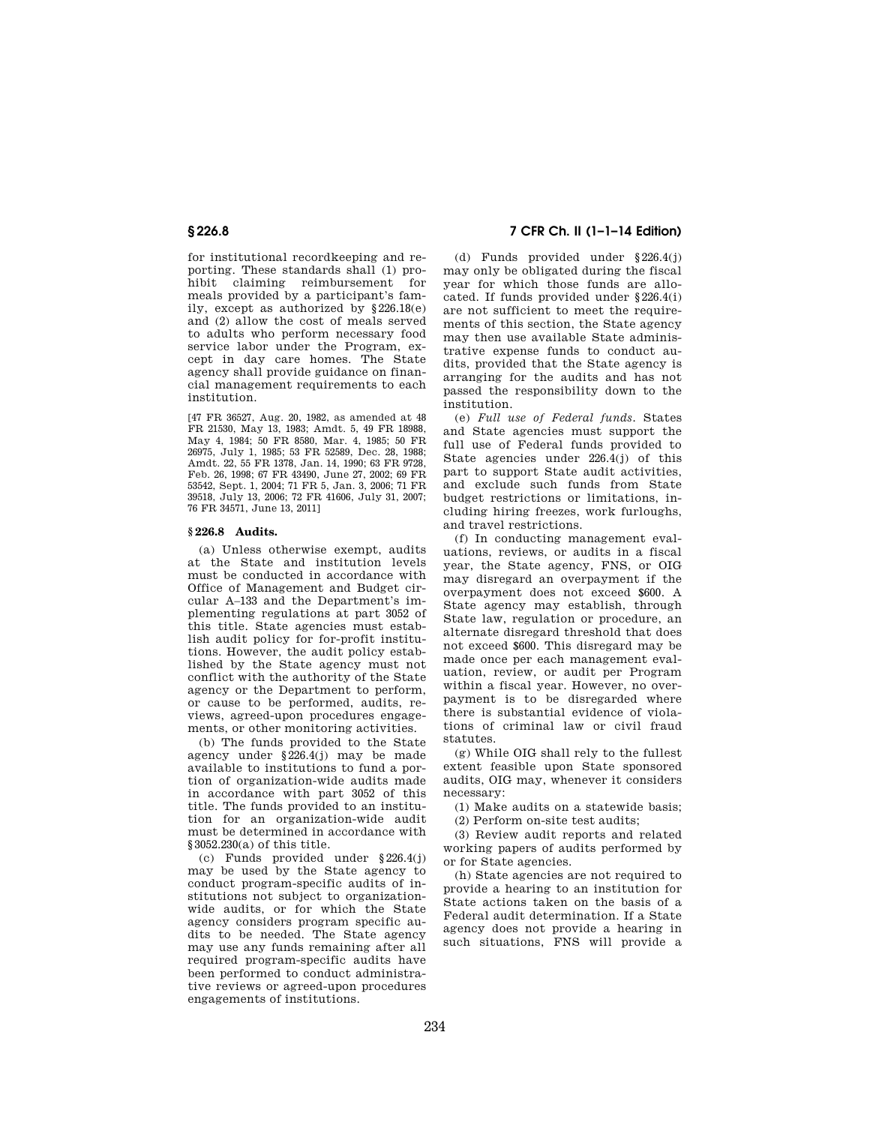for institutional recordkeeping and reporting. These standards shall (1) prohibit claiming reimbursement for meals provided by a participant's family, except as authorized by §226.18(e) and (2) allow the cost of meals served to adults who perform necessary food service labor under the Program, except in day care homes. The State agency shall provide guidance on financial management requirements to each institution.

[47 FR 36527, Aug. 20, 1982, as amended at 48 FR 21530, May 13, 1983; Amdt. 5, 49 FR 18988, May 4, 1984; 50 FR 8580, Mar. 4, 1985; 50 FR 26975, July 1, 1985; 53 FR 52589, Dec. 28, 1988; Amdt. 22, 55 FR 1378, Jan. 14, 1990; 63 FR 9728, Feb. 26, 1998; 67 FR 43490, June 27, 2002; 69 FR 53542, Sept. 1, 2004; 71 FR 5, Jan. 3, 2006; 71 FR 39518, July 13, 2006; 72 FR 41606, July 31, 2007; 76 FR 34571, June 13, 2011]

#### **§ 226.8 Audits.**

(a) Unless otherwise exempt, audits at the State and institution levels must be conducted in accordance with Office of Management and Budget circular A–133 and the Department's implementing regulations at part 3052 of this title. State agencies must establish audit policy for for-profit institutions. However, the audit policy established by the State agency must not conflict with the authority of the State agency or the Department to perform, or cause to be performed, audits, reviews, agreed-upon procedures engagements, or other monitoring activities.

(b) The funds provided to the State agency under §226.4(j) may be made available to institutions to fund a portion of organization-wide audits made in accordance with part 3052 of this title. The funds provided to an institution for an organization-wide audit must be determined in accordance with §3052.230(a) of this title.

(c) Funds provided under §226.4(j) may be used by the State agency to conduct program-specific audits of institutions not subject to organizationwide audits, or for which the State agency considers program specific audits to be needed. The State agency may use any funds remaining after all required program-specific audits have been performed to conduct administrative reviews or agreed-upon procedures engagements of institutions.

# **§ 226.8 7 CFR Ch. II (1–1–14 Edition)**

(d) Funds provided under §226.4(j) may only be obligated during the fiscal year for which those funds are allocated. If funds provided under §226.4(i) are not sufficient to meet the requirements of this section, the State agency may then use available State administrative expense funds to conduct audits, provided that the State agency is arranging for the audits and has not passed the responsibility down to the institution.

(e) *Full use of Federal funds.* States and State agencies must support the full use of Federal funds provided to State agencies under 226.4(j) of this part to support State audit activities, and exclude such funds from State budget restrictions or limitations, including hiring freezes, work furloughs, and travel restrictions.

(f) In conducting management evaluations, reviews, or audits in a fiscal year, the State agency, FNS, or OIG may disregard an overpayment if the overpayment does not exceed \$600. A State agency may establish, through State law, regulation or procedure, an alternate disregard threshold that does not exceed \$600. This disregard may be made once per each management evaluation, review, or audit per Program within a fiscal year. However, no overpayment is to be disregarded where there is substantial evidence of violations of criminal law or civil fraud statutes.

(g) While OIG shall rely to the fullest extent feasible upon State sponsored audits, OIG may, whenever it considers necessary:

(1) Make audits on a statewide basis;

(2) Perform on-site test audits;

(3) Review audit reports and related working papers of audits performed by or for State agencies.

(h) State agencies are not required to provide a hearing to an institution for State actions taken on the basis of a Federal audit determination. If a State agency does not provide a hearing in such situations, FNS will provide a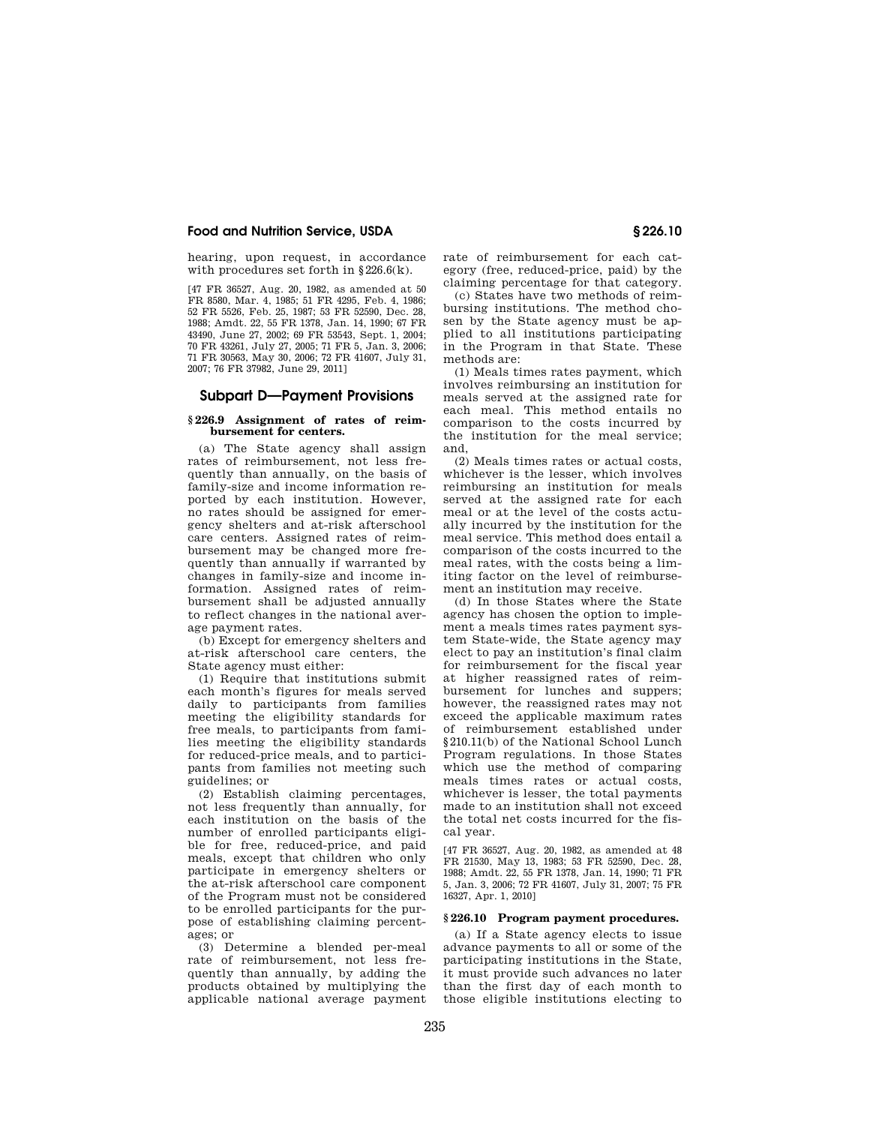hearing, upon request, in accordance with procedures set forth in §226.6(k).

[47 FR 36527, Aug. 20, 1982, as amended at 50 FR 8580, Mar. 4, 1985; 51 FR 4295, Feb. 4, 1986; 52 FR 5526, Feb. 25, 1987; 53 FR 52590, Dec. 28, 1988; Amdt. 22, 55 FR 1378, Jan. 14, 1990; 67 FR 43490, June 27, 2002; 69 FR 53543, Sept. 1, 2004; 70 FR 43261, July 27, 2005; 71 FR 5, Jan. 3, 2006; 71 FR 30563, May 30, 2006; 72 FR 41607, July 31, 2007; 76 FR 37982, June 29, 2011]

#### **Subpart D—Payment Provisions**

#### **§ 226.9 Assignment of rates of reimbursement for centers.**

(a) The State agency shall assign rates of reimbursement, not less frequently than annually, on the basis of family-size and income information reported by each institution. However, no rates should be assigned for emergency shelters and at-risk afterschool care centers. Assigned rates of reimbursement may be changed more frequently than annually if warranted by changes in family-size and income information. Assigned rates of reimbursement shall be adjusted annually to reflect changes in the national average payment rates.

(b) Except for emergency shelters and at-risk afterschool care centers, the State agency must either:

(1) Require that institutions submit each month's figures for meals served daily to participants from families meeting the eligibility standards for free meals, to participants from families meeting the eligibility standards for reduced-price meals, and to participants from families not meeting such guidelines; or

(2) Establish claiming percentages, not less frequently than annually, for each institution on the basis of the number of enrolled participants eligible for free, reduced-price, and paid meals, except that children who only participate in emergency shelters or the at-risk afterschool care component of the Program must not be considered to be enrolled participants for the purpose of establishing claiming percentages; or

(3) Determine a blended per-meal rate of reimbursement, not less frequently than annually, by adding the products obtained by multiplying the applicable national average payment rate of reimbursement for each category (free, reduced-price, paid) by the claiming percentage for that category.

(c) States have two methods of reimbursing institutions. The method chosen by the State agency must be applied to all institutions participating in the Program in that State. These methods are:

(1) Meals times rates payment, which involves reimbursing an institution for meals served at the assigned rate for each meal. This method entails no comparison to the costs incurred by the institution for the meal service; and,

(2) Meals times rates or actual costs, whichever is the lesser, which involves reimbursing an institution for meals served at the assigned rate for each meal or at the level of the costs actually incurred by the institution for the meal service. This method does entail a comparison of the costs incurred to the meal rates, with the costs being a limiting factor on the level of reimbursement an institution may receive.

(d) In those States where the State agency has chosen the option to implement a meals times rates payment system State-wide, the State agency may elect to pay an institution's final claim for reimbursement for the fiscal year at higher reassigned rates of reimbursement for lunches and suppers; however, the reassigned rates may not exceed the applicable maximum rates of reimbursement established under §210.11(b) of the National School Lunch Program regulations. In those States which use the method of comparing meals times rates or actual costs, whichever is lesser, the total payments made to an institution shall not exceed the total net costs incurred for the fiscal year.

[47 FR 36527, Aug. 20, 1982, as amended at 48 FR 21530, May 13, 1983; 53 FR 52590, Dec. 28, 1988; Amdt. 22, 55 FR 1378, Jan. 14, 1990; 71 FR 5, Jan. 3, 2006; 72 FR 41607, July 31, 2007; 75 FR 16327, Apr. 1, 2010]

#### **§ 226.10 Program payment procedures.**

(a) If a State agency elects to issue advance payments to all or some of the participating institutions in the State, it must provide such advances no later than the first day of each month to those eligible institutions electing to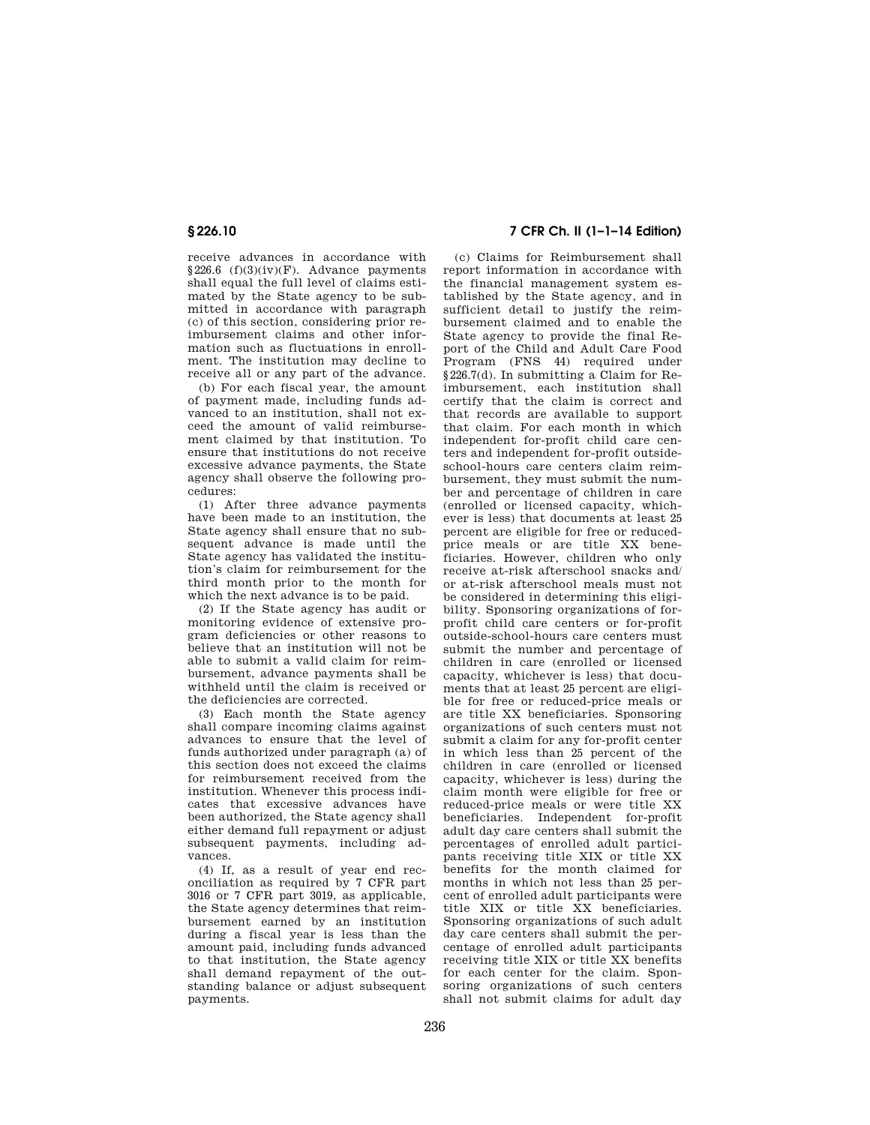receive advances in accordance with  $§226.6$  (f)(3)(iv)(F). Advance payments shall equal the full level of claims estimated by the State agency to be submitted in accordance with paragraph (c) of this section, considering prior reimbursement claims and other information such as fluctuations in enrollment. The institution may decline to receive all or any part of the advance.

(b) For each fiscal year, the amount of payment made, including funds advanced to an institution, shall not exceed the amount of valid reimbursement claimed by that institution. To ensure that institutions do not receive excessive advance payments, the State agency shall observe the following procedures:

(1) After three advance payments have been made to an institution, the State agency shall ensure that no subsequent advance is made until the State agency has validated the institution's claim for reimbursement for the third month prior to the month for which the next advance is to be paid.

(2) If the State agency has audit or monitoring evidence of extensive program deficiencies or other reasons to believe that an institution will not be able to submit a valid claim for reimbursement, advance payments shall be withheld until the claim is received or the deficiencies are corrected.

(3) Each month the State agency shall compare incoming claims against advances to ensure that the level of funds authorized under paragraph (a) of this section does not exceed the claims for reimbursement received from the institution. Whenever this process indicates that excessive advances have been authorized, the State agency shall either demand full repayment or adjust subsequent payments, including advances.

(4) If, as a result of year end reconciliation as required by 7 CFR part 3016 or 7 CFR part 3019, as applicable, the State agency determines that reimbursement earned by an institution during a fiscal year is less than the amount paid, including funds advanced to that institution, the State agency shall demand repayment of the outstanding balance or adjust subsequent payments.

# **§ 226.10 7 CFR Ch. II (1–1–14 Edition)**

(c) Claims for Reimbursement shall report information in accordance with the financial management system established by the State agency, and in sufficient detail to justify the reimbursement claimed and to enable the State agency to provide the final Report of the Child and Adult Care Food Program (FNS 44) required under §226.7(d). In submitting a Claim for Reimbursement, each institution shall certify that the claim is correct and that records are available to support that claim. For each month in which independent for-profit child care centers and independent for-profit outsideschool-hours care centers claim reimbursement, they must submit the number and percentage of children in care (enrolled or licensed capacity, whichever is less) that documents at least 25 percent are eligible for free or reducedprice meals or are title XX beneficiaries. However, children who only receive at-risk afterschool snacks and/ or at-risk afterschool meals must not be considered in determining this eligibility. Sponsoring organizations of forprofit child care centers or for-profit outside-school-hours care centers must submit the number and percentage of children in care (enrolled or licensed capacity, whichever is less) that documents that at least 25 percent are eligible for free or reduced-price meals or are title XX beneficiaries. Sponsoring organizations of such centers must not submit a claim for any for-profit center in which less than 25 percent of the children in care (enrolled or licensed capacity, whichever is less) during the claim month were eligible for free or reduced-price meals or were title XX beneficiaries. Independent for-profit adult day care centers shall submit the percentages of enrolled adult participants receiving title XIX or title XX benefits for the month claimed for months in which not less than 25 percent of enrolled adult participants were title XIX or title XX beneficiaries. Sponsoring organizations of such adult day care centers shall submit the percentage of enrolled adult participants receiving title XIX or title XX benefits for each center for the claim. Sponsoring organizations of such centers shall not submit claims for adult day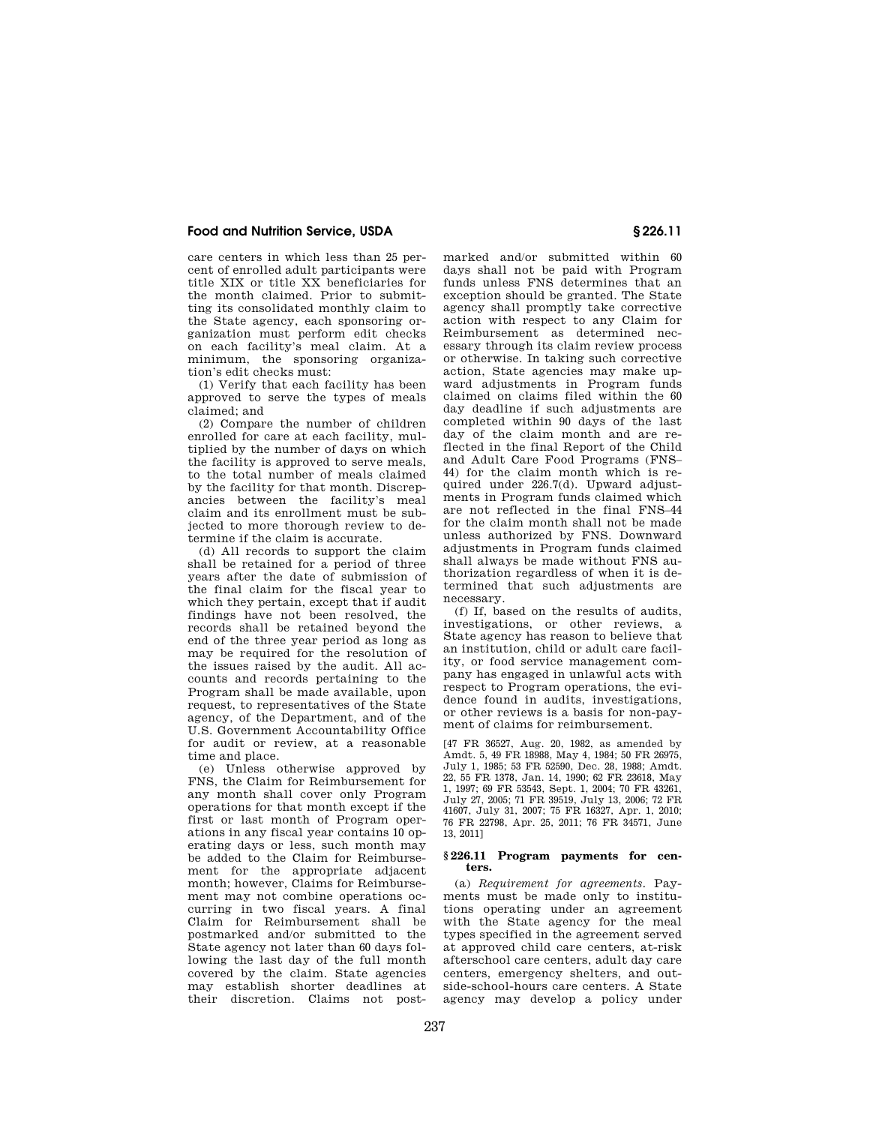care centers in which less than 25 percent of enrolled adult participants were title XIX or title XX beneficiaries for the month claimed. Prior to submitting its consolidated monthly claim to the State agency, each sponsoring organization must perform edit checks on each facility's meal claim. At a minimum, the sponsoring organization's edit checks must:

(1) Verify that each facility has been approved to serve the types of meals claimed; and

(2) Compare the number of children enrolled for care at each facility, multiplied by the number of days on which the facility is approved to serve meals, to the total number of meals claimed by the facility for that month. Discrepancies between the facility's meal claim and its enrollment must be subjected to more thorough review to determine if the claim is accurate.

(d) All records to support the claim shall be retained for a period of three years after the date of submission of the final claim for the fiscal year to which they pertain, except that if audit findings have not been resolved, the records shall be retained beyond the end of the three year period as long as may be required for the resolution of the issues raised by the audit. All accounts and records pertaining to the Program shall be made available, upon request, to representatives of the State agency, of the Department, and of the U.S. Government Accountability Office for audit or review, at a reasonable time and place.

(e) Unless otherwise approved by FNS, the Claim for Reimbursement for any month shall cover only Program operations for that month except if the first or last month of Program operations in any fiscal year contains 10 operating days or less, such month may be added to the Claim for Reimbursement for the appropriate adjacent month; however, Claims for Reimbursement may not combine operations occurring in two fiscal years. A final Claim for Reimbursement shall be postmarked and/or submitted to the State agency not later than 60 days following the last day of the full month covered by the claim. State agencies may establish shorter deadlines at their discretion. Claims not postmarked and/or submitted within 60 days shall not be paid with Program funds unless FNS determines that an exception should be granted. The State agency shall promptly take corrective action with respect to any Claim for Reimbursement as determined necessary through its claim review process or otherwise. In taking such corrective action, State agencies may make upward adjustments in Program funds claimed on claims filed within the 60 day deadline if such adjustments are completed within 90 days of the last day of the claim month and are reflected in the final Report of the Child and Adult Care Food Programs (FNS– 44) for the claim month which is required under 226.7(d). Upward adjustments in Program funds claimed which are not reflected in the final FNS–44 for the claim month shall not be made unless authorized by FNS. Downward adjustments in Program funds claimed shall always be made without FNS authorization regardless of when it is determined that such adjustments are necessary.

(f) If, based on the results of audits, investigations, or other reviews, a State agency has reason to believe that an institution, child or adult care facility, or food service management company has engaged in unlawful acts with respect to Program operations, the evidence found in audits, investigations, or other reviews is a basis for non-payment of claims for reimbursement.

[47 FR 36527, Aug. 20, 1982, as amended by Amdt. 5, 49 FR 18988, May 4, 1984; 50 FR 26975, July 1, 1985; 53 FR 52590, Dec. 28, 1988; Amdt. 22, 55 FR 1378, Jan. 14, 1990; 62 FR 23618, May 1, 1997; 69 FR 53543, Sept. 1, 2004; 70 FR 43261, July 27, 2005; 71 FR 39519, July 13, 2006; 72 FR 41607, July 31, 2007; 75 FR 16327, Apr. 1, 2010; 76 FR 22798, Apr. 25, 2011; 76 FR 34571, June 13, 2011]

#### **§ 226.11 Program payments for centers.**

(a) *Requirement for agreements.* Payments must be made only to institutions operating under an agreement with the State agency for the meal types specified in the agreement served at approved child care centers, at-risk afterschool care centers, adult day care centers, emergency shelters, and outside-school-hours care centers. A State agency may develop a policy under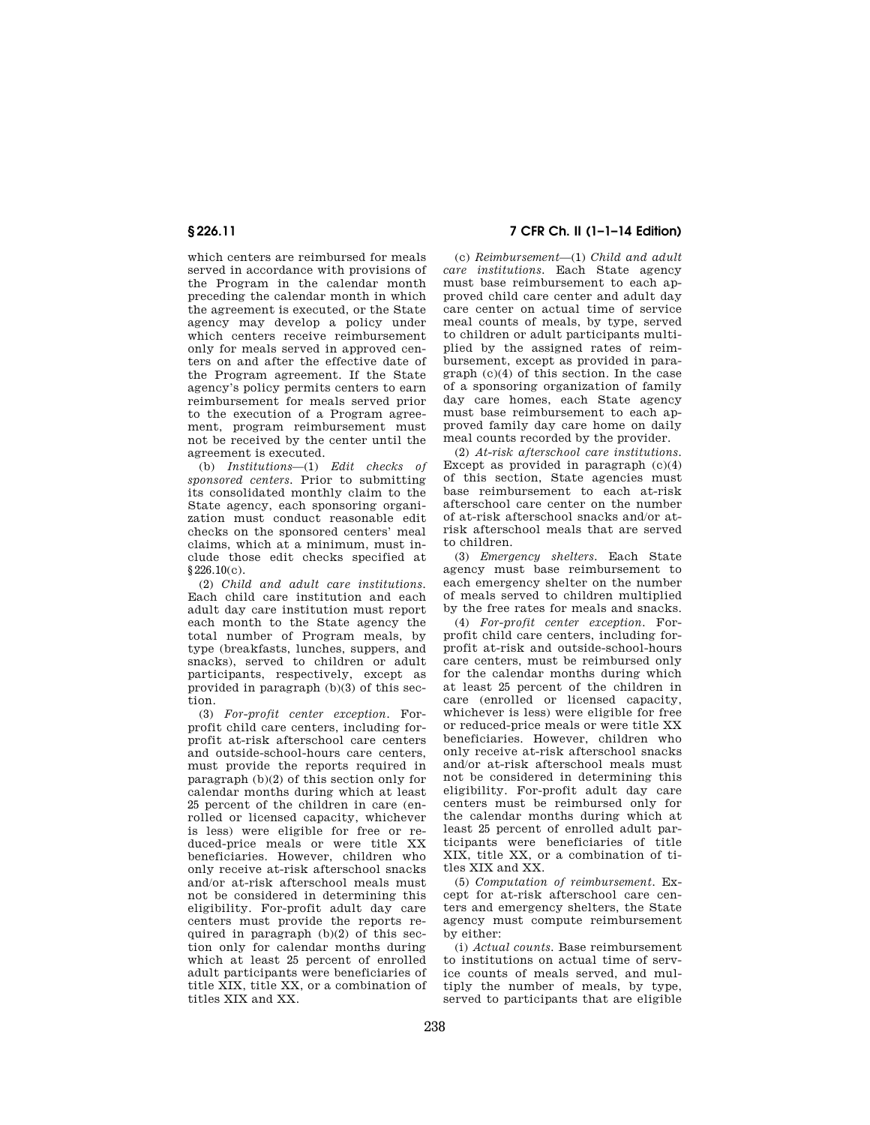which centers are reimbursed for meals served in accordance with provisions of the Program in the calendar month preceding the calendar month in which the agreement is executed, or the State agency may develop a policy under which centers receive reimbursement only for meals served in approved centers on and after the effective date of the Program agreement. If the State agency's policy permits centers to earn reimbursement for meals served prior to the execution of a Program agreement, program reimbursement must not be received by the center until the agreement is executed.

(b) *Institutions*—(1) *Edit checks of sponsored centers.* Prior to submitting its consolidated monthly claim to the State agency, each sponsoring organization must conduct reasonable edit checks on the sponsored centers' meal claims, which at a minimum, must include those edit checks specified at §226.10(c).

(2) *Child and adult care institutions.*  Each child care institution and each adult day care institution must report each month to the State agency the total number of Program meals, by type (breakfasts, lunches, suppers, and snacks), served to children or adult participants, respectively, except as provided in paragraph (b)(3) of this section.

(3) *For-profit center exception.* Forprofit child care centers, including forprofit at-risk afterschool care centers and outside-school-hours care centers, must provide the reports required in paragraph (b)(2) of this section only for calendar months during which at least 25 percent of the children in care (enrolled or licensed capacity, whichever is less) were eligible for free or reduced-price meals or were title XX beneficiaries. However, children who only receive at-risk afterschool snacks and/or at-risk afterschool meals must not be considered in determining this eligibility. For-profit adult day care centers must provide the reports required in paragraph  $(b)(2)$  of this section only for calendar months during which at least 25 percent of enrolled adult participants were beneficiaries of title XIX, title XX, or a combination of titles XIX and XX.

# **§ 226.11 7 CFR Ch. II (1–1–14 Edition)**

(c) *Reimbursement*—(1) *Child and adult care institutions.* Each State agency must base reimbursement to each approved child care center and adult day care center on actual time of service meal counts of meals, by type, served to children or adult participants multiplied by the assigned rates of reimbursement, except as provided in paragraph (c)(4) of this section. In the case of a sponsoring organization of family day care homes, each State agency must base reimbursement to each approved family day care home on daily meal counts recorded by the provider.

(2) *At-risk afterschool care institutions.*  Except as provided in paragraph  $(c)(4)$ of this section, State agencies must base reimbursement to each at-risk afterschool care center on the number of at-risk afterschool snacks and/or atrisk afterschool meals that are served to children.

(3) *Emergency shelters.* Each State agency must base reimbursement to each emergency shelter on the number of meals served to children multiplied by the free rates for meals and snacks.

(4) *For-profit center exception.* Forprofit child care centers, including forprofit at-risk and outside-school-hours care centers, must be reimbursed only for the calendar months during which at least 25 percent of the children in care (enrolled or licensed capacity, whichever is less) were eligible for free or reduced-price meals or were title XX beneficiaries. However, children who only receive at-risk afterschool snacks and/or at-risk afterschool meals must not be considered in determining this eligibility. For-profit adult day care centers must be reimbursed only for the calendar months during which at least 25 percent of enrolled adult participants were beneficiaries of title XIX, title XX, or a combination of titles XIX and XX.

(5) *Computation of reimbursement.* Except for at-risk afterschool care centers and emergency shelters, the State agency must compute reimbursement by either:

(i) *Actual counts.* Base reimbursement to institutions on actual time of service counts of meals served, and multiply the number of meals, by type, served to participants that are eligible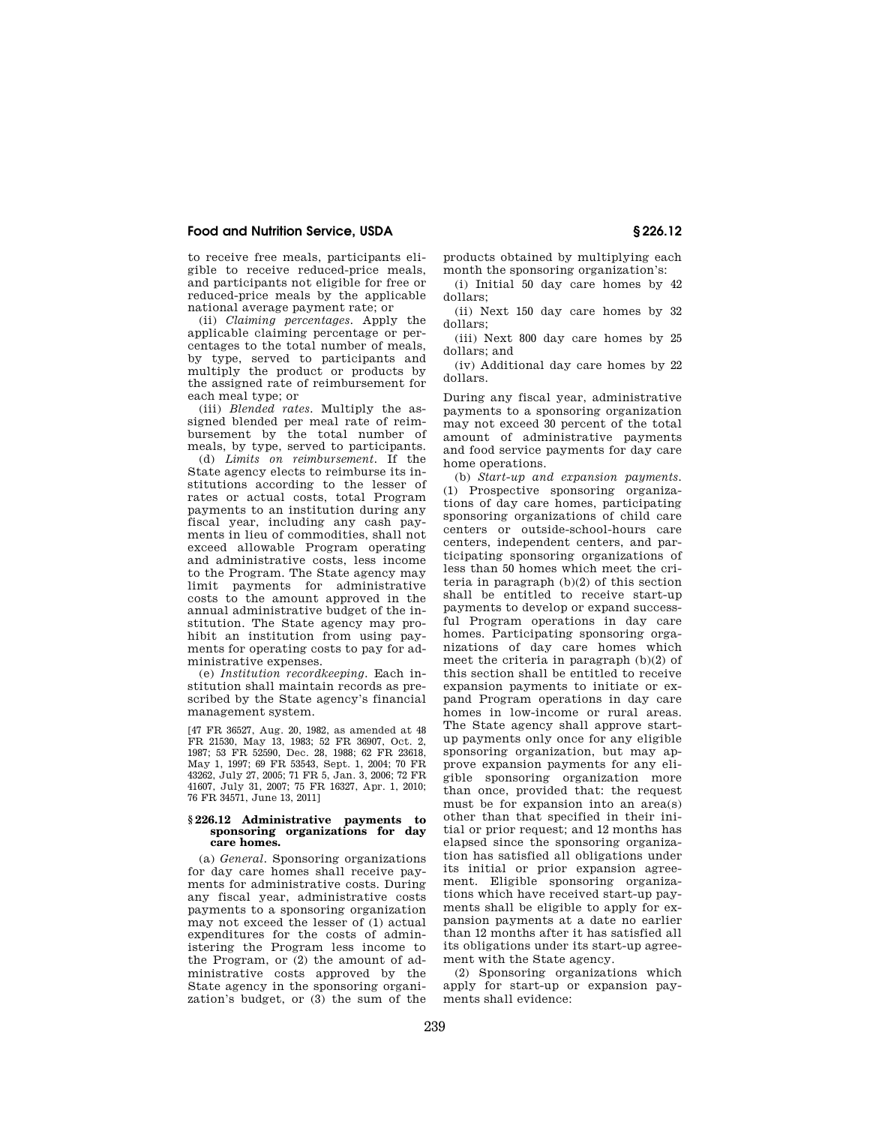to receive free meals, participants eligible to receive reduced-price meals, and participants not eligible for free or reduced-price meals by the applicable national average payment rate; or

(ii) *Claiming percentages.* Apply the applicable claiming percentage or percentages to the total number of meals, by type, served to participants and multiply the product or products by the assigned rate of reimbursement for each meal type; or

(iii) *Blended rates.* Multiply the assigned blended per meal rate of reimbursement by the total number of meals, by type, served to participants.

(d) *Limits on reimbursement.* If the State agency elects to reimburse its institutions according to the lesser of rates or actual costs, total Program payments to an institution during any fiscal year, including any cash payments in lieu of commodities, shall not exceed allowable Program operating and administrative costs, less income to the Program. The State agency may limit payments for administrative costs to the amount approved in the annual administrative budget of the institution. The State agency may prohibit an institution from using payments for operating costs to pay for administrative expenses.

(e) *Institution recordkeeping.* Each institution shall maintain records as prescribed by the State agency's financial management system.

[47 FR 36527, Aug. 20, 1982, as amended at 48 FR 21530, May 13, 1983; 52 FR 36907, Oct. 2, 1987; 53 FR 52590, Dec. 28, 1988; 62 FR 23618, May 1, 1997; 69 FR 53543, Sept. 1, 2004; 70 FR 43262, July 27, 2005; 71 FR 5, Jan. 3, 2006; 72 FR 41607, July 31, 2007; 75 FR 16327, Apr. 1, 2010; 76 FR 34571, June 13, 2011]

#### **§ 226.12 Administrative payments to sponsoring organizations for day care homes.**

(a) *General.* Sponsoring organizations for day care homes shall receive payments for administrative costs. During any fiscal year, administrative costs payments to a sponsoring organization may not exceed the lesser of (1) actual expenditures for the costs of administering the Program less income to the Program, or (2) the amount of administrative costs approved by the State agency in the sponsoring organization's budget, or (3) the sum of the products obtained by multiplying each month the sponsoring organization's:

(i) Initial 50 day care homes by 42 dollars;

(ii) Next 150 day care homes by 32 dollars;

(iii) Next 800 day care homes by 25 dollars; and

(iv) Additional day care homes by 22 dollars.

During any fiscal year, administrative payments to a sponsoring organization may not exceed 30 percent of the total amount of administrative payments and food service payments for day care home operations.

(b) *Start-up and expansion payments.*  (1) Prospective sponsoring organizations of day care homes, participating sponsoring organizations of child care centers or outside-school-hours care centers, independent centers, and participating sponsoring organizations of less than 50 homes which meet the criteria in paragraph (b)(2) of this section shall be entitled to receive start-up payments to develop or expand successful Program operations in day care homes. Participating sponsoring organizations of day care homes which meet the criteria in paragraph (b)(2) of this section shall be entitled to receive expansion payments to initiate or expand Program operations in day care homes in low-income or rural areas. The State agency shall approve startup payments only once for any eligible sponsoring organization, but may approve expansion payments for any eligible sponsoring organization more than once, provided that: the request must be for expansion into an area(s) other than that specified in their initial or prior request; and 12 months has elapsed since the sponsoring organization has satisfied all obligations under its initial or prior expansion agreement. Eligible sponsoring organizations which have received start-up payments shall be eligible to apply for expansion payments at a date no earlier than 12 months after it has satisfied all its obligations under its start-up agreement with the State agency.

(2) Sponsoring organizations which apply for start-up or expansion payments shall evidence: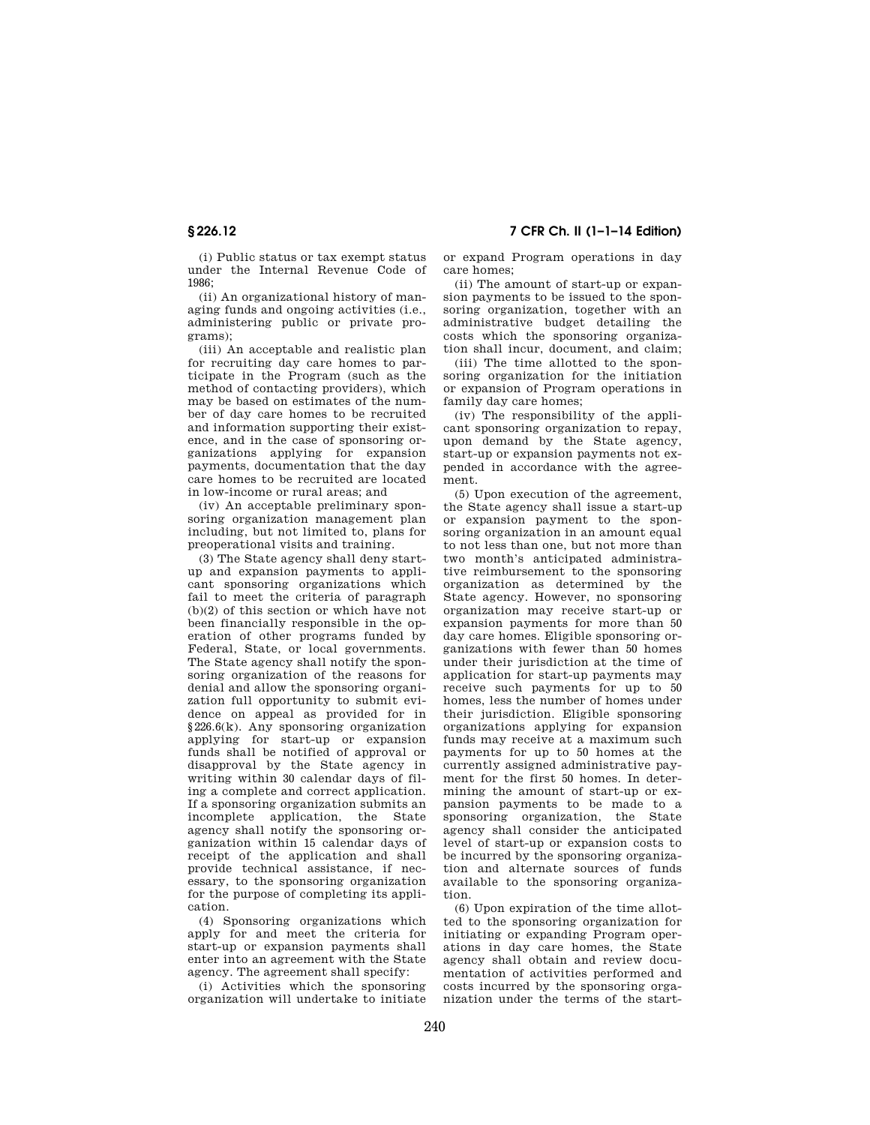(i) Public status or tax exempt status under the Internal Revenue Code of 1986;

(ii) An organizational history of managing funds and ongoing activities (i.e., administering public or private programs);

(iii) An acceptable and realistic plan for recruiting day care homes to participate in the Program (such as the method of contacting providers), which may be based on estimates of the number of day care homes to be recruited and information supporting their existence, and in the case of sponsoring organizations applying for expansion payments, documentation that the day care homes to be recruited are located in low-income or rural areas; and

(iv) An acceptable preliminary sponsoring organization management plan including, but not limited to, plans for preoperational visits and training.

(3) The State agency shall deny startup and expansion payments to applicant sponsoring organizations which fail to meet the criteria of paragraph (b)(2) of this section or which have not been financially responsible in the operation of other programs funded by Federal, State, or local governments. The State agency shall notify the sponsoring organization of the reasons for denial and allow the sponsoring organization full opportunity to submit evidence on appeal as provided for in §226.6(k). Any sponsoring organization applying for start-up or expansion funds shall be notified of approval or disapproval by the State agency in writing within 30 calendar days of filing a complete and correct application. If a sponsoring organization submits an incomplete application, the State agency shall notify the sponsoring organization within 15 calendar days of receipt of the application and shall provide technical assistance, if necessary, to the sponsoring organization for the purpose of completing its application.

(4) Sponsoring organizations which apply for and meet the criteria for start-up or expansion payments shall enter into an agreement with the State agency. The agreement shall specify:

(i) Activities which the sponsoring organization will undertake to initiate or expand Program operations in day care homes;

(ii) The amount of start-up or expansion payments to be issued to the sponsoring organization, together with an administrative budget detailing the costs which the sponsoring organization shall incur, document, and claim;

(iii) The time allotted to the sponsoring organization for the initiation or expansion of Program operations in family day care homes;

(iv) The responsibility of the applicant sponsoring organization to repay, upon demand by the State agency, start-up or expansion payments not expended in accordance with the agreement.

(5) Upon execution of the agreement, the State agency shall issue a start-up or expansion payment to the sponsoring organization in an amount equal to not less than one, but not more than two month's anticipated administrative reimbursement to the sponsoring organization as determined by the State agency. However, no sponsoring organization may receive start-up or expansion payments for more than 50 day care homes. Eligible sponsoring organizations with fewer than 50 homes under their jurisdiction at the time of application for start-up payments may receive such payments for up to 50 homes, less the number of homes under their jurisdiction. Eligible sponsoring organizations applying for expansion funds may receive at a maximum such payments for up to 50 homes at the currently assigned administrative payment for the first 50 homes. In determining the amount of start-up or expansion payments to be made to a sponsoring organization, the State agency shall consider the anticipated level of start-up or expansion costs to be incurred by the sponsoring organization and alternate sources of funds available to the sponsoring organization.

(6) Upon expiration of the time allotted to the sponsoring organization for initiating or expanding Program operations in day care homes, the State agency shall obtain and review documentation of activities performed and costs incurred by the sponsoring organization under the terms of the start-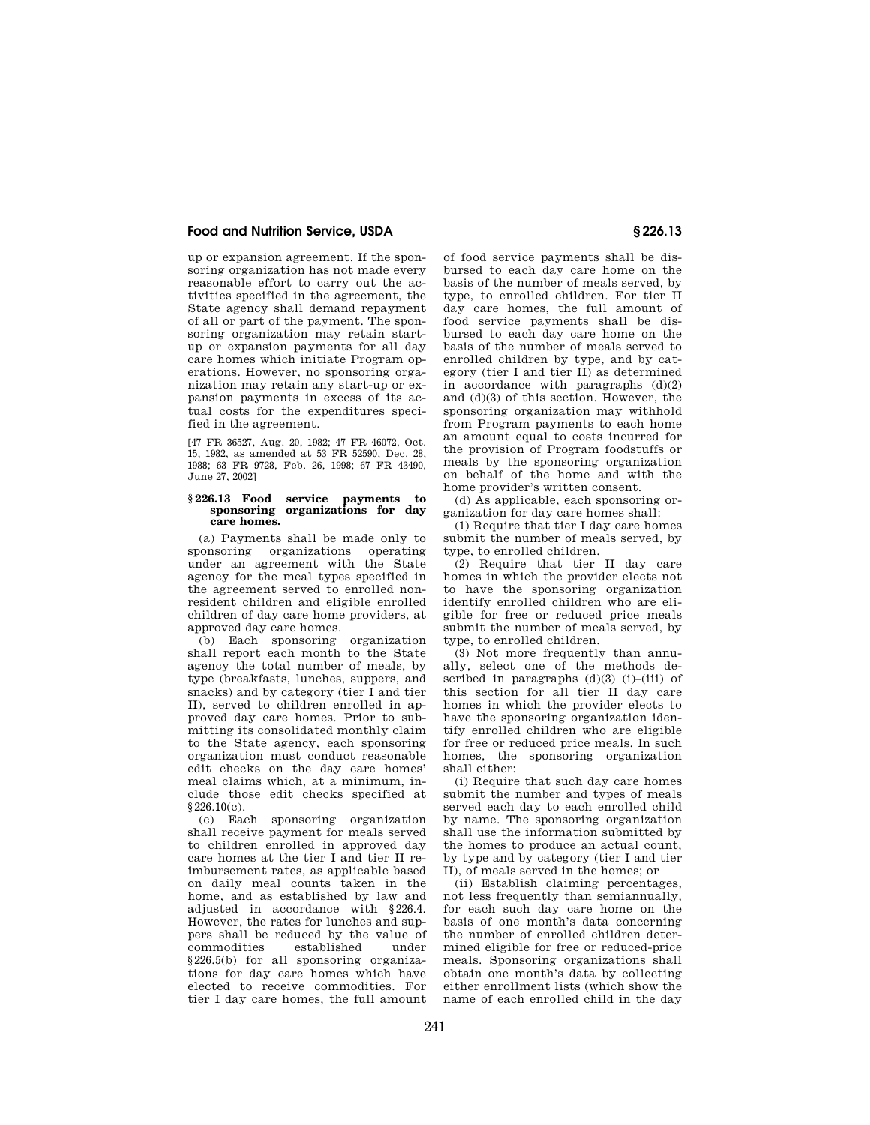up or expansion agreement. If the sponsoring organization has not made every reasonable effort to carry out the activities specified in the agreement, the State agency shall demand repayment of all or part of the payment. The sponsoring organization may retain startup or expansion payments for all day care homes which initiate Program operations. However, no sponsoring organization may retain any start-up or expansion payments in excess of its actual costs for the expenditures specified in the agreement.

[47 FR 36527, Aug. 20, 1982; 47 FR 46072, Oct. 15, 1982, as amended at 53 FR 52590, Dec. 28, 1988; 63 FR 9728, Feb. 26, 1998; 67 FR 43490, June 27, 2002]

#### **§ 226.13 Food service payments to sponsoring organizations for day care homes.**

(a) Payments shall be made only to sponsoring organizations operating under an agreement with the State agency for the meal types specified in the agreement served to enrolled nonresident children and eligible enrolled children of day care home providers, at approved day care homes.

(b) Each sponsoring organization shall report each month to the State agency the total number of meals, by type (breakfasts, lunches, suppers, and snacks) and by category (tier I and tier II), served to children enrolled in approved day care homes. Prior to submitting its consolidated monthly claim to the State agency, each sponsoring organization must conduct reasonable edit checks on the day care homes' meal claims which, at a minimum, include those edit checks specified at §226.10(c).

(c) Each sponsoring organization shall receive payment for meals served to children enrolled in approved day care homes at the tier I and tier II reimbursement rates, as applicable based on daily meal counts taken in the home, and as established by law and adjusted in accordance with §226.4. However, the rates for lunches and suppers shall be reduced by the value of commodities established under §226.5(b) for all sponsoring organizations for day care homes which have elected to receive commodities. For tier I day care homes, the full amount

of food service payments shall be disbursed to each day care home on the basis of the number of meals served, by type, to enrolled children. For tier II day care homes, the full amount of food service payments shall be disbursed to each day care home on the basis of the number of meals served to enrolled children by type, and by category (tier I and tier II) as determined in accordance with paragraphs  $(d)(2)$ and (d)(3) of this section. However, the sponsoring organization may withhold from Program payments to each home an amount equal to costs incurred for the provision of Program foodstuffs or meals by the sponsoring organization on behalf of the home and with the home provider's written consent.

(d) As applicable, each sponsoring organization for day care homes shall:

(1) Require that tier I day care homes submit the number of meals served, by type, to enrolled children.

(2) Require that tier II day care homes in which the provider elects not to have the sponsoring organization identify enrolled children who are eligible for free or reduced price meals submit the number of meals served, by type, to enrolled children.

(3) Not more frequently than annually, select one of the methods described in paragraphs  $(d)(3)$  (i)–(iii) of this section for all tier II day care homes in which the provider elects to have the sponsoring organization identify enrolled children who are eligible for free or reduced price meals. In such homes, the sponsoring organization shall either:

(i) Require that such day care homes submit the number and types of meals served each day to each enrolled child by name. The sponsoring organization shall use the information submitted by the homes to produce an actual count, by type and by category (tier I and tier II), of meals served in the homes; or

(ii) Establish claiming percentages, not less frequently than semiannually, for each such day care home on the basis of one month's data concerning the number of enrolled children determined eligible for free or reduced-price meals. Sponsoring organizations shall obtain one month's data by collecting either enrollment lists (which show the name of each enrolled child in the day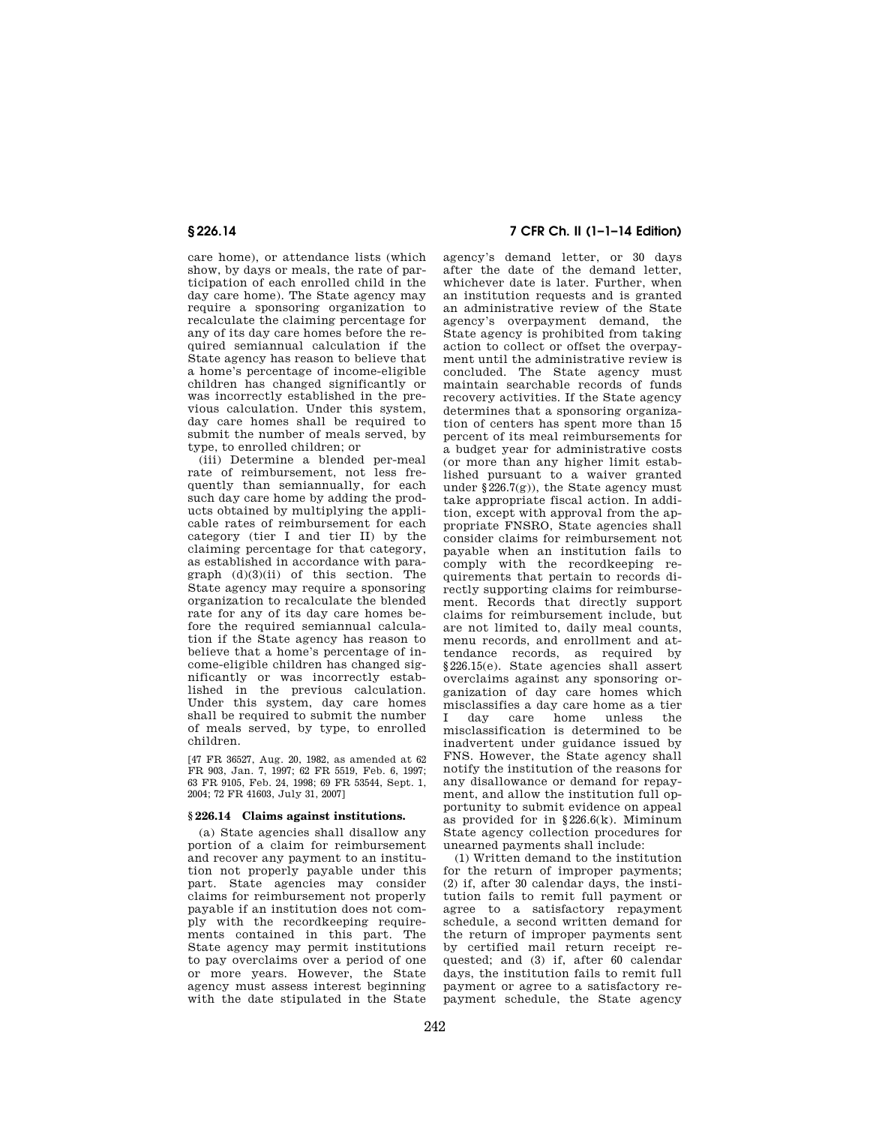care home), or attendance lists (which show, by days or meals, the rate of participation of each enrolled child in the day care home). The State agency may require a sponsoring organization to recalculate the claiming percentage for any of its day care homes before the required semiannual calculation if the State agency has reason to believe that a home's percentage of income-eligible children has changed significantly or was incorrectly established in the previous calculation. Under this system, day care homes shall be required to submit the number of meals served, by type, to enrolled children; or

(iii) Determine a blended per-meal rate of reimbursement, not less frequently than semiannually, for each such day care home by adding the products obtained by multiplying the applicable rates of reimbursement for each category (tier I and tier II) by the claiming percentage for that category, as established in accordance with paragraph (d)(3)(ii) of this section. The State agency may require a sponsoring organization to recalculate the blended rate for any of its day care homes before the required semiannual calculation if the State agency has reason to believe that a home's percentage of income-eligible children has changed significantly or was incorrectly established in the previous calculation. Under this system, day care homes shall be required to submit the number of meals served, by type, to enrolled children.

[47 FR 36527, Aug. 20, 1982, as amended at 62 FR 903, Jan. 7, 1997; 62 FR 5519, Feb. 6, 1997; 63 FR 9105, Feb. 24, 1998; 69 FR 53544, Sept. 1, 2004; 72 FR 41603, July 31, 2007]

#### **§ 226.14 Claims against institutions.**

(a) State agencies shall disallow any portion of a claim for reimbursement and recover any payment to an institution not properly payable under this part. State agencies may consider claims for reimbursement not properly payable if an institution does not comply with the recordkeeping requirements contained in this part. The State agency may permit institutions to pay overclaims over a period of one or more years. However, the State agency must assess interest beginning with the date stipulated in the State

# **§ 226.14 7 CFR Ch. II (1–1–14 Edition)**

agency's demand letter, or 30 days after the date of the demand letter, whichever date is later. Further, when an institution requests and is granted an administrative review of the State agency's overpayment demand, the State agency is prohibited from taking action to collect or offset the overpayment until the administrative review is concluded. The State agency must maintain searchable records of funds recovery activities. If the State agency determines that a sponsoring organization of centers has spent more than 15 percent of its meal reimbursements for a budget year for administrative costs (or more than any higher limit established pursuant to a waiver granted under §226.7 $(g)$ , the State agency must take appropriate fiscal action. In addition, except with approval from the appropriate FNSRO, State agencies shall consider claims for reimbursement not payable when an institution fails to comply with the recordkeeping requirements that pertain to records directly supporting claims for reimbursement. Records that directly support claims for reimbursement include, but are not limited to, daily meal counts, menu records, and enrollment and attendance records, as required by §226.15(e). State agencies shall assert overclaims against any sponsoring organization of day care homes which misclassifies a day care home as a tier I day care home unless the misclassification is determined to be inadvertent under guidance issued by FNS. However, the State agency shall notify the institution of the reasons for any disallowance or demand for repayment, and allow the institution full opportunity to submit evidence on appeal as provided for in §226.6(k). Miminum State agency collection procedures for unearned payments shall include:

(1) Written demand to the institution for the return of improper payments; (2) if, after 30 calendar days, the institution fails to remit full payment or agree to a satisfactory repayment schedule, a second written demand for the return of improper payments sent by certified mail return receipt requested; and (3) if, after 60 calendar days, the institution fails to remit full payment or agree to a satisfactory repayment schedule, the State agency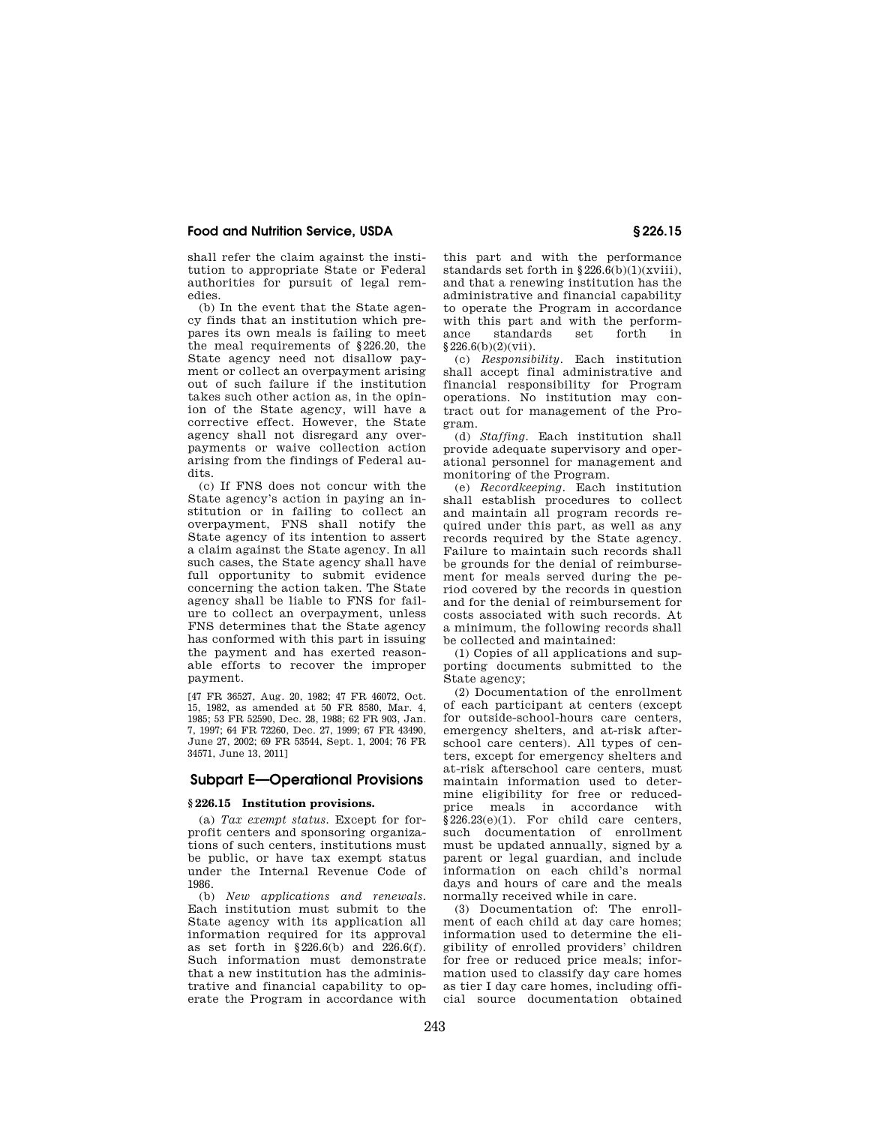shall refer the claim against the institution to appropriate State or Federal authorities for pursuit of legal remedies.

(b) In the event that the State agency finds that an institution which prepares its own meals is failing to meet the meal requirements of §226.20, the State agency need not disallow payment or collect an overpayment arising out of such failure if the institution takes such other action as, in the opinion of the State agency, will have a corrective effect. However, the State agency shall not disregard any overpayments or waive collection action arising from the findings of Federal audits.

(c) If FNS does not concur with the State agency's action in paying an institution or in failing to collect an overpayment, FNS shall notify the State agency of its intention to assert a claim against the State agency. In all such cases, the State agency shall have full opportunity to submit evidence concerning the action taken. The State agency shall be liable to FNS for failure to collect an overpayment, unless FNS determines that the State agency has conformed with this part in issuing the payment and has exerted reasonable efforts to recover the improper payment.

[47 FR 36527, Aug. 20, 1982; 47 FR 46072, Oct. 15, 1982, as amended at 50 FR 8580, Mar. 4, 1985; 53 FR 52590, Dec. 28, 1988; 62 FR 903, Jan. 7, 1997; 64 FR 72260, Dec. 27, 1999; 67 FR 43490, June 27, 2002; 69 FR 53544, Sept. 1, 2004; 76 FR 34571, June 13, 2011]

# **Subpart E—Operational Provisions**

#### **§ 226.15 Institution provisions.**

(a) *Tax exempt status.* Except for forprofit centers and sponsoring organizations of such centers, institutions must be public, or have tax exempt status under the Internal Revenue Code of 1986.

(b) *New applications and renewals.*  Each institution must submit to the State agency with its application all information required for its approval as set forth in §226.6(b) and 226.6(f). Such information must demonstrate that a new institution has the administrative and financial capability to operate the Program in accordance with

this part and with the performance standards set forth in  $§226.6(b)(1)(xviii)$ , and that a renewing institution has the administrative and financial capability to operate the Program in accordance with this part and with the perform-<br>ance standards set forth in standards §226.6(b)(2)(vii).

(c) *Responsibility.* Each institution shall accept final administrative and financial responsibility for Program operations. No institution may contract out for management of the Program.

(d) *Staffing.* Each institution shall provide adequate supervisory and operational personnel for management and monitoring of the Program.

(e) *Recordkeeping.* Each institution shall establish procedures to collect and maintain all program records required under this part, as well as any records required by the State agency. Failure to maintain such records shall be grounds for the denial of reimbursement for meals served during the period covered by the records in question and for the denial of reimbursement for costs associated with such records. At a minimum, the following records shall be collected and maintained:

(1) Copies of all applications and supporting documents submitted to the State agency;

(2) Documentation of the enrollment of each participant at centers (except for outside-school-hours care centers. emergency shelters, and at-risk afterschool care centers). All types of centers, except for emergency shelters and at-risk afterschool care centers, must maintain information used to determine eligibility for free or reducedprice meals in accordance with  $§226.23(e)(1)$ . For child care centers, such documentation of enrollment must be updated annually, signed by a parent or legal guardian, and include information on each child's normal days and hours of care and the meals normally received while in care.

(3) Documentation of: The enrollment of each child at day care homes; information used to determine the eligibility of enrolled providers' children for free or reduced price meals; information used to classify day care homes as tier I day care homes, including official source documentation obtained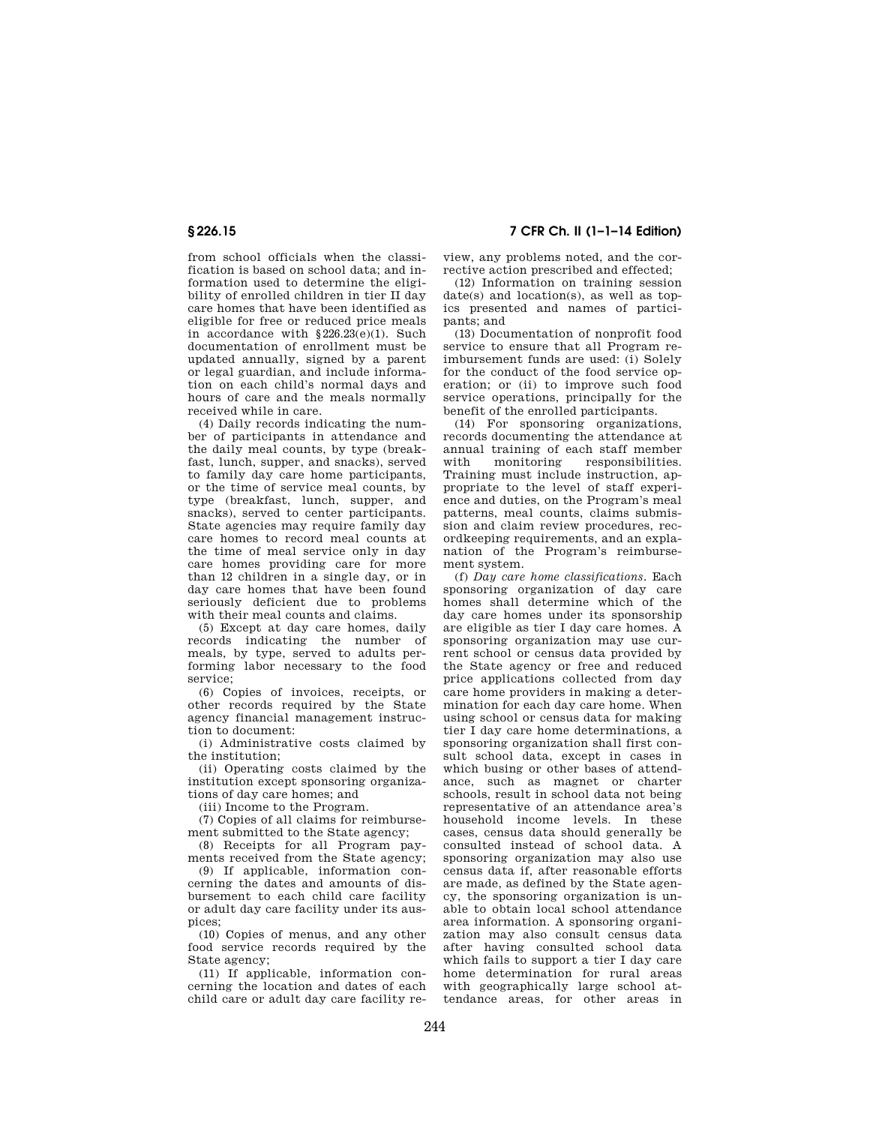from school officials when the classification is based on school data; and information used to determine the eligibility of enrolled children in tier II day care homes that have been identified as eligible for free or reduced price meals in accordance with §226.23(e)(1). Such documentation of enrollment must be updated annually, signed by a parent or legal guardian, and include information on each child's normal days and hours of care and the meals normally received while in care.

(4) Daily records indicating the number of participants in attendance and the daily meal counts, by type (breakfast, lunch, supper, and snacks), served to family day care home participants, or the time of service meal counts, by type (breakfast, lunch, supper, and snacks), served to center participants. State agencies may require family day care homes to record meal counts at the time of meal service only in day care homes providing care for more than 12 children in a single day, or in day care homes that have been found seriously deficient due to problems with their meal counts and claims.

(5) Except at day care homes, daily records indicating the number of meals, by type, served to adults performing labor necessary to the food service;

(6) Copies of invoices, receipts, or other records required by the State agency financial management instruction to document:

(i) Administrative costs claimed by the institution;

(ii) Operating costs claimed by the institution except sponsoring organizations of day care homes; and

(iii) Income to the Program.

(7) Copies of all claims for reimbursement submitted to the State agency;

(8) Receipts for all Program payments received from the State agency;

(9) If applicable, information concerning the dates and amounts of disbursement to each child care facility or adult day care facility under its auspices;

(10) Copies of menus, and any other food service records required by the State agency;

(11) If applicable, information concerning the location and dates of each child care or adult day care facility re-

**§ 226.15 7 CFR Ch. II (1–1–14 Edition)** 

view, any problems noted, and the corrective action prescribed and effected;

(12) Information on training session date(s) and location(s), as well as topics presented and names of participants; and

(13) Documentation of nonprofit food service to ensure that all Program reimbursement funds are used: (i) Solely for the conduct of the food service operation; or (ii) to improve such food service operations, principally for the benefit of the enrolled participants.

(14) For sponsoring organizations, records documenting the attendance at annual training of each staff member monitoring responsibilities. Training must include instruction, appropriate to the level of staff experience and duties, on the Program's meal patterns, meal counts, claims submission and claim review procedures, recordkeeping requirements, and an explanation of the Program's reimbursement system.

(f) *Day care home classifications.* Each sponsoring organization of day care homes shall determine which of the day care homes under its sponsorship are eligible as tier I day care homes. A sponsoring organization may use current school or census data provided by the State agency or free and reduced price applications collected from day care home providers in making a determination for each day care home. When using school or census data for making tier I day care home determinations, a sponsoring organization shall first consult school data, except in cases in which busing or other bases of attendance, such as magnet or charter schools, result in school data not being representative of an attendance area's household income levels. In these cases, census data should generally be consulted instead of school data. A sponsoring organization may also use census data if, after reasonable efforts are made, as defined by the State agency, the sponsoring organization is unable to obtain local school attendance area information. A sponsoring organization may also consult census data after having consulted school data which fails to support a tier I day care home determination for rural areas with geographically large school attendance areas, for other areas in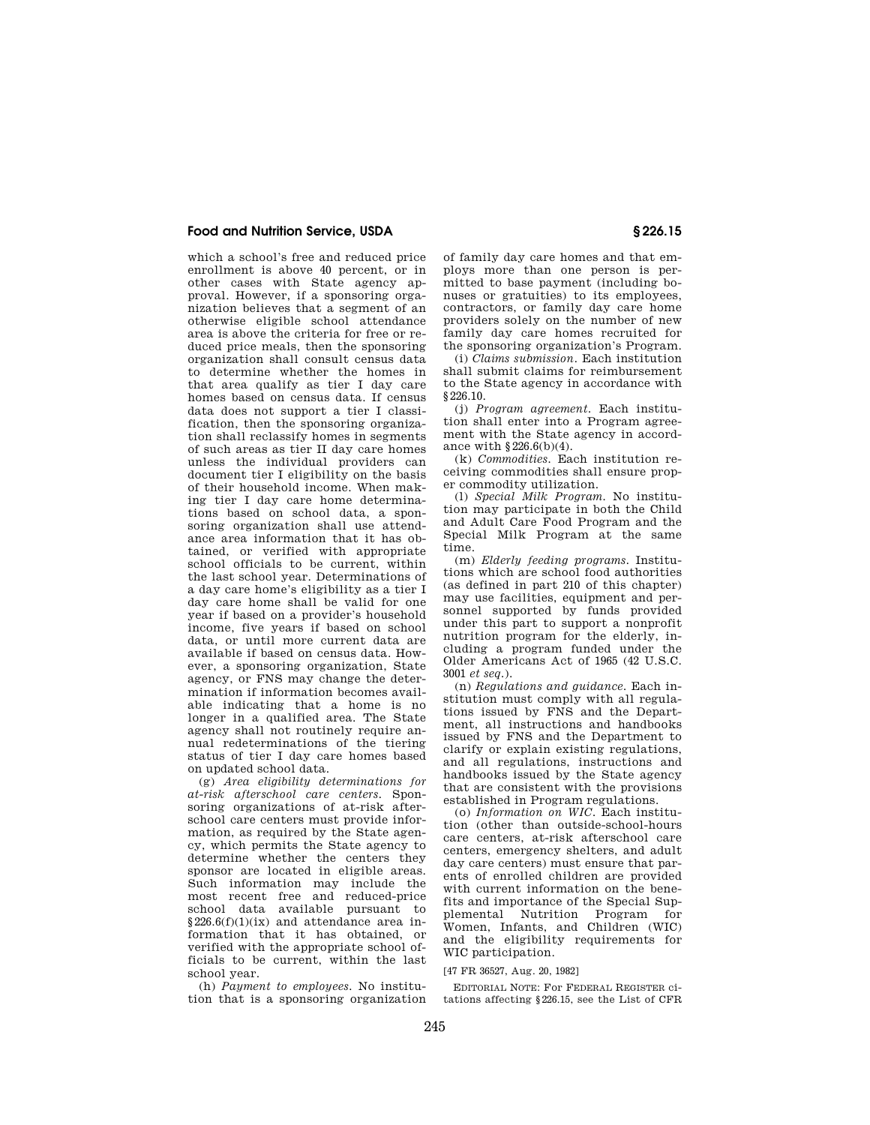which a school's free and reduced price enrollment is above 40 percent, or in other cases with State agency approval. However, if a sponsoring organization believes that a segment of an otherwise eligible school attendance area is above the criteria for free or reduced price meals, then the sponsoring organization shall consult census data to determine whether the homes in that area qualify as tier I day care homes based on census data. If census data does not support a tier I classification, then the sponsoring organization shall reclassify homes in segments of such areas as tier II day care homes unless the individual providers can document tier I eligibility on the basis of their household income. When making tier I day care home determinations based on school data, a sponsoring organization shall use attendance area information that it has obtained, or verified with appropriate school officials to be current, within the last school year. Determinations of a day care home's eligibility as a tier I day care home shall be valid for one year if based on a provider's household income, five years if based on school data, or until more current data are available if based on census data. However, a sponsoring organization, State agency, or FNS may change the determination if information becomes available indicating that a home is no longer in a qualified area. The State agency shall not routinely require annual redeterminations of the tiering status of tier I day care homes based on updated school data.

(g) *Area eligibility determinations for at-risk afterschool care centers.* Sponsoring organizations of at-risk afterschool care centers must provide information, as required by the State agency, which permits the State agency to determine whether the centers they sponsor are located in eligible areas. Such information may include the most recent free and reduced-price school data available pursuant to  $§226.6(f)(1)(ix)$  and attendance area information that it has obtained, or verified with the appropriate school officials to be current, within the last school year.

(h) *Payment to employees.* No institution that is a sponsoring organization of family day care homes and that employs more than one person is permitted to base payment (including bonuses or gratuities) to its employees, contractors, or family day care home providers solely on the number of new family day care homes recruited for the sponsoring organization's Program.

(i) *Claims submission.* Each institution shall submit claims for reimbursement to the State agency in accordance with §226.10.

(j) *Program agreement.* Each institution shall enter into a Program agreement with the State agency in accordance with §226.6(b)(4).

(k) *Commodities.* Each institution receiving commodities shall ensure proper commodity utilization.

(l) *Special Milk Program.* No institution may participate in both the Child and Adult Care Food Program and the Special Milk Program at the same time.

(m) *Elderly feeding programs.* Institutions which are school food authorities (as defined in part 210 of this chapter) may use facilities, equipment and personnel supported by funds provided under this part to support a nonprofit nutrition program for the elderly, including a program funded under the Older Americans Act of 1965 (42 U.S.C. 3001 *et seq.*).

(n) *Regulations and guidance.* Each institution must comply with all regulations issued by FNS and the Department, all instructions and handbooks issued by FNS and the Department to clarify or explain existing regulations, and all regulations, instructions and handbooks issued by the State agency that are consistent with the provisions established in Program regulations.

(o) *Information on WIC.* Each institution (other than outside-school-hours care centers, at-risk afterschool care centers, emergency shelters, and adult day care centers) must ensure that parents of enrolled children are provided with current information on the benefits and importance of the Special Supplemental Nutrition Program for Women, Infants, and Children (WIC) and the eligibility requirements for WIC participation.

[47 FR 36527, Aug. 20, 1982]

EDITORIAL NOTE: For FEDERAL REGISTER citations affecting §226.15, see the List of CFR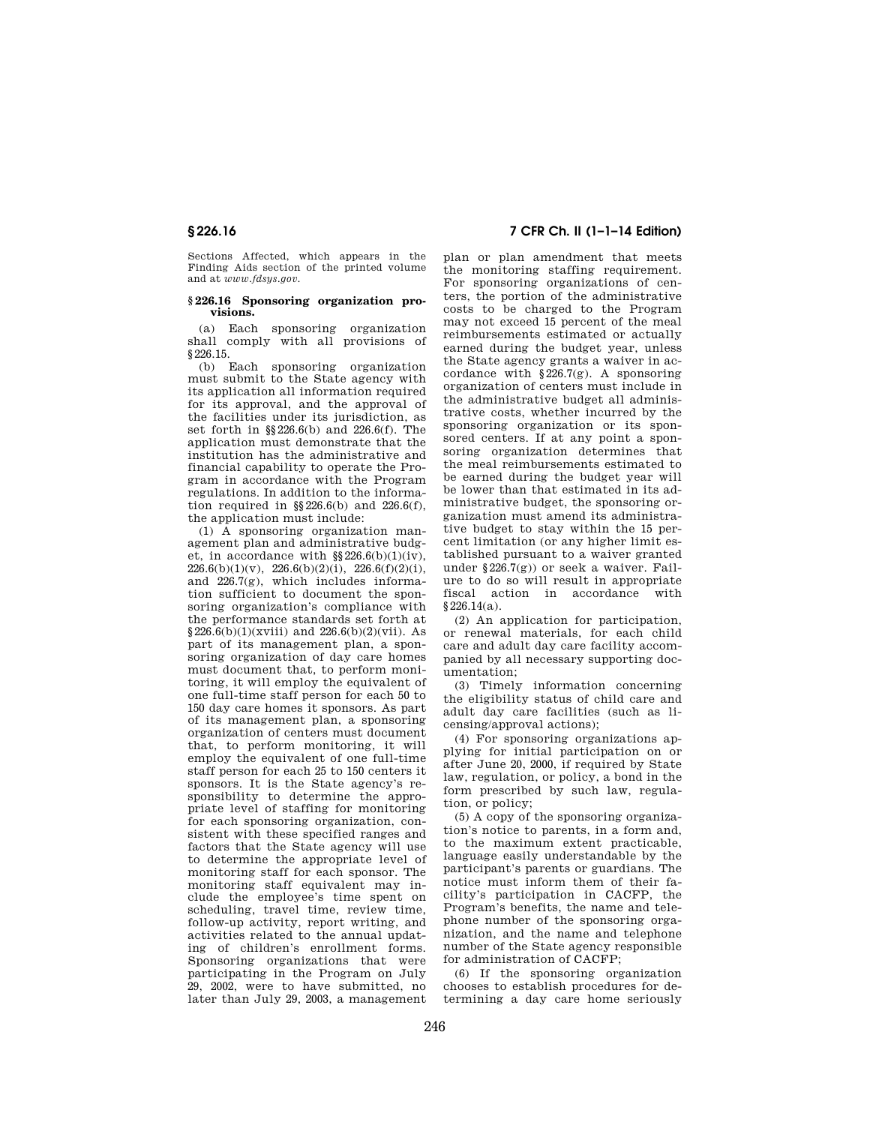Sections Affected, which appears in the Finding Aids section of the printed volume and at *www.fdsys.gov.* 

#### **§ 226.16 Sponsoring organization provisions.**

(a) Each sponsoring organization shall comply with all provisions of §226.15.

(b) Each sponsoring organization must submit to the State agency with its application all information required for its approval, and the approval of the facilities under its jurisdiction, as set forth in §§226.6(b) and 226.6(f). The application must demonstrate that the institution has the administrative and financial capability to operate the Program in accordance with the Program regulations. In addition to the information required in  $\S$ 226.6(b) and 226.6(f), the application must include:

(1) A sponsoring organization management plan and administrative budget, in accordance with §§226.6(b)(1)(iv),  $226.6(b)(1)(v)$ ,  $226.6(b)(2)(i)$ ,  $226.6(f)(2)(i)$ , and  $226.7(g)$ , which includes information sufficient to document the sponsoring organization's compliance with the performance standards set forth at  $§226.6(b)(1)(xviii)$  and  $226.6(b)(2)(vii)$ . As part of its management plan, a sponsoring organization of day care homes must document that, to perform monitoring, it will employ the equivalent of one full-time staff person for each 50 to 150 day care homes it sponsors. As part of its management plan, a sponsoring organization of centers must document that, to perform monitoring, it will employ the equivalent of one full-time staff person for each 25 to 150 centers it sponsors. It is the State agency's responsibility to determine the appropriate level of staffing for monitoring for each sponsoring organization, consistent with these specified ranges and factors that the State agency will use to determine the appropriate level of monitoring staff for each sponsor. The monitoring staff equivalent may include the employee's time spent on scheduling, travel time, review time, follow-up activity, report writing, and activities related to the annual updating of children's enrollment forms. Sponsoring organizations that were participating in the Program on July 29, 2002, were to have submitted, no later than July 29, 2003, a management

# **§ 226.16 7 CFR Ch. II (1–1–14 Edition)**

plan or plan amendment that meets the monitoring staffing requirement. For sponsoring organizations of centers, the portion of the administrative costs to be charged to the Program may not exceed 15 percent of the meal reimbursements estimated or actually earned during the budget year, unless the State agency grants a waiver in accordance with  $§226.7(g)$ . A sponsoring organization of centers must include in the administrative budget all administrative costs, whether incurred by the sponsoring organization or its sponsored centers. If at any point a sponsoring organization determines that the meal reimbursements estimated to be earned during the budget year will be lower than that estimated in its administrative budget, the sponsoring organization must amend its administrative budget to stay within the 15 percent limitation (or any higher limit established pursuant to a waiver granted under §226.7(g)) or seek a waiver. Failure to do so will result in appropriate fiscal action in accordance with §226.14(a).

(2) An application for participation, or renewal materials, for each child care and adult day care facility accompanied by all necessary supporting documentation;

(3) Timely information concerning the eligibility status of child care and adult day care facilities (such as licensing/approval actions);

(4) For sponsoring organizations applying for initial participation on or after June 20, 2000, if required by State law, regulation, or policy, a bond in the form prescribed by such law, regulation, or policy;

(5) A copy of the sponsoring organization's notice to parents, in a form and, to the maximum extent practicable, language easily understandable by the participant's parents or guardians. The notice must inform them of their facility's participation in CACFP, the Program's benefits, the name and telephone number of the sponsoring organization, and the name and telephone number of the State agency responsible for administration of CACFP;

(6) If the sponsoring organization chooses to establish procedures for determining a day care home seriously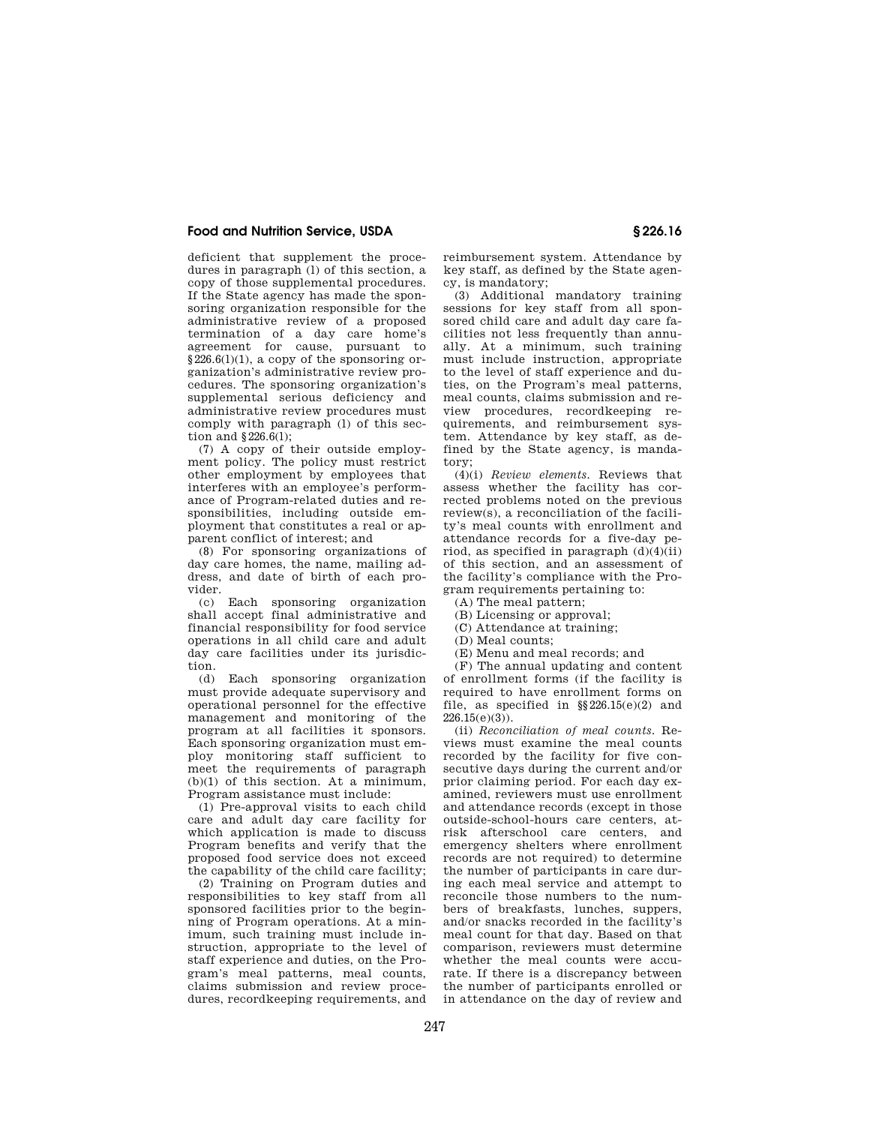deficient that supplement the procedures in paragraph (l) of this section, a copy of those supplemental procedures. If the State agency has made the sponsoring organization responsible for the administrative review of a proposed termination of a day care home's agreement for cause, pursuant to  $§226.6(1)(1)$ , a copy of the sponsoring organization's administrative review procedures. The sponsoring organization's supplemental serious deficiency and administrative review procedures must comply with paragraph (l) of this section and  $$226.6(1)$ :

(7) A copy of their outside employment policy. The policy must restrict other employment by employees that interferes with an employee's performance of Program-related duties and responsibilities, including outside employment that constitutes a real or apparent conflict of interest; and

(8) For sponsoring organizations of day care homes, the name, mailing address, and date of birth of each provider.

(c) Each sponsoring organization shall accept final administrative and financial responsibility for food service operations in all child care and adult day care facilities under its jurisdiction.

(d) Each sponsoring organization must provide adequate supervisory and operational personnel for the effective management and monitoring of the program at all facilities it sponsors. Each sponsoring organization must employ monitoring staff sufficient to meet the requirements of paragraph (b)(1) of this section. At a minimum, Program assistance must include:

(1) Pre-approval visits to each child care and adult day care facility for which application is made to discuss Program benefits and verify that the proposed food service does not exceed the capability of the child care facility;

(2) Training on Program duties and responsibilities to key staff from all sponsored facilities prior to the beginning of Program operations. At a minimum, such training must include instruction, appropriate to the level of staff experience and duties, on the Program's meal patterns, meal counts, claims submission and review procedures, recordkeeping requirements, and

reimbursement system. Attendance by key staff, as defined by the State agency, is mandatory;

(3) Additional mandatory training sessions for key staff from all sponsored child care and adult day care facilities not less frequently than annually. At a minimum, such training must include instruction, appropriate to the level of staff experience and duties, on the Program's meal patterns, meal counts, claims submission and review procedures, recordkeeping requirements, and reimbursement system. Attendance by key staff, as defined by the State agency, is mandatory;

(4)(i) *Review elements.* Reviews that assess whether the facility has corrected problems noted on the previous review(s), a reconciliation of the facility's meal counts with enrollment and attendance records for a five-day period, as specified in paragraph  $(d)(4)(ii)$ of this section, and an assessment of the facility's compliance with the Program requirements pertaining to:

(A) The meal pattern;

- (B) Licensing or approval;
- (C) Attendance at training;
- (D) Meal counts;
- (E) Menu and meal records; and

(F) The annual updating and content of enrollment forms (if the facility is required to have enrollment forms on file, as specified in §§226.15(e)(2) and  $226.15(e)(3)$ 

(ii) *Reconciliation of meal counts.* Reviews must examine the meal counts recorded by the facility for five consecutive days during the current and/or prior claiming period. For each day examined, reviewers must use enrollment and attendance records (except in those outside-school-hours care centers, atrisk afterschool care centers, and emergency shelters where enrollment records are not required) to determine the number of participants in care during each meal service and attempt to reconcile those numbers to the numbers of breakfasts, lunches, suppers, and/or snacks recorded in the facility's meal count for that day. Based on that comparison, reviewers must determine whether the meal counts were accurate. If there is a discrepancy between the number of participants enrolled or in attendance on the day of review and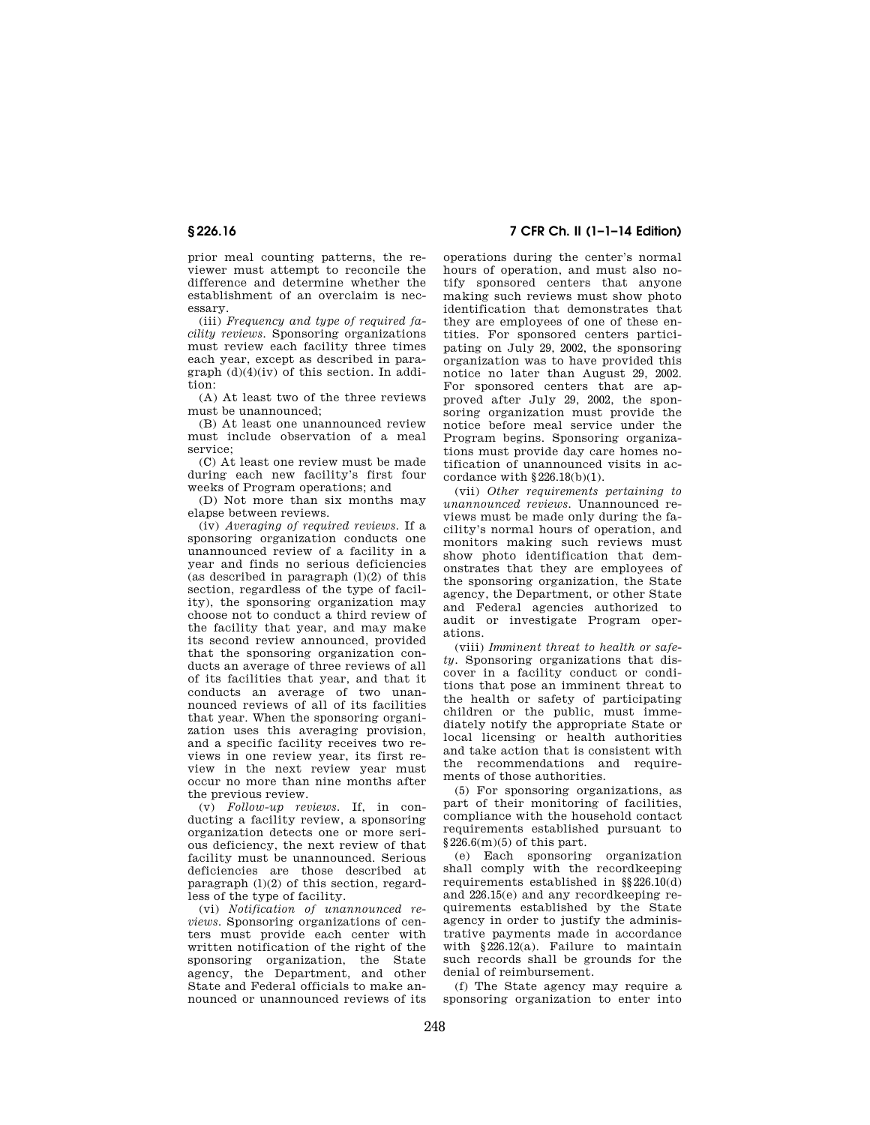prior meal counting patterns, the reviewer must attempt to reconcile the difference and determine whether the establishment of an overclaim is necessary.

(iii) *Frequency and type of required facility reviews.* Sponsoring organizations must review each facility three times each year, except as described in paragraph (d)(4)(iv) of this section. In addition:

(A) At least two of the three reviews must be unannounced;

(B) At least one unannounced review must include observation of a meal service;

(C) At least one review must be made during each new facility's first four weeks of Program operations; and

(D) Not more than six months may elapse between reviews.

(iv) *Averaging of required reviews.* If a sponsoring organization conducts one unannounced review of a facility in a year and finds no serious deficiencies (as described in paragraph  $(1)(2)$  of this section, regardless of the type of facility), the sponsoring organization may choose not to conduct a third review of the facility that year, and may make its second review announced, provided that the sponsoring organization conducts an average of three reviews of all of its facilities that year, and that it conducts an average of two unannounced reviews of all of its facilities that year. When the sponsoring organization uses this averaging provision, and a specific facility receives two reviews in one review year, its first review in the next review year must occur no more than nine months after the previous review.

(v) *Follow-up reviews.* If, in conducting a facility review, a sponsoring organization detects one or more serious deficiency, the next review of that facility must be unannounced. Serious deficiencies are those described at paragraph (l)(2) of this section, regardless of the type of facility.

(vi) *Notification of unannounced reviews.* Sponsoring organizations of centers must provide each center with written notification of the right of the sponsoring organization, the State agency, the Department, and other State and Federal officials to make announced or unannounced reviews of its

**§ 226.16 7 CFR Ch. II (1–1–14 Edition)** 

operations during the center's normal hours of operation, and must also notify sponsored centers that anyone making such reviews must show photo identification that demonstrates that they are employees of one of these entities. For sponsored centers participating on July 29, 2002, the sponsoring organization was to have provided this notice no later than August 29, 2002. For sponsored centers that are approved after July 29, 2002, the sponsoring organization must provide the notice before meal service under the Program begins. Sponsoring organizations must provide day care homes notification of unannounced visits in accordance with  $\S 226.18(b)(1)$ .

(vii) *Other requirements pertaining to unannounced reviews.* Unannounced reviews must be made only during the facility's normal hours of operation, and monitors making such reviews must show photo identification that demonstrates that they are employees of the sponsoring organization, the State agency, the Department, or other State and Federal agencies authorized to audit or investigate Program operations.

(viii) *Imminent threat to health or safety.* Sponsoring organizations that discover in a facility conduct or conditions that pose an imminent threat to the health or safety of participating children or the public, must immediately notify the appropriate State or local licensing or health authorities and take action that is consistent with the recommendations and requirements of those authorities.

(5) For sponsoring organizations, as part of their monitoring of facilities, compliance with the household contact requirements established pursuant to  $\S\,226.6(m)(5)$  of this part.

(e) Each sponsoring organization shall comply with the recordkeeping requirements established in  $\S$ 226.10(d) and 226.15(e) and any recordkeeping requirements established by the State agency in order to justify the administrative payments made in accordance with §226.12(a). Failure to maintain such records shall be grounds for the denial of reimbursement.

(f) The State agency may require a sponsoring organization to enter into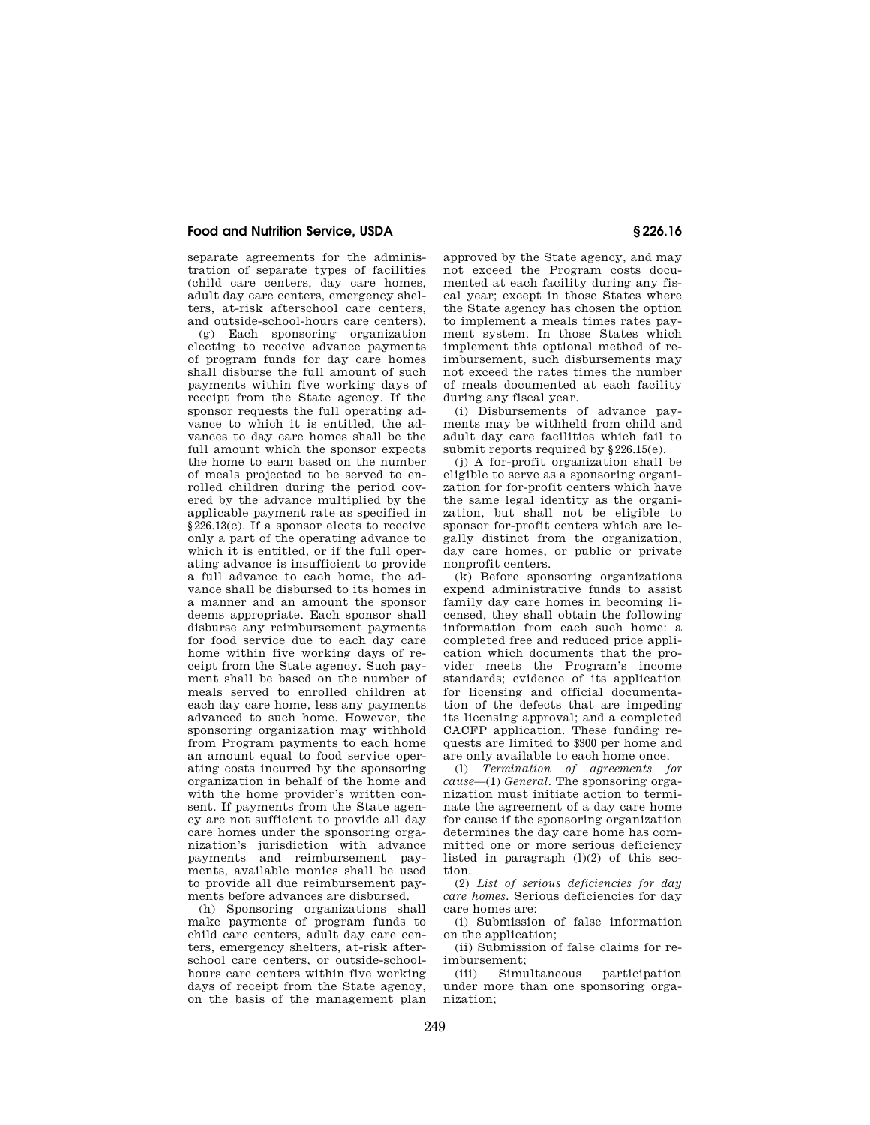separate agreements for the administration of separate types of facilities (child care centers, day care homes, adult day care centers, emergency shelters, at-risk afterschool care centers, and outside-school-hours care centers).

(g) Each sponsoring organization electing to receive advance payments of program funds for day care homes shall disburse the full amount of such payments within five working days of receipt from the State agency. If the sponsor requests the full operating advance to which it is entitled, the advances to day care homes shall be the full amount which the sponsor expects the home to earn based on the number of meals projected to be served to enrolled children during the period covered by the advance multiplied by the applicable payment rate as specified in §226.13(c). If a sponsor elects to receive only a part of the operating advance to which it is entitled, or if the full operating advance is insufficient to provide a full advance to each home, the advance shall be disbursed to its homes in a manner and an amount the sponsor deems appropriate. Each sponsor shall disburse any reimbursement payments for food service due to each day care home within five working days of receipt from the State agency. Such payment shall be based on the number of meals served to enrolled children at each day care home, less any payments advanced to such home. However, the sponsoring organization may withhold from Program payments to each home an amount equal to food service operating costs incurred by the sponsoring organization in behalf of the home and with the home provider's written consent. If payments from the State agency are not sufficient to provide all day care homes under the sponsoring organization's jurisdiction with advance payments and reimbursement payments, available monies shall be used to provide all due reimbursement payments before advances are disbursed.

(h) Sponsoring organizations shall make payments of program funds to child care centers, adult day care centers, emergency shelters, at-risk afterschool care centers, or outside-schoolhours care centers within five working days of receipt from the State agency, on the basis of the management plan approved by the State agency, and may not exceed the Program costs documented at each facility during any fiscal year; except in those States where the State agency has chosen the option to implement a meals times rates payment system. In those States which implement this optional method of reimbursement, such disbursements may not exceed the rates times the number of meals documented at each facility during any fiscal year.

(i) Disbursements of advance payments may be withheld from child and adult day care facilities which fail to submit reports required by §226.15(e).

(j) A for-profit organization shall be eligible to serve as a sponsoring organization for for-profit centers which have the same legal identity as the organization, but shall not be eligible to sponsor for-profit centers which are legally distinct from the organization, day care homes, or public or private nonprofit centers.

(k) Before sponsoring organizations expend administrative funds to assist family day care homes in becoming licensed, they shall obtain the following information from each such home: a completed free and reduced price application which documents that the provider meets the Program's income standards; evidence of its application for licensing and official documentation of the defects that are impeding its licensing approval; and a completed CACFP application. These funding requests are limited to \$300 per home and are only available to each home once.

(l) *Termination of agreements for cause*—(1) *General.* The sponsoring organization must initiate action to terminate the agreement of a day care home for cause if the sponsoring organization determines the day care home has committed one or more serious deficiency listed in paragraph  $(l)(2)$  of this section.

(2) *List of serious deficiencies for day care homes.* Serious deficiencies for day care homes are:

(i) Submission of false information on the application;

(ii) Submission of false claims for reimbursement;

(iii) Simultaneous participation under more than one sponsoring organization;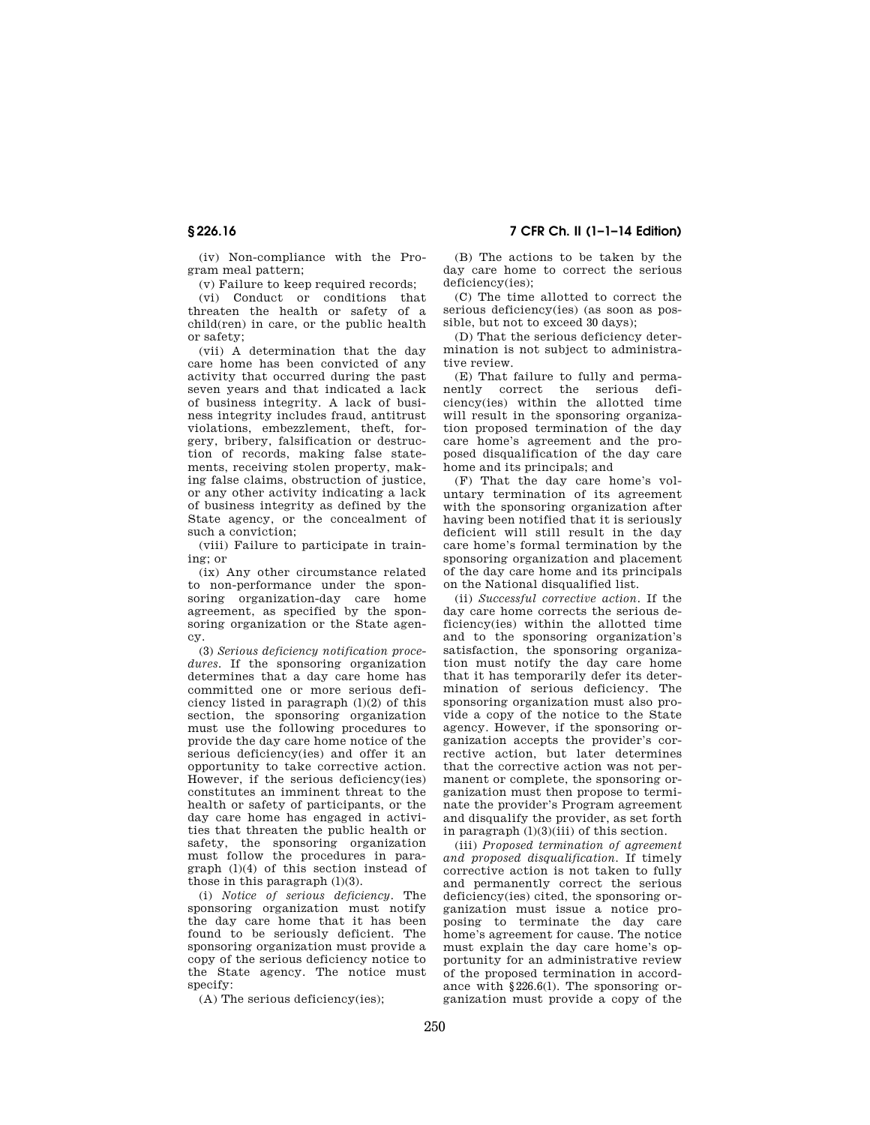(iv) Non-compliance with the Program meal pattern;

(v) Failure to keep required records;

(vi) Conduct or conditions that threaten the health or safety of a child(ren) in care, or the public health or safety;

(vii) A determination that the day care home has been convicted of any activity that occurred during the past seven years and that indicated a lack of business integrity. A lack of business integrity includes fraud, antitrust violations, embezzlement, theft, forgery, bribery, falsification or destruction of records, making false statements, receiving stolen property, making false claims, obstruction of justice, or any other activity indicating a lack of business integrity as defined by the State agency, or the concealment of such a conviction;

(viii) Failure to participate in training; or

(ix) Any other circumstance related to non-performance under the sponsoring organization-day care home agreement, as specified by the sponsoring organization or the State agency.

(3) *Serious deficiency notification procedures.* If the sponsoring organization determines that a day care home has committed one or more serious deficiency listed in paragraph  $(l)(2)$  of this section, the sponsoring organization must use the following procedures to provide the day care home notice of the serious deficiency(ies) and offer it an opportunity to take corrective action. However, if the serious deficiency(ies) constitutes an imminent threat to the health or safety of participants, or the day care home has engaged in activities that threaten the public health or safety, the sponsoring organization must follow the procedures in paragraph (l)(4) of this section instead of those in this paragraph  $(1)(3)$ .

(i) *Notice of serious deficiency.* The sponsoring organization must notify the day care home that it has been found to be seriously deficient. The sponsoring organization must provide a copy of the serious deficiency notice to the State agency. The notice must specify:

(A) The serious deficiency(ies);

(B) The actions to be taken by the day care home to correct the serious deficiency(ies);

(C) The time allotted to correct the serious deficiency(ies) (as soon as possible, but not to exceed 30 days);

(D) That the serious deficiency determination is not subject to administrative review.

(E) That failure to fully and permanently correct the serious deficiency(ies) within the allotted time will result in the sponsoring organization proposed termination of the day care home's agreement and the proposed disqualification of the day care home and its principals; and

(F) That the day care home's voluntary termination of its agreement with the sponsoring organization after having been notified that it is seriously deficient will still result in the day care home's formal termination by the sponsoring organization and placement of the day care home and its principals on the National disqualified list.

(ii) *Successful corrective action.* If the day care home corrects the serious deficiency(ies) within the allotted time and to the sponsoring organization's satisfaction, the sponsoring organization must notify the day care home that it has temporarily defer its determination of serious deficiency. The sponsoring organization must also provide a copy of the notice to the State agency. However, if the sponsoring organization accepts the provider's corrective action, but later determines that the corrective action was not permanent or complete, the sponsoring organization must then propose to terminate the provider's Program agreement and disqualify the provider, as set forth in paragraph  $(l)(3)(iii)$  of this section.

(iii) *Proposed termination of agreement and proposed disqualification.* If timely corrective action is not taken to fully and permanently correct the serious deficiency(ies) cited, the sponsoring organization must issue a notice proposing to terminate the day care home's agreement for cause. The notice must explain the day care home's opportunity for an administrative review of the proposed termination in accordance with §226.6(l). The sponsoring organization must provide a copy of the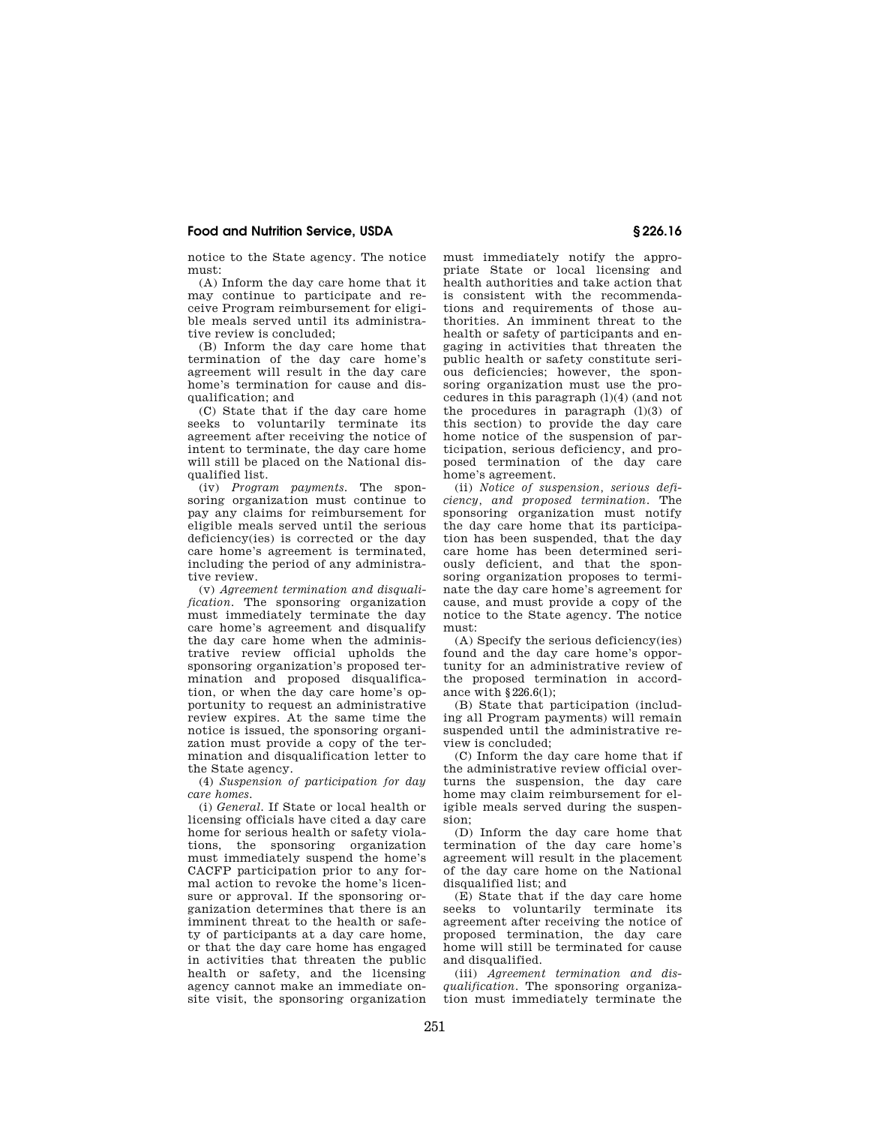notice to the State agency. The notice must:

(A) Inform the day care home that it may continue to participate and receive Program reimbursement for eligible meals served until its administrative review is concluded;

(B) Inform the day care home that termination of the day care home's agreement will result in the day care home's termination for cause and disqualification; and

(C) State that if the day care home seeks to voluntarily terminate its agreement after receiving the notice of intent to terminate, the day care home will still be placed on the National disqualified list.

(iv) *Program payments.* The sponsoring organization must continue to pay any claims for reimbursement for eligible meals served until the serious deficiency(ies) is corrected or the day care home's agreement is terminated, including the period of any administrative review.

(v) *Agreement termination and disqualification.* The sponsoring organization must immediately terminate the day care home's agreement and disqualify the day care home when the administrative review official upholds the sponsoring organization's proposed termination and proposed disqualification, or when the day care home's opportunity to request an administrative review expires. At the same time the notice is issued, the sponsoring organization must provide a copy of the termination and disqualification letter to the State agency.

(4) *Suspension of participation for day care homes.* 

(i) *General.* If State or local health or licensing officials have cited a day care home for serious health or safety violations, the sponsoring organization must immediately suspend the home's CACFP participation prior to any formal action to revoke the home's licensure or approval. If the sponsoring organization determines that there is an imminent threat to the health or safety of participants at a day care home, or that the day care home has engaged in activities that threaten the public health or safety, and the licensing agency cannot make an immediate onsite visit, the sponsoring organization must immediately notify the appropriate State or local licensing and health authorities and take action that is consistent with the recommendations and requirements of those authorities. An imminent threat to the health or safety of participants and engaging in activities that threaten the public health or safety constitute serious deficiencies; however, the sponsoring organization must use the procedures in this paragraph (l)(4) (and not the procedures in paragraph  $(l)(3)$  of this section) to provide the day care home notice of the suspension of participation, serious deficiency, and proposed termination of the day care home's agreement.

(ii) *Notice of suspension, serious deficiency, and proposed termination.* The sponsoring organization must notify the day care home that its participation has been suspended, that the day care home has been determined seriously deficient, and that the sponsoring organization proposes to terminate the day care home's agreement for cause, and must provide a copy of the notice to the State agency. The notice must:

(A) Specify the serious deficiency(ies) found and the day care home's opportunity for an administrative review of the proposed termination in accordance with §226.6(l);

(B) State that participation (including all Program payments) will remain suspended until the administrative review is concluded;

(C) Inform the day care home that if the administrative review official overturns the suspension, the day care home may claim reimbursement for eligible meals served during the suspension;

(D) Inform the day care home that termination of the day care home's agreement will result in the placement of the day care home on the National disqualified list; and

(E) State that if the day care home seeks to voluntarily terminate its agreement after receiving the notice of proposed termination, the day care home will still be terminated for cause and disqualified.

(iii) *Agreement termination and disqualification.* The sponsoring organization must immediately terminate the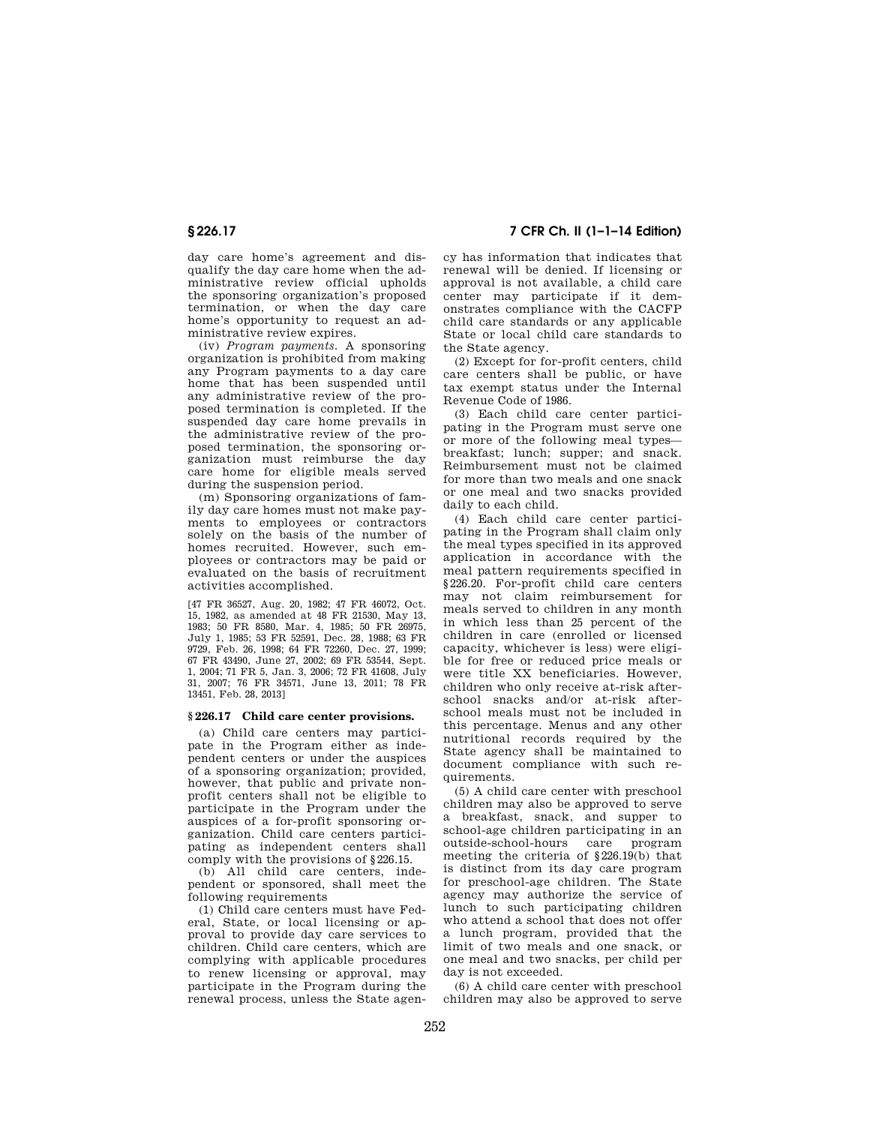day care home's agreement and disqualify the day care home when the administrative review official upholds the sponsoring organization's proposed termination, or when the day care home's opportunity to request an administrative review expires.

(iv) *Program payments.* A sponsoring organization is prohibited from making any Program payments to a day care home that has been suspended until any administrative review of the proposed termination is completed. If the suspended day care home prevails in the administrative review of the proposed termination, the sponsoring organization must reimburse the day care home for eligible meals served during the suspension period.

(m) Sponsoring organizations of family day care homes must not make payments to employees or contractors solely on the basis of the number of homes recruited. However, such employees or contractors may be paid or evaluated on the basis of recruitment activities accomplished.

[47 FR 36527, Aug. 20, 1982; 47 FR 46072, Oct. 15, 1982, as amended at 48 FR 21530, May 13, 1983; 50 FR 8580, Mar. 4, 1985; 50 FR 26975, July 1, 1985; 53 FR 52591, Dec. 28, 1988; 63 FR 9729, Feb. 26, 1998; 64 FR 72260, Dec. 27, 1999; 67 FR 43490, June 27, 2002; 69 FR 53544, Sept. 1, 2004; 71 FR 5, Jan. 3, 2006; 72 FR 41608, July 31, 2007; 76 FR 34571, June 13, 2011; 78 FR 13451, Feb. 28, 2013]

#### **§ 226.17 Child care center provisions.**

(a) Child care centers may participate in the Program either as independent centers or under the auspices of a sponsoring organization; provided, however, that public and private nonprofit centers shall not be eligible to participate in the Program under the auspices of a for-profit sponsoring organization. Child care centers participating as independent centers shall comply with the provisions of §226.15.

(b) All child care centers, independent or sponsored, shall meet the following requirements

(1) Child care centers must have Federal, State, or local licensing or approval to provide day care services to children. Child care centers, which are complying with applicable procedures to renew licensing or approval, may participate in the Program during the renewal process, unless the State agen-

**§ 226.17 7 CFR Ch. II (1–1–14 Edition)** 

cy has information that indicates that renewal will be denied. If licensing or approval is not available, a child care center may participate if it demonstrates compliance with the CACFP child care standards or any applicable State or local child care standards to the State agency.

(2) Except for for-profit centers, child care centers shall be public, or have tax exempt status under the Internal Revenue Code of 1986.

(3) Each child care center participating in the Program must serve one or more of the following meal types breakfast; lunch; supper; and snack. Reimbursement must not be claimed for more than two meals and one snack or one meal and two snacks provided daily to each child.

(4) Each child care center participating in the Program shall claim only the meal types specified in its approved application in accordance with the meal pattern requirements specified in §226.20. For-profit child care centers may not claim reimbursement for meals served to children in any month in which less than 25 percent of the children in care (enrolled or licensed capacity, whichever is less) were eligible for free or reduced price meals or were title XX beneficiaries. However, children who only receive at-risk afterschool snacks and/or at-risk afterschool meals must not be included in this percentage. Menus and any other nutritional records required by the State agency shall be maintained to document compliance with such requirements.

(5) A child care center with preschool children may also be approved to serve a breakfast, snack, and supper to school-age children participating in an outside-school-hours care program meeting the criteria of §226.19(b) that is distinct from its day care program for preschool-age children. The State agency may authorize the service of lunch to such participating children who attend a school that does not offer a lunch program, provided that the limit of two meals and one snack, or one meal and two snacks, per child per day is not exceeded.

(6) A child care center with preschool children may also be approved to serve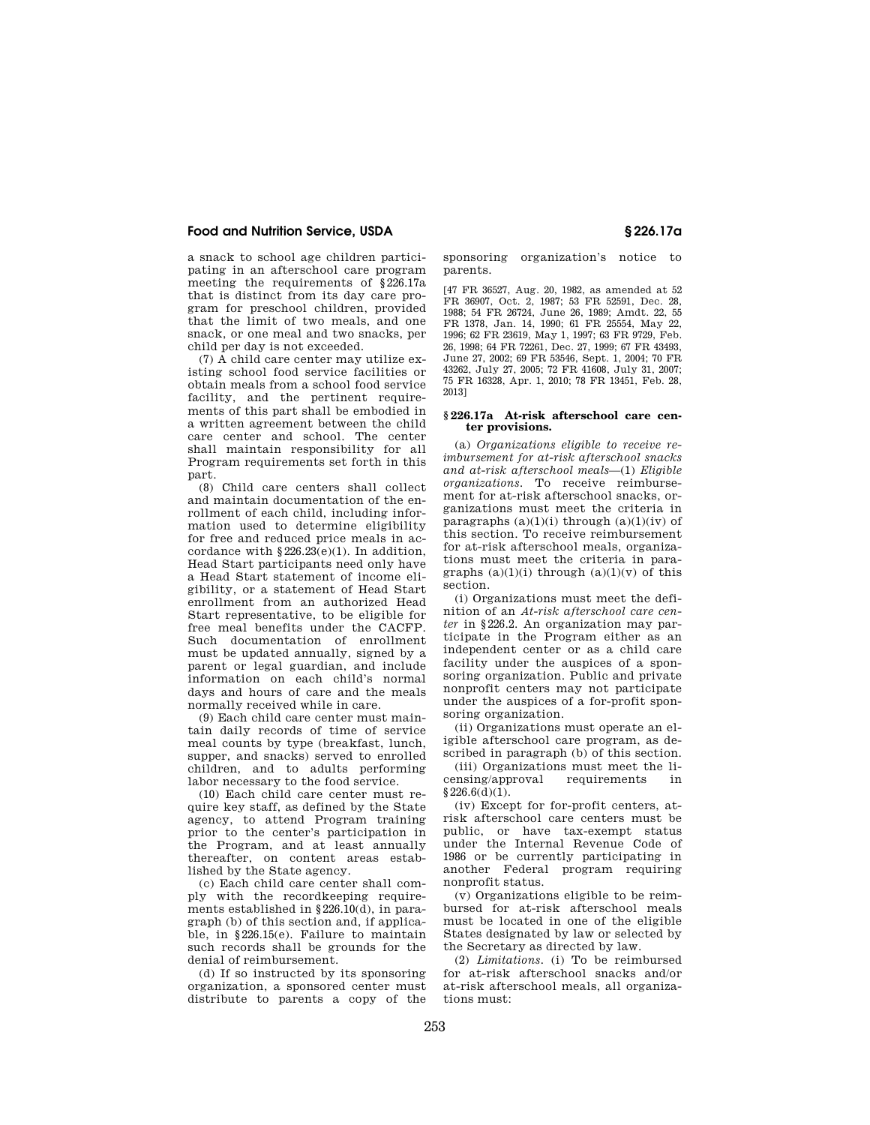a snack to school age children participating in an afterschool care program meeting the requirements of §226.17a that is distinct from its day care program for preschool children, provided that the limit of two meals, and one snack, or one meal and two snacks, per child per day is not exceeded.

(7) A child care center may utilize existing school food service facilities or obtain meals from a school food service facility, and the pertinent requirements of this part shall be embodied in a written agreement between the child care center and school. The center shall maintain responsibility for all Program requirements set forth in this part.

(8) Child care centers shall collect and maintain documentation of the enrollment of each child, including information used to determine eligibility for free and reduced price meals in accordance with  $$226.23(e)(1)$ . In addition, Head Start participants need only have a Head Start statement of income eligibility, or a statement of Head Start enrollment from an authorized Head Start representative, to be eligible for free meal benefits under the CACFP. Such documentation of enrollment must be updated annually, signed by a parent or legal guardian, and include information on each child's normal days and hours of care and the meals normally received while in care.

(9) Each child care center must maintain daily records of time of service meal counts by type (breakfast, lunch, supper, and snacks) served to enrolled children, and to adults performing labor necessary to the food service.

(10) Each child care center must require key staff, as defined by the State agency, to attend Program training prior to the center's participation in the Program, and at least annually thereafter, on content areas established by the State agency.

(c) Each child care center shall comply with the recordkeeping requirements established in §226.10(d), in paragraph (b) of this section and, if applicable, in §226.15(e). Failure to maintain such records shall be grounds for the denial of reimbursement.

(d) If so instructed by its sponsoring organization, a sponsored center must distribute to parents a copy of the

sponsoring organization's notice to parents.

[47 FR 36527, Aug. 20, 1982, as amended at 52 FR 36907, Oct. 2, 1987; 53 FR 52591, Dec. 28, 1988; 54 FR 26724, June 26, 1989; Amdt. 22, 55 FR 1378, Jan. 14, 1990; 61 FR 25554, May 22, 1996; 62 FR 23619, May 1, 1997; 63 FR 9729, Feb. 26, 1998; 64 FR 72261, Dec. 27, 1999; 67 FR 43493, June 27, 2002; 69 FR 53546, Sept. 1, 2004; 70 FR 43262, July 27, 2005; 72 FR 41608, July 31, 2007; 75 FR 16328, Apr. 1, 2010; 78 FR 13451, Feb. 28, 2013]

#### **§ 226.17a At-risk afterschool care center provisions.**

(a) *Organizations eligible to receive reimbursement for at-risk afterschool snacks and at-risk afterschool meals*—(1) *Eligible organizations.* To receive reimbursement for at-risk afterschool snacks, organizations must meet the criteria in paragraphs  $(a)(1)(i)$  through  $(a)(1)(iv)$  of this section. To receive reimbursement for at-risk afterschool meals, organizations must meet the criteria in paragraphs  $(a)(1)(i)$  through  $(a)(1)(v)$  of this section.

(i) Organizations must meet the definition of an *At-risk afterschool care center* in §226.2. An organization may participate in the Program either as an independent center or as a child care facility under the auspices of a sponsoring organization. Public and private nonprofit centers may not participate under the auspices of a for-profit sponsoring organization.

(ii) Organizations must operate an eligible afterschool care program, as described in paragraph (b) of this section.

(iii) Organizations must meet the li-<br>
ensing/approval requirements in censing/approval requirements in  $§226.6(d)(1).$ 

(iv) Except for for-profit centers, atrisk afterschool care centers must be public, or have tax-exempt status under the Internal Revenue Code of 1986 or be currently participating in another Federal program requiring nonprofit status.

(v) Organizations eligible to be reimbursed for at-risk afterschool meals must be located in one of the eligible States designated by law or selected by the Secretary as directed by law.

(2) *Limitations.* (i) To be reimbursed for at-risk afterschool snacks and/or at-risk afterschool meals, all organizations must: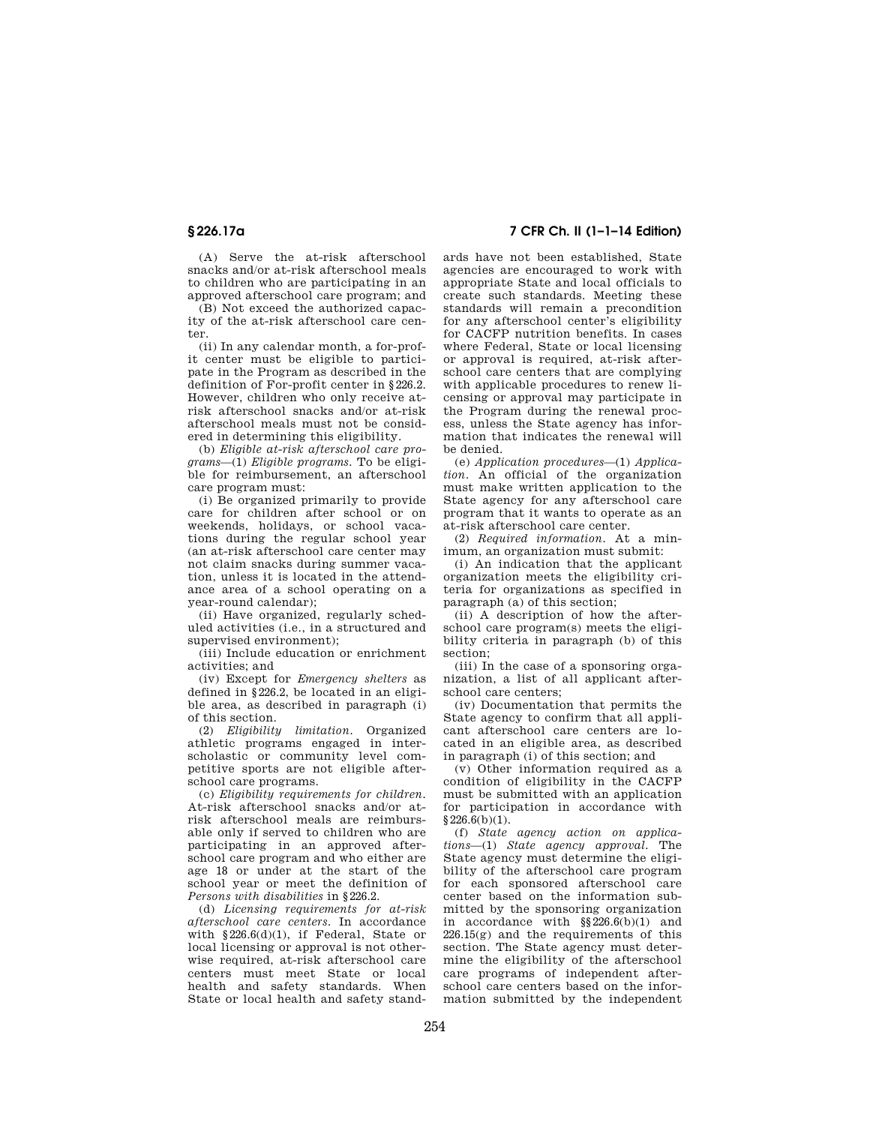(A) Serve the at-risk afterschool snacks and/or at-risk afterschool meals to children who are participating in an approved afterschool care program; and

(B) Not exceed the authorized capacity of the at-risk afterschool care center.

(ii) In any calendar month, a for-profit center must be eligible to participate in the Program as described in the definition of For-profit center in §226.2. However, children who only receive atrisk afterschool snacks and/or at-risk afterschool meals must not be considered in determining this eligibility.

(b) *Eligible at-risk afterschool care programs*—(1) *Eligible programs.* To be eligible for reimbursement, an afterschool care program must:

(i) Be organized primarily to provide care for children after school or on weekends, holidays, or school vacations during the regular school year (an at-risk afterschool care center may not claim snacks during summer vacation, unless it is located in the attendance area of a school operating on a year-round calendar);

(ii) Have organized, regularly scheduled activities (i.e., in a structured and supervised environment);

(iii) Include education or enrichment activities; and

(iv) Except for *Emergency shelters* as defined in §226.2, be located in an eligible area, as described in paragraph (i) of this section.

(2) *Eligibility limitation.* Organized athletic programs engaged in interscholastic or community level competitive sports are not eligible afterschool care programs.

(c) *Eligibility requirements for children.*  At-risk afterschool snacks and/or atrisk afterschool meals are reimbursable only if served to children who are participating in an approved afterschool care program and who either are age 18 or under at the start of the school year or meet the definition of *Persons with disabilities* in §226.2.

(d) *Licensing requirements for at-risk afterschool care centers.* In accordance with §226.6(d)(1), if Federal, State or local licensing or approval is not otherwise required, at-risk afterschool care centers must meet State or local health and safety standards. When State or local health and safety stand-

# **§ 226.17a 7 CFR Ch. II (1–1–14 Edition)**

ards have not been established, State agencies are encouraged to work with appropriate State and local officials to create such standards. Meeting these standards will remain a precondition for any afterschool center's eligibility for CACFP nutrition benefits. In cases where Federal, State or local licensing or approval is required, at-risk afterschool care centers that are complying with applicable procedures to renew licensing or approval may participate in the Program during the renewal process, unless the State agency has information that indicates the renewal will be denied.

(e) *Application procedures*—(1) *Application.* An official of the organization must make written application to the State agency for any afterschool care program that it wants to operate as an at-risk afterschool care center.

(2) *Required information.* At a minimum, an organization must submit:

(i) An indication that the applicant organization meets the eligibility criteria for organizations as specified in paragraph (a) of this section;

(ii) A description of how the afterschool care program(s) meets the eligibility criteria in paragraph (b) of this section;

(iii) In the case of a sponsoring organization, a list of all applicant afterschool care centers;

(iv) Documentation that permits the State agency to confirm that all applicant afterschool care centers are located in an eligible area, as described in paragraph (i) of this section; and

(v) Other information required as a condition of eligibility in the CACFP must be submitted with an application for participation in accordance with  $§226.6(b)(1).$ 

(f) *State agency action on applications*—(1) *State agency approval.* The State agency must determine the eligibility of the afterschool care program for each sponsored afterschool care center based on the information submitted by the sponsoring organization in accordance with §§226.6(b)(1) and  $226.15(g)$  and the requirements of this section. The State agency must determine the eligibility of the afterschool care programs of independent afterschool care centers based on the information submitted by the independent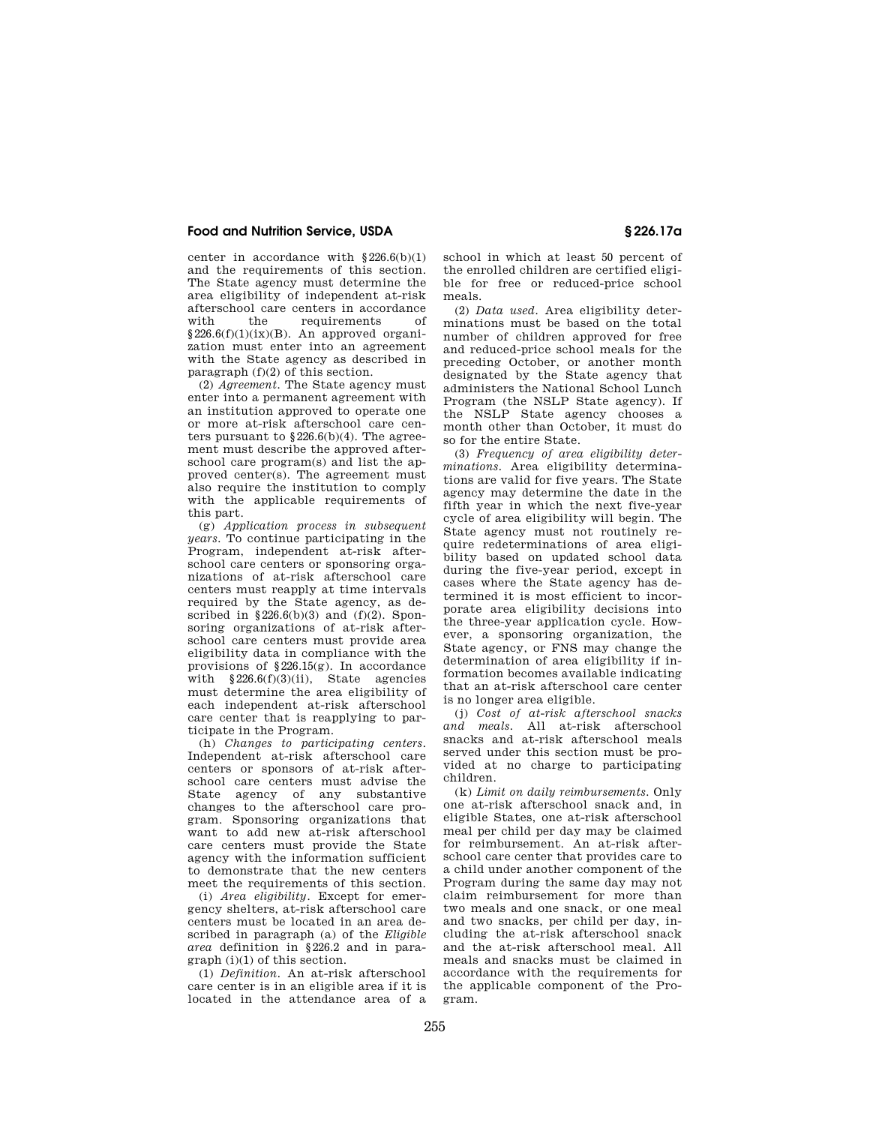center in accordance with  $§226.6(b)(1)$ and the requirements of this section. The State agency must determine the area eligibility of independent at-risk afterschool care centers in accordance with the requirements of  $§226.6(f)(1)(ix)(B)$ . An approved organization must enter into an agreement with the State agency as described in paragraph (f)(2) of this section.

(2) *Agreement.* The State agency must enter into a permanent agreement with an institution approved to operate one or more at-risk afterschool care centers pursuant to  $$226.6(b)(4)$ . The agreement must describe the approved afterschool care program(s) and list the approved center(s). The agreement must also require the institution to comply with the applicable requirements of this part.

(g) *Application process in subsequent years.* To continue participating in the Program, independent at-risk afterschool care centers or sponsoring organizations of at-risk afterschool care centers must reapply at time intervals required by the State agency, as described in  $§226.6(b)(3)$  and  $(f)(2)$ . Sponsoring organizations of at-risk afterschool care centers must provide area eligibility data in compliance with the provisions of  $$226.15(g)$ . In accordance with  $§226.6(f)(3)(ii)$ , State agencies must determine the area eligibility of each independent at-risk afterschool care center that is reapplying to participate in the Program.

(h) *Changes to participating centers.*  Independent at-risk afterschool care centers or sponsors of at-risk afterschool care centers must advise the State agency of any substantive changes to the afterschool care program. Sponsoring organizations that want to add new at-risk afterschool care centers must provide the State agency with the information sufficient to demonstrate that the new centers meet the requirements of this section.

(i) *Area eligibility.* Except for emergency shelters, at-risk afterschool care centers must be located in an area described in paragraph (a) of the *Eligible area* definition in §226.2 and in paragraph (i)(1) of this section.

(1) *Definition.* An at-risk afterschool care center is in an eligible area if it is located in the attendance area of a school in which at least 50 percent of the enrolled children are certified eligible for free or reduced-price school meals.

(2) *Data used.* Area eligibility determinations must be based on the total number of children approved for free and reduced-price school meals for the preceding October, or another month designated by the State agency that administers the National School Lunch Program (the NSLP State agency). If the NSLP State agency chooses a month other than October, it must do so for the entire State.

(3) *Frequency of area eligibility determinations.* Area eligibility determinations are valid for five years. The State agency may determine the date in the fifth year in which the next five-year cycle of area eligibility will begin. The State agency must not routinely require redeterminations of area eligibility based on updated school data during the five-year period, except in cases where the State agency has determined it is most efficient to incorporate area eligibility decisions into the three-year application cycle. However, a sponsoring organization, the State agency, or FNS may change the determination of area eligibility if information becomes available indicating that an at-risk afterschool care center is no longer area eligible.

(j) *Cost of at-risk afterschool snacks and meals.* All at-risk afterschool snacks and at-risk afterschool meals served under this section must be provided at no charge to participating children.

(k) *Limit on daily reimbursements.* Only one at-risk afterschool snack and, in eligible States, one at-risk afterschool meal per child per day may be claimed for reimbursement. An at-risk afterschool care center that provides care to a child under another component of the Program during the same day may not claim reimbursement for more than two meals and one snack, or one meal and two snacks, per child per day, including the at-risk afterschool snack and the at-risk afterschool meal. All meals and snacks must be claimed in accordance with the requirements for the applicable component of the Program.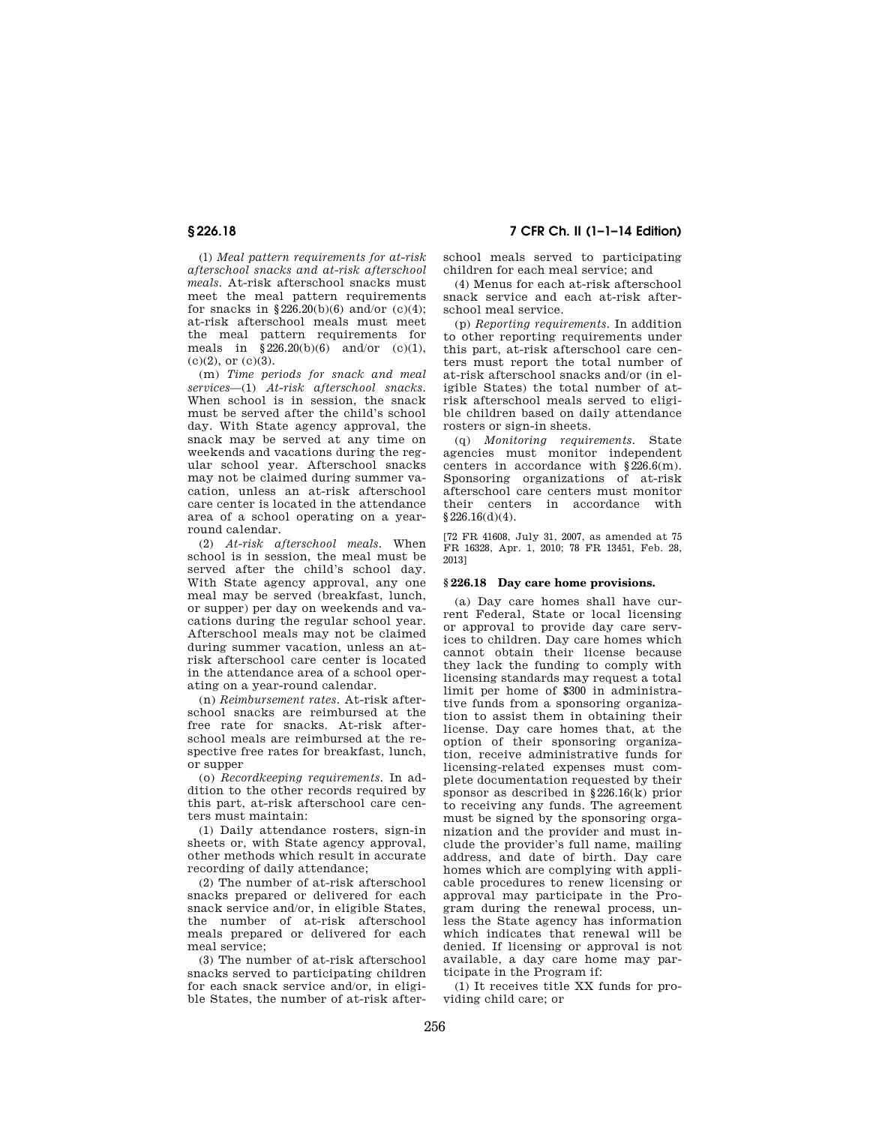(l) *Meal pattern requirements for at-risk afterschool snacks and at-risk afterschool meals.* At-risk afterschool snacks must meet the meal pattern requirements for snacks in  $$226.20(b)(6)$  and/or (c)(4); at-risk afterschool meals must meet the meal pattern requirements for meals in  $$226.20(b)(6)$  and/or (c)(1),  $(c)(2)$ , or  $(c)(3)$ .

(m) *Time periods for snack and meal services*—(1) *At-risk afterschool snacks.*  When school is in session, the snack must be served after the child's school day. With State agency approval, the snack may be served at any time on weekends and vacations during the regular school year. Afterschool snacks may not be claimed during summer vacation, unless an at-risk afterschool care center is located in the attendance area of a school operating on a yearround calendar.

(2) *At-risk afterschool meals.* When school is in session, the meal must be served after the child's school day. With State agency approval, any one meal may be served (breakfast, lunch, or supper) per day on weekends and vacations during the regular school year. Afterschool meals may not be claimed during summer vacation, unless an atrisk afterschool care center is located in the attendance area of a school operating on a year-round calendar.

(n) *Reimbursement rates.* At-risk afterschool snacks are reimbursed at the free rate for snacks. At-risk afterschool meals are reimbursed at the respective free rates for breakfast, lunch, or supper

(o) *Recordkeeping requirements.* In addition to the other records required by this part, at-risk afterschool care centers must maintain:

(1) Daily attendance rosters, sign-in sheets or, with State agency approval, other methods which result in accurate recording of daily attendance;

(2) The number of at-risk afterschool snacks prepared or delivered for each snack service and/or, in eligible States, the number of at-risk afterschool meals prepared or delivered for each meal service;

(3) The number of at-risk afterschool snacks served to participating children for each snack service and/or, in eligible States, the number of at-risk after-

**§ 226.18 7 CFR Ch. II (1–1–14 Edition)** 

school meals served to participating children for each meal service; and

(4) Menus for each at-risk afterschool snack service and each at-risk afterschool meal service.

(p) *Reporting requirements.* In addition to other reporting requirements under this part, at-risk afterschool care centers must report the total number of at-risk afterschool snacks and/or (in eligible States) the total number of atrisk afterschool meals served to eligible children based on daily attendance rosters or sign-in sheets.

(q) *Monitoring requirements.* State agencies must monitor independent centers in accordance with §226.6(m). Sponsoring organizations of at-risk afterschool care centers must monitor their centers in accordance with  $§226.16(d)(4).$ 

[72 FR 41608, July 31, 2007, as amended at 75 FR 16328, Apr. 1, 2010; 78 FR 13451, Feb. 28, 2013]

# **§ 226.18 Day care home provisions.**

(a) Day care homes shall have current Federal, State or local licensing or approval to provide day care services to children. Day care homes which cannot obtain their license because they lack the funding to comply with licensing standards may request a total limit per home of \$300 in administrative funds from a sponsoring organization to assist them in obtaining their license. Day care homes that, at the option of their sponsoring organization, receive administrative funds for licensing-related expenses must complete documentation requested by their sponsor as described in §226.16(k) prior to receiving any funds. The agreement must be signed by the sponsoring organization and the provider and must include the provider's full name, mailing address, and date of birth. Day care homes which are complying with applicable procedures to renew licensing or approval may participate in the Program during the renewal process, unless the State agency has information which indicates that renewal will be denied. If licensing or approval is not available, a day care home may participate in the Program if:

(1) It receives title XX funds for providing child care; or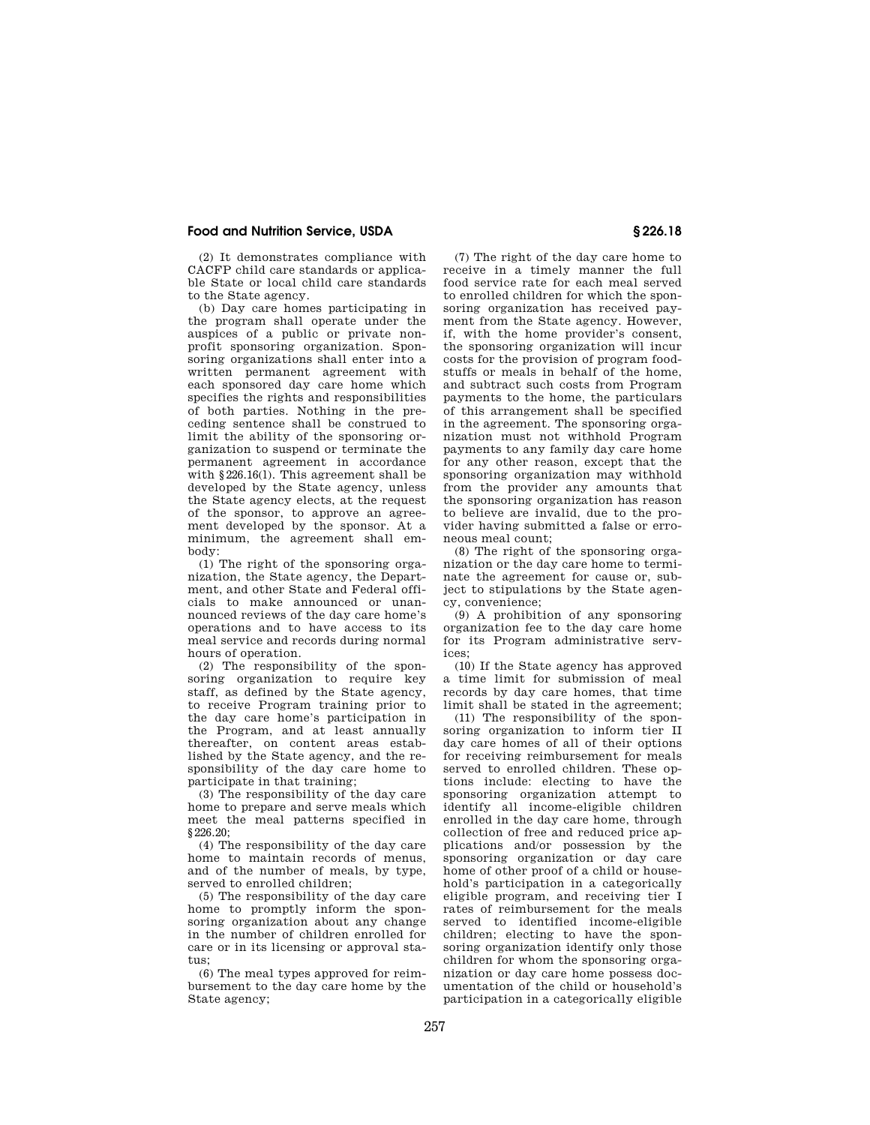(2) It demonstrates compliance with CACFP child care standards or applicable State or local child care standards to the State agency.

(b) Day care homes participating in the program shall operate under the auspices of a public or private nonprofit sponsoring organization. Sponsoring organizations shall enter into a written permanent agreement with each sponsored day care home which specifies the rights and responsibilities of both parties. Nothing in the preceding sentence shall be construed to limit the ability of the sponsoring organization to suspend or terminate the permanent agreement in accordance with §226.16(l). This agreement shall be developed by the State agency, unless the State agency elects, at the request of the sponsor, to approve an agreement developed by the sponsor. At a minimum, the agreement shall embody:

(1) The right of the sponsoring organization, the State agency, the Department, and other State and Federal officials to make announced or unannounced reviews of the day care home's operations and to have access to its meal service and records during normal hours of operation.

(2) The responsibility of the sponsoring organization to require key staff, as defined by the State agency, to receive Program training prior to the day care home's participation in the Program, and at least annually thereafter, on content areas established by the State agency, and the responsibility of the day care home to participate in that training;

(3) The responsibility of the day care home to prepare and serve meals which meet the meal patterns specified in  $$226.20$ 

(4) The responsibility of the day care home to maintain records of menus, and of the number of meals, by type, served to enrolled children;

(5) The responsibility of the day care home to promptly inform the sponsoring organization about any change in the number of children enrolled for care or in its licensing or approval status;

(6) The meal types approved for reimbursement to the day care home by the State agency;

(7) The right of the day care home to receive in a timely manner the full food service rate for each meal served to enrolled children for which the sponsoring organization has received payment from the State agency. However, if, with the home provider's consent, the sponsoring organization will incur costs for the provision of program foodstuffs or meals in behalf of the home, and subtract such costs from Program payments to the home, the particulars of this arrangement shall be specified in the agreement. The sponsoring organization must not withhold Program payments to any family day care home for any other reason, except that the sponsoring organization may withhold from the provider any amounts that the sponsoring organization has reason to believe are invalid, due to the provider having submitted a false or erroneous meal count;

(8) The right of the sponsoring organization or the day care home to terminate the agreement for cause or, subject to stipulations by the State agency, convenience;

(9) A prohibition of any sponsoring organization fee to the day care home for its Program administrative services;

(10) If the State agency has approved a time limit for submission of meal records by day care homes, that time limit shall be stated in the agreement;

(11) The responsibility of the sponsoring organization to inform tier II day care homes of all of their options for receiving reimbursement for meals served to enrolled children. These options include: electing to have the sponsoring organization attempt to identify all income-eligible children enrolled in the day care home, through collection of free and reduced price applications and/or possession by the sponsoring organization or day care home of other proof of a child or household's participation in a categorically eligible program, and receiving tier I rates of reimbursement for the meals served to identified income-eligible children; electing to have the sponsoring organization identify only those children for whom the sponsoring organization or day care home possess documentation of the child or household's participation in a categorically eligible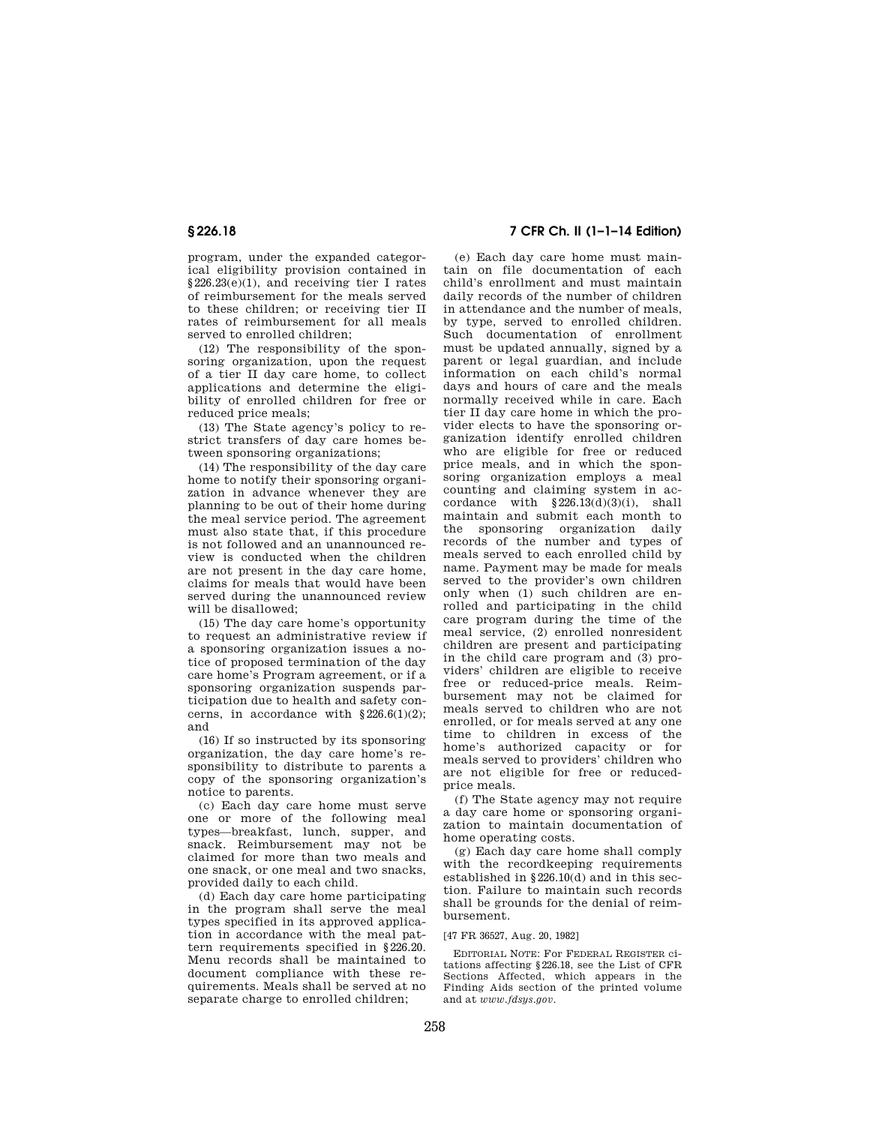program, under the expanded categorical eligibility provision contained in §226.23(e)(1), and receiving tier I rates of reimbursement for the meals served to these children; or receiving tier II rates of reimbursement for all meals served to enrolled children;

(12) The responsibility of the sponsoring organization, upon the request of a tier II day care home, to collect applications and determine the eligibility of enrolled children for free or reduced price meals;

(13) The State agency's policy to restrict transfers of day care homes between sponsoring organizations;

(14) The responsibility of the day care home to notify their sponsoring organization in advance whenever they are planning to be out of their home during the meal service period. The agreement must also state that, if this procedure is not followed and an unannounced review is conducted when the children are not present in the day care home, claims for meals that would have been served during the unannounced review will be disallowed;

(15) The day care home's opportunity to request an administrative review if a sponsoring organization issues a notice of proposed termination of the day care home's Program agreement, or if a sponsoring organization suspends participation due to health and safety concerns, in accordance with  $\S 226.6(1)(2)$ ; and

(16) If so instructed by its sponsoring organization, the day care home's responsibility to distribute to parents a copy of the sponsoring organization's notice to parents.

(c) Each day care home must serve one or more of the following meal types—breakfast, lunch, supper, and snack. Reimbursement may not be claimed for more than two meals and one snack, or one meal and two snacks, provided daily to each child.

(d) Each day care home participating in the program shall serve the meal types specified in its approved application in accordance with the meal pattern requirements specified in §226.20. Menu records shall be maintained to document compliance with these requirements. Meals shall be served at no separate charge to enrolled children;

# **§ 226.18 7 CFR Ch. II (1–1–14 Edition)**

(e) Each day care home must maintain on file documentation of each child's enrollment and must maintain daily records of the number of children in attendance and the number of meals, by type, served to enrolled children. Such documentation of enrollment must be updated annually, signed by a parent or legal guardian, and include information on each child's normal days and hours of care and the meals normally received while in care. Each tier II day care home in which the provider elects to have the sponsoring organization identify enrolled children who are eligible for free or reduced price meals, and in which the sponsoring organization employs a meal counting and claiming system in accordance with  $$226.13(d)(3)(i)$ , shall maintain and submit each month to the sponsoring organization daily records of the number and types of meals served to each enrolled child by name. Payment may be made for meals served to the provider's own children only when (1) such children are enrolled and participating in the child care program during the time of the meal service, (2) enrolled nonresident children are present and participating in the child care program and (3) providers' children are eligible to receive free or reduced-price meals. Reimbursement may not be claimed for meals served to children who are not enrolled, or for meals served at any one time to children in excess of the home's authorized capacity or for meals served to providers' children who are not eligible for free or reducedprice meals.

(f) The State agency may not require a day care home or sponsoring organization to maintain documentation of home operating costs.

(g) Each day care home shall comply with the recordkeeping requirements established in §226.10(d) and in this section. Failure to maintain such records shall be grounds for the denial of reimbursement.

#### [47 FR 36527, Aug. 20, 1982]

EDITORIAL NOTE: For FEDERAL REGISTER citations affecting §226.18, see the List of CFR Sections Affected, which appears in the Finding Aids section of the printed volume and at *www.fdsys.gov*.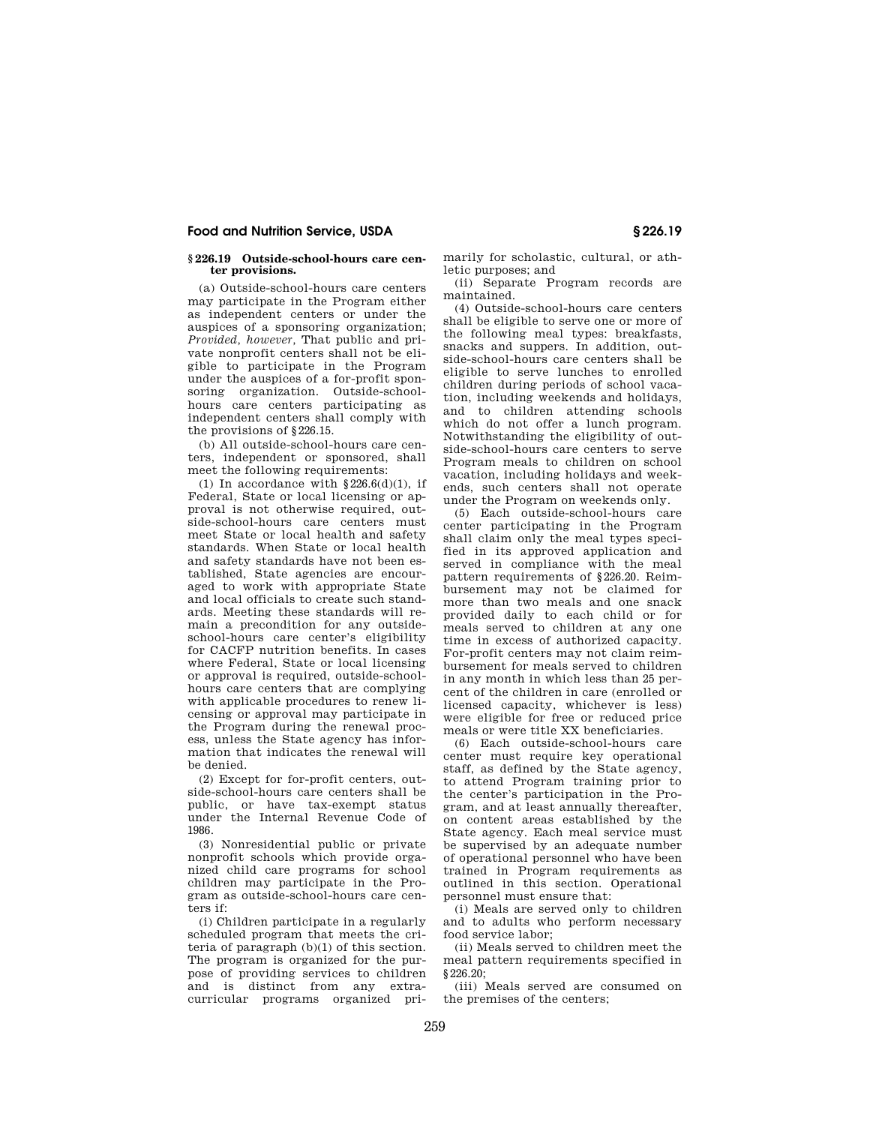#### **§ 226.19 Outside-school-hours care center provisions.**

(a) Outside-school-hours care centers may participate in the Program either as independent centers or under the auspices of a sponsoring organization; *Provided, however,* That public and private nonprofit centers shall not be eligible to participate in the Program under the auspices of a for-profit sponsoring organization. Outside-schoolhours care centers participating as independent centers shall comply with the provisions of §226.15.

(b) All outside-school-hours care centers, independent or sponsored, shall meet the following requirements:

(1) In accordance with  $§226.6(d)(1)$ , if Federal, State or local licensing or approval is not otherwise required, outside-school-hours care centers must meet State or local health and safety standards. When State or local health and safety standards have not been established, State agencies are encouraged to work with appropriate State and local officials to create such standards. Meeting these standards will remain a precondition for any outsideschool-hours care center's eligibility for CACFP nutrition benefits. In cases where Federal, State or local licensing or approval is required, outside-schoolhours care centers that are complying with applicable procedures to renew licensing or approval may participate in the Program during the renewal process, unless the State agency has information that indicates the renewal will be denied.

(2) Except for for-profit centers, outside-school-hours care centers shall be public, or have tax-exempt status under the Internal Revenue Code of 1986.

(3) Nonresidential public or private nonprofit schools which provide organized child care programs for school children may participate in the Program as outside-school-hours care centers if:

(i) Children participate in a regularly scheduled program that meets the criteria of paragraph (b)(1) of this section. The program is organized for the purpose of providing services to children and is distinct from any extracurricular programs organized primarily for scholastic, cultural, or athletic purposes; and

(ii) Separate Program records are maintained.

(4) Outside-school-hours care centers shall be eligible to serve one or more of the following meal types: breakfasts, snacks and suppers. In addition, outside-school-hours care centers shall be eligible to serve lunches to enrolled children during periods of school vacation, including weekends and holidays, and to children attending schools which do not offer a lunch program. Notwithstanding the eligibility of outside-school-hours care centers to serve Program meals to children on school vacation, including holidays and weekends, such centers shall not operate under the Program on weekends only.

(5) Each outside-school-hours care center participating in the Program shall claim only the meal types specified in its approved application and served in compliance with the meal pattern requirements of §226.20. Reimbursement may not be claimed for more than two meals and one snack provided daily to each child or for meals served to children at any one time in excess of authorized capacity. For-profit centers may not claim reimbursement for meals served to children in any month in which less than 25 percent of the children in care (enrolled or licensed capacity, whichever is less) were eligible for free or reduced price meals or were title XX beneficiaries.

(6) Each outside-school-hours care center must require key operational staff, as defined by the State agency, to attend Program training prior to the center's participation in the Program, and at least annually thereafter, on content areas established by the State agency. Each meal service must be supervised by an adequate number of operational personnel who have been trained in Program requirements as outlined in this section. Operational personnel must ensure that:

(i) Meals are served only to children and to adults who perform necessary food service labor;

(ii) Meals served to children meet the meal pattern requirements specified in  $$226.20$ 

(iii) Meals served are consumed on the premises of the centers;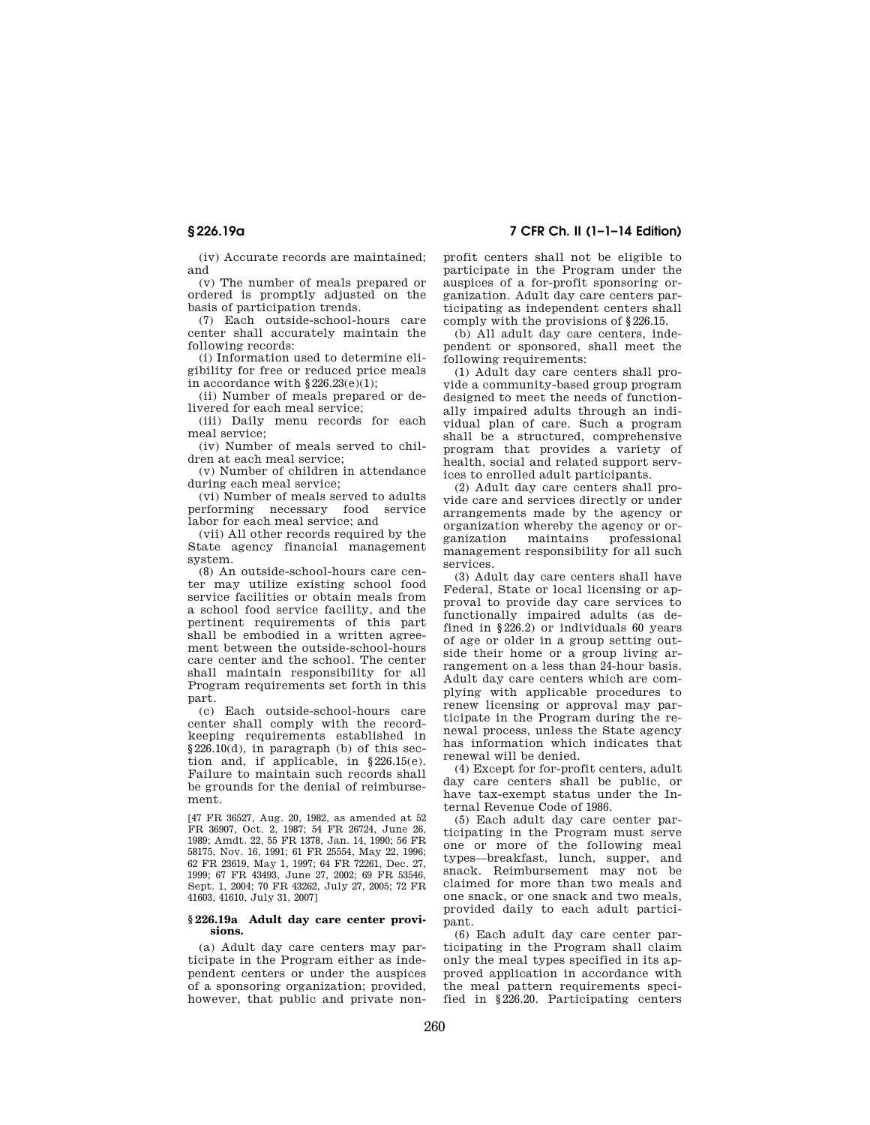(iv) Accurate records are maintained; and

(v) The number of meals prepared or ordered is promptly adjusted on the basis of participation trends.

(7) Each outside-school-hours care center shall accurately maintain the following records:

(i) Information used to determine eligibility for free or reduced price meals in accordance with  $§226.23(e)(1);$ 

(ii) Number of meals prepared or delivered for each meal service;

(iii) Daily menu records for each meal service;

(iv) Number of meals served to children at each meal service;

(v) Number of children in attendance during each meal service;

(vi) Number of meals served to adults performing necessary food service labor for each meal service; and

(vii) All other records required by the State agency financial management system.

(8) An outside-school-hours care center may utilize existing school food service facilities or obtain meals from a school food service facility, and the pertinent requirements of this part shall be embodied in a written agreement between the outside-school-hours care center and the school. The center shall maintain responsibility for all Program requirements set forth in this part.

(c) Each outside-school-hours care center shall comply with the recordkeeping requirements established in §226.10(d), in paragraph (b) of this section and, if applicable, in  $§226.15(e)$ . Failure to maintain such records shall be grounds for the denial of reimbursement.

[47 FR 36527, Aug. 20, 1982, as amended at 52 FR 36907, Oct. 2, 1987; 54 FR 26724, June 26, 1989; Amdt. 22, 55 FR 1378, Jan. 14, 1990; 56 FR 58175, Nov. 16, 1991; 61 FR 25554, May 22, 1996; 62 FR 23619, May 1, 1997; 64 FR 72261, Dec. 27, 1999; 67 FR 43493, June 27, 2002; 69 FR 53546, Sept. 1, 2004; 70 FR 43262, July 27, 2005; 72 FR 41603, 41610, July 31, 2007]

#### **§ 226.19a Adult day care center provisions.**

(a) Adult day care centers may participate in the Program either as independent centers or under the auspices of a sponsoring organization; provided, however, that public and private non-

**§ 226.19a 7 CFR Ch. II (1–1–14 Edition)** 

profit centers shall not be eligible to participate in the Program under the auspices of a for-profit sponsoring organization. Adult day care centers participating as independent centers shall comply with the provisions of §226.15.

(b) All adult day care centers, independent or sponsored, shall meet the following requirements:

(1) Adult day care centers shall provide a community-based group program designed to meet the needs of functionally impaired adults through an individual plan of care. Such a program shall be a structured, comprehensive program that provides a variety of health, social and related support services to enrolled adult participants.

(2) Adult day care centers shall provide care and services directly or under arrangements made by the agency or organization whereby the agency or organization maintains professional management responsibility for all such services.

(3) Adult day care centers shall have Federal, State or local licensing or approval to provide day care services to functionally impaired adults (as defined in §226.2) or individuals 60 years of age or older in a group setting outside their home or a group living arrangement on a less than 24-hour basis. Adult day care centers which are complying with applicable procedures to renew licensing or approval may participate in the Program during the renewal process, unless the State agency has information which indicates that renewal will be denied.

(4) Except for for-profit centers, adult day care centers shall be public, or have tax-exempt status under the Internal Revenue Code of 1986.

(5) Each adult day care center participating in the Program must serve one or more of the following meal types—breakfast, lunch, supper, and snack. Reimbursement may not be claimed for more than two meals and one snack, or one snack and two meals, provided daily to each adult participant.

(6) Each adult day care center participating in the Program shall claim only the meal types specified in its approved application in accordance with the meal pattern requirements specified in §226.20. Participating centers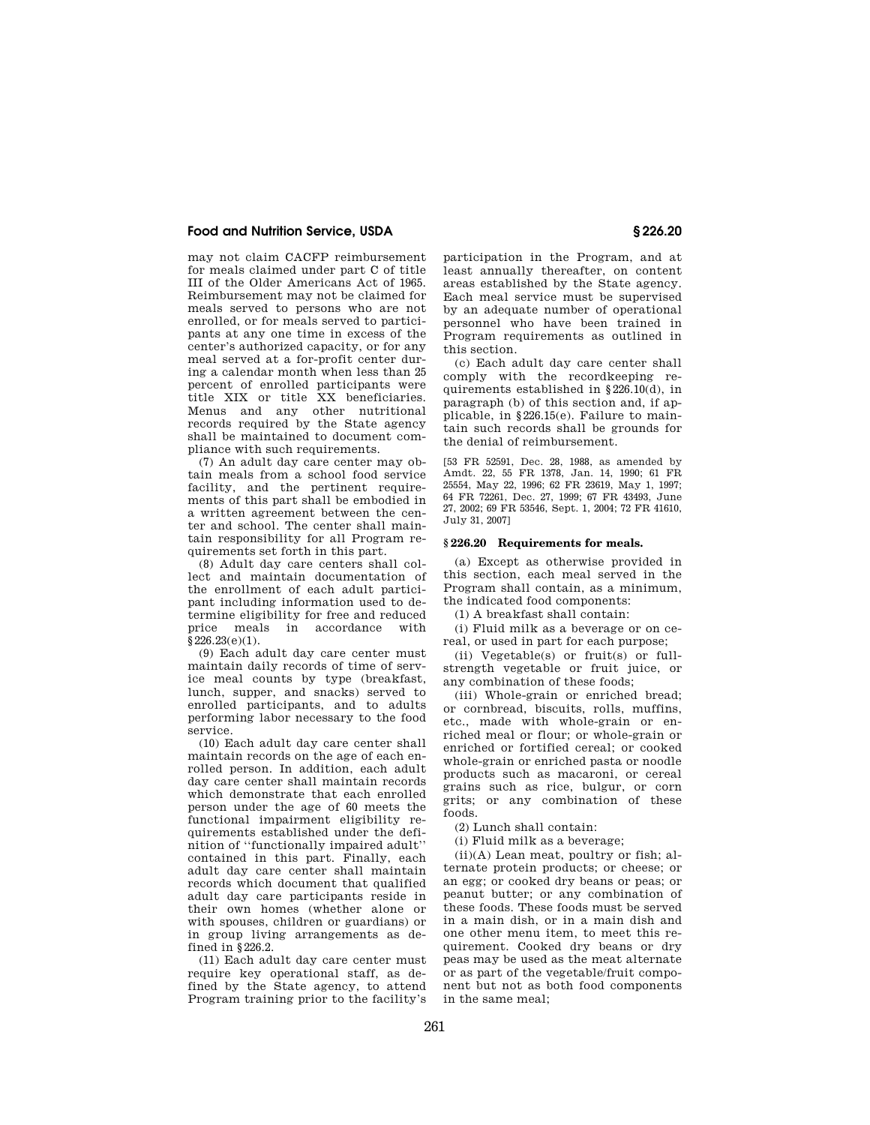may not claim CACFP reimbursement for meals claimed under part C of title III of the Older Americans Act of 1965. Reimbursement may not be claimed for meals served to persons who are not enrolled, or for meals served to participants at any one time in excess of the center's authorized capacity, or for any meal served at a for-profit center during a calendar month when less than 25 percent of enrolled participants were title XIX or title XX beneficiaries. Menus and any other nutritional records required by the State agency shall be maintained to document compliance with such requirements.

(7) An adult day care center may obtain meals from a school food service facility, and the pertinent requirements of this part shall be embodied in a written agreement between the center and school. The center shall maintain responsibility for all Program requirements set forth in this part.

(8) Adult day care centers shall collect and maintain documentation of the enrollment of each adult participant including information used to determine eligibility for free and reduced price meals in accordance with  $\frac{226.23(e)}{1}$ .

(9) Each adult day care center must maintain daily records of time of service meal counts by type (breakfast, lunch, supper, and snacks) served to enrolled participants, and to adults performing labor necessary to the food service.

(10) Each adult day care center shall maintain records on the age of each enrolled person. In addition, each adult day care center shall maintain records which demonstrate that each enrolled person under the age of 60 meets the functional impairment eligibility requirements established under the definition of ''functionally impaired adult'' contained in this part. Finally, each adult day care center shall maintain records which document that qualified adult day care participants reside in their own homes (whether alone or with spouses, children or guardians) or in group living arrangements as defined in §226.2.

(11) Each adult day care center must require key operational staff, as defined by the State agency, to attend Program training prior to the facility's

participation in the Program, and at least annually thereafter, on content areas established by the State agency. Each meal service must be supervised by an adequate number of operational personnel who have been trained in Program requirements as outlined in this section.

(c) Each adult day care center shall comply with the recordkeeping requirements established in §226.10(d), in paragraph (b) of this section and, if applicable, in §226.15(e). Failure to maintain such records shall be grounds for the denial of reimbursement.

[53 FR 52591, Dec. 28, 1988, as amended by Amdt. 22, 55 FR 1378, Jan. 14, 1990; 61 FR 25554, May 22, 1996; 62 FR 23619, May 1, 1997; 64 FR 72261, Dec. 27, 1999; 67 FR 43493, June 27, 2002; 69 FR 53546, Sept. 1, 2004; 72 FR 41610, July 31, 2007]

#### **§ 226.20 Requirements for meals.**

(a) Except as otherwise provided in this section, each meal served in the Program shall contain, as a minimum, the indicated food components:

(1) A breakfast shall contain:

(i) Fluid milk as a beverage or on cereal, or used in part for each purpose;

(ii) Vegetable(s) or fruit(s) or fullstrength vegetable or fruit juice, or any combination of these foods;

(iii) Whole-grain or enriched bread; or cornbread, biscuits, rolls, muffins, etc., made with whole-grain or enriched meal or flour; or whole-grain or enriched or fortified cereal; or cooked whole-grain or enriched pasta or noodle products such as macaroni, or cereal grains such as rice, bulgur, or corn grits; or any combination of these foods.

(2) Lunch shall contain:

(i) Fluid milk as a beverage;

(ii)(A) Lean meat, poultry or fish; alternate protein products; or cheese; or an egg; or cooked dry beans or peas; or peanut butter; or any combination of these foods. These foods must be served in a main dish, or in a main dish and one other menu item, to meet this requirement. Cooked dry beans or dry peas may be used as the meat alternate or as part of the vegetable/fruit component but not as both food components in the same meal;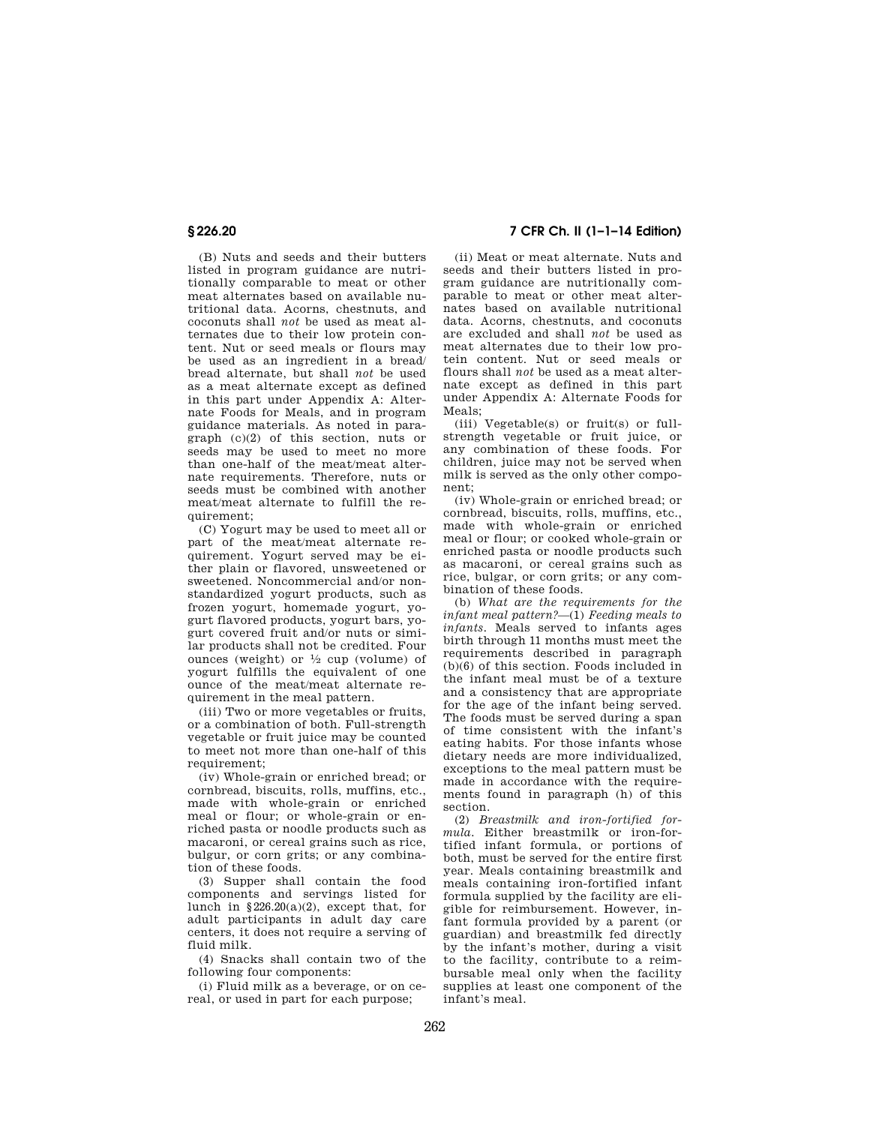(B) Nuts and seeds and their butters listed in program guidance are nutritionally comparable to meat or other meat alternates based on available nutritional data. Acorns, chestnuts, and coconuts shall *not* be used as meat alternates due to their low protein content. Nut or seed meals or flours may be used as an ingredient in a bread/ bread alternate, but shall *not* be used as a meat alternate except as defined in this part under Appendix A: Alternate Foods for Meals, and in program guidance materials. As noted in paragraph (c)(2) of this section, nuts or seeds may be used to meet no more than one-half of the meat/meat alternate requirements. Therefore, nuts or seeds must be combined with another meat/meat alternate to fulfill the requirement;

(C) Yogurt may be used to meet all or part of the meat/meat alternate requirement. Yogurt served may be either plain or flavored, unsweetened or sweetened. Noncommercial and/or nonstandardized yogurt products, such as frozen yogurt, homemade yogurt, yogurt flavored products, yogurt bars, yogurt covered fruit and/or nuts or similar products shall not be credited. Four ounces (weight) or  $\frac{1}{2}$  cup (volume) of yogurt fulfills the equivalent of one ounce of the meat/meat alternate requirement in the meal pattern.

(iii) Two or more vegetables or fruits, or a combination of both. Full-strength vegetable or fruit juice may be counted to meet not more than one-half of this  $renuirement$ ;

(iv) Whole-grain or enriched bread; or cornbread, biscuits, rolls, muffins, etc., made with whole-grain or enriched meal or flour; or whole-grain or enriched pasta or noodle products such as macaroni, or cereal grains such as rice, bulgur, or corn grits; or any combination of these foods.

(3) Supper shall contain the food components and servings listed for lunch in §226.20(a)(2), except that, for adult participants in adult day care centers, it does not require a serving of fluid milk.

(4) Snacks shall contain two of the following four components:

(i) Fluid milk as a beverage, or on cereal, or used in part for each purpose;

# **§ 226.20 7 CFR Ch. II (1–1–14 Edition)**

(ii) Meat or meat alternate. Nuts and seeds and their butters listed in program guidance are nutritionally comparable to meat or other meat alternates based on available nutritional data. Acorns, chestnuts, and coconuts are excluded and shall *not* be used as meat alternates due to their low protein content. Nut or seed meals or flours shall *not* be used as a meat alternate except as defined in this part under Appendix A: Alternate Foods for Meals;

(iii) Vegetable(s) or fruit(s) or fullstrength vegetable or fruit juice, or any combination of these foods. For children, juice may not be served when milk is served as the only other component;

(iv) Whole-grain or enriched bread; or cornbread, biscuits, rolls, muffins, etc., made with whole-grain or enriched meal or flour; or cooked whole-grain or enriched pasta or noodle products such as macaroni, or cereal grains such as rice, bulgar, or corn grits; or any combination of these foods.

(b) *What are the requirements for the infant meal pattern?*—(1) *Feeding meals to infants.* Meals served to infants ages birth through 11 months must meet the requirements described in paragraph (b)(6) of this section. Foods included in the infant meal must be of a texture and a consistency that are appropriate for the age of the infant being served. The foods must be served during a span of time consistent with the infant's eating habits. For those infants whose dietary needs are more individualized, exceptions to the meal pattern must be made in accordance with the requirements found in paragraph (h) of this section.

(2) *Breastmilk and iron-fortified formula.* Either breastmilk or iron-fortified infant formula, or portions of both, must be served for the entire first year. Meals containing breastmilk and meals containing iron-fortified infant formula supplied by the facility are eligible for reimbursement. However, infant formula provided by a parent (or guardian) and breastmilk fed directly by the infant's mother, during a visit to the facility, contribute to a reimbursable meal only when the facility supplies at least one component of the infant's meal.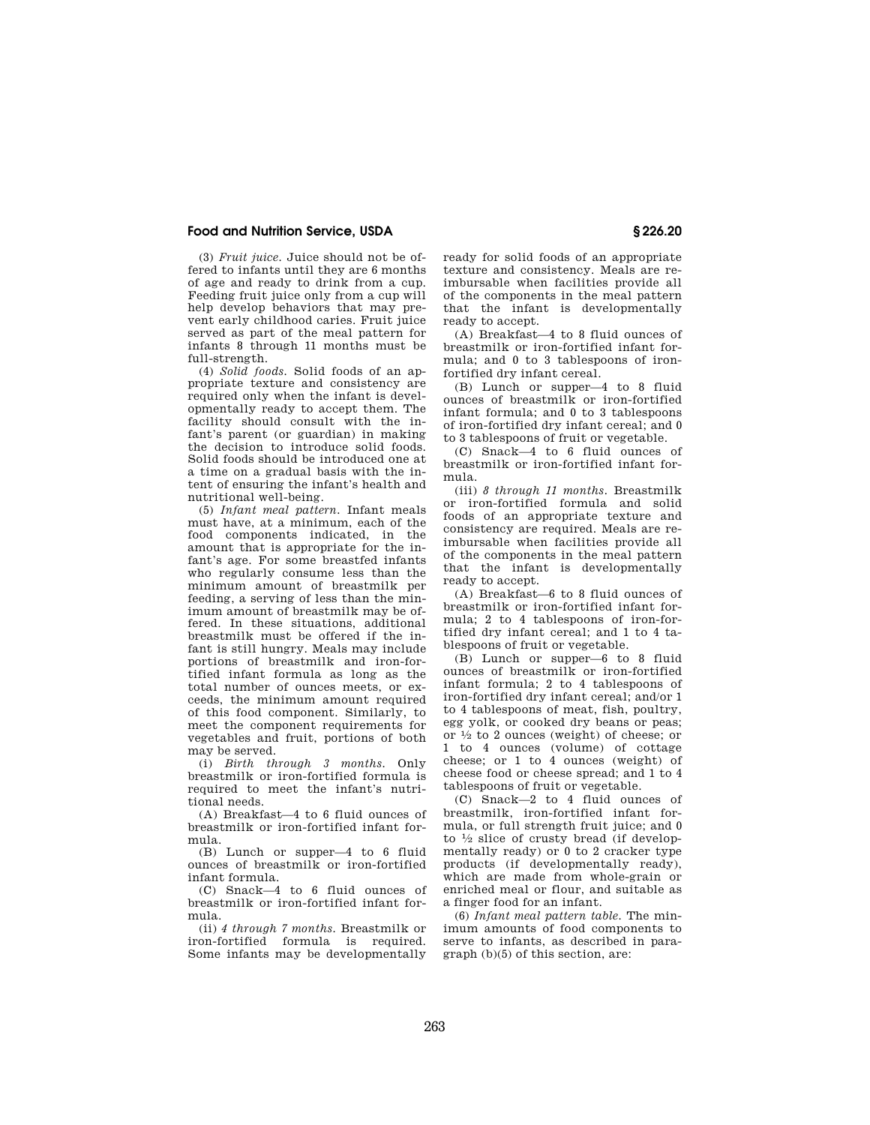(3) *Fruit juice.* Juice should not be offered to infants until they are 6 months of age and ready to drink from a cup. Feeding fruit juice only from a cup will help develop behaviors that may prevent early childhood caries. Fruit juice served as part of the meal pattern for infants 8 through 11 months must be full-strength.

(4) *Solid foods.* Solid foods of an appropriate texture and consistency are required only when the infant is developmentally ready to accept them. The facility should consult with the infant's parent (or guardian) in making the decision to introduce solid foods. Solid foods should be introduced one at a time on a gradual basis with the intent of ensuring the infant's health and nutritional well-being.

(5) *Infant meal pattern.* Infant meals must have, at a minimum, each of the food components indicated, in the amount that is appropriate for the infant's age. For some breastfed infants who regularly consume less than the minimum amount of breastmilk per feeding, a serving of less than the minimum amount of breastmilk may be offered. In these situations, additional breastmilk must be offered if the infant is still hungry. Meals may include portions of breastmilk and iron-fortified infant formula as long as the total number of ounces meets, or exceeds, the minimum amount required of this food component. Similarly, to meet the component requirements for vegetables and fruit, portions of both may be served.

(i) *Birth through 3 months.* Only breastmilk or iron-fortified formula is required to meet the infant's nutritional needs.

(A) Breakfast—4 to 6 fluid ounces of breastmilk or iron-fortified infant formula.

(B) Lunch or supper—4 to 6 fluid ounces of breastmilk or iron-fortified infant formula.

(C) Snack—4 to 6 fluid ounces of breastmilk or iron-fortified infant formula.

(ii) *4 through 7 months.* Breastmilk or iron-fortified formula is required. Some infants may be developmentally ready for solid foods of an appropriate texture and consistency. Meals are reimbursable when facilities provide all of the components in the meal pattern that the infant is developmentally ready to accept.

(A) Breakfast—4 to 8 fluid ounces of breastmilk or iron-fortified infant formula; and 0 to 3 tablespoons of ironfortified dry infant cereal.

(B) Lunch or supper—4 to 8 fluid ounces of breastmilk or iron-fortified infant formula; and 0 to 3 tablespoons of iron-fortified dry infant cereal; and 0 to 3 tablespoons of fruit or vegetable.

(C) Snack—4 to 6 fluid ounces of breastmilk or iron-fortified infant formula.

(iii) *8 through 11 months.* Breastmilk or iron-fortified formula and solid foods of an appropriate texture and consistency are required. Meals are reimbursable when facilities provide all of the components in the meal pattern that the infant is developmentally ready to accept.

(A) Breakfast—6 to 8 fluid ounces of breastmilk or iron-fortified infant formula; 2 to 4 tablespoons of iron-fortified dry infant cereal; and 1 to 4 tablespoons of fruit or vegetable.

(B) Lunch or supper—6 to 8 fluid ounces of breastmilk or iron-fortified infant formula; 2 to 4 tablespoons of iron-fortified dry infant cereal; and/or 1 to 4 tablespoons of meat, fish, poultry, egg yolk, or cooked dry beans or peas; or  $\frac{1}{2}$  to 2 ounces (weight) of cheese; or 1 to 4 ounces (volume) of cottage cheese; or 1 to 4 ounces (weight) of cheese food or cheese spread; and 1 to 4 tablespoons of fruit or vegetable.

(C) Snack—2 to 4 fluid ounces of breastmilk, iron-fortified infant formula, or full strength fruit juice; and 0 to  $\frac{1}{2}$  slice of crusty bread (if developmentally ready) or 0 to 2 cracker type products (if developmentally ready), which are made from whole-grain or enriched meal or flour, and suitable as a finger food for an infant.

(6) *Infant meal pattern table.* The minimum amounts of food components to serve to infants, as described in paragraph (b)(5) of this section, are: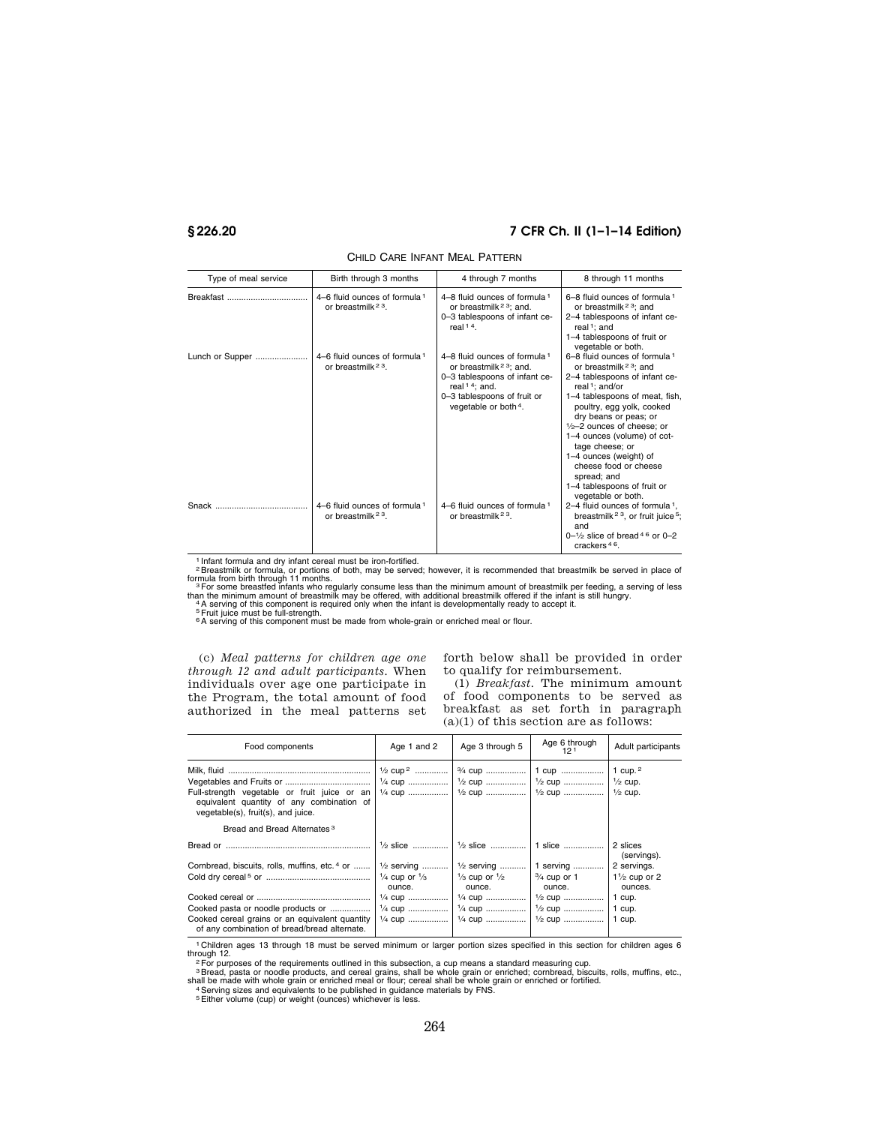# **§ 226.20 7 CFR Ch. II (1–1–14 Edition)**

| Type of meal service | Birth through 3 months                                           | 4 through 7 months                                                                                                                                                                          | 8 through 11 months                                                                                                                                                                                                                                                                                                                                                                                                                  |
|----------------------|------------------------------------------------------------------|---------------------------------------------------------------------------------------------------------------------------------------------------------------------------------------------|--------------------------------------------------------------------------------------------------------------------------------------------------------------------------------------------------------------------------------------------------------------------------------------------------------------------------------------------------------------------------------------------------------------------------------------|
|                      | 4–6 fluid ounces of formula 1<br>or breastmilk $23$ .            | 4–8 fluid ounces of formula 1<br>or breastmilk <sup>23</sup> ; and.<br>0-3 tablespoons of infant ce-<br>real $14$ .                                                                         | 6-8 fluid ounces of formula 1<br>or breastmilk <sup>23</sup> ; and<br>2-4 tablespoons of infant ce-<br>real <sup>1</sup> : and<br>1-4 tablespoons of fruit or<br>vegetable or both.                                                                                                                                                                                                                                                  |
| Lunch or Supper      | 4–6 fluid ounces of formula $1$<br>or breastmilk <sup>23</sup> . | 4–8 fluid ounces of formula 1<br>or breastmilk <sup>23</sup> ; and.<br>0-3 tablespoons of infant ce-<br>real $14$ ; and.<br>0-3 tablespoons of fruit or<br>vegetable or both <sup>4</sup> . | 6-8 fluid ounces of formula 1<br>or breastmilk <sup>23</sup> ; and<br>2-4 tablespoons of infant ce-<br>real <sup>1</sup> : and/or<br>1-4 tablespoons of meat, fish,<br>poultry, egg yolk, cooked<br>dry beans or peas; or<br>$1/2 - 2$ ounces of cheese; or<br>1-4 ounces (volume) of cot-<br>tage cheese; or<br>1-4 ounces (weight) of<br>cheese food or cheese<br>spread; and<br>1-4 tablespoons of fruit or<br>vegetable or both. |
| Snack                | 4–6 fluid ounces of formula 1<br>or breastmilk 23.               | 4–6 fluid ounces of formula 1<br>or breastmilk <sup>23</sup> .                                                                                                                              | 2-4 fluid ounces of formula $1$ ,<br>breastmilk <sup>23</sup> , or fruit juice <sup>5</sup> ;<br>and<br>$0-1/2$ slice of bread 4 6 or 0-2<br>crackers $46$ .                                                                                                                                                                                                                                                                         |

CHILD CARE INFANT MEAL PATTERN

1 Infant formula and dry infant cereal must be iron-fortified.<br><sup>2</sup> Breastmilk or formula, or portions of both, may be served; however, it is recommended that breastmilk be served in place of<br>formula from birth through 11 m

than the minimum amount of breastmilk may be offered, with additional breastmilk offered if the infant is still hungry.<br>"A serving of this component is required only when the infant is developmentally ready to accept it.<br>F

<sup>6</sup>A serving of this component must be made from whole-grain or enriched meal or flour.

(c) *Meal patterns for children age one through 12 and adult participants.* When individuals over age one participate in the Program, the total amount of food authorized in the meal patterns set forth below shall be provided in order to qualify for reimbursement.

(1) *Breakfast.* The minimum amount of food components to be served as breakfast as set forth in paragraph  $(a)(1)$  of this section are as follows:

| Food components                                                                                                                 | Age 1 and 2                                         | Age 3 through 5                              | Age 6 through<br>12 <sup>1</sup>                             | Adult participants                 |
|---------------------------------------------------------------------------------------------------------------------------------|-----------------------------------------------------|----------------------------------------------|--------------------------------------------------------------|------------------------------------|
| Full-strength vegetable or fruit juice or an<br>equivalent quantity of any combination of<br>vegetable(s), fruit(s), and juice. | $\frac{1}{2}$ cup <sup>2</sup><br>$\frac{1}{4}$ cup |                                              | $\frac{1}{2}$ cup    $\frac{1}{2}$ cup    $\frac{1}{2}$ cup. | 1 cup. $2$<br>$\frac{1}{2}$ cup.   |
| Bread and Bread Alternates <sup>3</sup>                                                                                         |                                                     |                                              |                                                              |                                    |
|                                                                                                                                 |                                                     |                                              |                                                              | 2 slices<br>(servings).            |
| Cornbread, biscuits, rolls, muffins, etc. <sup>4</sup> or                                                                       | $\frac{1}{2}$ serving                               |                                              | $\frac{1}{2}$ serving    1 serving                           | 2 servings.                        |
|                                                                                                                                 | $\frac{1}{4}$ cup or $\frac{1}{3}$<br>ounce.        | $\frac{1}{3}$ cup or $\frac{1}{2}$<br>ounce. | $\frac{3}{4}$ cup or 1<br>ounce.                             | $1\frac{1}{2}$ cup or 2<br>ounces. |
|                                                                                                                                 | $\frac{1}{4}$ cup                                   |                                              |                                                              | 1 cup.                             |
| Cooked pasta or noodle products or                                                                                              |                                                     | $\frac{1}{4}$ cup $\frac{1}{2}$ cup          |                                                              | 1 cup.                             |
| Cooked cereal grains or an equivalent quantity<br>of any combination of bread/bread alternate.                                  |                                                     |                                              |                                                              | 1 cup.                             |

1 Children ages 13 through 18 must be served minimum or larger portion sizes specified in this section for children ages 6 Through 12. 25 To university of the requirements outlined in this subsection, a cup means a standard measuring cup.<br>
<sup>2</sup>For purposes of the requirements outlined in this subsection, a cup means a standard measuring cup.<br>
<sup></sup>

<sup>2</sup> For purposes on the requirements outlined it was subsecution, a cup means a statution and capacity of the state of the state of the state of the state of the state of the state of the state of the state of the state of

5Either volume (cup) or weight (ounces) whichever is less.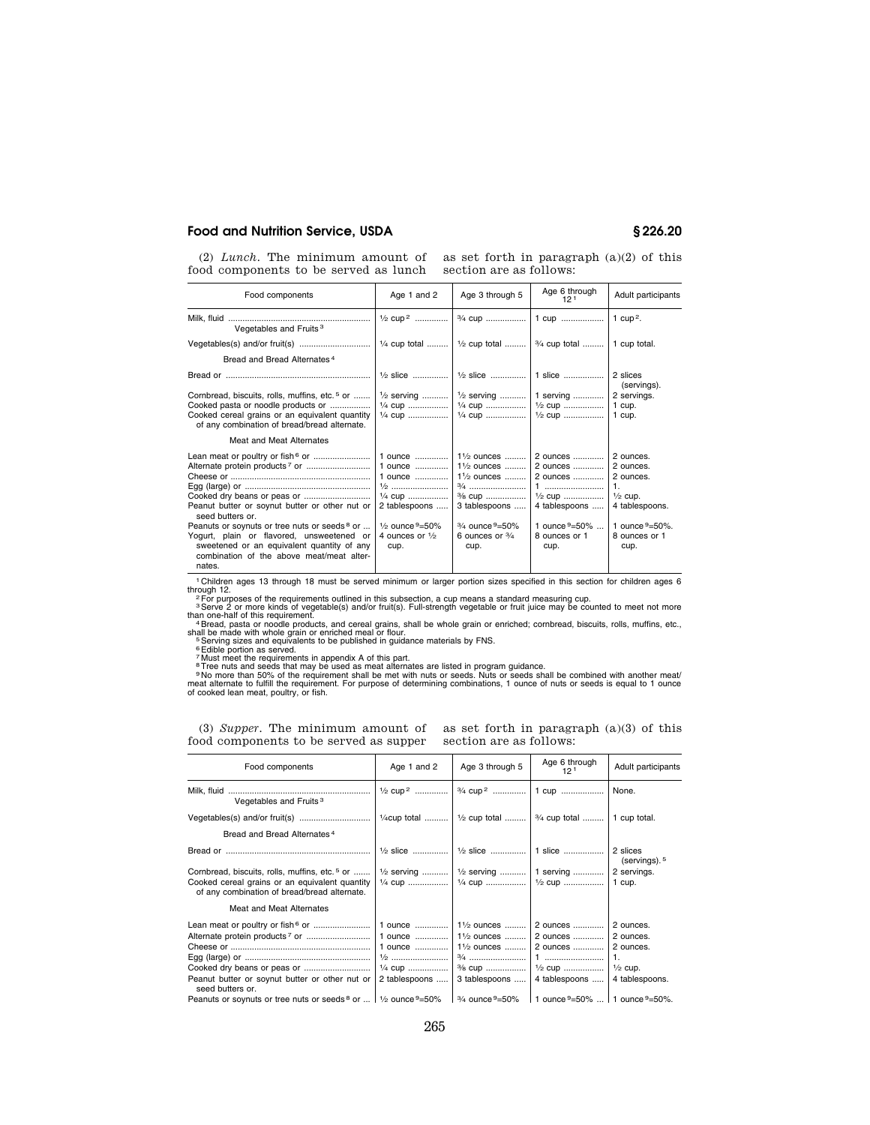(2) *Lunch*. The minimum amount of as set forth in paragraph  $(a)(2)$  of this food components to be served as lunch

section are as follows:

| Food components                                                                                                                                                                                                                                                                  | Age 1 and 2                                                                                                                                                 | Age 3 through 5                                                                                                                                                                                           | Age 6 through<br>12 <sup>1</sup>                                                                                    | Adult participants                                                                                                                 |
|----------------------------------------------------------------------------------------------------------------------------------------------------------------------------------------------------------------------------------------------------------------------------------|-------------------------------------------------------------------------------------------------------------------------------------------------------------|-----------------------------------------------------------------------------------------------------------------------------------------------------------------------------------------------------------|---------------------------------------------------------------------------------------------------------------------|------------------------------------------------------------------------------------------------------------------------------------|
| Vegetables and Fruits <sup>3</sup>                                                                                                                                                                                                                                               | $\frac{1}{2}$ cup <sup>2</sup>                                                                                                                              | <sup>3</sup> / <sub>4</sub> cup                                                                                                                                                                           |                                                                                                                     |                                                                                                                                    |
|                                                                                                                                                                                                                                                                                  |                                                                                                                                                             | $\frac{1}{4}$ cup total    $\frac{1}{2}$ cup total    $\frac{3}{4}$ cup total                                                                                                                             |                                                                                                                     | 1 cup total.                                                                                                                       |
| Bread and Bread Alternates <sup>4</sup>                                                                                                                                                                                                                                          |                                                                                                                                                             |                                                                                                                                                                                                           |                                                                                                                     |                                                                                                                                    |
|                                                                                                                                                                                                                                                                                  |                                                                                                                                                             | $\frac{1}{2}$ slice    $\frac{1}{2}$ slice    1 slice                                                                                                                                                     |                                                                                                                     | 2 slices<br>(servings).                                                                                                            |
| Cornbread, biscuits, rolls, muffins, etc. <sup>5</sup> or                                                                                                                                                                                                                        | $\frac{1}{2}$ serving                                                                                                                                       | $\frac{1}{2}$ serving                                                                                                                                                                                     | 1 serving                                                                                                           | 2 servings.                                                                                                                        |
| Cooked pasta or noodle products or                                                                                                                                                                                                                                               | $\frac{1}{4}$ cup                                                                                                                                           | $\frac{1}{4}$ cup                                                                                                                                                                                         | $\frac{1}{2}$ cup                                                                                                   | 1 cup.                                                                                                                             |
| Cooked cereal grains or an equivalent quantity<br>of any combination of bread/bread alternate.                                                                                                                                                                                   | $\frac{1}{4}$ cup                                                                                                                                           | $\frac{1}{4}$ cup                                                                                                                                                                                         | $\frac{1}{2}$ cup                                                                                                   | 1 cup.                                                                                                                             |
| Meat and Meat Alternates                                                                                                                                                                                                                                                         |                                                                                                                                                             |                                                                                                                                                                                                           |                                                                                                                     |                                                                                                                                    |
| Peanut butter or soynut butter or other nut or<br>seed butters or.<br>Peanuts or soynuts or tree nuts or seeds <sup>8</sup> or<br>Yogurt, plain or flavored, unsweetened or<br>sweetened or an equivalent quantity of any<br>combination of the above meat/meat alter-<br>nates. | 1 ounce<br>1 ounce<br>1 ounce<br>$\frac{1}{2}$<br>$\frac{1}{4}$ cup<br>2 tablespoons<br>$\frac{1}{2}$ ounce $9 = 50\%$<br>4 ounces or $\frac{1}{2}$<br>cup. | $1\frac{1}{2}$ ounces<br>$1\frac{1}{2}$ ounces<br>$1\frac{1}{2}$ ounces<br><sup>3</sup> / <sub>8</sub> cup<br>3 tablespoons<br>$\frac{3}{4}$ ounce $\frac{9}{2}$ 50%<br>6 ounces or $\frac{3}{4}$<br>cup. | 2 ounces<br>2 ounces<br>2 ounces<br>$\frac{1}{2}$ cup<br>4 tablespoons<br>1 ounce $9=50\%$<br>8 ounces or 1<br>cup. | 2 ounces.<br>2 ounces.<br>2 ounces.<br>1.<br>$\frac{1}{2}$ cup.<br>4 tablespoons.<br>1 ounce $9 = 50\%$ .<br>8 ounces or 1<br>cup. |

<sup>1</sup> Children ages 13 through 18 must be served minimum or larger portion sizes specified in this section for children ages 6<br>
<sup>2</sup> For purposes of the requirements outlined in this subsection, a cup means a standard measuri

food components to be served as supper

(3) *Supper*. The minimum amount of as set forth in paragraph  $(a)(3)$  of this section are as follows:

| Food components                                                                                                                                             | Age 1 and 2                                                                          | Age 3 through 5                                                                          | Age 6 through<br>12 <sup>1</sup>                                                                                                                    | Adult participants                     |
|-------------------------------------------------------------------------------------------------------------------------------------------------------------|--------------------------------------------------------------------------------------|------------------------------------------------------------------------------------------|-----------------------------------------------------------------------------------------------------------------------------------------------------|----------------------------------------|
| Vegetables and Fruits <sup>3</sup>                                                                                                                          | $\frac{1}{2}$ cup <sup>2</sup>                                                       | 3/4 cup <sup>2</sup>                                                                     | 1 cup    None.                                                                                                                                      |                                        |
|                                                                                                                                                             |                                                                                      |                                                                                          | $\frac{1}{4}$ cup total    1/2 cup total    3/4 cup total                                                                                           | 1 cup total.                           |
| Bread and Bread Alternates <sup>4</sup>                                                                                                                     |                                                                                      |                                                                                          |                                                                                                                                                     |                                        |
|                                                                                                                                                             |                                                                                      |                                                                                          | $\frac{1}{2}$ slice    $\frac{1}{2}$ slice    1 slice    2 slices                                                                                   | (servings). $5$                        |
| Cornbread, biscuits, rolls, muffins, etc. <sup>5</sup> or<br>Cooked cereal grains or an equivalent quantity<br>of any combination of bread/bread alternate. |                                                                                      |                                                                                          | $\frac{1}{2}$ serving    $\frac{1}{2}$ serving    1 serving    2 servings.<br>$\frac{1}{4}$ cup    $\frac{1}{4}$ cup    $\frac{1}{2}$ cup    1 cup. |                                        |
| Meat and Meat Alternates                                                                                                                                    |                                                                                      |                                                                                          |                                                                                                                                                     |                                        |
| Lean meat or poultry or fish <sup>6</sup> or<br>Cooked dry beans or peas or<br>Peanut butter or soynut butter or other nut or<br>seed butters or.           | 1 ounce<br>1 ounce<br>1 ounce<br>$\frac{1}{2}$<br>$\frac{1}{4}$ cup<br>2 tablespoons | $1\frac{1}{2}$ ounces<br>11/2 ounces   <br>11/2 ounces   <br>3/8 cup   <br>3 tablespoons | 2 ounces  2 ounces.<br>2 ounces    2 ounces.<br>2 ounces    2 ounces.<br>$\frac{1}{2}$ cup<br>4 tablespoons    4 tablespoons.                       | $\overline{1}$ .<br>$\frac{1}{2}$ cup. |
| Peanuts or soynuts or tree nuts or seeds $8$ or    $\frac{1}{2}$ ounce $9=50\%$                                                                             |                                                                                      | $\frac{3}{4}$ ounce $9 = 50\%$                                                           | 1 0 ounce $9 = 50\%$ 1 0 ounce $9 = 50\%$ .                                                                                                         |                                        |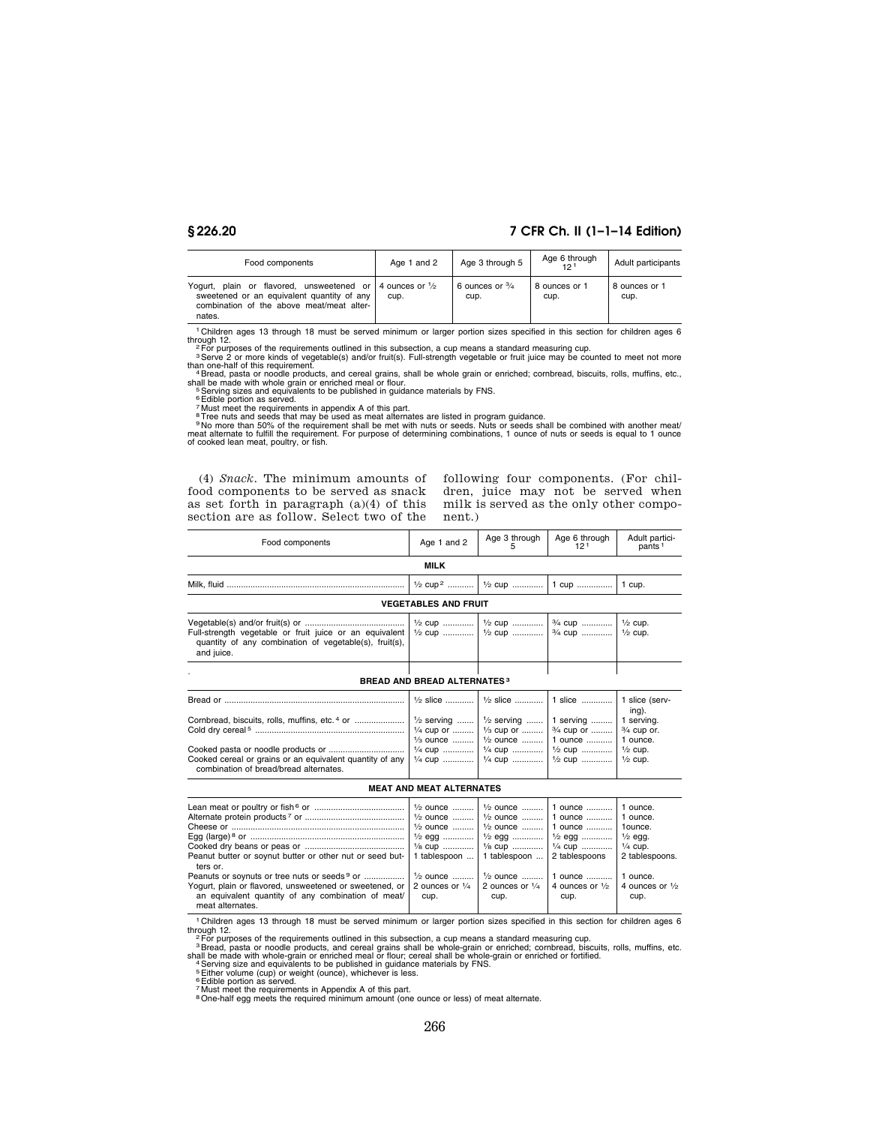# **§ 226.20 7 CFR Ch. II (1–1–14 Edition)**

| Food components                                                                                                                                                          | Age 1 and 2 | Age 3 through 5                   | Age 6 through<br>121  | Adult participants    |
|--------------------------------------------------------------------------------------------------------------------------------------------------------------------------|-------------|-----------------------------------|-----------------------|-----------------------|
| Yogurt, plain or flavored, unsweetened or 4 ounces or $\frac{1}{2}$<br>sweetened or an equivalent quantity of any<br>combination of the above meat/meat alter-<br>nates. | cup.        | 6 ounces or $\frac{3}{4}$<br>cup. | 8 ounces or 1<br>cup. | 8 ounces or 1<br>cup. |

<sup>1</sup> Children ages 13 through 18 must be served minimum or larger portion sizes specified in this section for children ages 6<br>
<sup>2</sup> For purposes of the requirements outlined in this subsection, a cup means a standard measuri

shall be made with whole grain or enriched meal or flour.<br><sup>5</sup> Serving sizes and equivalents to be published in guidance materials by FNS.<br><sup>6</sup> Edible portion as served.<br><sup>7</sup> Must meet the requirements in appendix A of this p

(4) *Snack.* The minimum amounts of food components to be served as snack as set forth in paragraph (a)(4) of this section are as follow. Select two of the

following four components. (For children, juice may not be served when milk is served as the only other component.)

|                 | <b>MILK</b>  |               |                      |                         |
|-----------------|--------------|---------------|----------------------|-------------------------|
| Food components | and 2<br>Age | Age 3 through | Age 6 through<br>101 | Adult partici-<br>pants |

|                                                                                                                                 |                                    | 1/2 cup <sup>2</sup>   1/2 cup    1 cup                                                                                                                                                                            | 1 cup.                              |
|---------------------------------------------------------------------------------------------------------------------------------|------------------------------------|--------------------------------------------------------------------------------------------------------------------------------------------------------------------------------------------------------------------|-------------------------------------|
|                                                                                                                                 | <b>VEGETABLES AND FRUIT</b>        |                                                                                                                                                                                                                    |                                     |
| Full-strength vegetable or fruit juice or an equivalent<br>quantity of any combination of vegetable(s), fruit(s),<br>and juice. |                                    | $\frac{1}{2}$ cup    $\frac{1}{2}$ cup    $\frac{3}{4}$ cup    $\frac{1}{2}$ cup.                                                                                                                                  |                                     |
|                                                                                                                                 | <b>BREAD AND BREAD ALTERNATES3</b> |                                                                                                                                                                                                                    |                                     |
|                                                                                                                                 |                                    | $\frac{1}{2}$ slice    $\frac{1}{2}$ slice    1 slice    1 slice (serv-                                                                                                                                            | ing).                               |
| Cornbread, biscuits, rolls, muffins, etc. <sup>4</sup> or                                                                       |                                    | $\frac{1}{2}$ serving    $\frac{1}{2}$ serving    1 serving   <br>$\frac{1}{4}$ cup or    1/ <sub>3</sub> cup or    3/ <sub>4</sub> cup or   <br>$\frac{1}{3}$ ounce    $\frac{1}{2}$ ounce    1 ounce    1 ounce. | 1 serving.<br>$\frac{3}{4}$ cup or. |
| Cooked cereal or grains or an equivalent quantity of any  <br>combination of bread/bread alternates.                            |                                    | $\frac{1}{4}$ cup    $\frac{1}{4}$ cup    $\frac{1}{2}$ cup    $\frac{1}{2}$ cup.<br>$\frac{1}{4}$ cup    $\frac{1}{4}$ cup    $\frac{1}{2}$ cup    $\frac{1}{2}$ cup.                                             |                                     |

### **MEAT AND MEAT ALTERNATES**

| Lean meat or poultry or fish $6$ or $\ldots$ $\ldots$ $\ldots$ $\ldots$ $\ldots$ $\ldots$ $\ldots$ $\ldots$ $\ldots$ $\ldots$ $\ldots$ $\ldots$ $\ldots$ $\ldots$ $\ldots$ $\ldots$ $\ldots$ $\ldots$ $\ldots$ $\ldots$ $\ldots$ $\ldots$ $\ldots$ $\ldots$ $\ldots$ $\ldots$ $\ldots$ $\ldots$ $\ldots$ $\ldots$ $\ldots$ |      |      |      |      |
|----------------------------------------------------------------------------------------------------------------------------------------------------------------------------------------------------------------------------------------------------------------------------------------------------------------------------|------|------|------|------|
|                                                                                                                                                                                                                                                                                                                            |      |      |      |      |
|                                                                                                                                                                                                                                                                                                                            |      |      |      |      |
|                                                                                                                                                                                                                                                                                                                            |      |      |      |      |
|                                                                                                                                                                                                                                                                                                                            |      |      |      |      |
| Peanut butter or soynut butter or other nut or seed but- 1 tablespoon  1 tablespoon  2 tablespoons 2 tablespoons.<br>ters or.                                                                                                                                                                                              |      |      |      |      |
|                                                                                                                                                                                                                                                                                                                            |      |      |      |      |
| Yogurt, plain or flavored, unsweetened or sweetened, or 2 ounces or $\frac{1}{4}$ 2 ounces or $\frac{1}{4}$ 4 ounces or $\frac{1}{2}$ 4 ounces or $\frac{1}{2}$                                                                                                                                                            |      |      |      |      |
| an equivalent quantity of any combination of meat/<br>meat alternates.                                                                                                                                                                                                                                                     | cup. | cup. | cup. | cup. |
|                                                                                                                                                                                                                                                                                                                            |      |      |      |      |

<sup>1</sup> Children ages 13 through 18 must be served minimum or larger portion sizes specified in this section for children ages 6<br>
through 12<br>
<sup>2</sup> For purposes of the requirements outlined in this subsection, a cup means a stan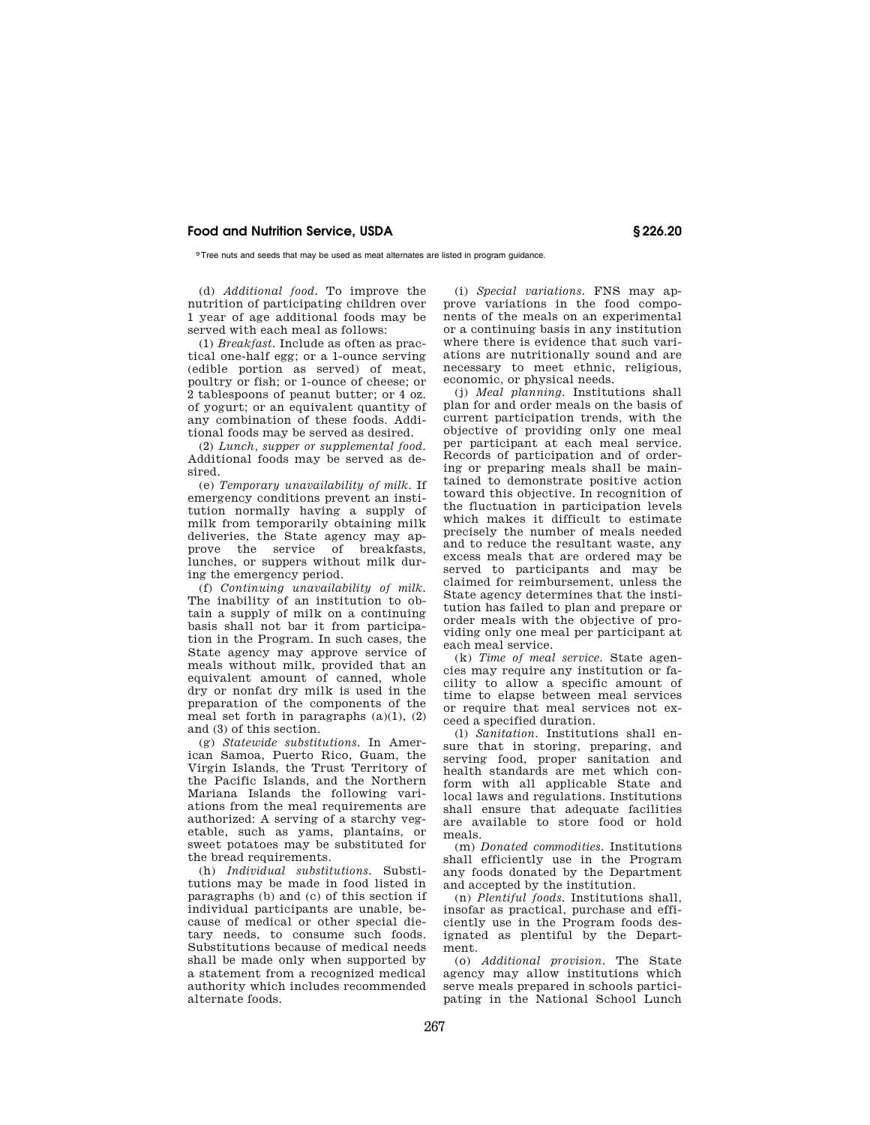9Tree nuts and seeds that may be used as meat alternates are listed in program guidance.

(d) *Additional food.* To improve the nutrition of participating children over 1 year of age additional foods may be served with each meal as follows:

(1) *Breakfast.* Include as often as practical one-half egg; or a 1-ounce serving (edible portion as served) of meat, poultry or fish; or 1-ounce of cheese; or 2 tablespoons of peanut butter; or 4 oz. of yogurt; or an equivalent quantity of any combination of these foods. Additional foods may be served as desired.

(2) *Lunch, supper or supplemental food.*  Additional foods may be served as desired.

(e) *Temporary unavailability of milk.* If emergency conditions prevent an institution normally having a supply of milk from temporarily obtaining milk deliveries, the State agency may approve the service of breakfasts, lunches, or suppers without milk during the emergency period.

(f) *Continuing unavailability of milk.*  The inability of an institution to obtain a supply of milk on a continuing basis shall not bar it from participation in the Program. In such cases, the State agency may approve service of meals without milk, provided that an equivalent amount of canned, whole dry or nonfat dry milk is used in the preparation of the components of the meal set forth in paragraphs  $(a)(1)$ ,  $(2)$ and (3) of this section.

(g) *Statewide substitutions.* In American Samoa, Puerto Rico, Guam, the Virgin Islands, the Trust Territory of the Pacific Islands, and the Northern Mariana Islands the following variations from the meal requirements are authorized: A serving of a starchy vegetable, such as yams, plantains, or sweet potatoes may be substituted for the bread requirements.

(h) *Individual substitutions.* Substitutions may be made in food listed in paragraphs (b) and (c) of this section if individual participants are unable, because of medical or other special dietary needs, to consume such foods. Substitutions because of medical needs shall be made only when supported by a statement from a recognized medical authority which includes recommended alternate foods.

(i) *Special variations.* FNS may approve variations in the food components of the meals on an experimental or a continuing basis in any institution where there is evidence that such variations are nutritionally sound and are necessary to meet ethnic, religious, economic, or physical needs.

(j) *Meal planning.* Institutions shall plan for and order meals on the basis of current participation trends, with the objective of providing only one meal per participant at each meal service. Records of participation and of ordering or preparing meals shall be maintained to demonstrate positive action toward this objective. In recognition of the fluctuation in participation levels which makes it difficult to estimate precisely the number of meals needed and to reduce the resultant waste, any excess meals that are ordered may be served to participants and may be claimed for reimbursement, unless the State agency determines that the institution has failed to plan and prepare or order meals with the objective of providing only one meal per participant at each meal service.

(k) *Time of meal service.* State agencies may require any institution or facility to allow a specific amount of time to elapse between meal services or require that meal services not exceed a specified duration.

(l) *Sanitation.* Institutions shall ensure that in storing, preparing, and serving food, proper sanitation and health standards are met which conform with all applicable State and local laws and regulations. Institutions shall ensure that adequate facilities are available to store food or hold meals.

(m) *Donated commodities.* Institutions shall efficiently use in the Program any foods donated by the Department and accepted by the institution.

(n) *Plentiful foods.* Institutions shall, insofar as practical, purchase and efficiently use in the Program foods designated as plentiful by the Department.

(o) *Additional provision.* The State agency may allow institutions which serve meals prepared in schools participating in the National School Lunch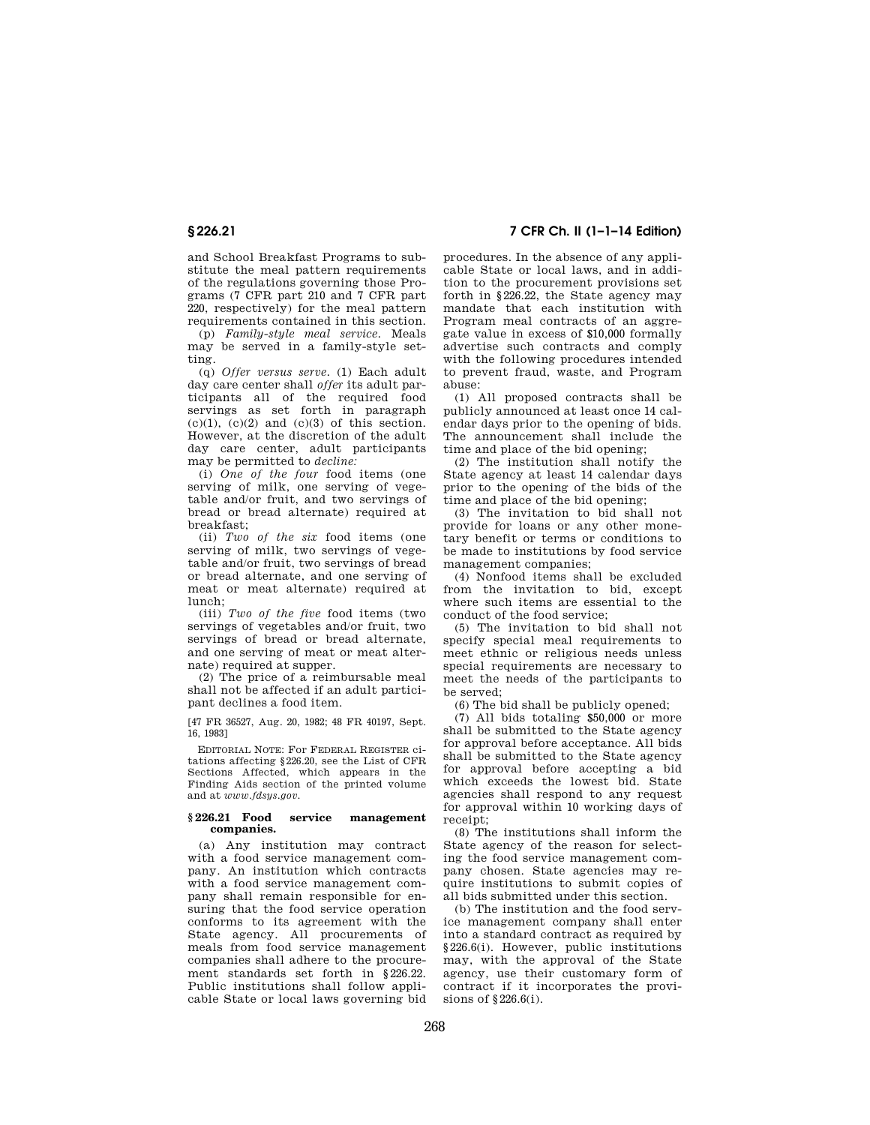and School Breakfast Programs to substitute the meal pattern requirements of the regulations governing those Programs (7 CFR part 210 and 7 CFR part 220, respectively) for the meal pattern requirements contained in this section.

(p) *Family-style meal service.* Meals may be served in a family-style setting.

(q) *Offer versus serve.* (1) Each adult day care center shall *offer* its adult participants all of the required food servings as set forth in paragraph  $(c)(1)$ ,  $(c)(2)$  and  $(c)(3)$  of this section. However, at the discretion of the adult day care center, adult participants may be permitted to *decline:* 

(i) *One of the four* food items (one serving of milk, one serving of vegetable and/or fruit, and two servings of bread or bread alternate) required at breakfast;

(ii) *Two of the six* food items (one serving of milk, two servings of vegetable and/or fruit, two servings of bread or bread alternate, and one serving of meat or meat alternate) required at lunch;

(iii) *Two of the five* food items (two servings of vegetables and/or fruit, two servings of bread or bread alternate, and one serving of meat or meat alternate) required at supper.

(2) The price of a reimbursable meal shall not be affected if an adult participant declines a food item.

[47 FR 36527, Aug. 20, 1982; 48 FR 40197, Sept. 16, 1983]

EDITORIAL NOTE: For FEDERAL REGISTER citations affecting §226.20, see the List of CFR Sections Affected, which appears in the Finding Aids section of the printed volume and at *www.fdsys.gov.* 

## **§ 226.21 Food service management companies.**

(a) Any institution may contract with a food service management company. An institution which contracts with a food service management company shall remain responsible for ensuring that the food service operation conforms to its agreement with the State agency. All procurements of meals from food service management companies shall adhere to the procurement standards set forth in §226.22. Public institutions shall follow applicable State or local laws governing bid

# **§ 226.21 7 CFR Ch. II (1–1–14 Edition)**

procedures. In the absence of any applicable State or local laws, and in addition to the procurement provisions set forth in §226.22, the State agency may mandate that each institution with Program meal contracts of an aggregate value in excess of \$10,000 formally advertise such contracts and comply with the following procedures intended to prevent fraud, waste, and Program abuse:

(1) All proposed contracts shall be publicly announced at least once 14 calendar days prior to the opening of bids. The announcement shall include the time and place of the bid opening;

(2) The institution shall notify the State agency at least 14 calendar days prior to the opening of the bids of the time and place of the bid opening:

(3) The invitation to bid shall not provide for loans or any other monetary benefit or terms or conditions to be made to institutions by food service management companies;

(4) Nonfood items shall be excluded from the invitation to bid, except where such items are essential to the conduct of the food service;

(5) The invitation to bid shall not specify special meal requirements to meet ethnic or religious needs unless special requirements are necessary to meet the needs of the participants to be served;

(6) The bid shall be publicly opened;

(7) All bids totaling \$50,000 or more shall be submitted to the State agency for approval before acceptance. All bids shall be submitted to the State agency for approval before accepting a bid which exceeds the lowest bid. State agencies shall respond to any request for approval within 10 working days of receipt;

(8) The institutions shall inform the State agency of the reason for selecting the food service management company chosen. State agencies may require institutions to submit copies of all bids submitted under this section.

(b) The institution and the food service management company shall enter into a standard contract as required by §226.6(i). However, public institutions may, with the approval of the State agency, use their customary form of contract if it incorporates the provisions of §226.6(i).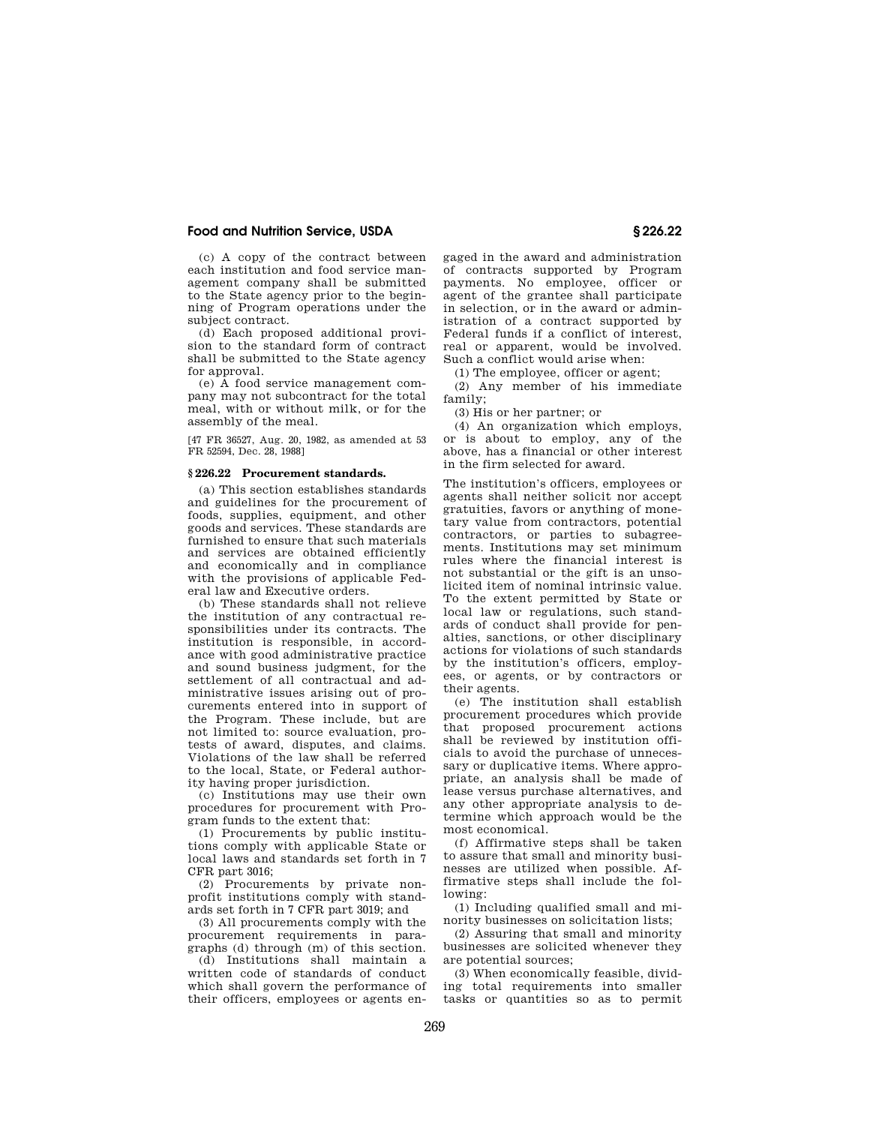(c) A copy of the contract between each institution and food service management company shall be submitted to the State agency prior to the beginning of Program operations under the subject contract.

(d) Each proposed additional provision to the standard form of contract shall be submitted to the State agency for approval.

(e) A food service management company may not subcontract for the total meal, with or without milk, or for the assembly of the meal.

[47 FR 36527, Aug. 20, 1982, as amended at 53 FR 52594, Dec. 28, 1988]

#### **§ 226.22 Procurement standards.**

(a) This section establishes standards and guidelines for the procurement of foods, supplies, equipment, and other goods and services. These standards are furnished to ensure that such materials and services are obtained efficiently and economically and in compliance with the provisions of applicable Federal law and Executive orders.

(b) These standards shall not relieve the institution of any contractual responsibilities under its contracts. The institution is responsible, in accordance with good administrative practice and sound business judgment, for the settlement of all contractual and administrative issues arising out of procurements entered into in support of the Program. These include, but are not limited to: source evaluation, protests of award, disputes, and claims. Violations of the law shall be referred to the local, State, or Federal authority having proper jurisdiction.

(c) Institutions may use their own procedures for procurement with Program funds to the extent that:

(1) Procurements by public institutions comply with applicable State or local laws and standards set forth in 7 CFR part 3016;

(2) Procurements by private nonprofit institutions comply with standards set forth in 7 CFR part 3019; and

(3) All procurements comply with the procurement requirements in paragraphs (d) through (m) of this section.

(d) Institutions shall maintain a written code of standards of conduct which shall govern the performance of their officers, employees or agents engaged in the award and administration of contracts supported by Program payments. No employee, officer or agent of the grantee shall participate in selection, or in the award or administration of a contract supported by Federal funds if a conflict of interest, real or apparent, would be involved. Such a conflict would arise when:

(1) The employee, officer or agent;

(2) Any member of his immediate family;

(3) His or her partner; or

(4) An organization which employs, or is about to employ, any of the above, has a financial or other interest in the firm selected for award.

The institution's officers, employees or agents shall neither solicit nor accept gratuities, favors or anything of monetary value from contractors, potential contractors, or parties to subagreements. Institutions may set minimum rules where the financial interest is not substantial or the gift is an unsolicited item of nominal intrinsic value. To the extent permitted by State or local law or regulations, such standards of conduct shall provide for penalties, sanctions, or other disciplinary actions for violations of such standards by the institution's officers, employees, or agents, or by contractors or their agents.

(e) The institution shall establish procurement procedures which provide that proposed procurement actions shall be reviewed by institution officials to avoid the purchase of unnecessary or duplicative items. Where appropriate, an analysis shall be made of lease versus purchase alternatives, and any other appropriate analysis to determine which approach would be the most economical.

(f) Affirmative steps shall be taken to assure that small and minority businesses are utilized when possible. Affirmative steps shall include the following:

(1) Including qualified small and minority businesses on solicitation lists;

(2) Assuring that small and minority businesses are solicited whenever they are potential sources;

(3) When economically feasible, dividing total requirements into smaller tasks or quantities so as to permit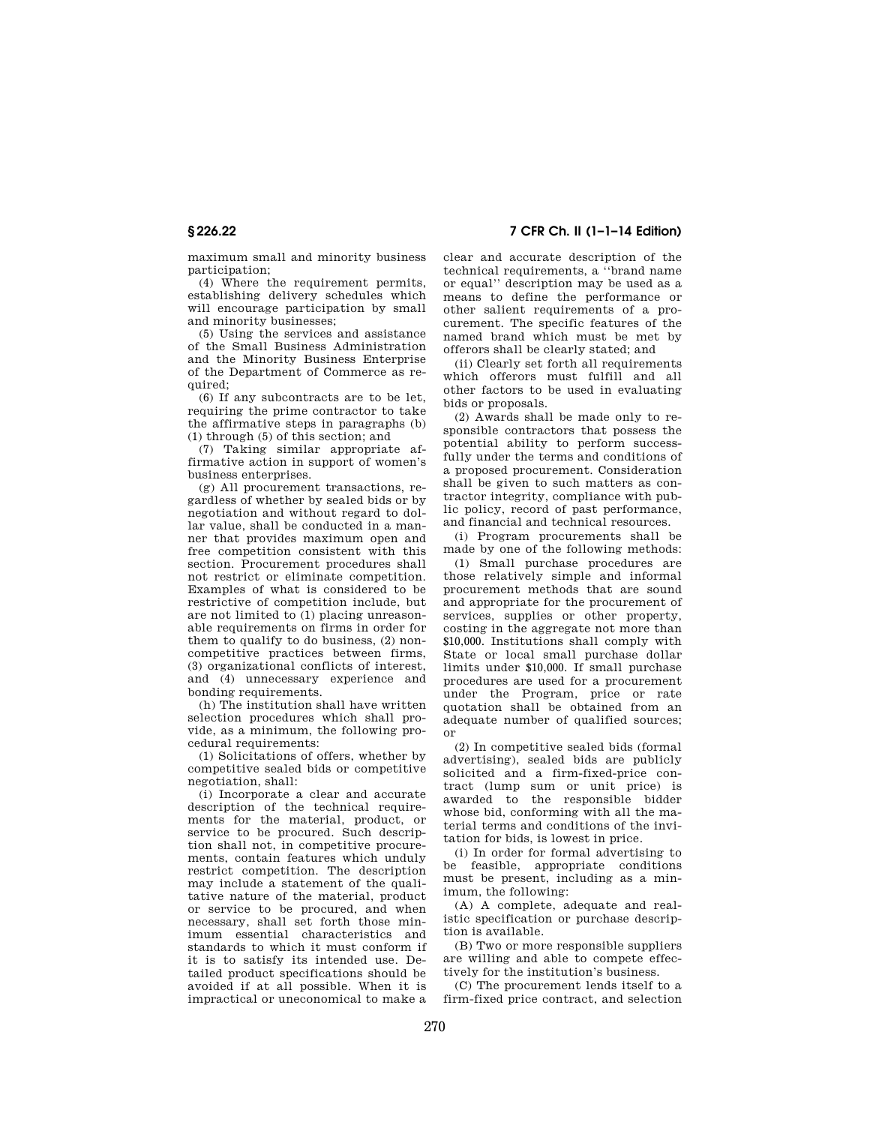**§ 226.22 7 CFR Ch. II (1–1–14 Edition)** 

maximum small and minority business participation;

(4) Where the requirement permits, establishing delivery schedules which will encourage participation by small and minority businesses;

(5) Using the services and assistance of the Small Business Administration and the Minority Business Enterprise of the Department of Commerce as required;

(6) If any subcontracts are to be let, requiring the prime contractor to take the affirmative steps in paragraphs (b) (1) through (5) of this section; and

(7) Taking similar appropriate affirmative action in support of women's business enterprises.

(g) All procurement transactions, regardless of whether by sealed bids or by negotiation and without regard to dollar value, shall be conducted in a manner that provides maximum open and free competition consistent with this section. Procurement procedures shall not restrict or eliminate competition. Examples of what is considered to be restrictive of competition include, but are not limited to (1) placing unreasonable requirements on firms in order for them to qualify to do business, (2) noncompetitive practices between firms, (3) organizational conflicts of interest, and (4) unnecessary experience and bonding requirements.

(h) The institution shall have written selection procedures which shall provide, as a minimum, the following procedural requirements:

(1) Solicitations of offers, whether by competitive sealed bids or competitive negotiation, shall:

(i) Incorporate a clear and accurate description of the technical requirements for the material, product, or service to be procured. Such description shall not, in competitive procurements, contain features which unduly restrict competition. The description may include a statement of the qualitative nature of the material, product or service to be procured, and when necessary, shall set forth those minimum essential characteristics and standards to which it must conform if it is to satisfy its intended use. Detailed product specifications should be avoided if at all possible. When it is impractical or uneconomical to make a clear and accurate description of the technical requirements, a ''brand name or equal'' description may be used as a means to define the performance or other salient requirements of a procurement. The specific features of the named brand which must be met by offerors shall be clearly stated; and

(ii) Clearly set forth all requirements which offerors must fulfill and all other factors to be used in evaluating bids or proposals.

(2) Awards shall be made only to responsible contractors that possess the potential ability to perform successfully under the terms and conditions of a proposed procurement. Consideration shall be given to such matters as contractor integrity, compliance with public policy, record of past performance, and financial and technical resources.

(i) Program procurements shall be made by one of the following methods:

(1) Small purchase procedures are those relatively simple and informal procurement methods that are sound and appropriate for the procurement of services, supplies or other property, costing in the aggregate not more than \$10,000. Institutions shall comply with State or local small purchase dollar limits under \$10,000. If small purchase procedures are used for a procurement under the Program, price or rate quotation shall be obtained from an adequate number of qualified sources; or

(2) In competitive sealed bids (formal advertising), sealed bids are publicly solicited and a firm-fixed-price contract (lump sum or unit price) is awarded to the responsible bidder whose bid, conforming with all the material terms and conditions of the invitation for bids, is lowest in price.

(i) In order for formal advertising to be feasible, appropriate conditions must be present, including as a minimum, the following:

(A) A complete, adequate and realistic specification or purchase description is available.

(B) Two or more responsible suppliers are willing and able to compete effectively for the institution's business.

(C) The procurement lends itself to a firm-fixed price contract, and selection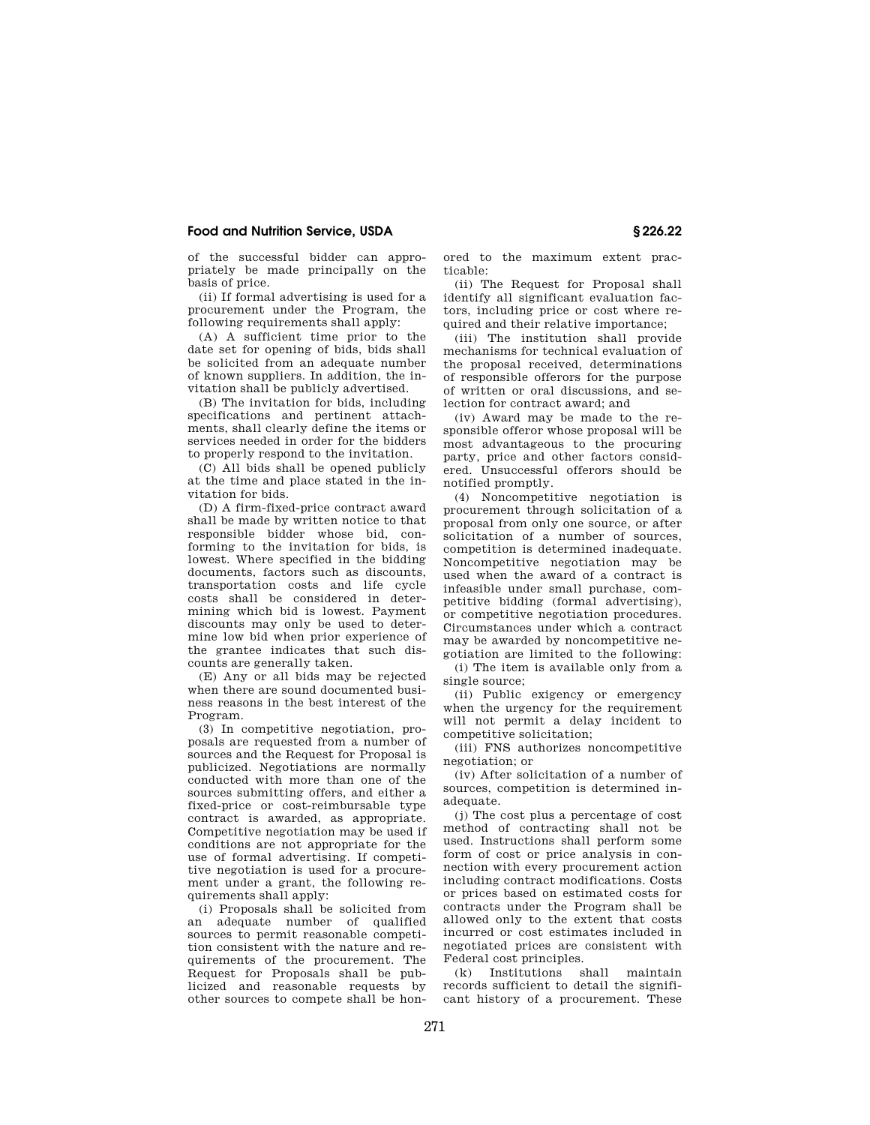of the successful bidder can appropriately be made principally on the basis of price.

(ii) If formal advertising is used for a procurement under the Program, the following requirements shall apply:

(A) A sufficient time prior to the date set for opening of bids, bids shall be solicited from an adequate number of known suppliers. In addition, the invitation shall be publicly advertised.

(B) The invitation for bids, including specifications and pertinent attachments, shall clearly define the items or services needed in order for the bidders to properly respond to the invitation.

(C) All bids shall be opened publicly at the time and place stated in the invitation for bids.

(D) A firm-fixed-price contract award shall be made by written notice to that responsible bidder whose bid, conforming to the invitation for bids, is lowest. Where specified in the bidding documents, factors such as discounts, transportation costs and life cycle costs shall be considered in determining which bid is lowest. Payment discounts may only be used to determine low bid when prior experience of the grantee indicates that such discounts are generally taken.

(E) Any or all bids may be rejected when there are sound documented business reasons in the best interest of the Program.

(3) In competitive negotiation, proposals are requested from a number of sources and the Request for Proposal is publicized. Negotiations are normally conducted with more than one of the sources submitting offers, and either a fixed-price or cost-reimbursable type contract is awarded, as appropriate. Competitive negotiation may be used if conditions are not appropriate for the use of formal advertising. If competitive negotiation is used for a procurement under a grant, the following requirements shall apply:

(i) Proposals shall be solicited from an adequate number of qualified sources to permit reasonable competition consistent with the nature and requirements of the procurement. The Request for Proposals shall be publicized and reasonable requests by other sources to compete shall be honored to the maximum extent practicable:

(ii) The Request for Proposal shall identify all significant evaluation factors, including price or cost where required and their relative importance;

(iii) The institution shall provide mechanisms for technical evaluation of the proposal received, determinations of responsible offerors for the purpose of written or oral discussions, and selection for contract award; and

(iv) Award may be made to the responsible offeror whose proposal will be most advantageous to the procuring party, price and other factors considered. Unsuccessful offerors should be notified promptly.

(4) Noncompetitive negotiation is procurement through solicitation of a proposal from only one source, or after solicitation of a number of sources, competition is determined inadequate. Noncompetitive negotiation may be used when the award of a contract is infeasible under small purchase, competitive bidding (formal advertising), or competitive negotiation procedures. Circumstances under which a contract may be awarded by noncompetitive negotiation are limited to the following:

(i) The item is available only from a single source;

(ii) Public exigency or emergency when the urgency for the requirement will not permit a delay incident to competitive solicitation;

(iii) FNS authorizes noncompetitive negotiation; or

(iv) After solicitation of a number of sources, competition is determined inadequate.

(j) The cost plus a percentage of cost method of contracting shall not be used. Instructions shall perform some form of cost or price analysis in connection with every procurement action including contract modifications. Costs or prices based on estimated costs for contracts under the Program shall be allowed only to the extent that costs incurred or cost estimates included in negotiated prices are consistent with Federal cost principles.

(k) Institutions shall maintain records sufficient to detail the significant history of a procurement. These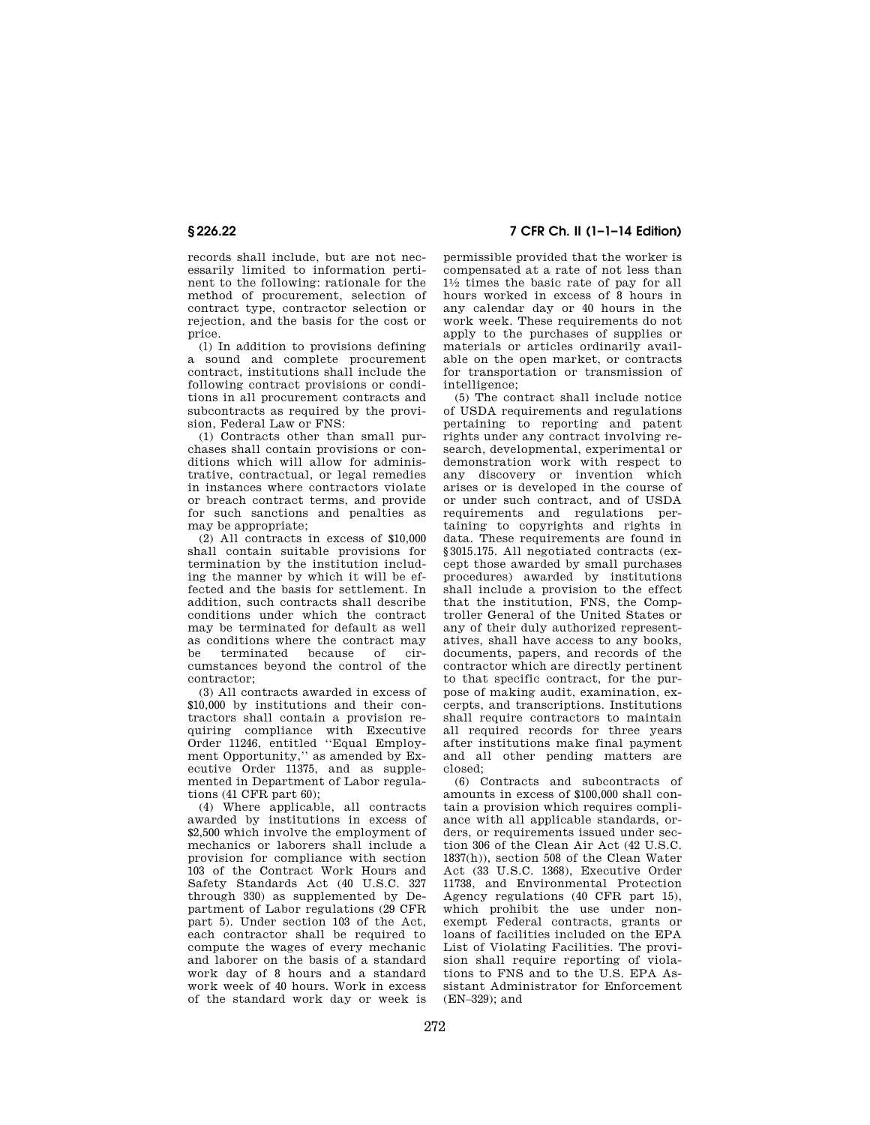records shall include, but are not necessarily limited to information pertinent to the following: rationale for the method of procurement, selection of contract type, contractor selection or rejection, and the basis for the cost or price.

(l) In addition to provisions defining a sound and complete procurement contract, institutions shall include the following contract provisions or conditions in all procurement contracts and subcontracts as required by the provision, Federal Law or FNS:

(1) Contracts other than small purchases shall contain provisions or conditions which will allow for administrative, contractual, or legal remedies in instances where contractors violate or breach contract terms, and provide for such sanctions and penalties as may be appropriate;

(2) All contracts in excess of \$10,000 shall contain suitable provisions for termination by the institution including the manner by which it will be effected and the basis for settlement. In addition, such contracts shall describe conditions under which the contract may be terminated for default as well as conditions where the contract may<br>be terminated because of cirbe terminated because of circumstances beyond the control of the contractor;

(3) All contracts awarded in excess of \$10,000 by institutions and their contractors shall contain a provision requiring compliance with Executive Order 11246, entitled ''Equal Employment Opportunity,'' as amended by Executive Order 11375, and as supplemented in Department of Labor regulations (41 CFR part 60);

(4) Where applicable, all contracts awarded by institutions in excess of \$2,500 which involve the employment of mechanics or laborers shall include a provision for compliance with section 103 of the Contract Work Hours and Safety Standards Act (40 U.S.C. 327 through 330) as supplemented by Department of Labor regulations (29 CFR part 5). Under section 103 of the Act, each contractor shall be required to compute the wages of every mechanic and laborer on the basis of a standard work day of 8 hours and a standard work week of 40 hours. Work in excess of the standard work day or week is

**§ 226.22 7 CFR Ch. II (1–1–14 Edition)** 

permissible provided that the worker is compensated at a rate of not less than  $1\frac{1}{2}$  times the basic rate of pay for all hours worked in excess of 8 hours in any calendar day or 40 hours in the work week. These requirements do not apply to the purchases of supplies or materials or articles ordinarily available on the open market, or contracts for transportation or transmission of intelligence;

(5) The contract shall include notice of USDA requirements and regulations pertaining to reporting and patent rights under any contract involving research, developmental, experimental or demonstration work with respect to any discovery or invention which arises or is developed in the course of or under such contract, and of USDA requirements and regulations pertaining to copyrights and rights in data. These requirements are found in §3015.175. All negotiated contracts (except those awarded by small purchases procedures) awarded by institutions shall include a provision to the effect that the institution, FNS, the Comptroller General of the United States or any of their duly authorized representatives, shall have access to any books, documents, papers, and records of the contractor which are directly pertinent to that specific contract, for the purpose of making audit, examination, excerpts, and transcriptions. Institutions shall require contractors to maintain all required records for three years after institutions make final payment and all other pending matters are closed;

(6) Contracts and subcontracts of amounts in excess of \$100,000 shall contain a provision which requires compliance with all applicable standards, orders, or requirements issued under section 306 of the Clean Air Act (42 U.S.C. 1837(h)), section 508 of the Clean Water Act (33 U.S.C. 1368), Executive Order 11738, and Environmental Protection Agency regulations (40 CFR part 15), which prohibit the use under nonexempt Federal contracts, grants or loans of facilities included on the EPA List of Violating Facilities. The provision shall require reporting of violations to FNS and to the U.S. EPA Assistant Administrator for Enforcement (EN–329); and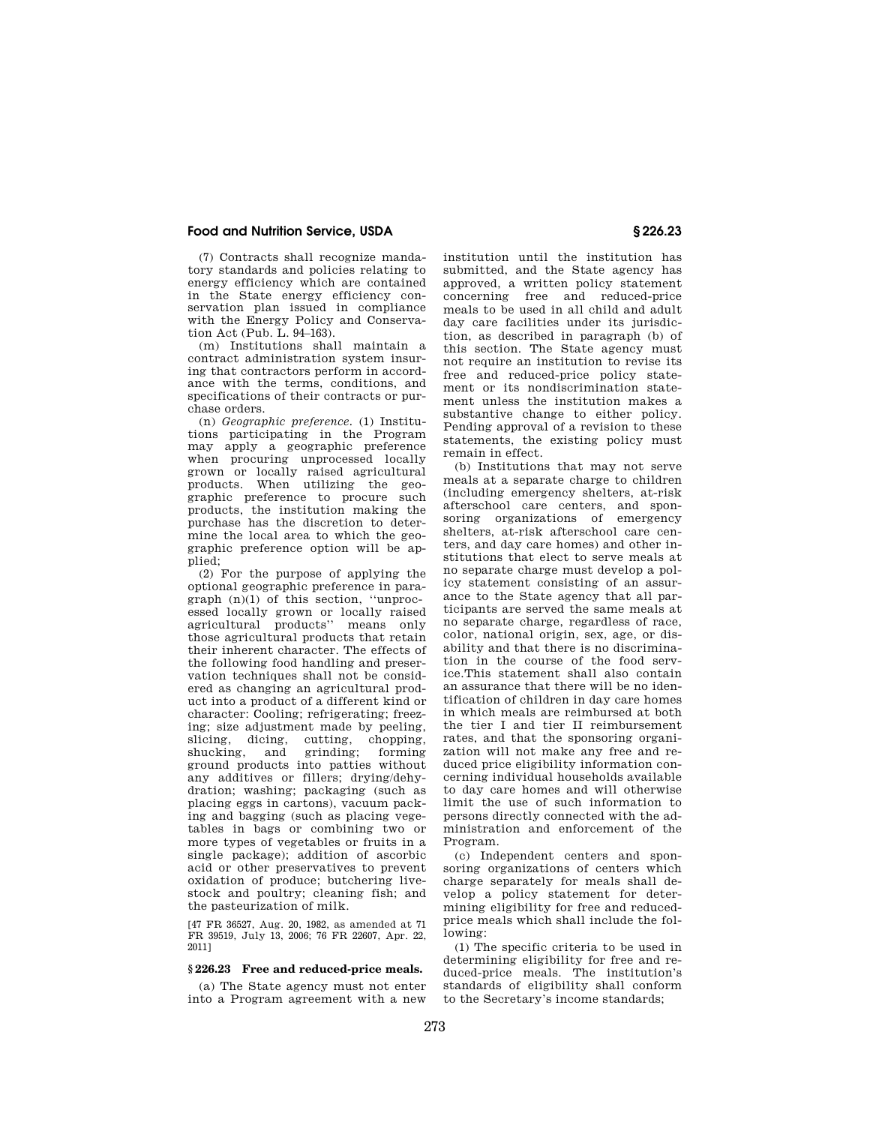(7) Contracts shall recognize mandatory standards and policies relating to energy efficiency which are contained in the State energy efficiency conservation plan issued in compliance with the Energy Policy and Conservation Act (Pub. L. 94–163).

(m) Institutions shall maintain a contract administration system insuring that contractors perform in accordance with the terms, conditions, and specifications of their contracts or purchase orders.

(n) *Geographic preference.* (1) Institutions participating in the Program may apply a geographic preference when procuring unprocessed locally grown or locally raised agricultural products. When utilizing the geographic preference to procure such products, the institution making the purchase has the discretion to determine the local area to which the geographic preference option will be applied;

(2) For the purpose of applying the optional geographic preference in paragraph (n)(1) of this section, ''unprocessed locally grown or locally raised agricultural products'' means only those agricultural products that retain their inherent character. The effects of the following food handling and preservation techniques shall not be considered as changing an agricultural product into a product of a different kind or character: Cooling; refrigerating; freezing; size adjustment made by peeling, slicing, dicing, cutting, chopping, shucking, and grinding; forming ground products into patties without any additives or fillers; drying/dehydration; washing; packaging (such as placing eggs in cartons), vacuum packing and bagging (such as placing vegetables in bags or combining two or more types of vegetables or fruits in a single package); addition of ascorbic acid or other preservatives to prevent oxidation of produce; butchering livestock and poultry; cleaning fish; and the pasteurization of milk.

[47 FR 36527, Aug. 20, 1982, as amended at 71 FR 39519, July 13, 2006; 76 FR 22607, Apr. 22, 2011]

#### **§ 226.23 Free and reduced-price meals.**

(a) The State agency must not enter into a Program agreement with a new institution until the institution has submitted, and the State agency has approved, a written policy statement concerning free and reduced-price meals to be used in all child and adult day care facilities under its jurisdiction, as described in paragraph (b) of this section. The State agency must not require an institution to revise its free and reduced-price policy statement or its nondiscrimination statement unless the institution makes a substantive change to either policy. Pending approval of a revision to these statements, the existing policy must remain in effect.

(b) Institutions that may not serve meals at a separate charge to children (including emergency shelters, at-risk afterschool care centers, and sponsoring organizations of emergency shelters, at-risk afterschool care centers, and day care homes) and other institutions that elect to serve meals at no separate charge must develop a policy statement consisting of an assurance to the State agency that all participants are served the same meals at no separate charge, regardless of race, color, national origin, sex, age, or disability and that there is no discrimination in the course of the food service.This statement shall also contain an assurance that there will be no identification of children in day care homes in which meals are reimbursed at both the tier I and tier II reimbursement rates, and that the sponsoring organization will not make any free and reduced price eligibility information concerning individual households available to day care homes and will otherwise limit the use of such information to persons directly connected with the administration and enforcement of the Program.

(c) Independent centers and sponsoring organizations of centers which charge separately for meals shall develop a policy statement for determining eligibility for free and reducedprice meals which shall include the following:

(1) The specific criteria to be used in determining eligibility for free and reduced-price meals. The institution's standards of eligibility shall conform to the Secretary's income standards;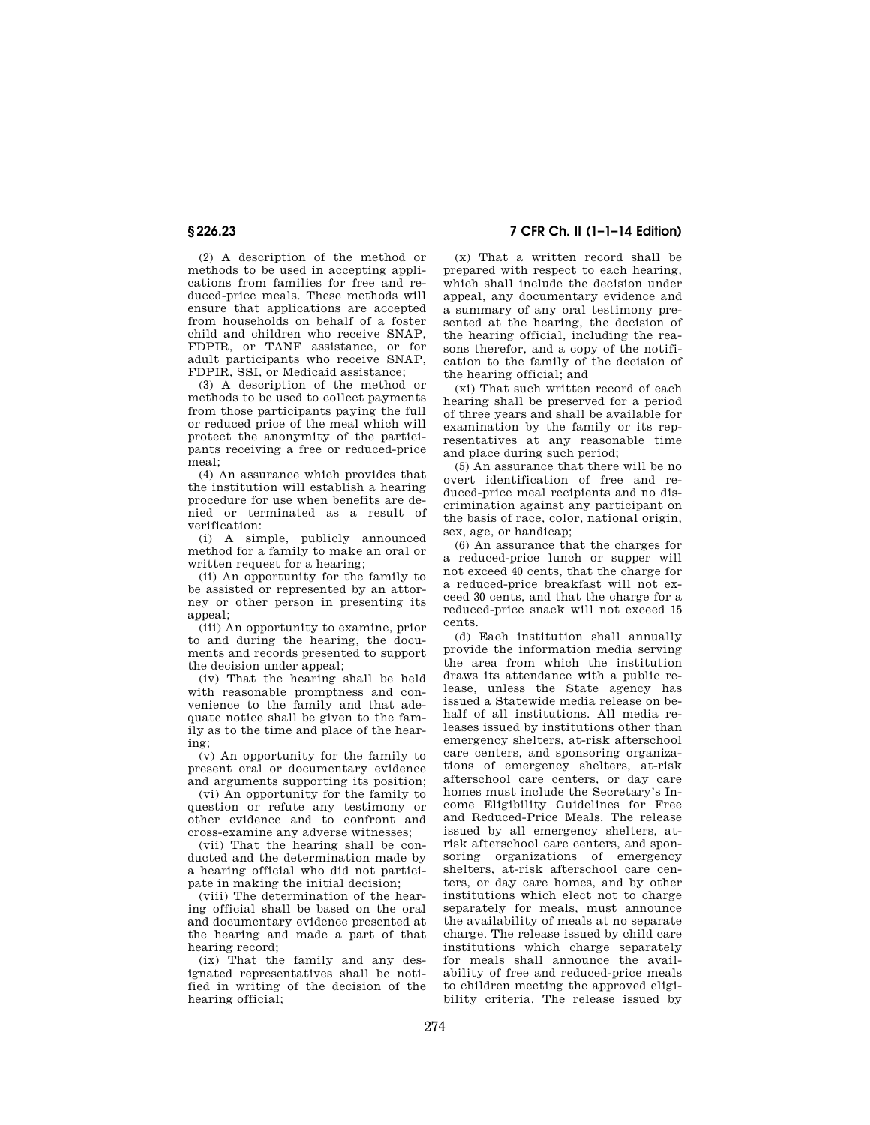(2) A description of the method or methods to be used in accepting applications from families for free and reduced-price meals. These methods will ensure that applications are accepted from households on behalf of a foster child and children who receive SNAP, FDPIR, or TANF assistance, or for adult participants who receive SNAP, FDPIR, SSI, or Medicaid assistance;

(3) A description of the method or methods to be used to collect payments from those participants paying the full or reduced price of the meal which will protect the anonymity of the participants receiving a free or reduced-price  $meal$ 

(4) An assurance which provides that the institution will establish a hearing procedure for use when benefits are denied or terminated as a result of verification:

(i) A simple, publicly announced method for a family to make an oral or written request for a hearing;

(ii) An opportunity for the family to be assisted or represented by an attorney or other person in presenting its appeal;

(iii) An opportunity to examine, prior to and during the hearing, the documents and records presented to support the decision under appeal;

(iv) That the hearing shall be held with reasonable promptness and convenience to the family and that adequate notice shall be given to the family as to the time and place of the hearing;

(v) An opportunity for the family to present oral or documentary evidence and arguments supporting its position;

(vi) An opportunity for the family to question or refute any testimony or other evidence and to confront and cross-examine any adverse witnesses;

(vii) That the hearing shall be conducted and the determination made by a hearing official who did not participate in making the initial decision;

(viii) The determination of the hearing official shall be based on the oral and documentary evidence presented at the hearing and made a part of that hearing record;

(ix) That the family and any designated representatives shall be notified in writing of the decision of the hearing official;

# **§ 226.23 7 CFR Ch. II (1–1–14 Edition)**

(x) That a written record shall be prepared with respect to each hearing, which shall include the decision under appeal, any documentary evidence and a summary of any oral testimony presented at the hearing, the decision of the hearing official, including the reasons therefor, and a copy of the notification to the family of the decision of the hearing official; and

(xi) That such written record of each hearing shall be preserved for a period of three years and shall be available for examination by the family or its representatives at any reasonable time and place during such period;

(5) An assurance that there will be no overt identification of free and reduced-price meal recipients and no discrimination against any participant on the basis of race, color, national origin, sex, age, or handicap;

(6) An assurance that the charges for a reduced-price lunch or supper will not exceed 40 cents, that the charge for a reduced-price breakfast will not exceed 30 cents, and that the charge for a reduced-price snack will not exceed 15 cents.

(d) Each institution shall annually provide the information media serving the area from which the institution draws its attendance with a public release, unless the State agency has issued a Statewide media release on behalf of all institutions. All media releases issued by institutions other than emergency shelters, at-risk afterschool care centers, and sponsoring organizations of emergency shelters, at-risk afterschool care centers, or day care homes must include the Secretary's Income Eligibility Guidelines for Free and Reduced-Price Meals. The release issued by all emergency shelters, atrisk afterschool care centers, and sponsoring organizations of emergency shelters, at-risk afterschool care centers, or day care homes, and by other institutions which elect not to charge separately for meals, must announce the availability of meals at no separate charge. The release issued by child care institutions which charge separately for meals shall announce the availability of free and reduced-price meals to children meeting the approved eligibility criteria. The release issued by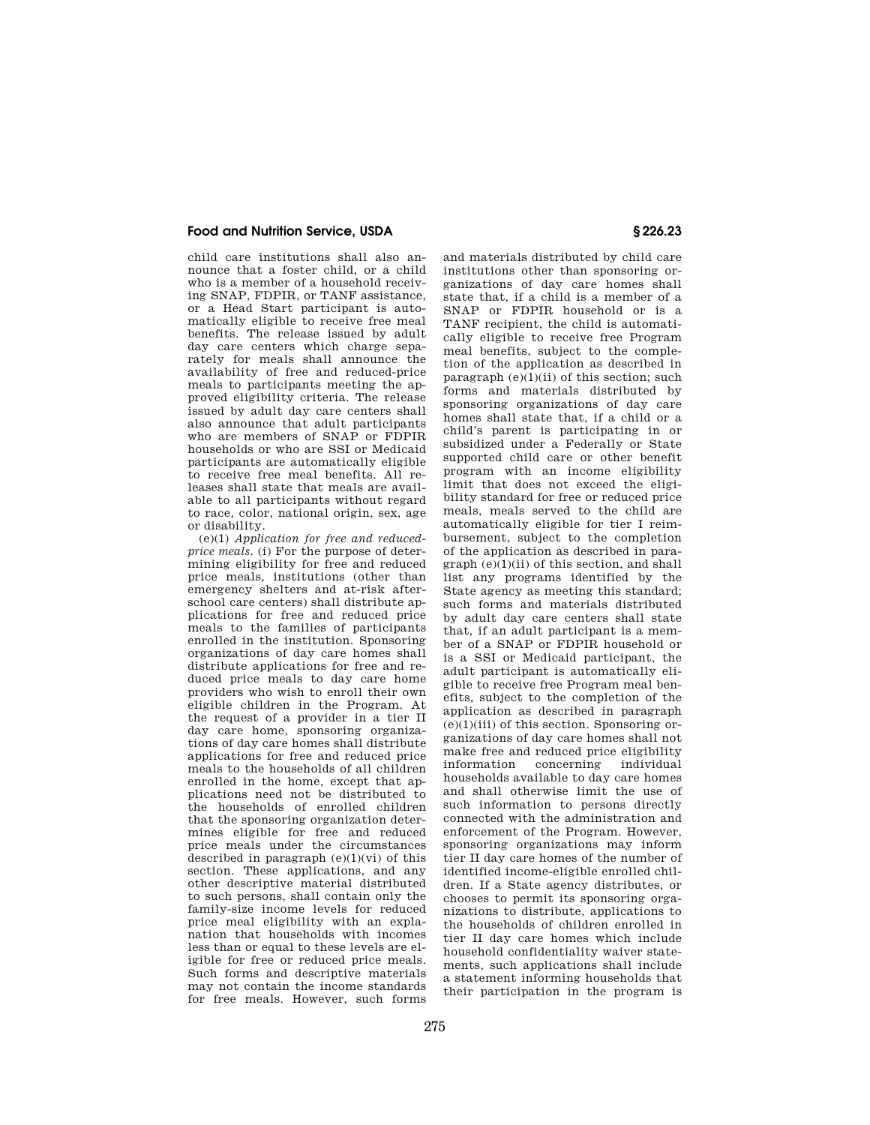child care institutions shall also announce that a foster child, or a child who is a member of a household receiving SNAP, FDPIR, or TANF assistance, or a Head Start participant is automatically eligible to receive free meal benefits. The release issued by adult day care centers which charge separately for meals shall announce the availability of free and reduced-price meals to participants meeting the approved eligibility criteria. The release issued by adult day care centers shall also announce that adult participants who are members of SNAP or FDPIR households or who are SSI or Medicaid participants are automatically eligible to receive free meal benefits. All releases shall state that meals are available to all participants without regard to race, color, national origin, sex, age or disability.

(e)(1) *Application for free and reducedprice meals.* (i) For the purpose of determining eligibility for free and reduced price meals, institutions (other than emergency shelters and at-risk afterschool care centers) shall distribute applications for free and reduced price meals to the families of participants enrolled in the institution. Sponsoring organizations of day care homes shall distribute applications for free and reduced price meals to day care home providers who wish to enroll their own eligible children in the Program. At the request of a provider in a tier II day care home, sponsoring organizations of day care homes shall distribute applications for free and reduced price meals to the households of all children enrolled in the home, except that applications need not be distributed to the households of enrolled children that the sponsoring organization determines eligible for free and reduced price meals under the circumstances described in paragraph  $(e)(1)(vi)$  of this section. These applications, and any other descriptive material distributed to such persons, shall contain only the family-size income levels for reduced price meal eligibility with an explanation that households with incomes less than or equal to these levels are eligible for free or reduced price meals. Such forms and descriptive materials may not contain the income standards for free meals. However, such forms

and materials distributed by child care institutions other than sponsoring organizations of day care homes shall state that, if a child is a member of a SNAP or FDPIR household or is a TANF recipient, the child is automatically eligible to receive free Program meal benefits, subject to the completion of the application as described in paragraph  $(e)(1)(ii)$  of this section; such forms and materials distributed by sponsoring organizations of day care homes shall state that, if a child or a child's parent is participating in or subsidized under a Federally or State supported child care or other benefit program with an income eligibility limit that does not exceed the eligibility standard for free or reduced price meals, meals served to the child are automatically eligible for tier I reimbursement, subject to the completion of the application as described in para $graph (e)(1)(ii)$  of this section, and shall list any programs identified by the State agency as meeting this standard; such forms and materials distributed by adult day care centers shall state that, if an adult participant is a member of a SNAP or FDPIR household or is a SSI or Medicaid participant, the adult participant is automatically eligible to receive free Program meal benefits, subject to the completion of the application as described in paragraph  $(e)(1)(iii)$  of this section. Sponsoring organizations of day care homes shall not make free and reduced price eligibility information concerning individual households available to day care homes and shall otherwise limit the use of such information to persons directly connected with the administration and enforcement of the Program. However, sponsoring organizations may inform tier II day care homes of the number of identified income-eligible enrolled children. If a State agency distributes, or chooses to permit its sponsoring organizations to distribute, applications to the households of children enrolled in tier II day care homes which include household confidentiality waiver statements, such applications shall include a statement informing households that their participation in the program is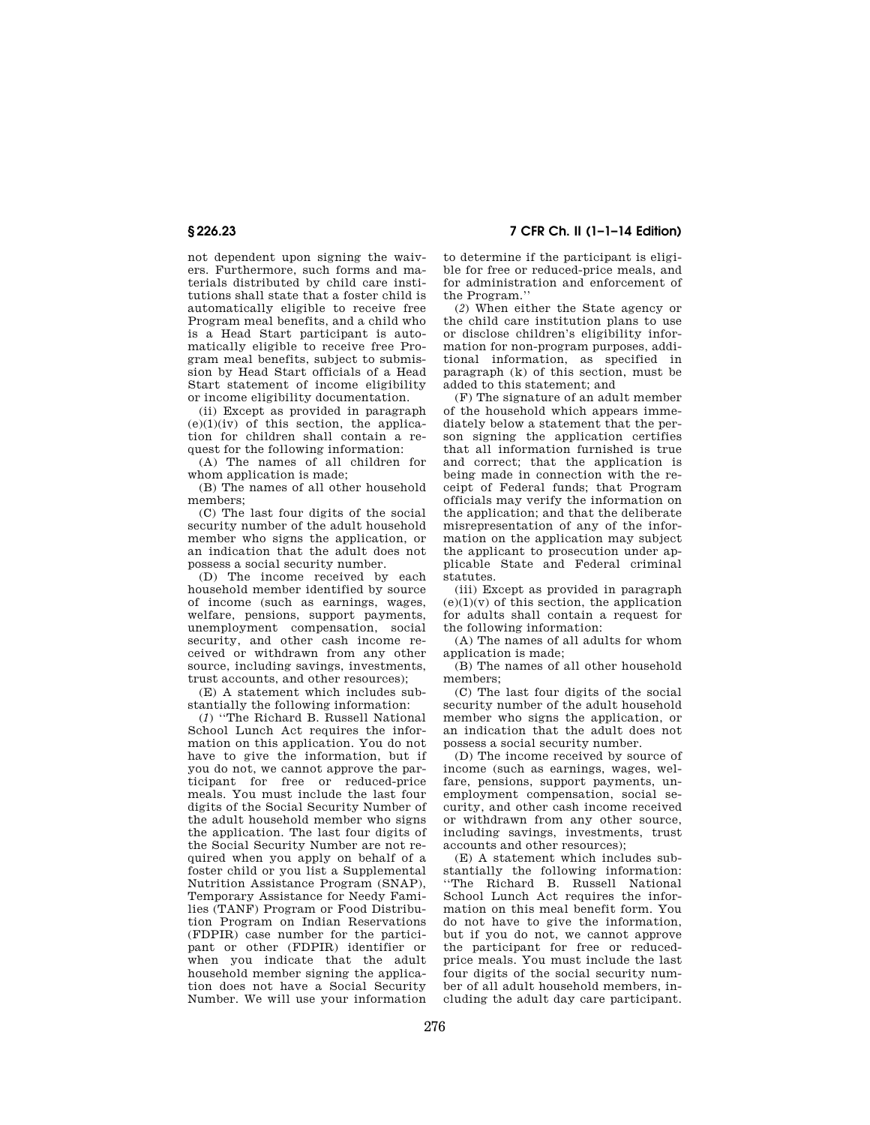not dependent upon signing the waivers. Furthermore, such forms and materials distributed by child care institutions shall state that a foster child is automatically eligible to receive free Program meal benefits, and a child who is a Head Start participant is automatically eligible to receive free Program meal benefits, subject to submission by Head Start officials of a Head Start statement of income eligibility or income eligibility documentation.

(ii) Except as provided in paragraph  $(e)(1)(iv)$  of this section, the application for children shall contain a request for the following information:

(A) The names of all children for whom application is made;

(B) The names of all other household members;

(C) The last four digits of the social security number of the adult household member who signs the application, or an indication that the adult does not possess a social security number.

(D) The income received by each household member identified by source of income (such as earnings, wages, welfare, pensions, support payments, unemployment compensation, social security, and other cash income received or withdrawn from any other source, including savings, investments, trust accounts, and other resources);

(E) A statement which includes substantially the following information:

(*1*) ''The Richard B. Russell National School Lunch Act requires the information on this application. You do not have to give the information, but if you do not, we cannot approve the participant for free or reduced-price meals. You must include the last four digits of the Social Security Number of the adult household member who signs the application. The last four digits of the Social Security Number are not required when you apply on behalf of a foster child or you list a Supplemental Nutrition Assistance Program (SNAP), Temporary Assistance for Needy Families (TANF) Program or Food Distribution Program on Indian Reservations (FDPIR) case number for the participant or other (FDPIR) identifier or when you indicate that the adult household member signing the application does not have a Social Security Number. We will use your information

# **§ 226.23 7 CFR Ch. II (1–1–14 Edition)**

to determine if the participant is eligible for free or reduced-price meals, and for administration and enforcement of the Program.''

(*2*) When either the State agency or the child care institution plans to use or disclose children's eligibility information for non-program purposes, additional information, as specified in paragraph (k) of this section, must be added to this statement; and

(F) The signature of an adult member of the household which appears immediately below a statement that the person signing the application certifies that all information furnished is true and correct; that the application is being made in connection with the receipt of Federal funds; that Program officials may verify the information on the application; and that the deliberate misrepresentation of any of the information on the application may subject the applicant to prosecution under applicable State and Federal criminal statutes.

(iii) Except as provided in paragraph  $(e)(1)(v)$  of this section, the application for adults shall contain a request for the following information:

(A) The names of all adults for whom application is made;

(B) The names of all other household members;

(C) The last four digits of the social security number of the adult household member who signs the application, or an indication that the adult does not possess a social security number.

(D) The income received by source of income (such as earnings, wages, welfare, pensions, support payments, unemployment compensation, social security, and other cash income received or withdrawn from any other source, including savings, investments, trust accounts and other resources);

(E) A statement which includes substantially the following information: ''The Richard B. Russell National School Lunch Act requires the information on this meal benefit form. You do not have to give the information, but if you do not, we cannot approve the participant for free or reducedprice meals. You must include the last four digits of the social security number of all adult household members, including the adult day care participant.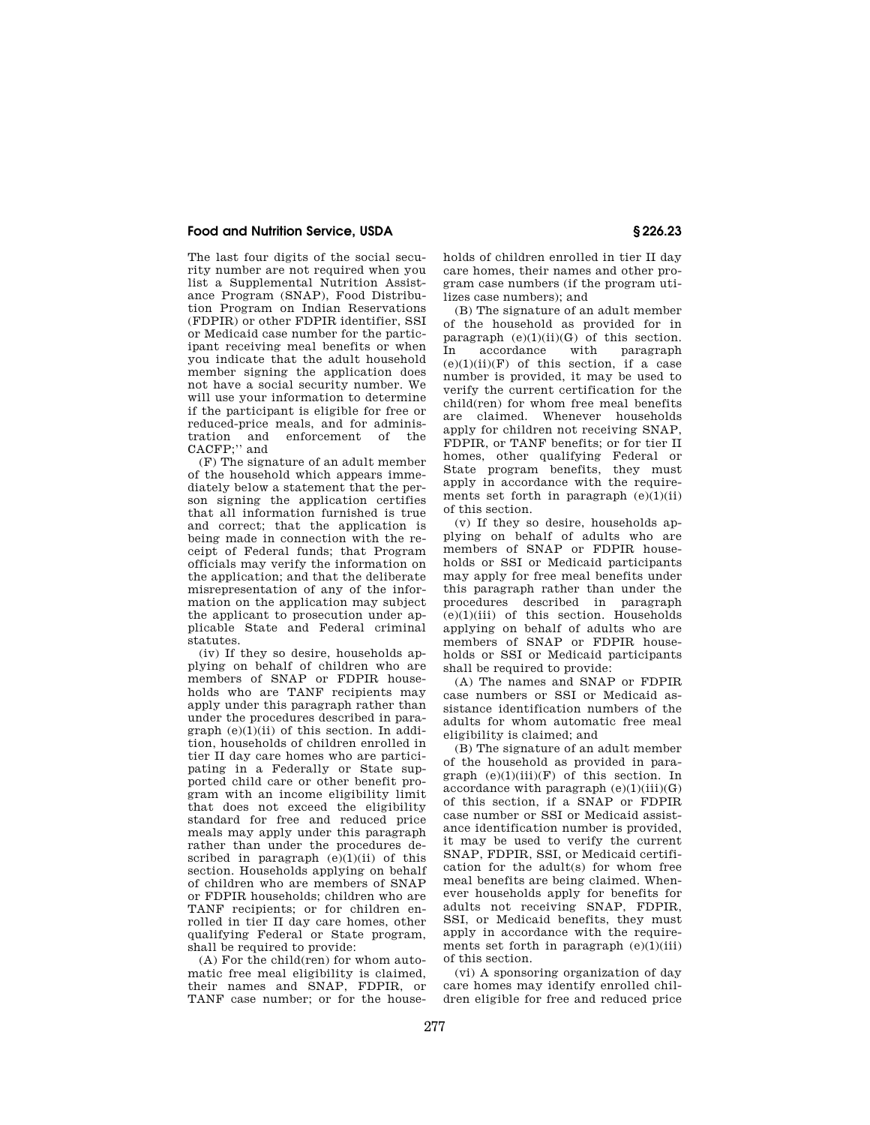The last four digits of the social security number are not required when you list a Supplemental Nutrition Assistance Program (SNAP), Food Distribution Program on Indian Reservations (FDPIR) or other FDPIR identifier, SSI or Medicaid case number for the participant receiving meal benefits or when you indicate that the adult household member signing the application does not have a social security number. We will use your information to determine if the participant is eligible for free or reduced-price meals, and for adminisenforcement of the tration and<br>CACFP;" and

(F) The signature of an adult member of the household which appears immediately below a statement that the person signing the application certifies that all information furnished is true and correct; that the application is being made in connection with the receipt of Federal funds; that Program officials may verify the information on the application; and that the deliberate misrepresentation of any of the information on the application may subject the applicant to prosecution under applicable State and Federal criminal statutes.

(iv) If they so desire, households applying on behalf of children who are members of SNAP or FDPIR households who are TANF recipients may apply under this paragraph rather than under the procedures described in paragraph  $(e)(1)(ii)$  of this section. In addition, households of children enrolled in tier II day care homes who are participating in a Federally or State supported child care or other benefit program with an income eligibility limit that does not exceed the eligibility standard for free and reduced price meals may apply under this paragraph rather than under the procedures described in paragraph  $(e)(1)(ii)$  of this section. Households applying on behalf of children who are members of SNAP or FDPIR households; children who are TANF recipients; or for children enrolled in tier II day care homes, other qualifying Federal or State program, shall be required to provide:

(A) For the child(ren) for whom automatic free meal eligibility is claimed, their names and SNAP, FDPIR, or TANF case number; or for the households of children enrolled in tier II day care homes, their names and other program case numbers (if the program utilizes case numbers); and

(B) The signature of an adult member of the household as provided for in paragraph  $(e)(1)(ii)(G)$  of this section. In accordance with paragraph  $(e)(1)(ii)(F)$  of this section, if a case number is provided, it may be used to verify the current certification for the child(ren) for whom free meal benefits are claimed. Whenever households apply for children not receiving SNAP, FDPIR, or TANF benefits; or for tier II homes, other qualifying Federal or State program benefits, they must apply in accordance with the requirements set forth in paragraph  $(e)(1)(ii)$ of this section.

(v) If they so desire, households applying on behalf of adults who are members of SNAP or FDPIR households or SSI or Medicaid participants may apply for free meal benefits under this paragraph rather than under the procedures described in paragraph  $(e)(1)(iii)$  of this section. Households applying on behalf of adults who are members of SNAP or FDPIR households or SSI or Medicaid participants shall be required to provide:

(A) The names and SNAP or FDPIR case numbers or SSI or Medicaid assistance identification numbers of the adults for whom automatic free meal eligibility is claimed; and

(B) The signature of an adult member of the household as provided in paragraph  $(e)(1)(iii)(F)$  of this section. In accordance with paragraph  $(e)(1)(iii)(G)$ of this section, if a SNAP or FDPIR case number or SSI or Medicaid assistance identification number is provided, it may be used to verify the current SNAP, FDPIR, SSI, or Medicaid certification for the adult(s) for whom free meal benefits are being claimed. Whenever households apply for benefits for adults not receiving SNAP, FDPIR, SSI, or Medicaid benefits, they must apply in accordance with the requirements set forth in paragraph  $(e)(1)(iii)$ of this section.

(vi) A sponsoring organization of day care homes may identify enrolled children eligible for free and reduced price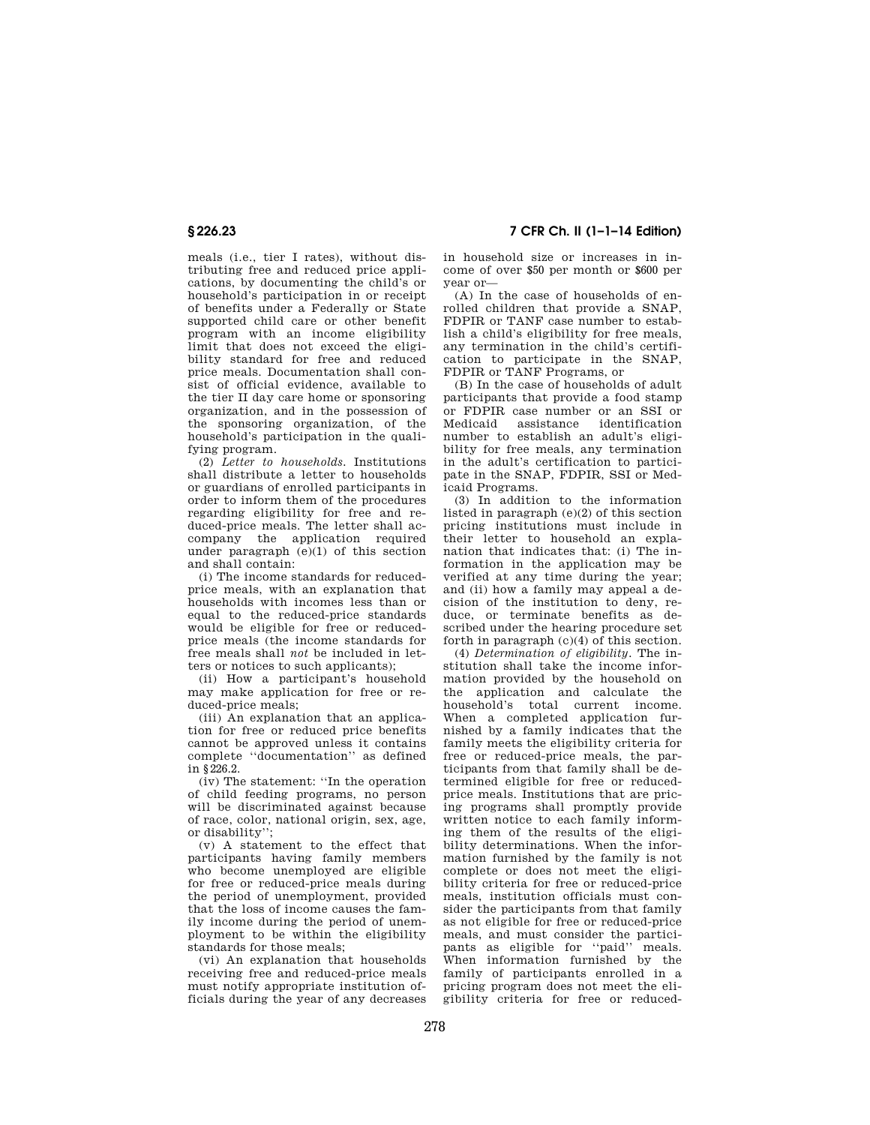# **§ 226.23 7 CFR Ch. II (1–1–14 Edition)**

meals (i.e., tier I rates), without distributing free and reduced price applications, by documenting the child's or household's participation in or receipt of benefits under a Federally or State supported child care or other benefit program with an income eligibility limit that does not exceed the eligibility standard for free and reduced price meals. Documentation shall consist of official evidence, available to the tier II day care home or sponsoring organization, and in the possession of the sponsoring organization, of the household's participation in the qualifying program.

(2) *Letter to households.* Institutions shall distribute a letter to households or guardians of enrolled participants in order to inform them of the procedures regarding eligibility for free and reduced-price meals. The letter shall accompany the application required under paragraph (e)(1) of this section and shall contain:

(i) The income standards for reducedprice meals, with an explanation that households with incomes less than or equal to the reduced-price standards would be eligible for free or reducedprice meals (the income standards for free meals shall *not* be included in letters or notices to such applicants);

(ii) How a participant's household may make application for free or reduced-price meals;

(iii) An explanation that an application for free or reduced price benefits cannot be approved unless it contains complete ''documentation'' as defined in §226.2.

(iv) The statement: ''In the operation of child feeding programs, no person will be discriminated against because of race, color, national origin, sex, age, or disability'';

(v) A statement to the effect that participants having family members who become unemployed are eligible for free or reduced-price meals during the period of unemployment, provided that the loss of income causes the family income during the period of unemployment to be within the eligibility standards for those meals;

(vi) An explanation that households receiving free and reduced-price meals must notify appropriate institution officials during the year of any decreases in household size or increases in income of over \$50 per month or \$600 per year or—

(A) In the case of households of enrolled children that provide a SNAP, FDPIR or TANF case number to establish a child's eligibility for free meals, any termination in the child's certification to participate in the SNAP, FDPIR or TANF Programs, or

(B) In the case of households of adult participants that provide a food stamp or FDPIR case number or an SSI or Medicaid assistance identification number to establish an adult's eligibility for free meals, any termination in the adult's certification to participate in the SNAP, FDPIR, SSI or Medicaid Programs.

(3) In addition to the information listed in paragraph (e)(2) of this section pricing institutions must include in their letter to household an explanation that indicates that: (i) The information in the application may be verified at any time during the year; and (ii) how a family may appeal a decision of the institution to deny, reduce, or terminate benefits as described under the hearing procedure set forth in paragraph  $(c)(4)$  of this section.

(4) *Determination of eligibility.* The institution shall take the income information provided by the household on the application and calculate the household's total current income. When a completed application furnished by a family indicates that the family meets the eligibility criteria for free or reduced-price meals, the participants from that family shall be determined eligible for free or reducedprice meals. Institutions that are pricing programs shall promptly provide written notice to each family informing them of the results of the eligibility determinations. When the information furnished by the family is not complete or does not meet the eligibility criteria for free or reduced-price meals, institution officials must consider the participants from that family as not eligible for free or reduced-price meals, and must consider the participants as eligible for ''paid'' meals. when information furnished by the family of participants enrolled in a pricing program does not meet the eligibility criteria for free or reduced-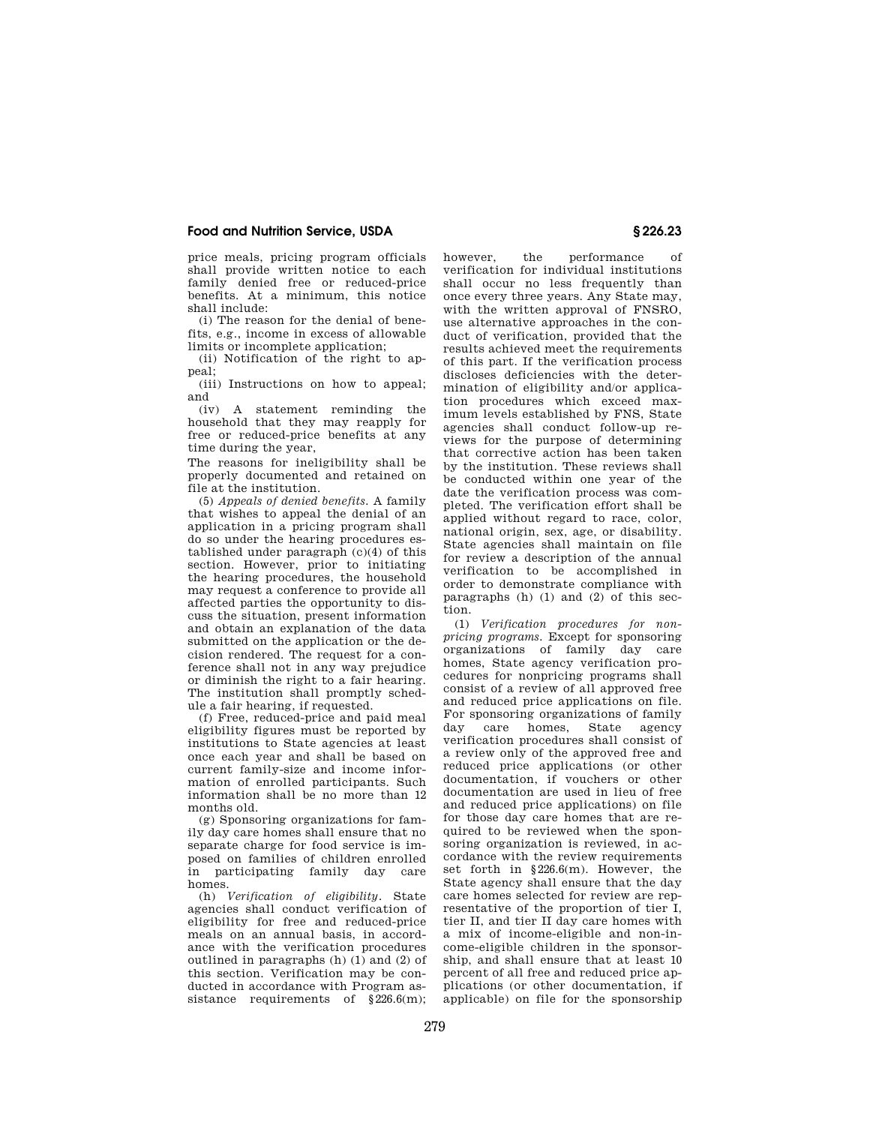price meals, pricing program officials shall provide written notice to each family denied free or reduced-price benefits. At a minimum, this notice shall include:

(i) The reason for the denial of benefits, e.g., income in excess of allowable limits or incomplete application;

(ii) Notification of the right to appeal;

(iii) Instructions on how to appeal; and

(iv) A statement reminding the household that they may reapply for free or reduced-price benefits at any time during the year,

The reasons for ineligibility shall be properly documented and retained on file at the institution.

(5) *Appeals of denied benefits.* A family that wishes to appeal the denial of an application in a pricing program shall do so under the hearing procedures established under paragraph (c)(4) of this section. However, prior to initiating the hearing procedures, the household may request a conference to provide all affected parties the opportunity to discuss the situation, present information and obtain an explanation of the data submitted on the application or the decision rendered. The request for a conference shall not in any way prejudice or diminish the right to a fair hearing. The institution shall promptly schedule a fair hearing, if requested.

(f) Free, reduced-price and paid meal eligibility figures must be reported by institutions to State agencies at least once each year and shall be based on current family-size and income information of enrolled participants. Such information shall be no more than 12 months old.

(g) Sponsoring organizations for family day care homes shall ensure that no separate charge for food service is imposed on families of children enrolled in participating family day care homes.

(h) *Verification of eligibility.* State agencies shall conduct verification of eligibility for free and reduced-price meals on an annual basis, in accordance with the verification procedures outlined in paragraphs  $(h)$   $(1)$  and  $(2)$  of this section. Verification may be conducted in accordance with Program assistance requirements of §226.6(m);

however, the performance of verification for individual institutions shall occur no less frequently than once every three years. Any State may, with the written approval of FNSRO, use alternative approaches in the conduct of verification, provided that the results achieved meet the requirements of this part. If the verification process discloses deficiencies with the determination of eligibility and/or application procedures which exceed maximum levels established by FNS, State agencies shall conduct follow-up reviews for the purpose of determining that corrective action has been taken by the institution. These reviews shall be conducted within one year of the date the verification process was completed. The verification effort shall be applied without regard to race, color, national origin, sex, age, or disability. State agencies shall maintain on file for review a description of the annual verification to be accomplished in order to demonstrate compliance with paragraphs (h) (1) and (2) of this section.

(1) *Verification procedures for nonpricing programs.* Except for sponsoring organizations of family day care homes, State agency verification procedures for nonpricing programs shall consist of a review of all approved free and reduced price applications on file. For sponsoring organizations of family day care homes, State agency verification procedures shall consist of a review only of the approved free and reduced price applications (or other documentation, if vouchers or other documentation are used in lieu of free and reduced price applications) on file for those day care homes that are required to be reviewed when the sponsoring organization is reviewed, in accordance with the review requirements set forth in §226.6(m). However, the State agency shall ensure that the day care homes selected for review are representative of the proportion of tier I, tier II, and tier II day care homes with a mix of income-eligible and non-income-eligible children in the sponsorship, and shall ensure that at least 10 percent of all free and reduced price applications (or other documentation, if applicable) on file for the sponsorship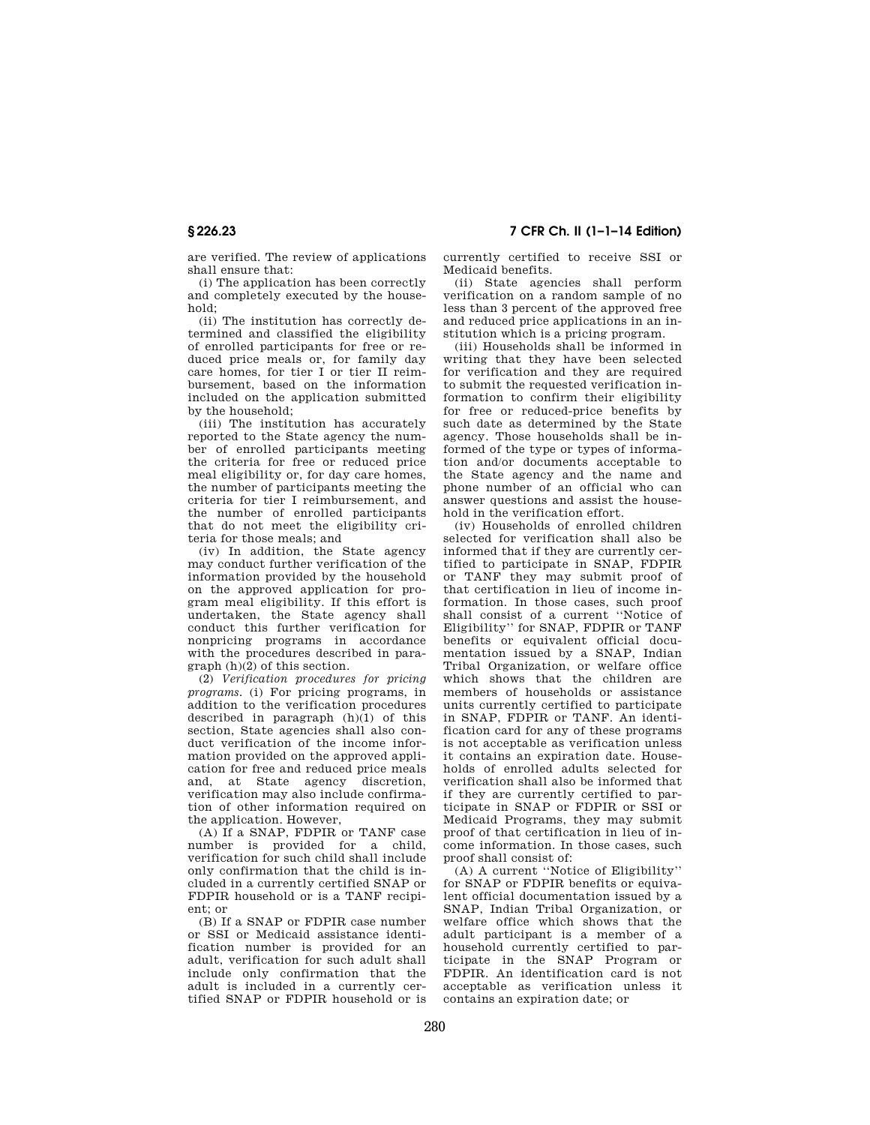are verified. The review of applications shall ensure that:

(i) The application has been correctly and completely executed by the household;

(ii) The institution has correctly determined and classified the eligibility of enrolled participants for free or reduced price meals or, for family day care homes, for tier I or tier II reimbursement, based on the information included on the application submitted by the household;

(iii) The institution has accurately reported to the State agency the number of enrolled participants meeting the criteria for free or reduced price meal eligibility or, for day care homes, the number of participants meeting the criteria for tier I reimbursement, and the number of enrolled participants that do not meet the eligibility criteria for those meals; and

(iv) In addition, the State agency may conduct further verification of the information provided by the household on the approved application for program meal eligibility. If this effort is undertaken, the State agency shall conduct this further verification for nonpricing programs in accordance with the procedures described in paragraph (h)(2) of this section.

(2) *Verification procedures for pricing programs.* (i) For pricing programs, in addition to the verification procedures described in paragraph  $(h)(1)$  of this section, State agencies shall also conduct verification of the income information provided on the approved application for free and reduced price meals and, at State agency discretion, verification may also include confirmation of other information required on the application. However,

(A) If a SNAP, FDPIR or TANF case number is provided for a child, verification for such child shall include only confirmation that the child is included in a currently certified SNAP or FDPIR household or is a TANF recipient; or

(B) If a SNAP or FDPIR case number or SSI or Medicaid assistance identification number is provided for an adult, verification for such adult shall include only confirmation that the adult is included in a currently certified SNAP or FDPIR household or is currently certified to receive SSI or Medicaid benefits.

(ii) State agencies shall perform verification on a random sample of no less than 3 percent of the approved free and reduced price applications in an institution which is a pricing program.

(iii) Households shall be informed in writing that they have been selected for verification and they are required to submit the requested verification information to confirm their eligibility for free or reduced-price benefits by such date as determined by the State agency. Those households shall be informed of the type or types of information and/or documents acceptable to the State agency and the name and phone number of an official who can answer questions and assist the household in the verification effort.

(iv) Households of enrolled children selected for verification shall also be informed that if they are currently certified to participate in SNAP, FDPIR or TANF they may submit proof of that certification in lieu of income information. In those cases, such proof shall consist of a current ''Notice of Eligibility'' for SNAP, FDPIR or TANF benefits or equivalent official documentation issued by a SNAP, Indian Tribal Organization, or welfare office which shows that the children are members of households or assistance units currently certified to participate in SNAP, FDPIR or TANF. An identification card for any of these programs is not acceptable as verification unless it contains an expiration date. Households of enrolled adults selected for verification shall also be informed that if they are currently certified to participate in SNAP or FDPIR or SSI or Medicaid Programs, they may submit proof of that certification in lieu of income information. In those cases, such proof shall consist of:

(A) A current ''Notice of Eligibility'' for SNAP or FDPIR benefits or equivalent official documentation issued by a SNAP, Indian Tribal Organization, or welfare office which shows that the adult participant is a member of a household currently certified to participate in the SNAP Program or FDPIR. An identification card is not acceptable as verification unless it contains an expiration date; or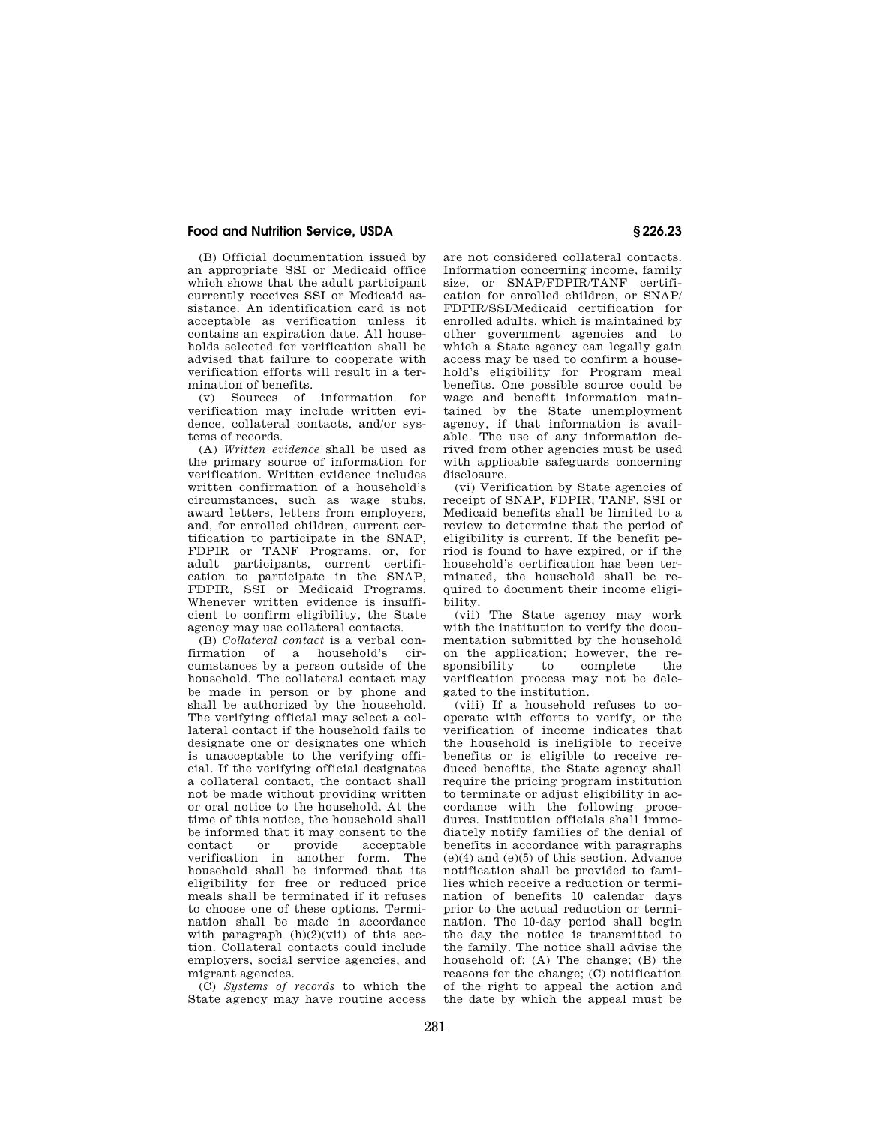(B) Official documentation issued by an appropriate SSI or Medicaid office which shows that the adult participant currently receives SSI or Medicaid assistance. An identification card is not acceptable as verification unless it contains an expiration date. All households selected for verification shall be advised that failure to cooperate with verification efforts will result in a ter-

mination of benefits.<br> $(x)$  Sources of information Sources of information for verification may include written evidence, collateral contacts, and/or systems of records.

(A) *Written evidence* shall be used as the primary source of information for verification. Written evidence includes written confirmation of a household's circumstances, such as wage stubs, award letters, letters from employers, and, for enrolled children, current certification to participate in the SNAP, FDPIR or TANF Programs, or, for adult participants, current certification to participate in the SNAP, FDPIR, SSI or Medicaid Programs. Whenever written evidence is insufficient to confirm eligibility, the State agency may use collateral contacts.

(B) *Collateral contact* is a verbal confirmation of a household's cumstances by a person outside of the household. The collateral contact may be made in person or by phone and shall be authorized by the household. The verifying official may select a collateral contact if the household fails to designate one or designates one which is unacceptable to the verifying official. If the verifying official designates a collateral contact, the contact shall not be made without providing written or oral notice to the household. At the time of this notice, the household shall be informed that it may consent to the<br>contact or provide acceptable contact or provide verification in another form. The household shall be informed that its eligibility for free or reduced price meals shall be terminated if it refuses to choose one of these options. Termination shall be made in accordance with paragraph  $(h)(2)(vi)$  of this section. Collateral contacts could include employers, social service agencies, and migrant agencies.

(C) *Systems of records* to which the State agency may have routine access are not considered collateral contacts. Information concerning income, family size, or SNAP/FDPIR/TANF certification for enrolled children, or SNAP/ FDPIR/SSI/Medicaid certification for enrolled adults, which is maintained by other government agencies and to which a State agency can legally gain access may be used to confirm a household's eligibility for Program meal benefits. One possible source could be wage and benefit information maintained by the State unemployment agency, if that information is available. The use of any information derived from other agencies must be used with applicable safeguards concerning disclosure.

(vi) Verification by State agencies of receipt of SNAP, FDPIR, TANF, SSI or Medicaid benefits shall be limited to a review to determine that the period of eligibility is current. If the benefit period is found to have expired, or if the household's certification has been terminated, the household shall be required to document their income eligibility.

(vii) The State agency may work with the institution to verify the documentation submitted by the household on the application; however, the responsibility to complete the verification process may not be delegated to the institution.

(viii) If a household refuses to cooperate with efforts to verify, or the verification of income indicates that the household is ineligible to receive benefits or is eligible to receive reduced benefits, the State agency shall require the pricing program institution to terminate or adjust eligibility in accordance with the following procedures. Institution officials shall immediately notify families of the denial of benefits in accordance with paragraphs (e)(4) and (e)(5) of this section. Advance notification shall be provided to families which receive a reduction or termination of benefits 10 calendar days prior to the actual reduction or termination. The 10-day period shall begin the day the notice is transmitted to the family. The notice shall advise the household of: (A) The change; (B) the reasons for the change; (C) notification of the right to appeal the action and the date by which the appeal must be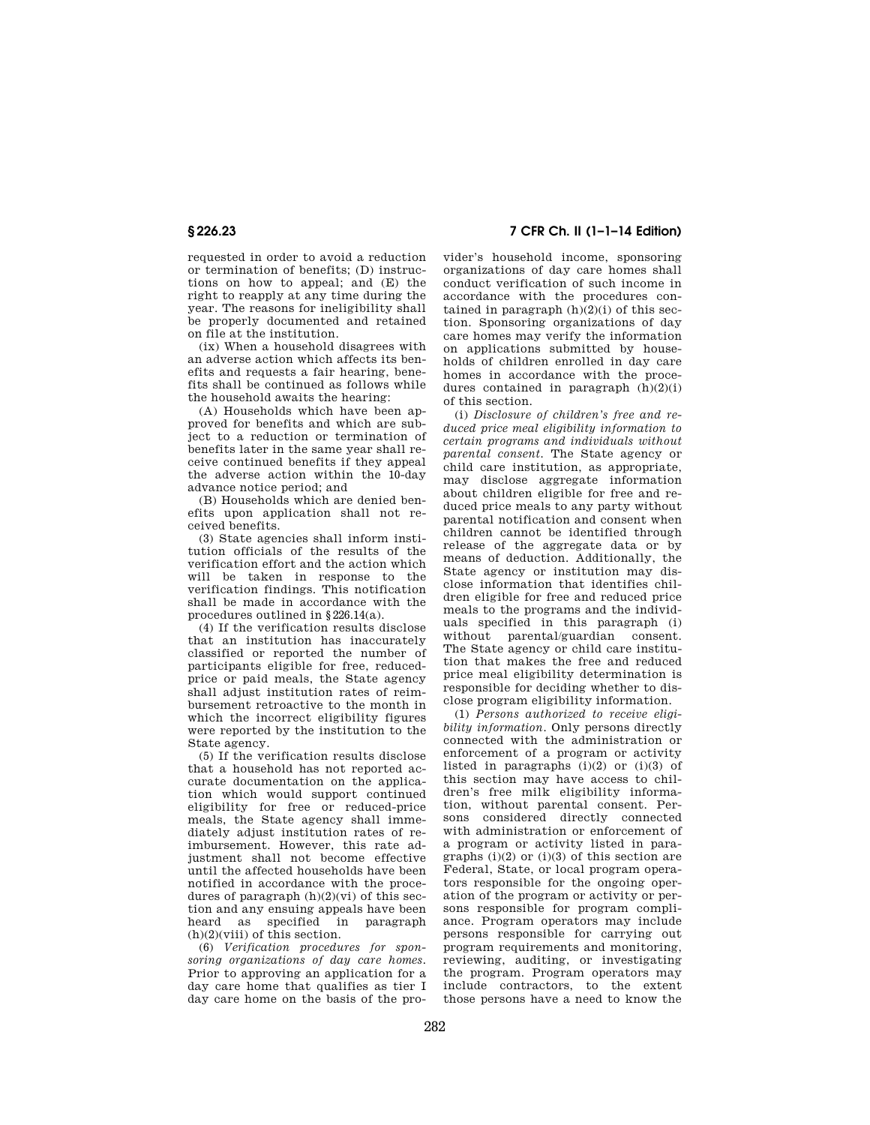requested in order to avoid a reduction or termination of benefits; (D) instructions on how to appeal; and (E) the right to reapply at any time during the year. The reasons for ineligibility shall be properly documented and retained on file at the institution.

(ix) When a household disagrees with an adverse action which affects its benefits and requests a fair hearing, benefits shall be continued as follows while the household awaits the hearing:

(A) Households which have been approved for benefits and which are subject to a reduction or termination of benefits later in the same year shall receive continued benefits if they appeal the adverse action within the 10-day advance notice period; and

(B) Households which are denied benefits upon application shall not received benefits.

(3) State agencies shall inform institution officials of the results of the verification effort and the action which will be taken in response to the verification findings. This notification shall be made in accordance with the procedures outlined in §226.14(a).

(4) If the verification results disclose that an institution has inaccurately classified or reported the number of participants eligible for free, reducedprice or paid meals, the State agency shall adjust institution rates of reimbursement retroactive to the month in which the incorrect eligibility figures were reported by the institution to the State agency.

(5) If the verification results disclose that a household has not reported accurate documentation on the application which would support continued eligibility for free or reduced-price meals, the State agency shall immediately adjust institution rates of reimbursement. However, this rate adjustment shall not become effective until the affected households have been notified in accordance with the procedures of paragraph  $(h)(2)(vi)$  of this section and any ensuing appeals have been heard as specified in paragraph (h)(2)(viii) of this section.

(6) *Verification procedures for sponsoring organizations of day care homes.*  Prior to approving an application for a day care home that qualifies as tier I day care home on the basis of the pro-

**§ 226.23 7 CFR Ch. II (1–1–14 Edition)** 

vider's household income, sponsoring organizations of day care homes shall conduct verification of such income in accordance with the procedures contained in paragraph  $(h)(2)(i)$  of this section. Sponsoring organizations of day care homes may verify the information on applications submitted by households of children enrolled in day care homes in accordance with the procedures contained in paragraph (h)(2)(i) of this section.

(i) *Disclosure of children's free and reduced price meal eligibility information to certain programs and individuals without parental consent.* The State agency or child care institution, as appropriate, may disclose aggregate information about children eligible for free and reduced price meals to any party without parental notification and consent when children cannot be identified through release of the aggregate data or by means of deduction. Additionally, the State agency or institution may disclose information that identifies children eligible for free and reduced price meals to the programs and the individuals specified in this paragraph (i) without parental/guardian consent. The State agency or child care institution that makes the free and reduced price meal eligibility determination is responsible for deciding whether to disclose program eligibility information.

(1) *Persons authorized to receive eligibility information.* Only persons directly connected with the administration or enforcement of a program or activity listed in paragraphs (i)(2) or (i)(3) of this section may have access to children's free milk eligibility information, without parental consent. Persons considered directly connected with administration or enforcement of a program or activity listed in paragraphs  $(i)(2)$  or  $(i)(3)$  of this section are Federal, State, or local program operators responsible for the ongoing operation of the program or activity or persons responsible for program compliance. Program operators may include persons responsible for carrying out program requirements and monitoring, reviewing, auditing, or investigating the program. Program operators may include contractors, to the extent those persons have a need to know the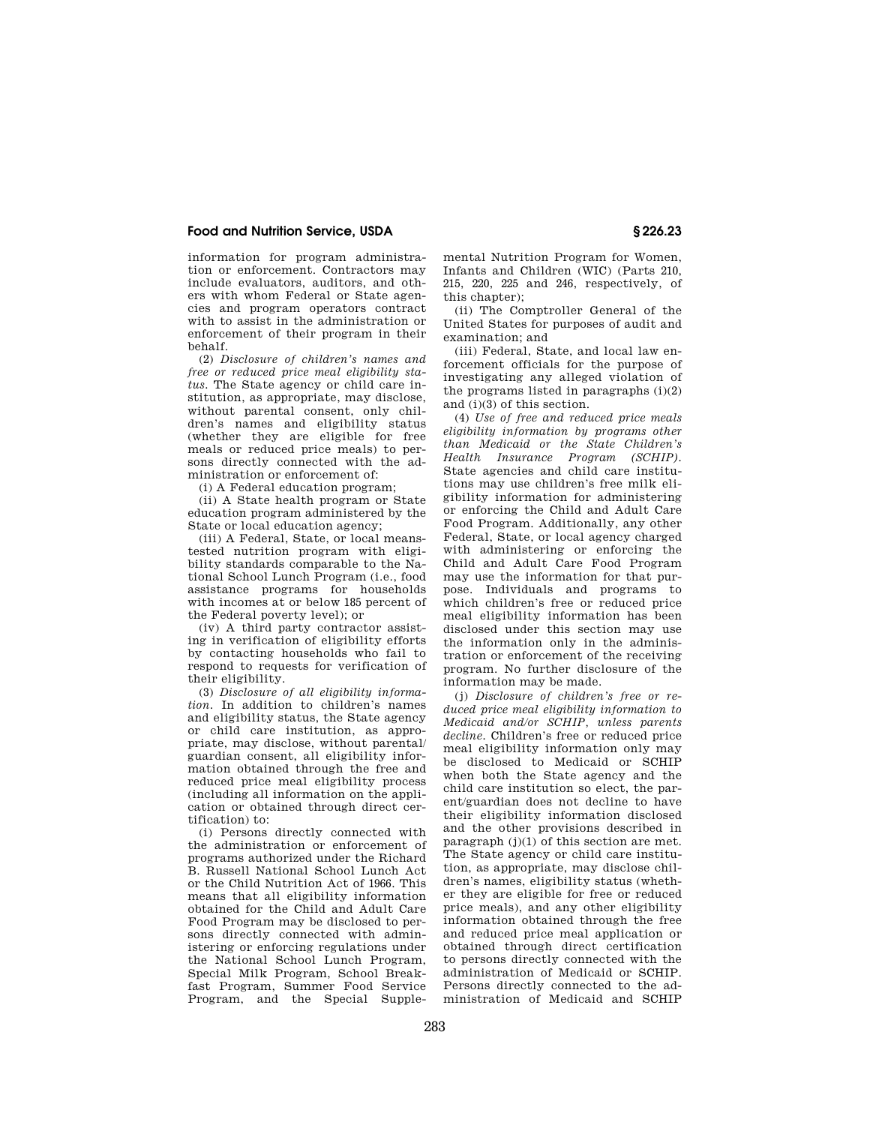information for program administration or enforcement. Contractors may include evaluators, auditors, and others with whom Federal or State agencies and program operators contract with to assist in the administration or enforcement of their program in their behalf.

(2) *Disclosure of children's names and free or reduced price meal eligibility status.* The State agency or child care institution, as appropriate, may disclose, without parental consent, only children's names and eligibility status (whether they are eligible for free meals or reduced price meals) to persons directly connected with the administration or enforcement of:

(i) A Federal education program;

(ii) A State health program or State education program administered by the State or local education agency;

(iii) A Federal, State, or local meanstested nutrition program with eligibility standards comparable to the National School Lunch Program (i.e., food assistance programs for households with incomes at or below 185 percent of the Federal poverty level); or

(iv) A third party contractor assisting in verification of eligibility efforts by contacting households who fail to respond to requests for verification of their eligibility.

(3) *Disclosure of all eligibility information.* In addition to children's names and eligibility status, the State agency or child care institution, as appropriate, may disclose, without parental/ guardian consent, all eligibility information obtained through the free and reduced price meal eligibility process (including all information on the application or obtained through direct certification) to:

(i) Persons directly connected with the administration or enforcement of programs authorized under the Richard B. Russell National School Lunch Act or the Child Nutrition Act of 1966. This means that all eligibility information obtained for the Child and Adult Care Food Program may be disclosed to persons directly connected with administering or enforcing regulations under the National School Lunch Program, Special Milk Program, School Breakfast Program, Summer Food Service Program, and the Special Supplemental Nutrition Program for Women, Infants and Children (WIC) (Parts 210, 215, 220, 225 and 246, respectively, of this chapter);

(ii) The Comptroller General of the United States for purposes of audit and examination; and

(iii) Federal, State, and local law enforcement officials for the purpose of investigating any alleged violation of the programs listed in paragraphs (i)(2) and (i)(3) of this section.

(4) *Use of free and reduced price meals eligibility information by programs other than Medicaid or the State Children's Health Insurance Program (SCHIP).*  State agencies and child care institutions may use children's free milk eligibility information for administering or enforcing the Child and Adult Care Food Program. Additionally, any other Federal, State, or local agency charged with administering or enforcing the Child and Adult Care Food Program may use the information for that purpose. Individuals and programs to which children's free or reduced price meal eligibility information has been disclosed under this section may use the information only in the administration or enforcement of the receiving program. No further disclosure of the information may be made.

(j) *Disclosure of children's free or reduced price meal eligibility information to Medicaid and/or SCHIP, unless parents decline.* Children's free or reduced price meal eligibility information only may be disclosed to Medicaid or SCHIP when both the State agency and the child care institution so elect, the parent/guardian does not decline to have their eligibility information disclosed and the other provisions described in paragraph (j)(1) of this section are met. The State agency or child care institution, as appropriate, may disclose children's names, eligibility status (whether they are eligible for free or reduced price meals), and any other eligibility information obtained through the free and reduced price meal application or obtained through direct certification to persons directly connected with the administration of Medicaid or SCHIP. Persons directly connected to the administration of Medicaid and SCHIP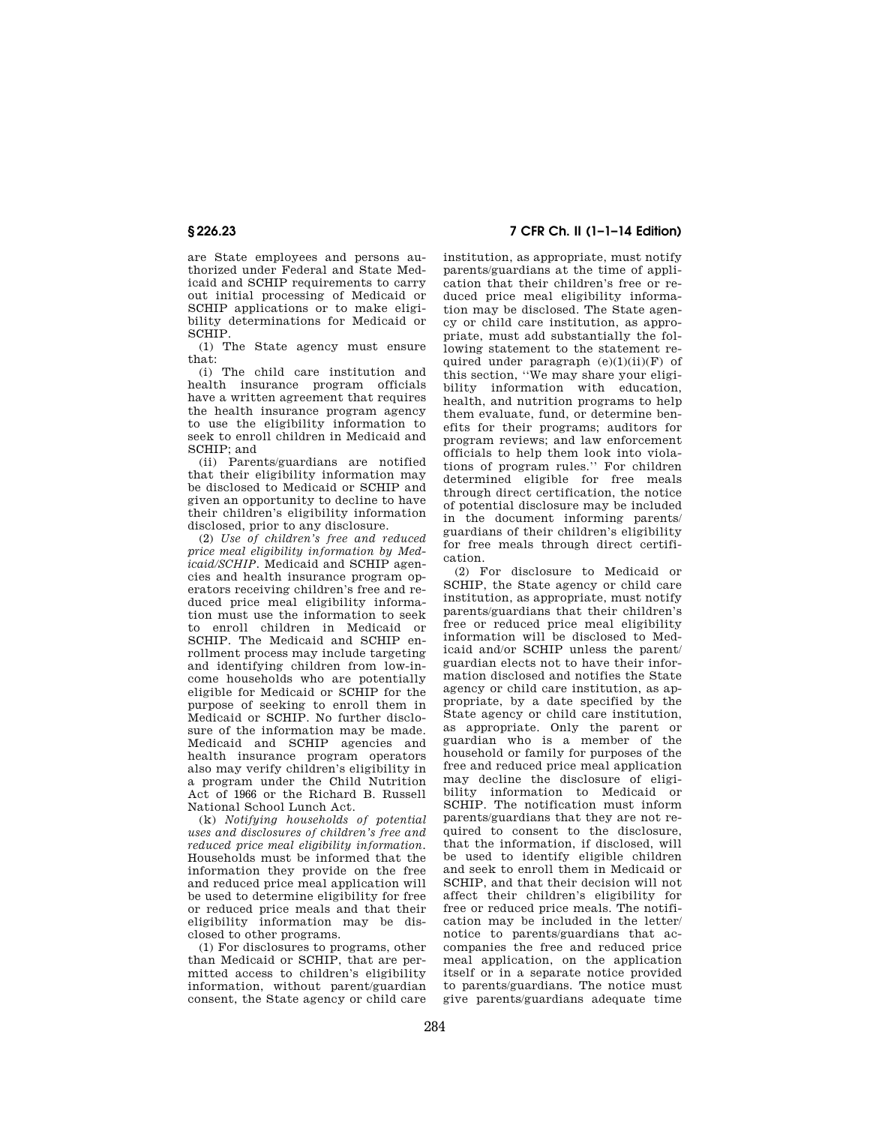are State employees and persons authorized under Federal and State Medicaid and SCHIP requirements to carry out initial processing of Medicaid or SCHIP applications or to make eligibility determinations for Medicaid or SCHIP.

(1) The State agency must ensure that:

(i) The child care institution and health insurance program officials have a written agreement that requires the health insurance program agency to use the eligibility information to seek to enroll children in Medicaid and SCHIP; and

(ii) Parents/guardians are notified that their eligibility information may be disclosed to Medicaid or SCHIP and given an opportunity to decline to have their children's eligibility information disclosed, prior to any disclosure.

(2) *Use of children's free and reduced price meal eligibility information by Medicaid/SCHIP.* Medicaid and SCHIP agencies and health insurance program operators receiving children's free and reduced price meal eligibility information must use the information to seek to enroll children in Medicaid or SCHIP. The Medicaid and SCHIP enrollment process may include targeting and identifying children from low-income households who are potentially eligible for Medicaid or SCHIP for the purpose of seeking to enroll them in Medicaid or SCHIP. No further disclosure of the information may be made. Medicaid and SCHIP agencies and health insurance program operators also may verify children's eligibility in a program under the Child Nutrition Act of 1966 or the Richard B. Russell National School Lunch Act.

(k) *Notifying households of potential uses and disclosures of children's free and reduced price meal eligibility information.*  Households must be informed that the information they provide on the free and reduced price meal application will be used to determine eligibility for free or reduced price meals and that their eligibility information may be disclosed to other programs.

(1) For disclosures to programs, other than Medicaid or SCHIP, that are permitted access to children's eligibility information, without parent/guardian consent, the State agency or child care

# **§ 226.23 7 CFR Ch. II (1–1–14 Edition)**

institution, as appropriate, must notify parents/guardians at the time of application that their children's free or reduced price meal eligibility information may be disclosed. The State agency or child care institution, as appropriate, must add substantially the following statement to the statement required under paragraph  $(e)(1)(ii)(F)$  of this section, ''We may share your eligibility information with education, health, and nutrition programs to help them evaluate, fund, or determine benefits for their programs; auditors for program reviews; and law enforcement officials to help them look into violations of program rules.'' For children determined eligible for free meals through direct certification, the notice of potential disclosure may be included in the document informing parents/ guardians of their children's eligibility for free meals through direct certification.

(2) For disclosure to Medicaid or SCHIP, the State agency or child care institution, as appropriate, must notify parents/guardians that their children's free or reduced price meal eligibility information will be disclosed to Medicaid and/or SCHIP unless the parent/ guardian elects not to have their information disclosed and notifies the State agency or child care institution, as appropriate, by a date specified by the State agency or child care institution, as appropriate. Only the parent or guardian who is a member of the household or family for purposes of the free and reduced price meal application may decline the disclosure of eligibility information to Medicaid or SCHIP. The notification must inform parents/guardians that they are not required to consent to the disclosure, that the information, if disclosed, will be used to identify eligible children and seek to enroll them in Medicaid or SCHIP, and that their decision will not affect their children's eligibility for free or reduced price meals. The notification may be included in the letter/ notice to parents/guardians that accompanies the free and reduced price meal application, on the application itself or in a separate notice provided to parents/guardians. The notice must give parents/guardians adequate time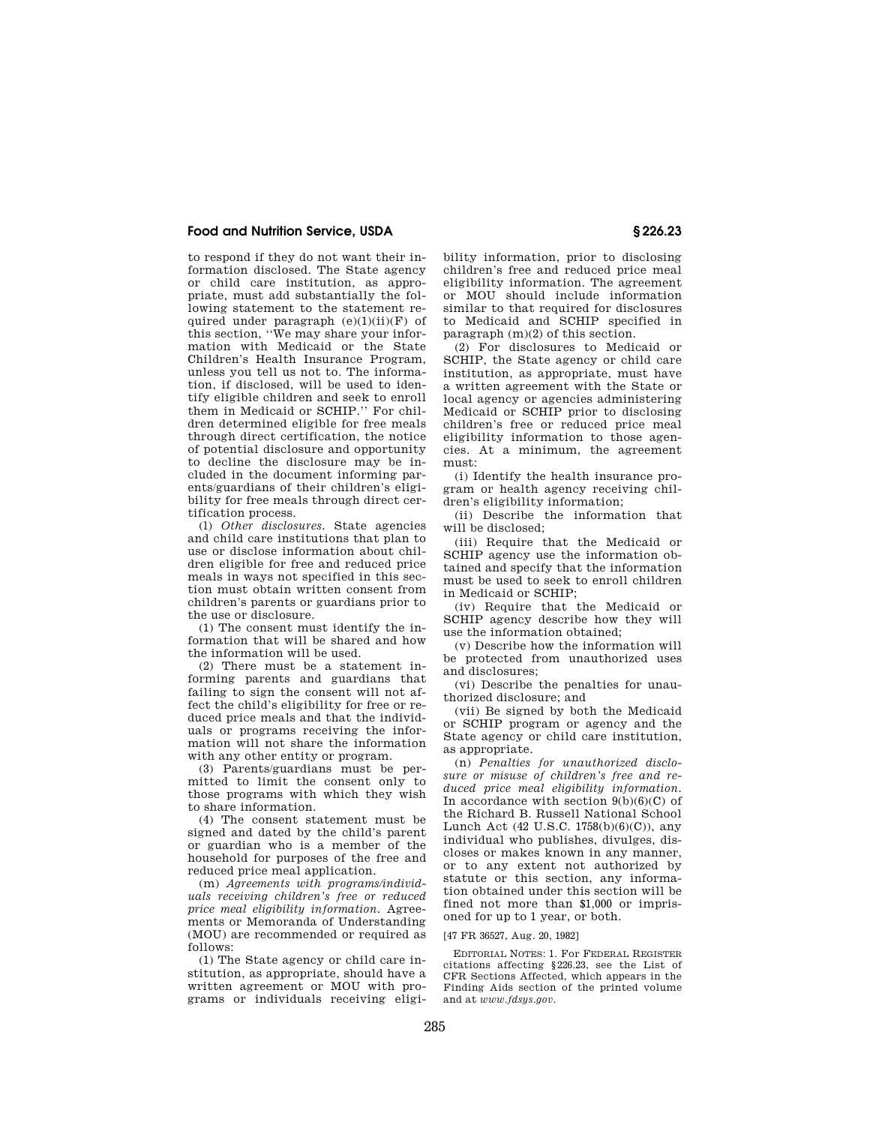to respond if they do not want their information disclosed. The State agency or child care institution, as appropriate, must add substantially the following statement to the statement required under paragraph  $(e)(1)(ii)(F)$  of this section, ''We may share your information with Medicaid or the State Children's Health Insurance Program, unless you tell us not to. The information, if disclosed, will be used to identify eligible children and seek to enroll them in Medicaid or SCHIP.'' For children determined eligible for free meals through direct certification, the notice of potential disclosure and opportunity to decline the disclosure may be included in the document informing parents/guardians of their children's eligibility for free meals through direct certification process.

(l) *Other disclosures.* State agencies and child care institutions that plan to use or disclose information about children eligible for free and reduced price meals in ways not specified in this section must obtain written consent from children's parents or guardians prior to the use or disclosure.

(1) The consent must identify the information that will be shared and how the information will be used.

(2) There must be a statement informing parents and guardians that failing to sign the consent will not affect the child's eligibility for free or reduced price meals and that the individuals or programs receiving the information will not share the information with any other entity or program.

(3) Parents/guardians must be permitted to limit the consent only to those programs with which they wish to share information.

(4) The consent statement must be signed and dated by the child's parent or guardian who is a member of the household for purposes of the free and reduced price meal application.

(m) *Agreements with programs/individuals receiving children's free or reduced price meal eligibility information.* Agreements or Memoranda of Understanding (MOU) are recommended or required as follows:

(1) The State agency or child care institution, as appropriate, should have a written agreement or MOU with programs or individuals receiving eligibility information, prior to disclosing children's free and reduced price meal eligibility information. The agreement or MOU should include information similar to that required for disclosures to Medicaid and SCHIP specified in paragraph (m)(2) of this section.

(2) For disclosures to Medicaid or SCHIP, the State agency or child care institution, as appropriate, must have a written agreement with the State or local agency or agencies administering Medicaid or SCHIP prior to disclosing children's free or reduced price meal eligibility information to those agencies. At a minimum, the agreement must:

(i) Identify the health insurance program or health agency receiving children's eligibility information;

(ii) Describe the information that will be disclosed;

(iii) Require that the Medicaid or SCHIP agency use the information obtained and specify that the information must be used to seek to enroll children in Medicaid or SCHIP;

(iv) Require that the Medicaid or SCHIP agency describe how they will use the information obtained;

(v) Describe how the information will be protected from unauthorized uses and disclosures;

(vi) Describe the penalties for unauthorized disclosure; and

(vii) Be signed by both the Medicaid or SCHIP program or agency and the State agency or child care institution, as appropriate.

(n) *Penalties for unauthorized disclosure or misuse of children's free and reduced price meal eligibility information.*  In accordance with section  $9(b)(6)(C)$  of the Richard B. Russell National School Lunch Act (42 U.S.C. 1758(b)(6)(C)), any individual who publishes, divulges, discloses or makes known in any manner, or to any extent not authorized by statute or this section, any information obtained under this section will be fined not more than \$1,000 or imprisoned for up to 1 year, or both.

#### [47 FR 36527, Aug. 20, 1982]

EDITORIAL NOTES: 1. For FEDERAL REGISTER citations affecting §226.23, see the List of CFR Sections Affected, which appears in the Finding Aids section of the printed volume and at *www.fdsys.gov.*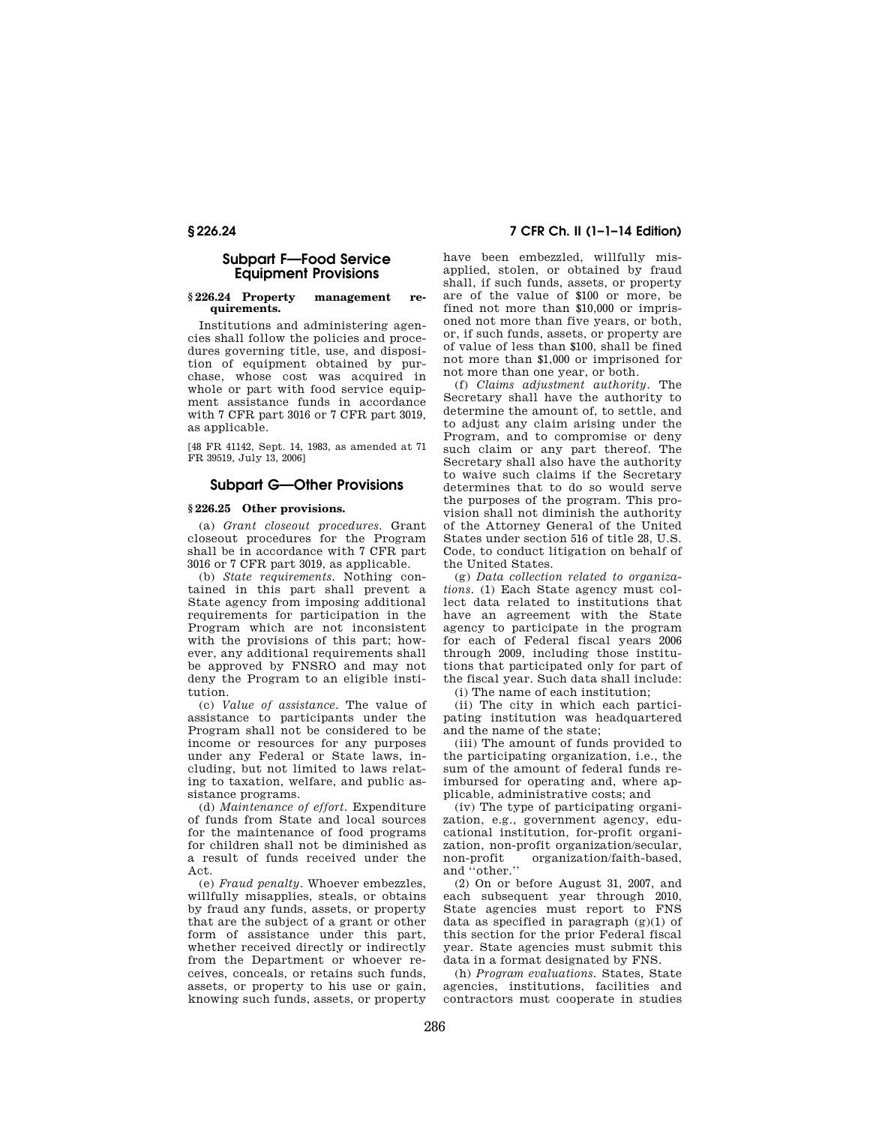# **Subpart F—Food Service Equipment Provisions**

### **§ 226.24 Property management requirements.**

Institutions and administering agencies shall follow the policies and procedures governing title, use, and disposition of equipment obtained by purchase, whose cost was acquired in whole or part with food service equipment assistance funds in accordance with 7 CFR part 3016 or 7 CFR part 3019, as applicable.

[48 FR 41142, Sept. 14, 1983, as amended at 71 FR 39519, July 13, 2006]

# **Subpart G—Other Provisions**

# **§ 226.25 Other provisions.**

(a) *Grant closeout procedures.* Grant closeout procedures for the Program shall be in accordance with 7 CFR part 3016 or 7 CFR part 3019, as applicable.

(b) *State requirements.* Nothing contained in this part shall prevent a State agency from imposing additional requirements for participation in the Program which are not inconsistent with the provisions of this part; however, any additional requirements shall be approved by FNSRO and may not deny the Program to an eligible institution.

(c) *Value of assistance.* The value of assistance to participants under the Program shall not be considered to be income or resources for any purposes under any Federal or State laws, including, but not limited to laws relating to taxation, welfare, and public assistance programs.

(d) *Maintenance of effort.* Expenditure of funds from State and local sources for the maintenance of food programs for children shall not be diminished as a result of funds received under the Act.

(e) *Fraud penalty.* Whoever embezzles, willfully misapplies, steals, or obtains by fraud any funds, assets, or property that are the subject of a grant or other form of assistance under this part, whether received directly or indirectly from the Department or whoever receives, conceals, or retains such funds, assets, or property to his use or gain, knowing such funds, assets, or property

# **§ 226.24 7 CFR Ch. II (1–1–14 Edition)**

have been embezzled, willfully misapplied, stolen, or obtained by fraud shall, if such funds, assets, or property are of the value of \$100 or more, be fined not more than \$10,000 or imprisoned not more than five years, or both, or, if such funds, assets, or property are of value of less than \$100, shall be fined not more than \$1,000 or imprisoned for not more than one year, or both.

(f) *Claims adjustment authority.* The Secretary shall have the authority to determine the amount of, to settle, and to adjust any claim arising under the Program, and to compromise or deny such claim or any part thereof. The Secretary shall also have the authority to waive such claims if the Secretary determines that to do so would serve the purposes of the program. This provision shall not diminish the authority of the Attorney General of the United States under section 516 of title 28, U.S. Code, to conduct litigation on behalf of the United States.

(g) *Data collection related to organizations.* (1) Each State agency must collect data related to institutions that have an agreement with the State agency to participate in the program for each of Federal fiscal years 2006 through 2009, including those institutions that participated only for part of the fiscal year. Such data shall include:

(i) The name of each institution;

(ii) The city in which each participating institution was headquartered and the name of the state;

(iii) The amount of funds provided to the participating organization, i.e., the sum of the amount of federal funds reimbursed for operating and, where applicable, administrative costs; and

(iv) The type of participating organization, e.g., government agency, educational institution, for-profit organization, non-profit organization/secular,<br>non-profit organization/faith-based, organization/faith-based, and ''other.''

(2) On or before August 31, 2007, and each subsequent year through 2010, State agencies must report to FNS data as specified in paragraph  $(g)(1)$  of this section for the prior Federal fiscal year. State agencies must submit this data in a format designated by FNS.

(h) *Program evaluations.* States, State agencies, institutions, facilities and contractors must cooperate in studies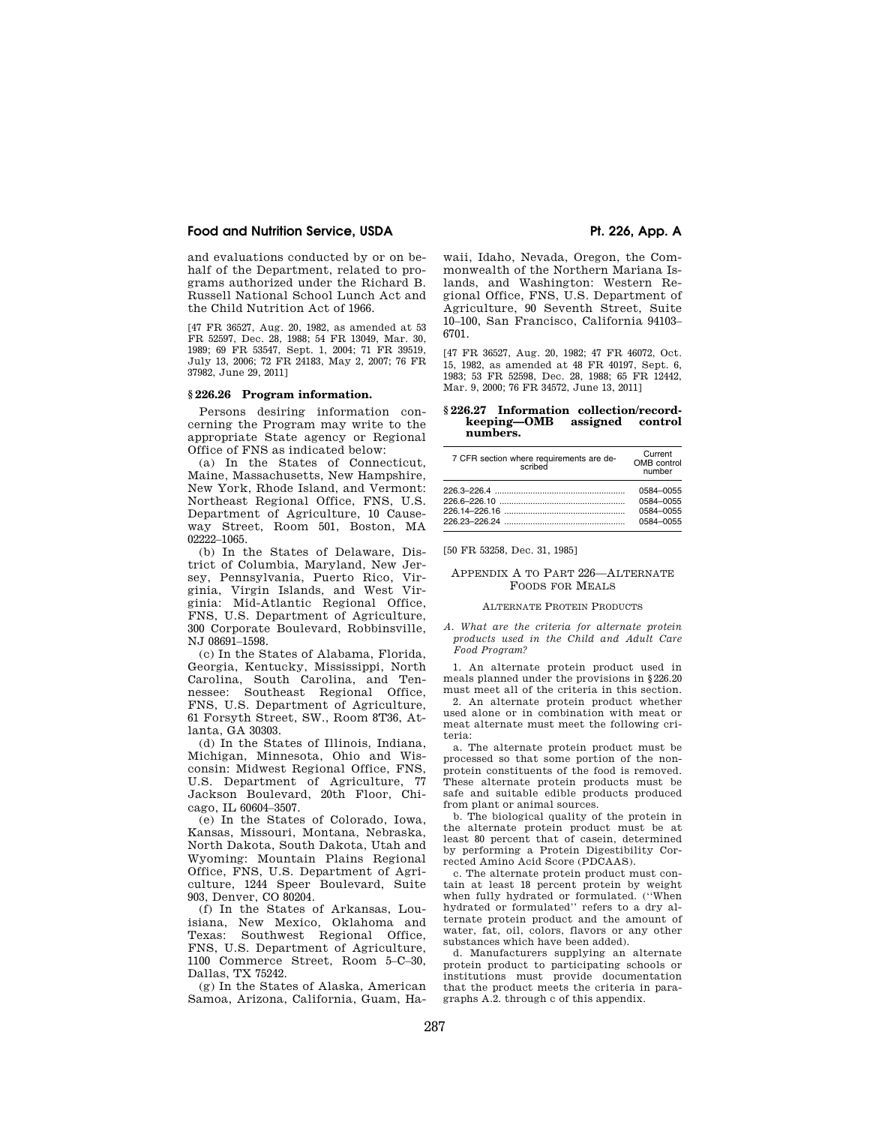### **Food and Nutrition Service, USDA Pt. 226, App. A**

and evaluations conducted by or on behalf of the Department, related to programs authorized under the Richard B. Russell National School Lunch Act and the Child Nutrition Act of 1966.

[47 FR 36527, Aug. 20, 1982, as amended at 53 FR 52597, Dec. 28, 1988; 54 FR 13049, Mar. 30, 1989; 69 FR 53547, Sept. 1, 2004; 71 FR 39519, July 13, 2006; 72 FR 24183, May 2, 2007; 76 FR 37982, June 29, 2011]

### **§ 226.26 Program information.**

Persons desiring information concerning the Program may write to the appropriate State agency or Regional Office of FNS as indicated below:

(a) In the States of Connecticut, Maine, Massachusetts, New Hampshire, New York, Rhode Island, and Vermont: Northeast Regional Office, FNS, U.S. Department of Agriculture, 10 Causeway Street, Room 501, Boston, MA 02222–1065.

(b) In the States of Delaware, District of Columbia, Maryland, New Jersey, Pennsylvania, Puerto Rico, Virginia, Virgin Islands, and West Virginia: Mid-Atlantic Regional Office, FNS, U.S. Department of Agriculture, 300 Corporate Boulevard, Robbinsville, NJ 08691–1598.

(c) In the States of Alabama, Florida, Georgia, Kentucky, Mississippi, North Carolina, South Carolina, and Tennessee: Southeast Regional Office, FNS, U.S. Department of Agriculture, 61 Forsyth Street, SW., Room 8T36, Atlanta, GA 30303.

(d) In the States of Illinois, Indiana, Michigan, Minnesota, Ohio and Wisconsin: Midwest Regional Office, FNS, U.S. Department of Agriculture, 77 Jackson Boulevard, 20th Floor, Chicago, IL 60604–3507.

(e) In the States of Colorado, Iowa, Kansas, Missouri, Montana, Nebraska, North Dakota, South Dakota, Utah and Wyoming: Mountain Plains Regional Office, FNS, U.S. Department of Agriculture, 1244 Speer Boulevard, Suite 903, Denver, CO 80204.

(f) In the States of Arkansas, Louisiana, New Mexico, Oklahoma and Texas: Southwest Regional Office, FNS, U.S. Department of Agriculture, 1100 Commerce Street, Room 5–C–30, Dallas, TX 75242.

(g) In the States of Alaska, American Samoa, Arizona, California, Guam, Ha-

waii, Idaho, Nevada, Oregon, the Commonwealth of the Northern Mariana Islands, and Washington: Western Regional Office, FNS, U.S. Department of Agriculture, 90 Seventh Street, Suite 10–100, San Francisco, California 94103– 6701.

[47 FR 36527, Aug. 20, 1982; 47 FR 46072, Oct. 15, 1982, as amended at 48 FR 40197, Sept. 6, 1983; 53 FR 52598, Dec. 28, 1988; 65 FR 12442, Mar. 9, 2000; 76 FR 34572, June 13, 2011]

#### **§ 226.27 Information collection/recordkeeping** assigned control **numbers.**

| 7 CFR section where requirements are de-<br>scribed | Current<br>OMB control<br>number |
|-----------------------------------------------------|----------------------------------|
|                                                     | 0584-0055                        |
|                                                     | 0584-0055                        |
|                                                     | 0584-0055                        |
|                                                     | 0584-0055                        |

[50 FR 53258, Dec. 31, 1985]

#### APPENDIX A TO PART 226—ALTERNATE FOODS FOR MEALS

#### ALTERNATE PROTEIN PRODUCTS

*A. What are the criteria for alternate protein products used in the Child and Adult Care Food Program?* 

1. An alternate protein product used in meals planned under the provisions in §226.20 must meet all of the criteria in this section.

2. An alternate protein product whether used alone or in combination with meat or meat alternate must meet the following criteria:

a. The alternate protein product must be processed so that some portion of the nonprotein constituents of the food is removed. These alternate protein products must be safe and suitable edible products produced from plant or animal sources.

b. The biological quality of the protein in the alternate protein product must be at least 80 percent that of casein, determined by performing a Protein Digestibility Corrected Amino Acid Score (PDCAAS).

c. The alternate protein product must contain at least 18 percent protein by weight when fully hydrated or formulated. (''When hydrated or formulated'' refers to a dry alternate protein product and the amount of water, fat, oil, colors, flavors or any other substances which have been added).

d. Manufacturers supplying an alternate protein product to participating schools or institutions must provide documentation that the product meets the criteria in paragraphs A.2. through c of this appendix.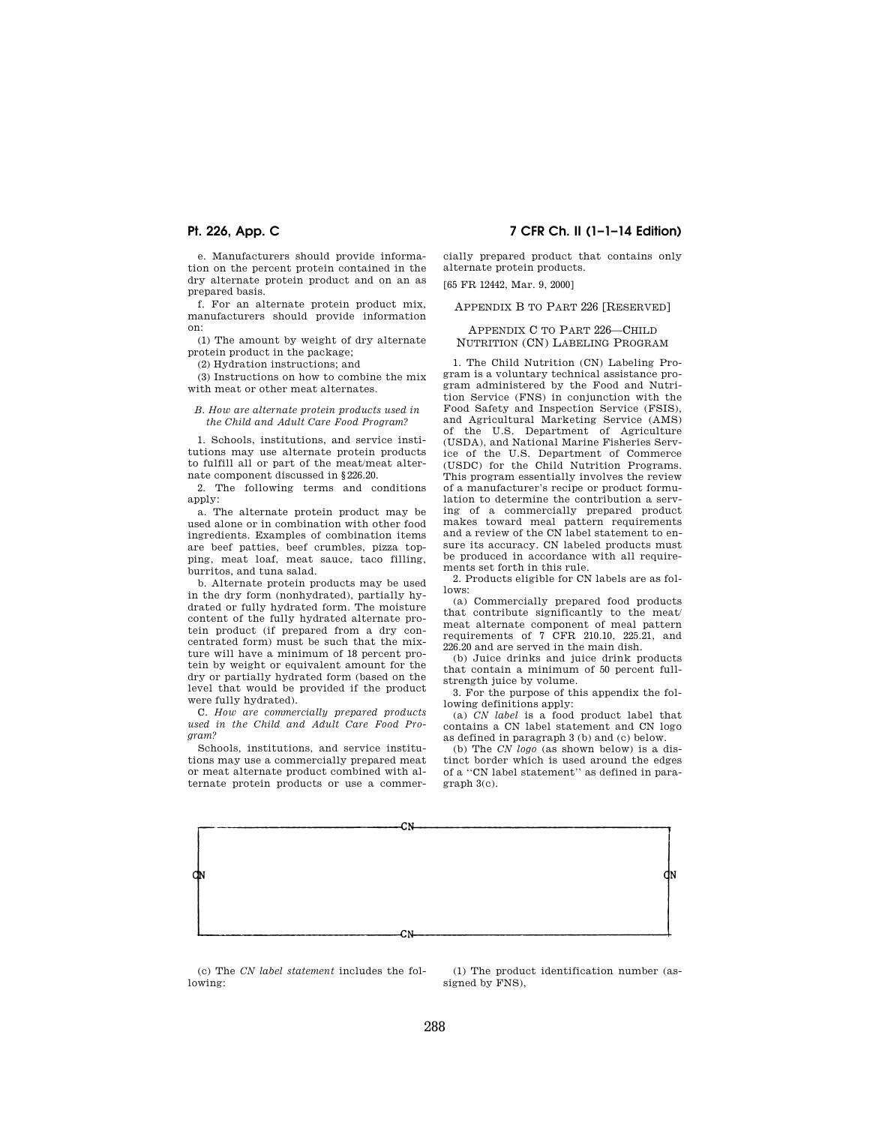e. Manufacturers should provide information on the percent protein contained in the dry alternate protein product and on an as prepared basis.

f. For an alternate protein product mix, manufacturers should provide information on:

(1) The amount by weight of dry alternate protein product in the package;

(2) Hydration instructions; and

(3) Instructions on how to combine the mix with meat or other meat alternates.

*B. How are alternate protein products used in the Child and Adult Care Food Program?* 

1. Schools, institutions, and service institutions may use alternate protein products to fulfill all or part of the meat/meat alternate component discussed in §226.20.

2. The following terms and conditions apply:

a. The alternate protein product may be used alone or in combination with other food ingredients. Examples of combination items are beef patties, beef crumbles, pizza topping, meat loaf, meat sauce, taco filling, burritos, and tuna salad.

b. Alternate protein products may be used in the dry form (nonhydrated), partially hydrated or fully hydrated form. The moisture content of the fully hydrated alternate protein product (if prepared from a dry concentrated form) must be such that the mixture will have a minimum of 18 percent protein by weight or equivalent amount for the dry or partially hydrated form (based on the level that would be provided if the product were fully hydrated).

C. *How are commercially prepared products used in the Child and Adult Care Food Program?* 

Schools, institutions, and service institutions may use a commercially prepared meat or meat alternate product combined with alternate protein products or use a commer-

## **Pt. 226, App. C 7 CFR Ch. II (1–1–14 Edition)**

cially prepared product that contains only alternate protein products.

[65 FR 12442, Mar. 9, 2000]

### APPENDIX B TO PART 226 [RESERVED]

### APPENDIX C TO PART 226—CHILD NUTRITION (CN) LABELING PROGRAM

1. The Child Nutrition (CN) Labeling Program is a voluntary technical assistance program administered by the Food and Nutrition Service (FNS) in conjunction with the Food Safety and Inspection Service (FSIS), and Agricultural Marketing Service (AMS) of the U.S. Department of Agriculture (USDA), and National Marine Fisheries Service of the U.S. Department of Commerce (USDC) for the Child Nutrition Programs. This program essentially involves the review of a manufacturer's recipe or product formulation to determine the contribution a serving of a commercially prepared product makes toward meal pattern requirements and a review of the CN label statement to ensure its accuracy. CN labeled products must be produced in accordance with all requirements set forth in this rule.

2. Products eligible for CN labels are as follows:

(a) Commercially prepared food products that contribute significantly to the meat/ meat alternate component of meal pattern requirements of 7 CFR 210.10, 225.21, and 226.20 and are served in the main dish.

(b) Juice drinks and juice drink products that contain a minimum of 50 percent fullstrength juice by volume.

3. For the purpose of this appendix the following definitions apply:

(a) *CN label* is a food product label that contains a CN label statement and CN logo as defined in paragraph 3 (b) and (c) below.

(b) The *CN logo* (as shown below) is a distinct border which is used around the edges of a ''CN label statement'' as defined in paragraph 3(c).



(c) The *CN label statement* includes the following:

(1) The product identification number (assigned by FNS),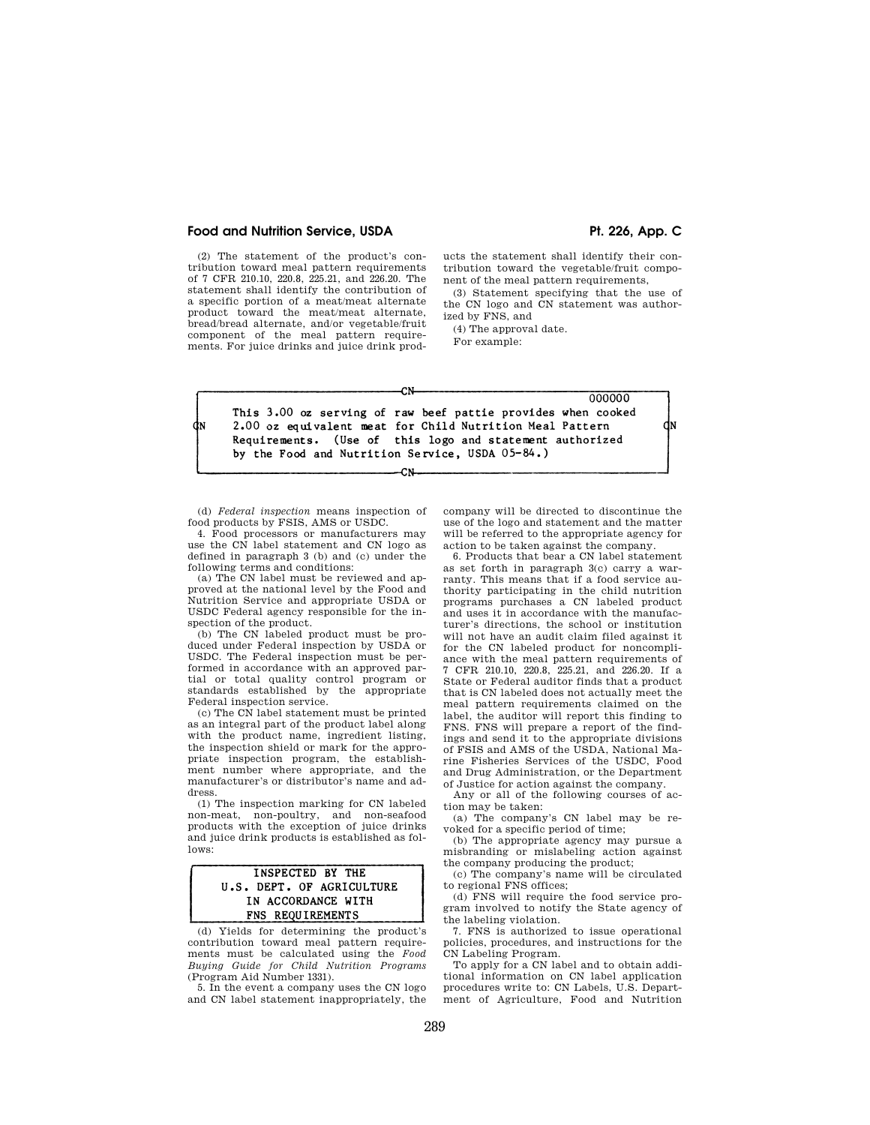#### Food and Nutrition Service, USDA **Price, 1998** Pt. 226, App. C

(2) The statement of the product's contribution toward meal pattern requirements of 7 CFR 210.10, 220.8, 225.21, and 226.20. The statement shall identify the contribution of a specific portion of a meat/meat alternate product toward the meat/meat alternate, bread/bread alternate, and/or vegetable/fruit component of the meal pattern requirements. For juice drinks and juice drink products the statement shall identify their contribution toward the vegetable/fruit component of the meal pattern requirements,

(3) Statement specifying that the use of the CN logo and CN statement was authorized by FNS, and

(4) The approval date.

For example:

|    | 000000                                                         |
|----|----------------------------------------------------------------|
|    | This 3.00 oz serving of raw beef pattie provides when cooked   |
| İΝ | dı<br>2.00 oz equivalent meat for Child Nutrition Meal Pattern |
|    | Requirements. (Use of this logo and statement authorized       |
|    | by the Food and Nutrition Service, USDA 05-84.)                |
|    |                                                                |

CN

(d) *Federal inspection* means inspection of food products by FSIS, AMS or USDC.

4. Food processors or manufacturers may use the  $\tilde{\text{CN}}$  label statement and CN logo as defined in paragraph 3 (b) and (c) under the following terms and conditions:

(a) The CN label must be reviewed and approved at the national level by the Food and Nutrition Service and appropriate USDA or USDC Federal agency responsible for the inspection of the product.

(b) The CN labeled product must be produced under Federal inspection by USDA or USDC. The Federal inspection must be performed in accordance with an approved partial or total quality control program or standards established by the appropriate Federal inspection service.

(c) The CN label statement must be printed as an integral part of the product label along with the product name, ingredient listing, the inspection shield or mark for the appropriate inspection program, the establishment number where appropriate, and the manufacturer's or distributor's name and address.

(1) The inspection marking for CN labeled non-meat, non-poultry, and non-seafood products with the exception of juice drinks and juice drink products is established as follows:

## **INSPECTED BY THE** U.S. DEPT. OF AGRICULTURE IN ACCORDANCE WITH FNS REQUIREMENTS

(d) Yields for determining the product's contribution toward meal pattern requirements must be calculated using the *Food Buying Guide for Child Nutrition Programs*  (Program Aid Number 1331).

5. In the event a company uses the CN logo and CN label statement inappropriately, the company will be directed to discontinue the use of the logo and statement and the matter will be referred to the appropriate agency for action to be taken against the company.

6. Products that bear a CN label statement as set forth in paragraph 3(c) carry a warranty. This means that if a food service authority participating in the child nutrition programs purchases a CN labeled product and uses it in accordance with the manufacturer's directions, the school or institution will not have an audit claim filed against it for the CN labeled product for noncompliance with the meal pattern requirements of 7 CFR 210.10, 220.8, 225.21, and 226.20. If a State or Federal auditor finds that a product that is CN labeled does not actually meet the meal pattern requirements claimed on the label, the auditor will report this finding to FNS. FNS will prepare a report of the findings and send it to the appropriate divisions of FSIS and AMS of the USDA, National Marine Fisheries Services of the USDC, Food and Drug Administration, or the Department of Justice for action against the company.

Any or all of the following courses of action may be taken:

(a) The company's CN label may be revoked for a specific period of time;

(b) The appropriate agency may pursue a misbranding or mislabeling action against the company producing the product;

(c) The company's name will be circulated to regional FNS offices;

(d) FNS will require the food service program involved to notify the State agency of the labeling violation.

7. FNS is authorized to issue operational policies, procedures, and instructions for the CN Labeling Program.

To apply for a CN label and to obtain additional information on CN label application procedures write to: CN Labels, U.S. Department of Agriculture, Food and Nutrition